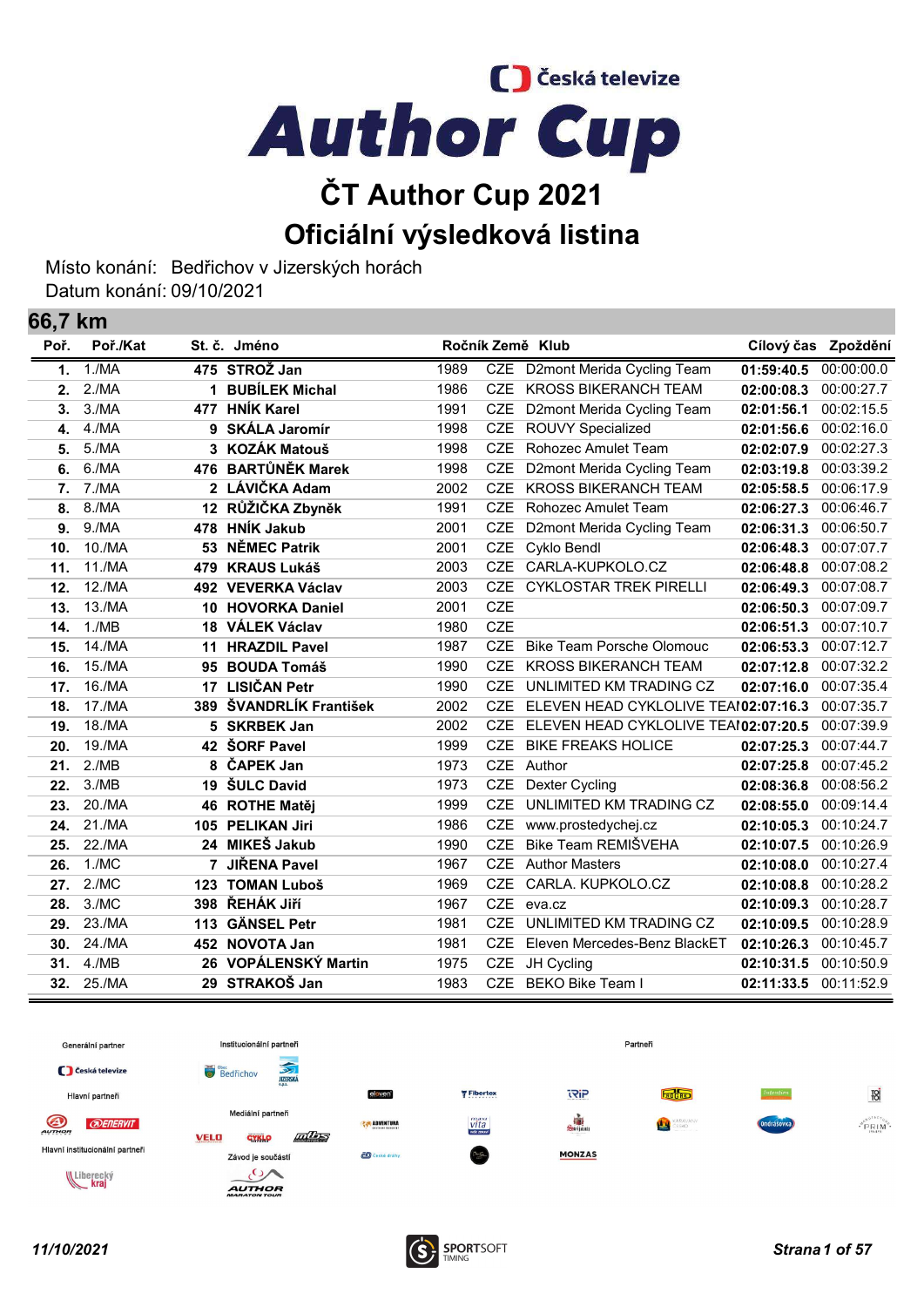C Česká televize **Author Cup** 

## ČT Author Cup 2021 Oficiální výsledková listina

Místo konání: Bedřichov v Jizerských horách Datum konání: 09/10/2021

66,7 km

| VV, I | <b>NIII</b> |     |                       |      |            |                                      |            |                     |
|-------|-------------|-----|-----------------------|------|------------|--------------------------------------|------------|---------------------|
| Poř.  | Poř./Kat    |     | St. č. Jméno          |      |            | Ročník Země Klub                     |            | Cílový čas Zpoždění |
| 1.    | 1./MA       |     | 475 STROŽ Jan         | 1989 | <b>CZE</b> | D2mont Merida Cycling Team           | 01:59:40.5 | 00:00:00.0          |
| 2.    | 2./MA       |     | 1 BUBÍLEK Michal      | 1986 | <b>CZE</b> | <b>KROSS BIKERANCH TEAM</b>          | 02:00:08.3 | 00:00:27.7          |
| 3.    | 3./MA       |     | 477 HNÍK Karel        | 1991 | <b>CZE</b> | D2mont Merida Cycling Team           | 02:01:56.1 | 00:02:15.5          |
| 4.    | 4./MA       | 9   | <b>SKÁLA Jaromír</b>  | 1998 | <b>CZE</b> | <b>ROUVY Specialized</b>             | 02:01:56.6 | 00:02:16.0          |
| 5.    | 5./MA       |     | 3 KOZÁK Matouš        | 1998 | <b>CZE</b> | Rohozec Amulet Team                  | 02:02:07.9 | 00:02:27.3          |
| 6.    | 6./MA       |     | 476 BARTŮNĚK Marek    | 1998 | <b>CZE</b> | D2mont Merida Cycling Team           | 02:03:19.8 | 00:03:39.2          |
| 7.    | 7./MA       |     | 2 LÁVIČKA Adam        | 2002 | <b>CZE</b> | <b>KROSS BIKERANCH TEAM</b>          | 02:05:58.5 | 00:06:17.9          |
| 8.    | 8./MA       |     | 12 RŮŽIČKA Zbyněk     | 1991 | <b>CZE</b> | Rohozec Amulet Team                  | 02:06:27.3 | 00:06:46.7          |
| 9.    | 9./MA       | 478 | <b>HNÍK Jakub</b>     | 2001 | <b>CZE</b> | D2mont Merida Cycling Team           | 02:06:31.3 | 00:06:50.7          |
| 10.   | 10./MA      | 53  | <b>NĚMEC Patrik</b>   | 2001 | <b>CZE</b> | Cyklo Bendl                          | 02:06:48.3 | 00:07:07.7          |
| 11.   | 11./MA      | 479 | <b>KRAUS Lukáš</b>    | 2003 | <b>CZE</b> | CARLA-KUPKOLO.CZ                     | 02:06:48.8 | 00:07:08.2          |
| 12.   | 12./MA      |     | 492 VEVERKA Václav    | 2003 | <b>CZE</b> | <b>CYKLOSTAR TREK PIRELLI</b>        | 02:06:49.3 | 00:07:08.7          |
| 13.   | 13./MA      | 10  | <b>HOVORKA Daniel</b> | 2001 | <b>CZE</b> |                                      | 02:06:50.3 | 00:07:09.7          |
| 14.   | 1./MB       |     | 18 VÁLEK Václav       | 1980 | <b>CZE</b> |                                      | 02:06:51.3 | 00:07:10.7          |
| 15.   | 14./MA      | 11  | <b>HRAZDIL Pavel</b>  | 1987 | <b>CZE</b> | <b>Bike Team Porsche Olomouc</b>     | 02:06:53.3 | 00:07:12.7          |
| 16.   | 15./MA      | 95  | <b>BOUDA Tomáš</b>    | 1990 | <b>CZE</b> | <b>KROSS BIKERANCH TEAM</b>          | 02:07:12.8 | 00:07:32.2          |
| 17.   | 16./MA      |     | 17 LISIČAN Petr       | 1990 | <b>CZE</b> | UNLIMITED KM TRADING CZ              | 02:07:16.0 | 00:07:35.4          |
| 18.   | 17./MA      | 389 | ŠVANDRLÍK František   | 2002 | <b>CZE</b> | ELEVEN HEAD CYKLOLIVE TEAI02:07:16.3 |            | 00:07:35.7          |
| 19.   | 18./MA      | 5.  | <b>SKRBEK Jan</b>     | 2002 | <b>CZE</b> | ELEVEN HEAD CYKLOLIVE TEAI02:07:20.5 |            | 00:07:39.9          |
| 20.   | 19./MA      |     | 42 ŠORF Pavel         | 1999 | <b>CZE</b> | <b>BIKE FREAKS HOLICE</b>            | 02:07:25.3 | 00:07:44.7          |
| 21.   | 2./MB       | 8   | ČAPEK Jan             | 1973 | <b>CZE</b> | Author                               | 02:07:25.8 | 00:07:45.2          |
| 22.   | 3./MB       | 19  | <b>ŠULC David</b>     | 1973 | <b>CZE</b> | <b>Dexter Cycling</b>                | 02:08:36.8 | 00:08:56.2          |
| 23.   | 20./MA      | 46  | <b>ROTHE Matěj</b>    | 1999 | <b>CZE</b> | UNLIMITED KM TRADING CZ              | 02:08:55.0 | 00:09:14.4          |
| 24.   | 21./MA      | 105 | <b>PELIKAN Jiri</b>   | 1986 | <b>CZE</b> | www.prostedychej.cz                  | 02:10:05.3 | 00:10:24.7          |
| 25.   | 22./MA      |     | 24 MIKEŠ Jakub        | 1990 | <b>CZE</b> | Bike Team REMIŠVEHA                  | 02:10:07.5 | 00:10:26.9          |
| 26.   | 1./MC       |     | <b>JIŘENA Pavel</b>   | 1967 | <b>CZE</b> | <b>Author Masters</b>                | 02:10:08.0 | 00:10:27.4          |
| 27.   | 2./MC       | 123 | <b>TOMAN Luboš</b>    | 1969 | <b>CZE</b> | CARLA, KUPKOLO.CZ                    | 02:10:08.8 | 00:10:28.2          |
| 28.   | 3./MC       | 398 | ŘEHÁK JIří            | 1967 | <b>CZE</b> | eva.cz                               | 02:10:09.3 | 00:10:28.7          |
| 29.   | 23./MA      | 113 | <b>GÄNSEL Petr</b>    | 1981 | <b>CZE</b> | UNLIMITED KM TRADING CZ              | 02:10:09.5 | 00:10:28.9          |
| 30.   | 24./MA      |     | 452 NOVOTA Jan        | 1981 | <b>CZE</b> | Eleven Mercedes-Benz BlackET         | 02:10:26.3 | 00:10:45.7          |
| 31.   | 4./MB       |     | 26 VOPÁLENSKÝ Martin  | 1975 | <b>CZE</b> | JH Cycling                           | 02:10:31.5 | 00:10:50.9          |
| 32.   | 25./MA      |     | 29 STRAKOŠ Jan        | 1983 | <b>CZE</b> | BEKO Bike Team I                     | 02:11:33.5 | 00:11:52.9          |
|       |             |     |                       |      |            |                                      |            |                     |



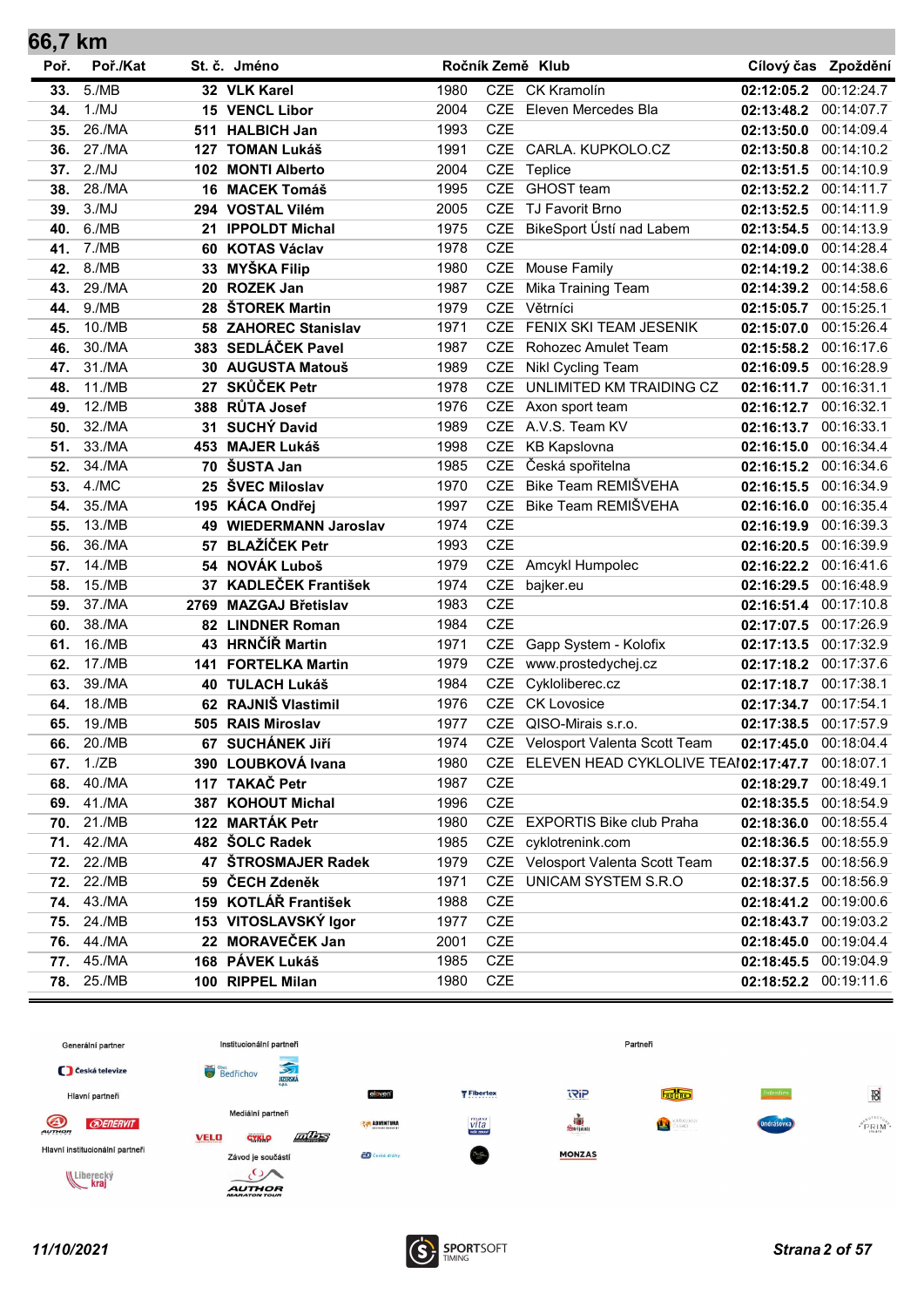| 66,7 KM |          |      |                            |      |            |                                          |                       |                     |
|---------|----------|------|----------------------------|------|------------|------------------------------------------|-----------------------|---------------------|
| Poř.    | Poř./Kat |      | St. č. Jméno               |      |            | Ročník Země Klub                         |                       | Cílový čas Zpoždění |
| 33.     | 5./MB    |      | 32 VLK Karel               | 1980 |            | CZE CK Kramolín                          | 02:12:05.2            | 00:12:24.7          |
| 34.     | 1./MJ    |      | 15 VENCL Libor             | 2004 | <b>CZE</b> | Eleven Mercedes Bla                      | 02:13:48.2            | 00:14:07.7          |
| 35.     | 26./MA   | 511  | <b>HALBICH Jan</b>         | 1993 | <b>CZE</b> |                                          | 02:13:50.0            | 00:14:09.4          |
| 36.     | 27./MA   | 127  | <b>TOMAN Lukáš</b>         | 1991 |            | CZE CARLA. KUPKOLO.CZ                    | 02:13:50.8            | 00:14:10.2          |
| 37.     | 2./MJ    | 102  | <b>MONTI Alberto</b>       | 2004 | <b>CZE</b> | Teplice                                  | 02:13:51.5            | 00:14:10.9          |
| 38.     | 28./MA   | 16   | <b>MACEK Tomáš</b>         | 1995 | <b>CZE</b> | <b>GHOST</b> team                        | 02:13:52.2            | 00:14:11.7          |
| 39.     | 3./MJ    | 294  | <b>VOSTAL Vilém</b>        | 2005 | <b>CZE</b> | TJ Favorit Brno                          | 02:13:52.5            | 00:14:11.9          |
| 40.     | 6./MB    | 21   | <b>IPPOLDT Michal</b>      | 1975 | <b>CZE</b> | BikeSport Ústí nad Labem                 | 02:13:54.5            | 00:14:13.9          |
| 41.     | 7./MB    | 60   | <b>KOTAS Václav</b>        | 1978 | <b>CZE</b> |                                          | 02:14:09.0            | 00:14:28.4          |
| 42.     | 8./MB    | 33   | <b>MYŠKA Filip</b>         | 1980 | <b>CZE</b> | <b>Mouse Family</b>                      | 02:14:19.2            | 00:14:38.6          |
| 43.     | 29./MA   | 20   | <b>ROZEK Jan</b>           | 1987 | <b>CZE</b> | Mika Training Team                       | 02:14:39.2            | 00:14:58.6          |
| 44.     | 9./MB    | 28   | ŠTOREK Martin              | 1979 | <b>CZE</b> | Větrníci                                 | 02:15:05.7            | 00:15:25.1          |
| 45.     | 10./MB   | 58   | <b>ZAHOREC Stanislav</b>   | 1971 | <b>CZE</b> | FENIX SKI TEAM JESENIK                   | 02:15:07.0            | 00:15:26.4          |
| 46.     | 30./MA   |      | 383 SEDLÁČEK Pavel         | 1987 | <b>CZE</b> | Rohozec Amulet Team                      | 02:15:58.2            | 00:16:17.6          |
| 47.     | 31./MA   | 30   | <b>AUGUSTA Matouš</b>      | 1989 | <b>CZE</b> | Nikl Cycling Team                        | 02:16:09.5            | 00:16:28.9          |
| 48.     | 11./MB   | 27   | <b>SKŮČEK Petr</b>         | 1978 | <b>CZE</b> | UNLIMITED KM TRAIDING CZ                 | 02:16:11.7            | 00:16:31.1          |
| 49.     | 12./MB   | 388  | <b>RŮTA Josef</b>          | 1976 | <b>CZE</b> | Axon sport team                          | 02:16:12.7            | 00:16:32.1          |
| 50.     | 32./MA   | 31   | <b>SUCHÝ David</b>         | 1989 | <b>CZE</b> | A.V.S. Team KV                           | 02:16:13.7            | 00:16:33.1          |
| 51.     | 33./MA   | 453  | <b>MAJER Lukáš</b>         | 1998 | CZE        | <b>KB Kapslovna</b>                      | 02:16:15.0            | 00:16:34.4          |
| 52.     | 34./MA   | 70   | ŠUSTA Jan                  | 1985 | <b>CZE</b> | Česká spořitelna                         | 02:16:15.2            | 00:16:34.6          |
| 53.     | 4./MC    | 25   | ŠVEC Miloslav              | 1970 | <b>CZE</b> | Bike Team REMIŠVEHA                      | 02:16:15.5            | 00:16:34.9          |
| 54.     | 35./MA   | 195  | <b>KÁCA Ondřej</b>         | 1997 | <b>CZE</b> | Bike Team REMIŠVEHA                      | 02:16:16.0            | 00:16:35.4          |
| 55.     | 13./MB   | 49   | <b>WIEDERMANN Jaroslav</b> | 1974 | <b>CZE</b> |                                          | 02:16:19.9            | 00:16:39.3          |
| 56.     | 36./MA   | 57   | <b>BLAŽÍČEK Petr</b>       | 1993 | <b>CZE</b> |                                          | 02:16:20.5            | 00:16:39.9          |
| 57.     | 14./MB   | 54   | <b>NOVÁK Luboš</b>         | 1979 | CZE        | Amcykl Humpolec                          | 02:16:22.2            | 00:16:41.6          |
| 58.     | 15./MB   | 37   | <b>KADLEČEK František</b>  | 1974 | CZE        | bajker.eu                                | 02:16:29.5            | 00:16:48.9          |
| 59.     | 37./MA   | 2769 | <b>MAZGAJ Břetislav</b>    | 1983 | <b>CZE</b> |                                          | 02:16:51.4            | 00:17:10.8          |
| 60.     | 38./MA   |      | 82 LINDNER Roman           | 1984 | <b>CZE</b> |                                          | 02:17:07.5            | 00:17:26.9          |
| 61.     | 16./MB   |      | 43 HRNČÍŘ Martin           | 1971 | <b>CZE</b> | Gapp System - Kolofix                    | 02:17:13.5            | 00:17:32.9          |
| 62.     | 17./MB   | 141  | <b>FORTELKA Martin</b>     | 1979 | <b>CZE</b> | www.prostedychej.cz                      | 02:17:18.2            | 00:17:37.6          |
| 63.     | 39./MA   | 40   | <b>TULACH Lukáš</b>        | 1984 | <b>CZE</b> | Cykloliberec.cz                          | 02:17:18.7            | 00:17:38.1          |
| 64.     | 18./MB   |      | 62 RAJNIŠ Vlastimil        | 1976 | <b>CZE</b> | <b>CK Lovosice</b>                       | 02:17:34.7            | 00:17:54.1          |
| 65.     | 19./MB   |      | 505 RAIS Miroslav          | 1977 | <b>CZE</b> | QISO-Mirais s.r.o.                       | 02:17:38.5            | 00:17:57.9          |
| 66.     | 20./MB   |      | 67 SUCHÁNEK JIří           | 1974 |            | CZE Velosport Valenta Scott Team         | 02:17:45.0 00:18:04.4 |                     |
| 67.     | 1./ZB    |      | 390 LOUBKOVÁ Ivana         | 1980 |            | CZE ELEVEN HEAD CYKLOLIVE TEAI02:17:47.7 |                       | 00:18:07.1          |
| 68.     | 40./MA   |      | 117 TAKAČ Petr             | 1987 | <b>CZE</b> |                                          | 02:18:29.7 00:18:49.1 |                     |
| 69.     | 41./MA   |      | 387 KOHOUT Michal          | 1996 | CZE        |                                          | 02:18:35.5 00:18:54.9 |                     |
| 70.     | 21./MB   |      | 122 MARTÁK Petr            | 1980 |            | CZE EXPORTIS Bike club Praha             | 02:18:36.0 00:18:55.4 |                     |
| 71.     | 42./MA   |      | 482 ŠOLC Radek             | 1985 | CZE        | cyklotrenink.com                         | 02:18:36.5 00:18:55.9 |                     |
| 72.     | 22./MB   |      | 47 ŠTROSMAJER Radek        | 1979 |            | CZE Velosport Valenta Scott Team         | 02:18:37.5 00:18:56.9 |                     |
| 72.     | 22./MB   |      | 59 ČECH Zdeněk             | 1971 | <b>CZE</b> | UNICAM SYSTEM S.R.O                      | 02:18:37.5 00:18:56.9 |                     |
| 74.     | 43./MA   |      | 159 KOTLÁŘ František       | 1988 | <b>CZE</b> |                                          | 02:18:41.2 00:19:00.6 |                     |
| 75.     | 24./MB   |      | 153 VITOSLAVSKÝ Igor       | 1977 | CZE        |                                          | 02:18:43.7 00:19:03.2 |                     |
| 76.     | 44./MA   |      | 22 MORAVEČEK Jan           | 2001 | <b>CZE</b> |                                          | 02:18:45.0 00:19:04.4 |                     |
| 77.     | 45./MA   |      | 168 PÁVEK Lukáš            | 1985 | <b>CZE</b> |                                          | 02:18:45.5 00:19:04.9 |                     |
| 78.     | 25./MB   |      | 100 RIPPEL Milan           | 1980 | <b>CZE</b> |                                          | 02:18:52.2            | 00:19:11.6          |





÷.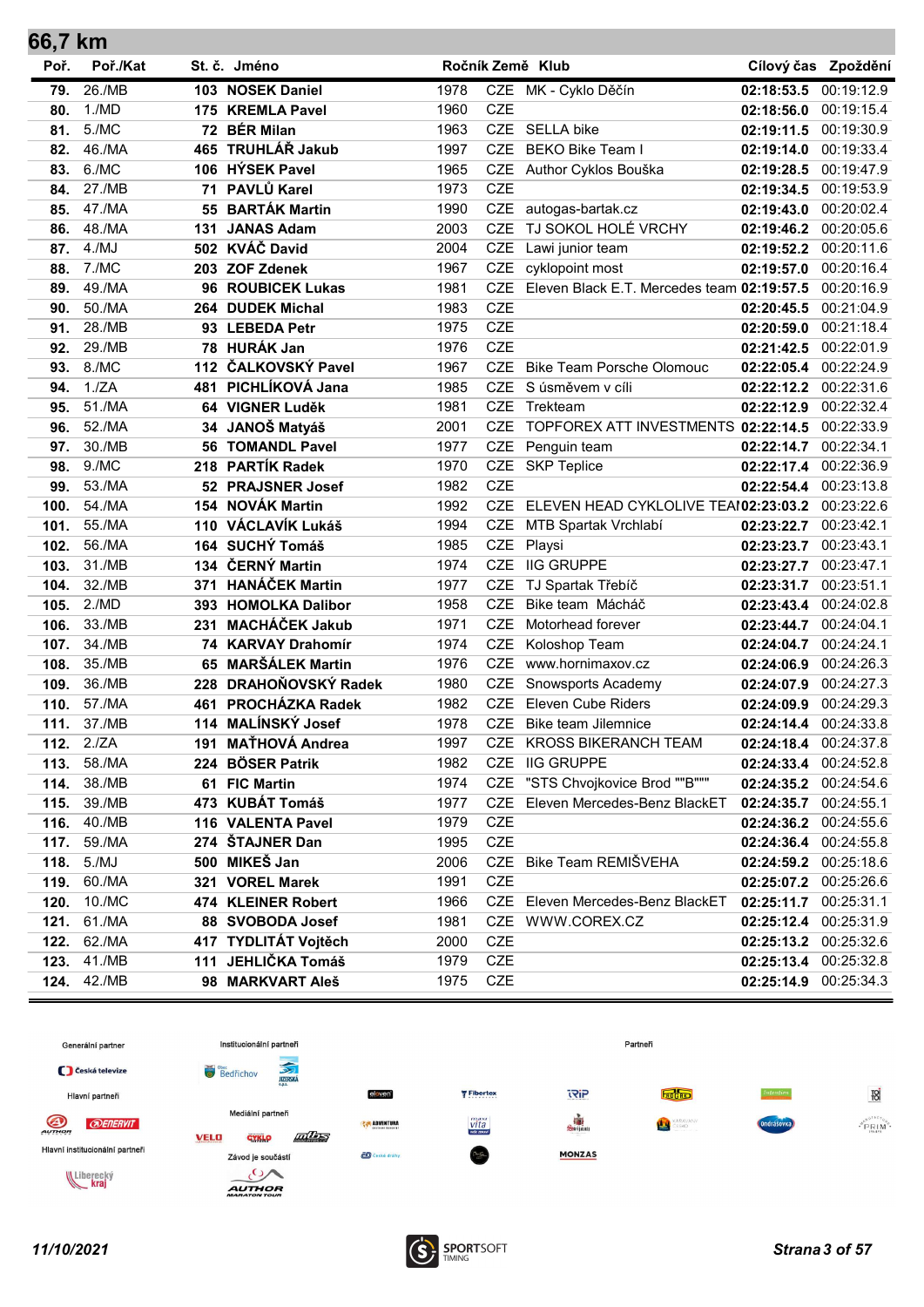| 66,7 km |            |     |                         |      |            |                                            |                       |                     |
|---------|------------|-----|-------------------------|------|------------|--------------------------------------------|-----------------------|---------------------|
| Poř.    | Poř./Kat   |     | St. č. Jméno            |      |            | Ročník Země Klub                           |                       | Cílový čas Zpoždění |
| 79.     | 26./MB     |     | 103 NOSEK Daniel        | 1978 |            | CZE MK - Cyklo Děčín                       | 02:18:53.5            | 00:19:12.9          |
| 80.     | 1./MD      |     | 175 KREMLA Pavel        | 1960 | <b>CZE</b> |                                            | 02:18:56.0            | 00:19:15.4          |
| 81.     | 5./MC      |     | 72 BÉR Milan            | 1963 |            | CZE SELLA bike                             | 02:19:11.5            | 00:19:30.9          |
| 82.     | 46./MA     | 465 | TRUHLÁŘ Jakub           | 1997 | <b>CZE</b> | <b>BEKO Bike Team I</b>                    | 02:19:14.0            | 00:19:33.4          |
| 83.     | 6./MC      |     | 106 HÝSEK Pavel         | 1965 | <b>CZE</b> | Author Cyklos Bouška                       | 02:19:28.5            | 00:19:47.9          |
| 84.     | 27./MB     | 71  | PAVLŮ Karel             | 1973 | <b>CZE</b> |                                            | 02:19:34.5            | 00:19:53.9          |
| 85.     | 47./MA     | 55  | <b>BARTÁK Martin</b>    | 1990 | <b>CZE</b> | autogas-bartak.cz                          | 02:19:43.0            | 00:20:02.4          |
| 86.     | 48./MA     | 131 | <b>JANAS Adam</b>       | 2003 | <b>CZE</b> | TJ SOKOL HOLÉ VRCHY                        | 02:19:46.2            | 00:20:05.6          |
| 87.     | 4./MJ      |     | 502 KVÁČ David          | 2004 | <b>CZE</b> | Lawi junior team                           | 02:19:52.2            | 00:20:11.6          |
| 88.     | 7./MC      |     | 203 ZOF Zdenek          | 1967 | <b>CZE</b> | cyklopoint most                            | 02:19:57.0            | 00:20:16.4          |
| 89.     | 49./MA     |     | 96 ROUBICEK Lukas       | 1981 | <b>CZE</b> | Eleven Black E.T. Mercedes team 02:19:57.5 |                       | 00:20:16.9          |
| 90.     | 50./MA     |     | 264 DUDEK Michal        | 1983 | <b>CZE</b> |                                            | 02:20:45.5            | 00:21:04.9          |
| 91.     | 28./MB     |     | 93 LEBEDA Petr          | 1975 | <b>CZE</b> |                                            | 02:20:59.0            | 00:21:18.4          |
| 92.     | 29./MB     |     | 78 HURÁK Jan            | 1976 | <b>CZE</b> |                                            | 02:21:42.5            | 00:22:01.9          |
| 93.     | 8./MC      |     | 112 ČALKOVSKÝ Pavel     | 1967 | <b>CZE</b> | <b>Bike Team Porsche Olomouc</b>           | 02:22:05.4            | 00:22:24.9          |
| 94.     | 1./ZA      | 481 | PICHLÍKOVÁ Jana         | 1985 | <b>CZE</b> | S úsměvem v cíli                           | 02:22:12.2            | 00:22:31.6          |
| 95.     | 51./MA     | 64  | <b>VIGNER Luděk</b>     | 1981 | <b>CZE</b> | Trekteam                                   | 02:22:12.9            | 00:22:32.4          |
| 96.     | 52./MA     | 34  | JANOŠ Matyáš            | 2001 | <b>CZE</b> | TOPFOREX ATT INVESTMENTS 02:22:14.5        |                       | 00:22:33.9          |
| 97.     | 30./MB     |     | <b>56 TOMANDL Pavel</b> | 1977 | <b>CZE</b> | Penguin team                               | 02:22:14.7            | 00:22:34.1          |
| 98.     | 9./MC      | 218 | <b>PARTÍK Radek</b>     | 1970 |            | CZE SKP Teplice                            | 02:22:17.4            | 00:22:36.9          |
| 99.     | 53./MA     |     | 52 PRAJSNER Josef       | 1982 | <b>CZE</b> |                                            | 02:22:54.4            | 00:23:13.8          |
| 100.    | 54./MA     | 154 | <b>NOVÁK Martin</b>     | 1992 | <b>CZE</b> | ELEVEN HEAD CYKLOLIVE TEAI02:23:03.2       |                       | 00:23:22.6          |
| 101.    | 55./MA     | 110 | VÁCLAVÍK Lukáš          | 1994 | CZE        | MTB Spartak Vrchlabí                       | 02:23:22.7            | 00:23:42.1          |
| 102.    | 56./MA     | 164 | <b>SUCHÝ Tomáš</b>      | 1985 | CZE        | Playsi                                     | 02:23:23.7            | 00:23:43.1          |
| 103.    | 31./MB     | 134 | ČERNÝ Martin            | 1974 | <b>CZE</b> | <b>IIG GRUPPE</b>                          | 02:23:27.7            | 00:23:47.1          |
| 104.    | 32./MB     | 371 | <b>HANÁČEK Martin</b>   | 1977 | <b>CZE</b> | TJ Spartak Třebíč                          | 02:23:31.7            | 00:23:51.1          |
| 105.    | 2./MD      |     | 393 HOMOLKA Dalibor     | 1958 | <b>CZE</b> | Bike team Mácháč                           | 02:23:43.4            | 00:24:02.8          |
| 106.    | 33./MB     | 231 | <b>MACHÁČEK Jakub</b>   | 1971 | <b>CZE</b> | Motorhead forever                          | 02:23:44.7            | 00:24:04.1          |
| 107.    | 34./MB     |     | 74 KARVAY Drahomír      | 1974 | <b>CZE</b> | Koloshop Team                              | 02:24:04.7            | 00:24:24.1          |
| 108.    | 35./MB     | 65  | <b>MARŠÁLEK Martin</b>  | 1976 | <b>CZE</b> | www.hornimaxov.cz                          | 02:24:06.9            | 00:24:26.3          |
| 109.    | 36./MB     | 228 | DRAHOŇOVSKÝ Radek       | 1980 | <b>CZE</b> | Snowsports Academy                         | 02:24:07.9            | 00:24:27.3          |
| 110.    | 57./MA     | 461 | PROCHÁZKA Radek         | 1982 | <b>CZE</b> | <b>Eleven Cube Riders</b>                  | 02:24:09.9            | 00:24:29.3          |
| 111.    | 37./MB     |     | 114 MALÍNSKÝ Josef      | 1978 | <b>CZE</b> | <b>Bike team Jilemnice</b>                 | 02:24:14.4            | 00:24:33.8          |
|         | 112. 2./ZA |     | 191 MAŤHOVÁ Andrea      | 1997 |            | CZE KROSS BIKERANCH TEAM                   | 02:24:18.4 00:24:37.8 |                     |
| 113.    | 58./MA     |     | 224 BÖSER Patrik        | 1982 |            | CZE IIG GRUPPE                             | 02:24:33.4 00:24:52.8 |                     |
| 114.    | 38./MB     |     | 61 FIC Martin           | 1974 |            | CZE "STS Chvojkovice Brod ""B"""           | 02:24:35.2 00:24:54.6 |                     |
| 115.    | 39./MB     |     | 473 KUBÁT Tomáš         | 1977 | <b>CZE</b> | Eleven Mercedes-Benz BlackET               | 02:24:35.7            | 00:24:55.1          |
| 116.    | 40./MB     |     | 116 VALENTA Pavel       | 1979 | <b>CZE</b> |                                            | 02:24:36.2            | 00:24:55.6          |
| 117.    | 59./MA     |     | 274 ŠTAJNER Dan         | 1995 | CZE        |                                            | 02:24:36.4 00:24:55.8 |                     |
| 118.    | 5./MJ      |     | 500 MIKEŠ Jan           | 2006 |            | CZE Bike Team REMIŠVEHA                    | 02:24:59.2            | 00:25:18.6          |
| 119.    | 60./MA     |     | 321 VOREL Marek         | 1991 | <b>CZE</b> |                                            | 02:25:07.2            | 00:25:26.6          |
| 120.    | 10./MC     |     | 474 KLEINER Robert      | 1966 |            | CZE Eleven Mercedes-Benz BlackET           | 02:25:11.7 00:25:31.1 |                     |
| 121.    | 61./MA     |     | 88 SVOBODA Josef        | 1981 |            | CZE WWW.COREX.CZ                           | 02:25:12.4 00:25:31.9 |                     |
| 122.    | 62./MA     |     | 417 TYDLITÁT Vojtěch    | 2000 | <b>CZE</b> |                                            | 02:25:13.2 00:25:32.6 |                     |
| 123.    | 41./MB     |     | 111 JEHLIČKA Tomáš      | 1979 | CZE        |                                            | 02:25:13.4            | 00:25:32.8          |
| 124.    | 42./MB     |     | 98 MARKVART Aleš        | 1975 | CZE        |                                            | 02:25:14.9            | 00:25:34.3          |





 $\sim$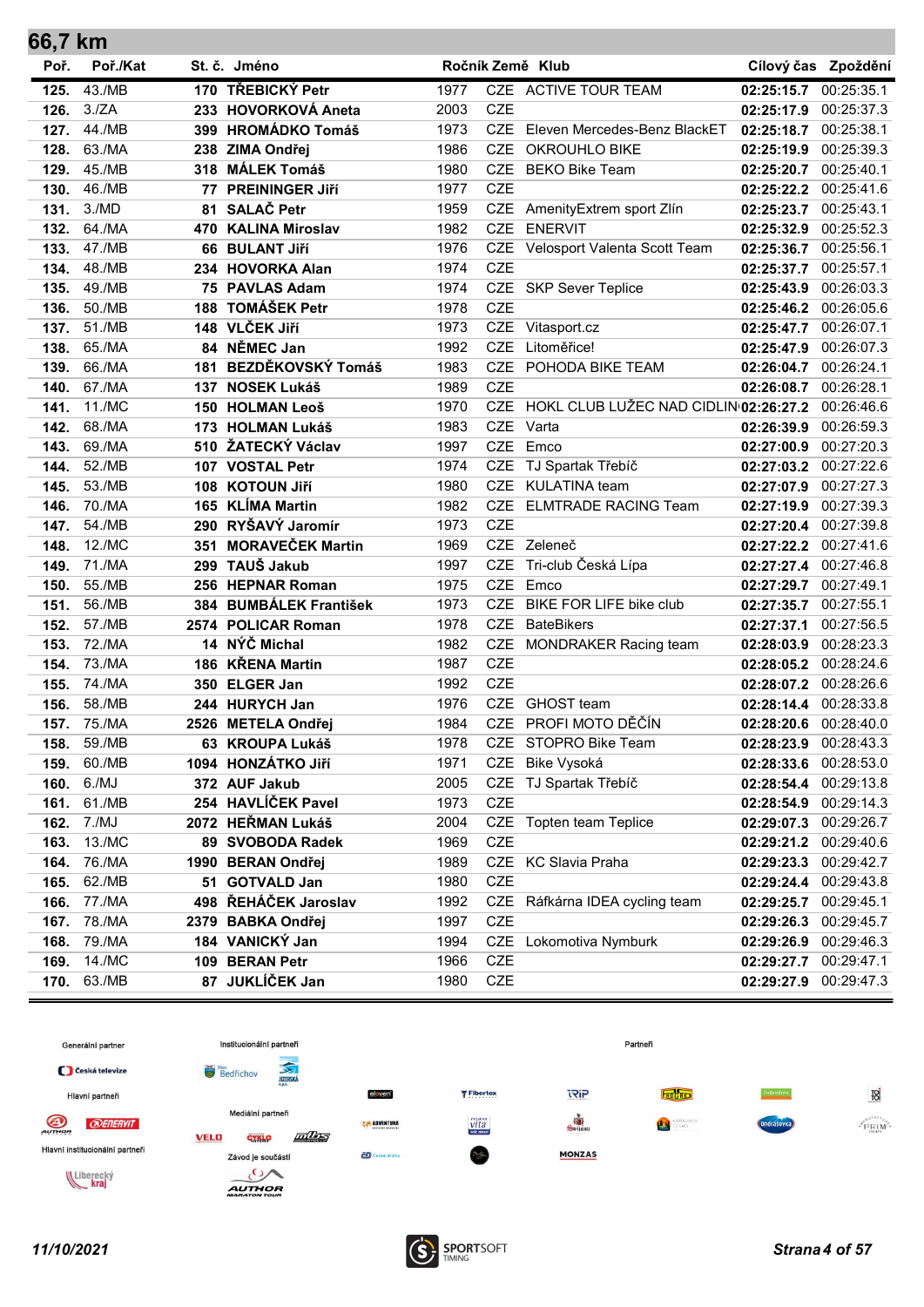| 66,7 km      |                  |    |                                         |              |            |                                           |                          |                          |
|--------------|------------------|----|-----------------------------------------|--------------|------------|-------------------------------------------|--------------------------|--------------------------|
| Poř.         | Poř./Kat         |    | St. č. Jméno                            |              |            | Ročník Země Klub                          |                          | Cílový čas Zpoždění      |
| 125.         | 43./MB           |    | 170 TŘEBICKÝ Petr                       | 1977         |            | CZE ACTIVE TOUR TEAM                      | 02:25:15.7               | 00:25:35.1               |
| 126.         | 3./ZA            |    | 233 HOVORKOVÁ Aneta                     | 2003         | <b>CZE</b> |                                           | 02:25:17.9               | 00:25:37.3               |
| 127.         | 44./MB           |    | 399 HROMÁDKO Tomáš                      | 1973         |            | CZE Eleven Mercedes-Benz BlackET          | 02:25:18.7               | 00:25:38.1               |
| 128.         | 63./MA           |    | 238 ZIMA Ondřej                         | 1986         |            | CZE OKROUHLO BIKE                         | 02:25:19.9               | 00:25:39.3               |
| 129.         | 45./MB           |    | 318 MÁLEK Tomáš                         | 1980         | <b>CZE</b> | BEKO Bike Team                            | 02:25:20.7               | 00:25:40.1               |
| 130.         | 46./MB           | 77 | <b>PREININGER JIří</b>                  | 1977         | <b>CZE</b> |                                           | 02:25:22.2               | 00:25:41.6               |
| 131.         | 3./MD            |    | 81 SALAČ Petr                           | 1959         |            | CZE AmenityExtrem sport Zlín              | 02:25:23.7               | 00:25:43.1               |
| 132.         | 64./MA           |    | 470 KALINA Miroslav                     | 1982         |            | CZE ENERVIT                               | 02:25:32.9               | 00:25:52.3               |
| 133.         | 47./MB           |    | 66 BULANT Jiří                          | 1976         |            | CZE Velosport Valenta Scott Team          | 02:25:36.7               | 00:25:56.1               |
| 134.         | 48./MB           |    | 234 HOVORKA Alan                        | 1974         | <b>CZE</b> |                                           | 02:25:37.7               | 00:25:57.1               |
| 135.         | 49./MB           |    | 75 PAVLAS Adam                          | 1974         |            | CZE SKP Sever Teplice                     | 02:25:43.9               | 00:26:03.3               |
| 136.         | 50./MB           |    | 188 TOMÁŠEK Petr                        | 1978         | <b>CZE</b> |                                           | 02:25:46.2               | 00:26:05.6               |
| 137.         | 51./MB           |    | 148 VLČEK Jiří                          | 1973         |            | CZE Vitasport.cz                          | 02:25:47.7               | 00:26:07.1               |
|              | 138. 65./MA      |    | 84 NĚMEC Jan                            | 1992         | CZE        | Litoměřice!                               | 02:25:47.9               | 00:26:07.3               |
| 139.         | 66./MA           |    | 181 BEZDĚKOVSKÝ Tomáš                   | 1983         |            | CZE POHODA BIKE TEAM                      | 02:26:04.7               | 00:26:24.1               |
| 140.         | 67./MA           |    | 137 NOSEK Lukáš                         | 1989         | <b>CZE</b> |                                           | 02:26:08.7               | 00:26:28.1               |
| 141.         | 11./MC           |    | 150 HOLMAN Leoš                         | 1970         |            | CZE HOKL CLUB LUŽEC NAD CIDLIN 02:26:27.2 |                          | 00:26:46.6               |
| 142.         | 68./MA           |    | 173 HOLMAN Lukáš                        | 1983         |            | CZE Varta                                 | 02:26:39.9               | 00:26:59.3               |
| 143.         | 69./MA           |    | 510 ŽATECKÝ Václav                      | 1997         |            | CZE Emco                                  | 02:27:00.9               | 00:27:20.3               |
| 144.         | 52./MB           |    | 107 VOSTAL Petr                         | 1974         | <b>CZE</b> | TJ Spartak Třebíč                         | 02:27:03.2               | 00:27:22.6               |
| 145.         | 53./MB           |    | 108 KOTOUN JIří                         | 1980         | <b>CZE</b> | KULATINA team                             | 02:27:07.9               | 00:27:27.3               |
| 146.         | 70./MA           |    | 165 KLÍMA Martin                        | 1982         |            | CZE ELMTRADE RACING Team                  | 02:27:19.9               | 00:27:39.3               |
| 147.         | 54./MB           |    | 290 RYŠAVÝ Jaromír                      | 1973         | <b>CZE</b> |                                           | 02:27:20.4               | 00:27:39.8               |
| 148.         | 12./MC           |    | 351 MORAVEČEK Martin                    | 1969         |            | CZE Zeleneč                               | 02:27:22.2               | 00:27:41.6               |
| 149.         | 71./MA           |    | 299 TAUŠ Jakub                          | 1997         | <b>CZE</b> | Tri-club Česká Lípa                       | 02:27:27.4               | 00:27:46.8               |
| 150.         | 55./MB           |    | 256 HEPNAR Roman                        | 1975         |            | CZE Emco                                  | 02:27:29.7               | 00:27:49.1               |
| 151.         | 56./MB           |    | 384 BUMBÁLEK František                  | 1973         |            | CZE BIKE FOR LIFE bike club               | 02:27:35.7               | 00:27:55.1               |
| 152.         | 57./MB           |    | 2574 POLICAR Roman                      | 1978         | <b>CZE</b> | <b>BateBikers</b>                         | 02:27:37.1               | 00:27:56.5               |
| 153.         | 72./MA           |    | 14 NÝČ Michal                           | 1982         |            | CZE MONDRAKER Racing team                 | 02:28:03.9               | 00:28:23.3               |
| 154.         | 73./MA           |    | 186 KŘENA Martin                        | 1987         | CZE        |                                           | 02:28:05.2 00:28:24.6    |                          |
| 155.         | 74./MA           |    | 350 ELGER Jan                           | 1992         | <b>CZE</b> |                                           | 02:28:07.2               | 00:28:26.6               |
| 156.         | 58./MB           |    | 244 HURYCH Jan                          | 1976         |            | CZE GHOST team                            | 02:28:14.4               | 00:28:33.8               |
| 157.         | 75./MA           |    | 2526 METELA Ondřej                      | 1984         |            | CZE PROFI MOTO DĚČÍN                      | 02:28:20.6               | 00:28:40.0               |
| 158.         | 59./MB           |    | 63 KROUPA Lukáš                         | 1978         |            | CZE STOPRO Bike Team                      | 02:28:23.9               | 00:28:43.3               |
| 159.         | 60./MB           |    | 1094 HONZÁTKO Jiří                      | 1971         | CZE        | Bike Vysoká                               | 02:28:33.6               | 00:28:53.0               |
| 160.         | 6./MJ            |    | 372 AUF Jakub                           | 2005         |            | CZE TJ Spartak Třebíč                     | 02:28:54.4               | 00:29:13.8               |
| 161.         | 61./MB           |    | 254 HAVLÍČEK Pavel                      | 1973         | CZE        | CZE Topten team Teplice                   | 02:28:54.9               | 00:29:14.3               |
| 162.         | 7./MJ            |    | 2072 HEŘMAN Lukáš                       | 2004         | CZE        |                                           | 02:29:07.3               | 00:29:26.7               |
| 163.         | 13./MC           |    | 89 SVOBODA Radek                        | 1969         |            | CZE KC Slavia Praha                       | 02:29:21.2               | 00:29:40.6               |
| 164.         | 76./MA<br>62./MB | 51 | 1990 BERAN Ondřej<br><b>GOTVALD Jan</b> | 1989<br>1980 | CZE        |                                           | 02:29:23.3               | 00:29:42.7<br>00:29:43.8 |
| 165.<br>166. | 77./MA           |    | 498 ŘEHÁČEK Jaroslav                    | 1992         |            | CZE Ráfkárna IDEA cycling team            | 02:29:24.4<br>02:29:25.7 | 00:29:45.1               |
| 167.         | 78./MA           |    | 2379 BABKA Ondřej                       | 1997         | CZE        |                                           | 02:29:26.3               | 00:29:45.7               |
| 168.         | 79./MA           |    | 184 VANICKÝ Jan                         | 1994         | CZE        | Lokomotiva Nymburk                        | 02:29:26.9               | 00:29:46.3               |
| 169.         | 14./MC           |    | 109 BERAN Petr                          | 1966         | CZE        |                                           | 02:29:27.7               | 00:29:47.1               |
| 170.         | 63./MB           |    | 87 JUKLÍČEK Jan                         | 1980         | CZE        |                                           | 02:29:27.9               | 00:29:47.3               |
|              |                  |    |                                         |              |            |                                           |                          |                          |



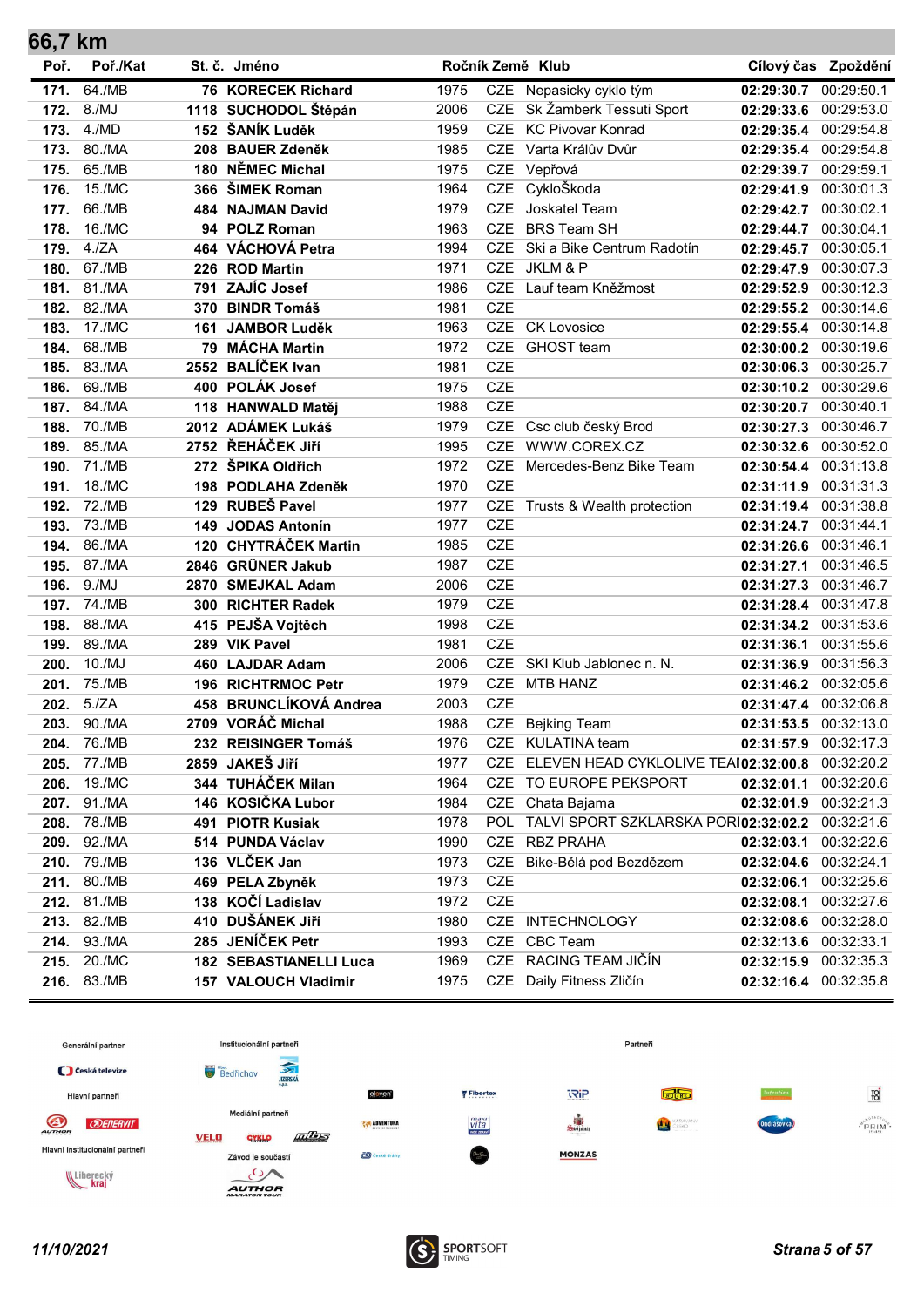| 66,7 km |             |      |                               |      |            |                                                     |                       |                     |
|---------|-------------|------|-------------------------------|------|------------|-----------------------------------------------------|-----------------------|---------------------|
| Poř.    | Poř./Kat    |      | St. č. Jméno                  |      |            | Ročník Země Klub                                    |                       | Cílový čas Zpoždění |
| 171.    | 64./MB      |      | 76 KORECEK Richard            | 1975 |            | CZE Nepasicky cyklo tým                             | 02:29:30.7            | 00:29:50.1          |
| 172.    | 8./MJ       |      | 1118 SUCHODOL Štěpán          | 2006 |            | CZE Sk Žamberk Tessuti Sport                        | 02:29:33.6            | 00:29:53.0          |
| 173.    | 4./MD       |      | 152 ŠANÍK Luděk               | 1959 | <b>CZE</b> | <b>KC Pivovar Konrad</b>                            | 02:29:35.4            | 00:29:54.8          |
| 173.    | 80./MA      | 208  | <b>BAUER Zdeněk</b>           | 1985 | <b>CZE</b> | Varta Králův Dvůr                                   | 02:29:35.4            | 00:29:54.8          |
| 175.    | 65./MB      |      | 180 NĚMEC Michal              | 1975 |            | CZE Vepřová                                         | 02:29:39.7            | 00:29:59.1          |
| 176.    | 15./MC      |      | 366 ŠIMEK Roman               | 1964 |            | CZE CykloŠkoda                                      | 02:29:41.9            | 00:30:01.3          |
| 177.    | 66./MB      |      | 484 NAJMAN David              | 1979 | <b>CZE</b> | Joskatel Team                                       | 02:29:42.7            | 00:30:02.1          |
| 178.    | 16./MC      |      | 94 POLZ Roman                 | 1963 | <b>CZE</b> | <b>BRS Team SH</b>                                  | 02:29:44.7            | 00:30:04.1          |
| 179.    | 4./ZA       |      | 464 VÁCHOVÁ Petra             | 1994 | <b>CZE</b> | Ski a Bike Centrum Radotín                          | 02:29:45.7            | 00:30:05.1          |
| 180.    | 67./MB      |      | 226 ROD Martin                | 1971 | <b>CZE</b> | JKLM & P                                            | 02:29:47.9            | 00:30:07.3          |
| 181.    | 81./MA      | 791  | ZAJÍC Josef                   | 1986 | <b>CZE</b> | Lauf team Kněžmost                                  | 02:29:52.9            | 00:30:12.3          |
| 182.    | 82./MA      | 370  | <b>BINDR Tomáš</b>            | 1981 | <b>CZE</b> |                                                     | 02:29:55.2            | 00:30:14.6          |
| 183.    | 17./MC      | 161  | <b>JAMBOR Luděk</b>           | 1963 |            | CZE CK Lovosice                                     | 02:29:55.4            | 00:30:14.8          |
| 184.    | 68./MB      |      | 79 MÁCHA Martin               | 1972 | <b>CZE</b> | <b>GHOST</b> team                                   | 02:30:00.2 00:30:19.6 |                     |
| 185.    | 83./MA      |      | 2552 BALÍČEK Ivan             | 1981 | <b>CZE</b> |                                                     | 02:30:06.3            | 00:30:25.7          |
| 186.    | 69./MB      |      | 400 POLÁK Josef               | 1975 | <b>CZE</b> |                                                     | 02:30:10.2            | 00:30:29.6          |
| 187.    | 84./MA      |      | 118 HANWALD Matěj             | 1988 | <b>CZE</b> |                                                     | 02:30:20.7            | 00:30:40.1          |
| 188.    | 70./MB      |      | 2012 ADÁMEK Lukáš             | 1979 | <b>CZE</b> | Csc club český Brod                                 | 02:30:27.3            | 00:30:46.7          |
| 189.    | 85./MA      |      | 2752 ŘEHÁČEK JIří             | 1995 | <b>CZE</b> | WWW.COREX.CZ                                        | 02:30:32.6            | 00:30:52.0          |
| 190.    | 71./MB      |      | 272 ŠPIKA Oldřich             | 1972 | <b>CZE</b> | Mercedes-Benz Bike Team                             | 02:30:54.4            | 00:31:13.8          |
| 191.    | 18./MC      |      | 198 PODLAHA Zdeněk            | 1970 | <b>CZE</b> |                                                     | 02:31:11.9            | 00:31:31.3          |
| 192.    | 72./MB      |      | 129 RUBEŠ Pavel               | 1977 |            | CZE Trusts & Wealth protection                      | 02:31:19.4            | 00:31:38.8          |
| 193.    | 73./MB      | 149  | <b>JODAS Antonín</b>          | 1977 | <b>CZE</b> |                                                     | 02:31:24.7            | 00:31:44.1          |
| 194.    | 86./MA      | 120  | <b>CHYTRÁČEK Martin</b>       | 1985 | <b>CZE</b> |                                                     | 02:31:26.6            | 00:31:46.1          |
| 195.    | 87./MA      | 2846 | <b>GRÜNER Jakub</b>           | 1987 | <b>CZE</b> |                                                     | 02:31:27.1            | 00:31:46.5          |
| 196.    | 9./MJ       |      | 2870 SMEJKAL Adam             | 2006 | <b>CZE</b> |                                                     | 02:31:27.3            | 00:31:46.7          |
| 197.    | 74./MB      |      | 300 RICHTER Radek             | 1979 | <b>CZE</b> |                                                     | 02:31:28.4            | 00:31:47.8          |
| 198.    | 88./MA      |      | 415 PEJŠA Vojtěch             | 1998 | CZE        |                                                     | 02:31:34.2            | 00:31:53.6          |
| 199.    | 89./MA      |      | 289 VIK Pavel                 | 1981 | <b>CZE</b> |                                                     | 02:31:36.1            | 00:31:55.6          |
| 200.    | 10./MJ      |      | 460 LAJDAR Adam               | 2006 | CZE        | SKI Klub Jablonec n. N.                             | 02:31:36.9            | 00:31:56.3          |
| 201.    | 75./MB      |      | 196 RICHTRMOC Petr            | 1979 | <b>CZE</b> | <b>MTB HANZ</b>                                     | 02:31:46.2            | 00:32:05.6          |
| 202.    | 5./ZA       | 458  | <b>BRUNCLÍKOVÁ Andrea</b>     | 2003 | <b>CZE</b> |                                                     | 02:31:47.4            | 00:32:06.8          |
| 203.    | 90./MA      |      | 2709 VORÁČ Michal             | 1988 |            | CZE Bejking Team                                    | 02:31:53.5            | 00:32:13.0          |
| 204.    | 76./MB      |      | 232 REISINGER Tomáš           | 1976 |            | CZE KULATINA team                                   | 02:31:57.9            | 00:32:17.3          |
| 205.    | 77./MB      |      | 2859 JAKEŠ Jiří               | 1977 |            | CZE ELEVEN HEAD CYKLOLIVE TEAI02:32:00.8            |                       | 00:32:20.2          |
| 206.    | 19./MC      |      | 344 TUHÁČEK Milan             | 1964 |            | CZE TO EUROPE PEKSPORT                              | 02:32:01.1            | 00:32:20.6          |
| 207.    | 91./MA      |      | 146 KOSIČKA Lubor             | 1984 |            | CZE Chata Bajama                                    | 02:32:01.9 00:32:21.3 |                     |
| 208.    | 78./MB      |      | 491 PIOTR Kusiak              | 1978 |            | POL TALVI SPORT SZKLARSKA PORI02:32:02.2 00:32:21.6 |                       |                     |
| 209.    | 92./MA      |      | 514 PUNDA Václav              | 1990 | CZE        | <b>RBZ PRAHA</b>                                    | 02:32:03.1            | 00:32:22.6          |
| 210.    | 79./MB      |      | 136 VLČEK Jan                 | 1973 | <b>CZE</b> | Bike-Bělá pod Bezdězem                              | 02:32:04.6            | 00:32:24.1          |
| 211.    | 80./MB      |      | 469 PELA Zbyněk               | 1973 | <b>CZE</b> |                                                     | 02:32:06.1            | 00:32:25.6          |
| 212.    | 81./MB      |      | 138 KOČÍ Ladislav             | 1972 | CZE        |                                                     | 02:32:08.1            | 00:32:27.6          |
| 213.    | 82./MB      |      | 410 DUŠÁNEK JIří              | 1980 |            | CZE INTECHNOLOGY                                    | 02:32:08.6            | 00:32:28.0          |
| 214.    | 93./MA      |      | 285 JENÍČEK Petr              | 1993 | <b>CZE</b> | <b>CBC Team</b>                                     | 02:32:13.6            | 00:32:33.1          |
| 215.    | 20./MC      |      | <b>182 SEBASTIANELLI Luca</b> | 1969 |            | CZE RACING TEAM JIČÍN                               | 02:32:15.9 00:32:35.3 |                     |
|         | 216. 83./MB |      | 157 VALOUCH Vladimir          | 1975 |            | CZE Daily Fitness Zličín                            | 02:32:16.4 00:32:35.8 |                     |



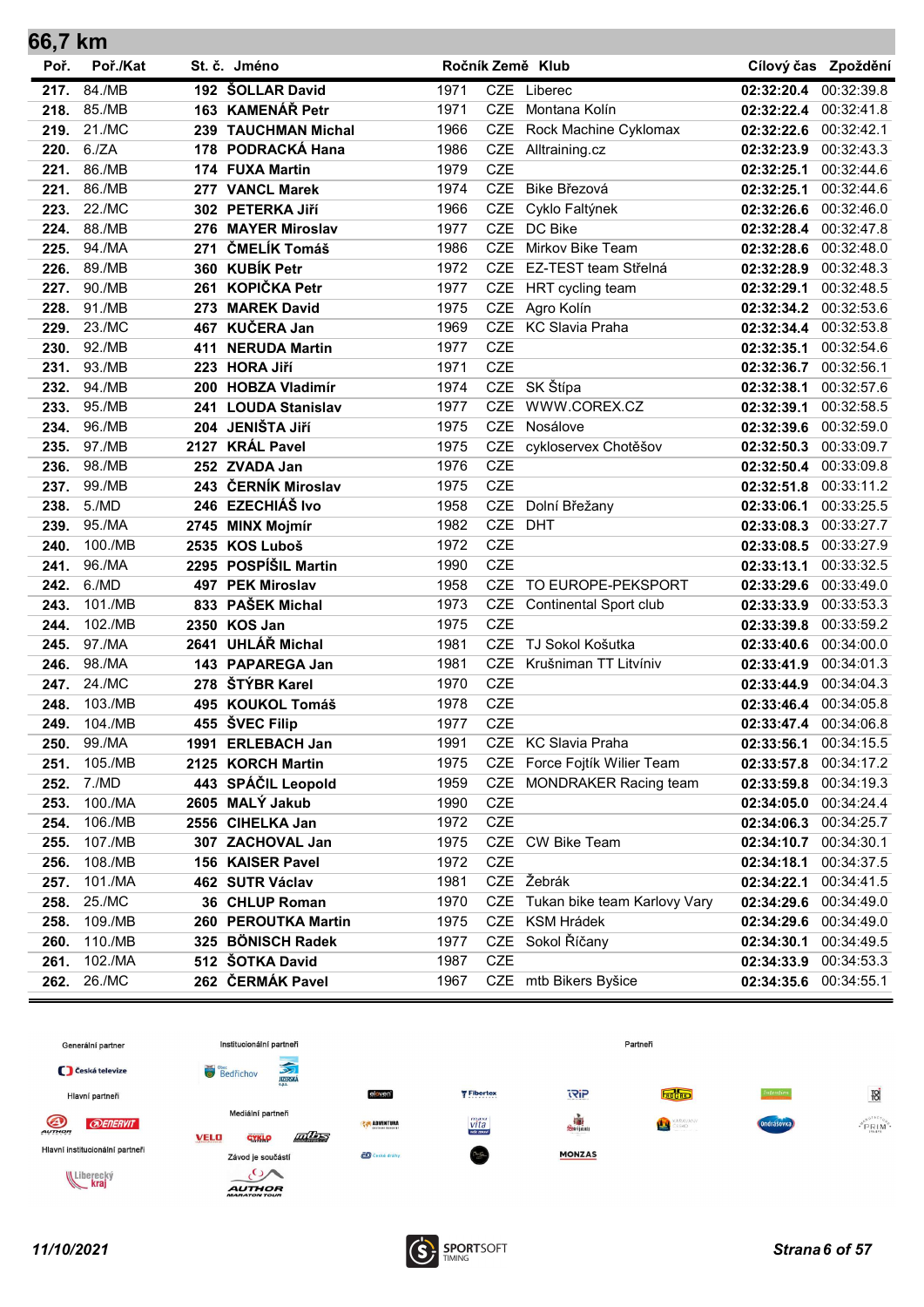| 66,7 km |          |     |                       |      |            |                               |                       |                     |
|---------|----------|-----|-----------------------|------|------------|-------------------------------|-----------------------|---------------------|
| Poř.    | Poř./Kat |     | St. č. Jméno          |      |            | Ročník Země Klub              |                       | Cílový čas Zpoždění |
| 217.    | 84./MB   |     | 192 ŠOLLAR David      | 1971 | CZE        | Liberec                       | 02:32:20.4            | 00:32:39.8          |
| 218.    | 85./MB   |     | 163 KAMENÁŘ Petr      | 1971 | <b>CZE</b> | Montana Kolín                 | 02:32:22.4            | 00:32:41.8          |
| 219.    | 21./MC   |     | 239 TAUCHMAN Michal   | 1966 | <b>CZE</b> | Rock Machine Cyklomax         | 02:32:22.6 00:32:42.1 |                     |
| 220.    | 6./ZA    | 178 | PODRACKÁ Hana         | 1986 | CZE        | Alltraining.cz                | 02:32:23.9            | 00:32:43.3          |
| 221.    | 86./MB   |     | 174 FUXA Martin       | 1979 | <b>CZE</b> |                               | 02:32:25.1            | 00:32:44.6          |
| 221.    | 86./MB   |     | 277 VANCL Marek       | 1974 | <b>CZE</b> | Bike Březová                  | 02:32:25.1            | 00:32:44.6          |
| 223.    | 22./MC   |     | 302 PETERKA JIří      | 1966 | <b>CZE</b> | Cyklo Faltýnek                | 02:32:26.6 00:32:46.0 |                     |
| 224.    | 88./MB   | 276 | <b>MAYER Miroslav</b> | 1977 | <b>CZE</b> | DC Bike                       | 02:32:28.4            | 00:32:47.8          |
| 225.    | 94./MA   | 271 | ČMELÍK Tomáš          | 1986 | <b>CZE</b> | Mirkov Bike Team              | 02:32:28.6            | 00:32:48.0          |
| 226.    | 89./MB   |     | 360 KUBÍK Petr        | 1972 | <b>CZE</b> | EZ-TEST team Střelná          | 02:32:28.9            | 00:32:48.3          |
| 227.    | 90./MB   | 261 | <b>KOPIČKA Petr</b>   | 1977 | CZE        | HRT cycling team              | 02:32:29.1            | 00:32:48.5          |
| 228.    | 91./MB   | 273 | <b>MAREK David</b>    | 1975 | CZE        | Agro Kolín                    | 02:32:34.2            | 00:32:53.6          |
| 229.    | 23./MC   |     | 467 KUČERA Jan        | 1969 | <b>CZE</b> | <b>KC</b> Slavia Praha        | 02:32:34.4            | 00:32:53.8          |
| 230.    | 92./MB   | 411 | <b>NERUDA Martin</b>  | 1977 | <b>CZE</b> |                               | 02:32:35.1            | 00:32:54.6          |
| 231.    | 93./MB   |     | 223 HORA Jiří         | 1971 | <b>CZE</b> |                               | 02:32:36.7            | 00:32:56.1          |
| 232.    | 94./MB   |     | 200 HOBZA Vladimír    | 1974 | CZE        | SK Štípa                      | 02:32:38.1            | 00:32:57.6          |
| 233.    | 95./MB   |     | 241 LOUDA Stanislav   | 1977 | <b>CZE</b> | WWW.COREX.CZ                  | 02:32:39.1            | 00:32:58.5          |
| 234.    | 96./MB   |     | 204 JENIŠTA Jiří      | 1975 | <b>CZE</b> | Nosálove                      | 02:32:39.6            | 00:32:59.0          |
| 235.    | 97./MB   |     | 2127 KRÁL Pavel       | 1975 | CZE        | cykloservex Chotěšov          | 02:32:50.3            | 00:33:09.7          |
| 236.    | 98./MB   |     | 252 ZVADA Jan         | 1976 | <b>CZE</b> |                               | 02:32:50.4            | 00:33:09.8          |
| 237.    | 99./MB   |     | 243 ČERNÍK Miroslav   | 1975 | <b>CZE</b> |                               | 02:32:51.8            | 00:33:11.2          |
| 238.    | 5./MD    |     | 246 EZECHIÁŠ Ivo      | 1958 | CZE        | Dolní Břežany                 | 02:33:06.1            | 00:33:25.5          |
| 239.    | 95./MA   |     | 2745 MINX Mojmír      | 1982 | <b>CZE</b> | <b>DHT</b>                    | 02:33:08.3            | 00:33:27.7          |
| 240.    | 100./MB  |     | 2535 KOS Luboš        | 1972 | CZE        |                               | 02:33:08.5            | 00:33:27.9          |
| 241.    | 96./MA   |     | 2295 POSPÍŠIL Martin  | 1990 | <b>CZE</b> |                               | 02:33:13.1            | 00:33:32.5          |
| 242.    | 6./MD    |     | 497 PEK Miroslav      | 1958 | <b>CZE</b> | TO EUROPE-PEKSPORT            | 02:33:29.6            | 00:33:49.0          |
| 243.    | 101./MB  |     | 833 PAŠEK Michal      | 1973 | CZE        | <b>Continental Sport club</b> | 02:33:33.9            | 00:33:53.3          |
| 244.    | 102./MB  |     | 2350 KOS Jan          | 1975 | <b>CZE</b> |                               | 02:33:39.8            | 00:33:59.2          |
| 245.    | 97./MA   |     | 2641 UHLÁŘ Michal     | 1981 | <b>CZE</b> | TJ Sokol Košutka              | 02:33:40.6            | 00:34:00.0          |
| 246.    | 98./MA   |     | 143 PAPAREGA Jan      | 1981 | <b>CZE</b> | Krušniman TT Litvíniv         | 02:33:41.9 00:34:01.3 |                     |
| 247.    | 24./MC   | 278 | ŠTÝBR Karel           | 1970 | <b>CZE</b> |                               | 02:33:44.9            | 00:34:04.3          |
| 248.    | 103./MB  |     | 495 KOUKOL Tomáš      | 1978 | <b>CZE</b> |                               | 02:33:46.4            | 00:34:05.8          |
| 249.    | 104./MB  | 455 | ŠVEC Filip            | 1977 | CZE        |                               | 02:33:47.4 00:34:06.8 |                     |
| 250.    | 99./MA   |     | 1991 ERLEBACH Jan     | 1991 |            | CZE KC Slavia Praha           | 02:33:56.1            | 00:34:15.5          |
| 251.    | 105./MB  |     | 2125 KORCH Martin     | 1975 | CZE        | Force Fojtík Wilier Team      | 02:33:57.8            | 00:34:17.2          |
| 252.    | 7./MD    |     | 443 SPÁČIL Leopold    | 1959 | CZE        | <b>MONDRAKER Racing team</b>  | 02:33:59.8 00:34:19.3 |                     |
| 253.    | 100./MA  |     | 2605 MALÝ Jakub       | 1990 | CZE        |                               | 02:34:05.0 00:34:24.4 |                     |
| 254.    | 106./MB  |     | 2556 CIHELKA Jan      | 1972 | CZE        |                               | 02:34:06.3 00:34:25.7 |                     |
| 255.    | 107./MB  |     | 307 ZACHOVAL Jan      | 1975 |            | CZE CW Bike Team              | 02:34:10.7 00:34:30.1 |                     |
| 256.    | 108./MB  |     | 156 KAISER Pavel      | 1972 | CZE        |                               | 02:34:18.1            | 00:34:37.5          |
| 257.    | 101./MA  |     | 462 SUTR Václav       | 1981 |            | CZE Žebrák                    | 02:34:22.1            | 00:34:41.5          |
| 258.    | 25./MC   |     | 36 CHLUP Roman        | 1970 | CZE        | Tukan bike team Karlovy Vary  | 02:34:29.6            | 00:34:49.0          |
| 258.    | 109./MB  |     | 260 PEROUTKA Martin   | 1975 |            | CZE KSM Hrádek                | 02:34:29.6            | 00:34:49.0          |
| 260.    | 110./MB  |     | 325 BÖNISCH Radek     | 1977 | CZE        | Sokol Říčany                  | 02:34:30.1            | 00:34:49.5          |
| 261.    | 102./MA  |     | 512 ŠOTKA David       | 1987 | CZE        |                               | 02:34:33.9 00:34:53.3 |                     |
| 262.    | 26./MC   |     | 262 ČERMÁK Pavel      | 1967 |            | CZE mtb Bikers Byšice         | 02:34:35.6 00:34:55.1 |                     |



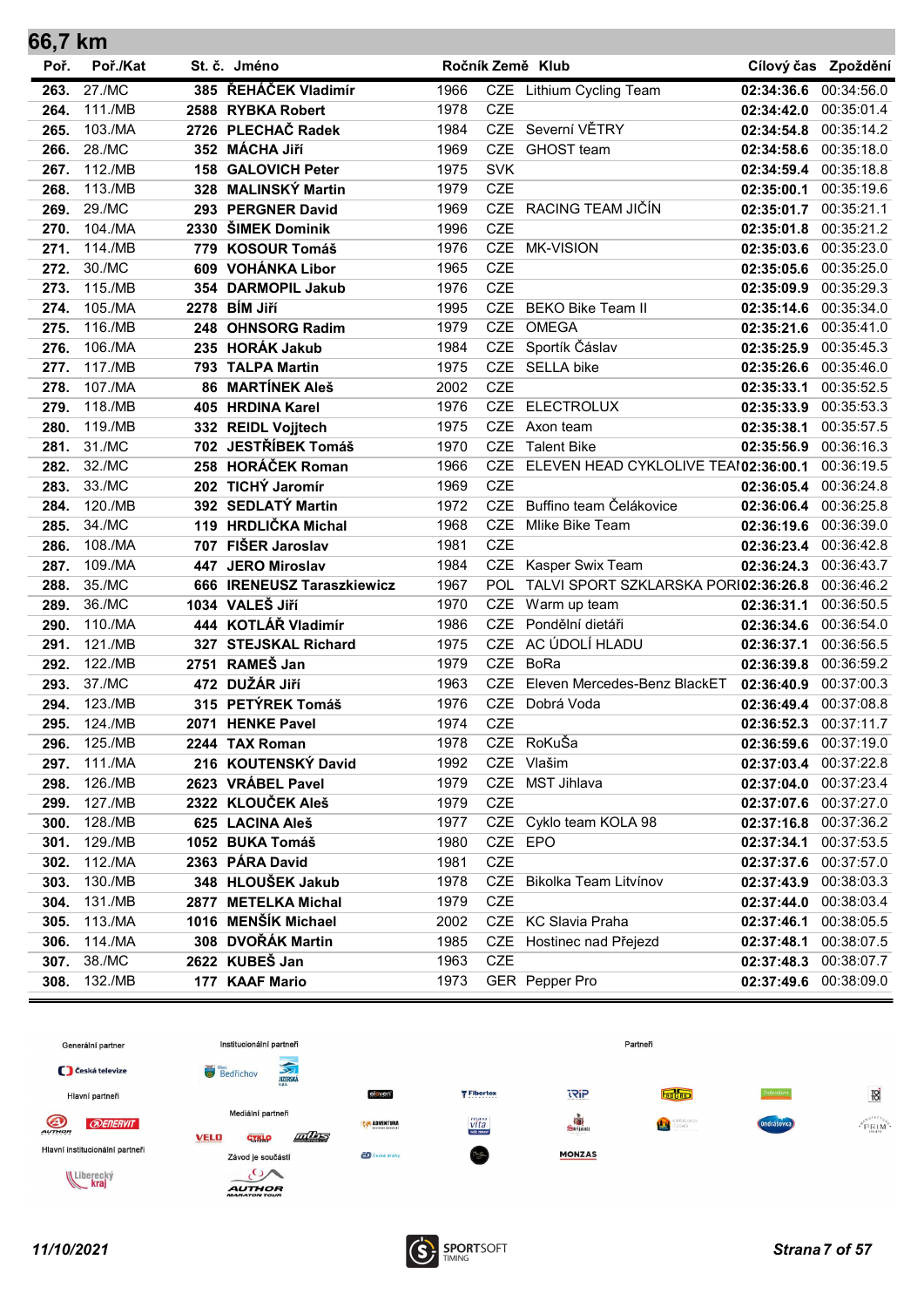| 66,7 km |          |     |                            |      |            |                                      |                       |                     |
|---------|----------|-----|----------------------------|------|------------|--------------------------------------|-----------------------|---------------------|
| Poř.    | Poř./Kat |     | St. č. Jméno               |      |            | Ročník Země Klub                     |                       | Cílový čas Zpoždění |
| 263.    | 27./MC   |     | 385 ŘEHÁČEK Vladimír       | 1966 |            | CZE Lithium Cycling Team             | 02:34:36.6            | 00:34:56.0          |
| 264.    | 111./MB  |     | 2588 RYBKA Robert          | 1978 | <b>CZE</b> |                                      | 02:34:42.0            | 00:35:01.4          |
| 265.    | 103./MA  |     | 2726 PLECHAČ Radek         | 1984 |            | CZE Severní VĚTRY                    | 02:34:54.8            | 00:35:14.2          |
| 266.    | 28./MC   |     | 352 MÁCHA Jiří             | 1969 | <b>CZE</b> | GHOST team                           | 02:34:58.6            | 00:35:18.0          |
| 267.    | 112./MB  | 158 | <b>GALOVICH Peter</b>      | 1975 | <b>SVK</b> |                                      | 02:34:59.4            | 00:35:18.8          |
| 268.    | 113./MB  |     | 328 MALINSKÝ Martin        | 1979 | <b>CZE</b> |                                      | 02:35:00.1            | 00:35:19.6          |
| 269.    | 29./MC   |     | 293 PERGNER David          | 1969 |            | CZE RACING TEAM JIČÍN                | 02:35:01.7            | 00:35:21.1          |
| 270.    | 104./MA  |     | 2330 ŠIMEK Dominik         | 1996 | <b>CZE</b> |                                      | 02:35:01.8            | 00:35:21.2          |
| 271.    | 114./MB  |     | 779 KOSOUR Tomáš           | 1976 | <b>CZE</b> | <b>MK-VISION</b>                     | 02:35:03.6            | 00:35:23.0          |
| 272.    | 30./MC   |     | 609 VOHÁNKA Libor          | 1965 | <b>CZE</b> |                                      | 02:35:05.6            | 00:35:25.0          |
| 273.    | 115./MB  |     | 354 DARMOPIL Jakub         | 1976 | <b>CZE</b> |                                      | 02:35:09.9            | 00:35:29.3          |
| 274.    | 105./MA  |     | 2278 BÍM Jiří              | 1995 | <b>CZE</b> | <b>BEKO Bike Team II</b>             | 02:35:14.6            | 00:35:34.0          |
| 275.    | 116./MB  |     | 248 OHNSORG Radim          | 1979 | <b>CZE</b> | <b>OMEGA</b>                         | 02:35:21.6            | 00:35:41.0          |
| 276.    | 106./MA  |     | 235 HORÁK Jakub            | 1984 |            | CZE Sportík Čáslav                   | 02:35:25.9            | 00:35:45.3          |
| 277.    | 117./MB  |     | 793 TALPA Martin           | 1975 |            | CZE SELLA bike                       | 02:35:26.6            | 00:35:46.0          |
| 278.    | 107./MA  | 86  | <b>MARTÍNEK Aleš</b>       | 2002 | <b>CZE</b> |                                      | 02:35:33.1            | 00:35:52.5          |
| 279.    | 118./MB  |     | 405 HRDINA Karel           | 1976 | <b>CZE</b> | <b>ELECTROLUX</b>                    | 02:35:33.9            | 00:35:53.3          |
| 280.    | 119./MB  |     | 332 REIDL Vojjtech         | 1975 | <b>CZE</b> | Axon team                            | 02:35:38.1            | 00:35:57.5          |
| 281.    | 31./MC   |     | 702 JESTŘÍBEK Tomáš        | 1970 | <b>CZE</b> | <b>Talent Bike</b>                   | 02:35:56.9            | 00:36:16.3          |
| 282.    | 32./MC   |     | 258 HORÁČEK Roman          | 1966 | <b>CZE</b> | ELEVEN HEAD CYKLOLIVE TEAI02:36:00.1 |                       | 00:36:19.5          |
| 283.    | 33./MC   |     | 202 TICHÝ Jaromír          | 1969 | <b>CZE</b> |                                      | 02:36:05.4            | 00:36:24.8          |
| 284.    | 120./MB  |     | 392 SEDLATÝ Martin         | 1972 | <b>CZE</b> | Buffino team Čelákovice              | 02:36:06.4            | 00:36:25.8          |
| 285.    | 34./MC   |     | 119 HRDLIČKA Michal        | 1968 | <b>CZE</b> | Mlike Bike Team                      | 02:36:19.6            | 00:36:39.0          |
| 286.    | 108./MA  |     | 707 FIŠER Jaroslav         | 1981 | <b>CZE</b> |                                      | 02:36:23.4            | 00:36:42.8          |
| 287.    | 109./MA  | 447 | <b>JERO Miroslav</b>       | 1984 | <b>CZE</b> | Kasper Swix Team                     | 02:36:24.3            | 00:36:43.7          |
| 288.    | 35./MC   |     | 666 IRENEUSZ Taraszkiewicz | 1967 | <b>POL</b> | TALVI SPORT SZKLARSKA PORI02:36:26.8 |                       | 00:36:46.2          |
| 289.    | 36./MC   |     | 1034 VALEŠ Jiří            | 1970 | <b>CZE</b> | Warm up team                         | 02:36:31.1            | 00:36:50.5          |
| 290.    | 110./MA  |     | 444 KOTLÁŘ Vladimír        | 1986 | <b>CZE</b> | Pondělní dietáři                     | 02:36:34.6            | 00:36:54.0          |
| 291.    | 121./MB  |     | 327 STEJSKAL Richard       | 1975 | <b>CZE</b> | AC ÚDOLÍ HLADU                       | 02:36:37.1            | 00:36:56.5          |
| 292.    | 122./MB  |     | 2751 RAMEŠ Jan             | 1979 | <b>CZE</b> | <b>BoRa</b>                          | 02:36:39.8            | 00:36:59.2          |
| 293.    | 37./MC   |     | 472 DUŽÁR Jiří             | 1963 | <b>CZE</b> | Eleven Mercedes-Benz BlackET         | 02:36:40.9            | 00:37:00.3          |
| 294.    | 123./MB  |     | 315 PETÝREK Tomáš          | 1976 | CZE        | Dobrá Voda                           | 02:36:49.4            | 00:37:08.8          |
| 295.    | 124./MB  |     | 2071 HENKE Pavel           | 1974 | <b>CZE</b> |                                      | 02:36:52.3            | 00:37:11.7          |
| 296.    | 125./MB  |     | 2244 TAX Roman             | 1978 |            | CZE RoKuŠa                           | 02:36:59.6            | 00:37:19.0          |
| 297.    | 111./MA  |     | 216 KOUTENSKÝ David        | 1992 | CZE        | Vlašim                               | 02:37:03.4            | 00:37:22.8          |
| 298.    | 126./MB  |     | 2623 VRÁBEL Pavel          | 1979 | CZE        | MST Jihlava                          | 02:37:04.0 00:37:23.4 |                     |
| 299.    | 127./MB  |     | 2322 KLOUČEK Aleš          | 1979 | <b>CZE</b> |                                      | 02:37:07.6 00:37:27.0 |                     |
| 300.    | 128./MB  |     | 625 LACINA Aleš            | 1977 |            | CZE Cyklo team KOLA 98               | 02:37:16.8 00:37:36.2 |                     |
| 301.    | 129./MB  |     | 1052 BUKA Tomáš            | 1980 | CZE EPO    |                                      | 02:37:34.1            | 00:37:53.5          |
| 302.    | 112./MA  |     | 2363 PÁRA David            | 1981 | CZE        |                                      | 02:37:37.6            | 00:37:57.0          |
| 303.    | 130./MB  |     | 348 HLOUŠEK Jakub          | 1978 | CZE        | Bikolka Team Litvínov                | 02:37:43.9            | 00:38:03.3          |
| 304.    | 131./MB  |     | 2877 METELKA Michal        | 1979 | <b>CZE</b> |                                      | 02:37:44.0            | 00:38:03.4          |
| 305.    | 113./MA  |     | 1016 MENŠÍK Michael        | 2002 |            | CZE KC Slavia Praha                  | 02:37:46.1            | 00:38:05.5          |
| 306.    | 114./MA  |     | 308 DVOŘÁK Martin          | 1985 | CZE        | Hostinec nad Přejezd                 | 02:37:48.1            | 00:38:07.5          |
| 307.    | 38./MC   |     | 2622 KUBEŠ Jan             | 1963 | <b>CZE</b> |                                      | 02:37:48.3            | 00:38:07.7          |
| 308.    | 132./MB  |     | 177 KAAF Mario             | 1973 |            | GER Pepper Pro                       | 02:37:49.6 00:38:09.0 |                     |



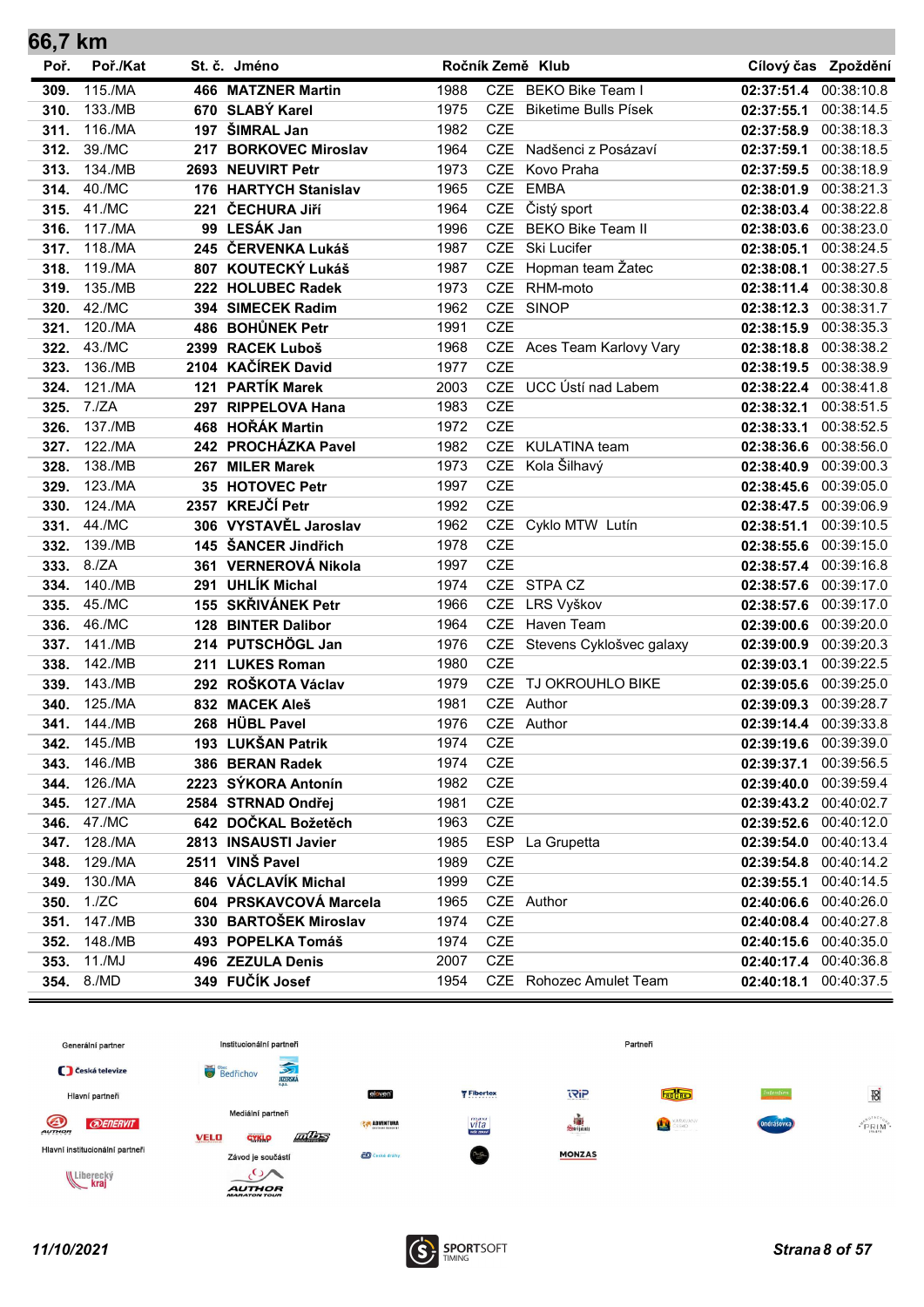| 66,7 km |          |     |                           |      |            |                              |                       |                     |
|---------|----------|-----|---------------------------|------|------------|------------------------------|-----------------------|---------------------|
| Poř.    | Poř./Kat |     | St. č. Jméno              |      |            | Ročník Země Klub             |                       | Cílový čas Zpoždění |
| 309.    | 115./MA  |     | <b>466 MATZNER Martin</b> | 1988 |            | CZE BEKO Bike Team I         | 02:37:51.4            | 00:38:10.8          |
| 310.    | 133./MB  |     | 670 SLABÝ Karel           | 1975 | CZE        | <b>Biketime Bulls Písek</b>  | 02:37:55.1            | 00:38:14.5          |
| 311.    | 116./MA  | 197 | ŠIMRAL Jan                | 1982 | <b>CZE</b> |                              | 02:37:58.9            | 00:38:18.3          |
| 312.    | 39./MC   | 217 | <b>BORKOVEC Miroslav</b>  | 1964 | <b>CZE</b> | Nadšenci z Posázaví          | 02:37:59.1            | 00:38:18.5          |
| 313.    | 134./MB  |     | 2693 NEUVIRT Petr         | 1973 | <b>CZE</b> | Kovo Praha                   | 02:37:59.5            | 00:38:18.9          |
| 314.    | 40./MC   |     | 176 HARTYCH Stanislav     | 1965 | <b>CZE</b> | <b>EMBA</b>                  | 02:38:01.9            | 00:38:21.3          |
| 315.    | 41./MC   |     | 221 ČECHURA JIří          | 1964 |            | CZE Čistý sport              | 02:38:03.4 00:38:22.8 |                     |
| 316.    | 117./MA  |     | 99 LESÁK Jan              | 1996 | <b>CZE</b> | <b>BEKO Bike Team II</b>     | 02:38:03.6            | 00:38:23.0          |
| 317.    | 118./MA  |     | 245 ČERVENKA Lukáš        | 1987 | <b>CZE</b> | Ski Lucifer                  | 02:38:05.1            | 00:38:24.5          |
| 318.    | 119./MA  |     | 807 KOUTECKÝ Lukáš        | 1987 | <b>CZE</b> | Hopman team Žatec            | 02:38:08.1            | 00:38:27.5          |
| 319.    | 135./MB  |     | 222 HOLUBEC Radek         | 1973 | <b>CZE</b> | RHM-moto                     | 02:38:11.4            | 00:38:30.8          |
| 320.    | 42./MC   |     | 394 SIMECEK Radim         | 1962 | <b>CZE</b> | <b>SINOP</b>                 | 02:38:12.3            | 00:38:31.7          |
| 321.    | 120./MA  |     | 486 BOHŮNEK Petr          | 1991 | <b>CZE</b> |                              | 02:38:15.9            | 00:38:35.3          |
| 322.    | 43./MC   |     | 2399 RACEK Luboš          | 1968 |            | CZE Aces Team Karlovy Vary   | 02:38:18.8 00:38:38.2 |                     |
| 323.    | 136./MB  |     | 2104 KAČÍREK David        | 1977 | <b>CZE</b> |                              | 02:38:19.5            | 00:38:38.9          |
| 324.    | 121./MA  |     | 121 PARTÍK Marek          | 2003 |            | CZE UCC Ústí nad Labem       | 02:38:22.4            | 00:38:41.8          |
| 325.    | 7./ZA    |     | 297 RIPPELOVA Hana        | 1983 | <b>CZE</b> |                              | 02:38:32.1            | 00:38:51.5          |
| 326.    | 137./MB  |     | 468 HOŘÁK Martin          | 1972 | <b>CZE</b> |                              | 02:38:33.1            | 00:38:52.5          |
| 327.    | 122./MA  |     | 242 PROCHÁZKA Pavel       | 1982 |            | CZE KULATINA team            | 02:38:36.6            | 00:38:56.0          |
| 328.    | 138./MB  |     | 267 MILER Marek           | 1973 | <b>CZE</b> | Kola Šilhavý                 | 02:38:40.9            | 00:39:00.3          |
| 329.    | 123./MA  |     | 35 HOTOVEC Petr           | 1997 | <b>CZE</b> |                              | 02:38:45.6            | 00:39:05.0          |
| 330.    | 124./MA  |     | 2357 KREJČÍ Petr          | 1992 | <b>CZE</b> |                              | 02:38:47.5            | 00:39:06.9          |
| 331.    | 44./MC   |     | 306 VYSTAVĚL Jaroslav     | 1962 |            | CZE Cyklo MTW Lutín          | 02:38:51.1            | 00:39:10.5          |
| 332.    | 139./MB  |     | 145 ŠANCER Jindřich       | 1978 | <b>CZE</b> |                              | 02:38:55.6            | 00:39:15.0          |
| 333.    | 8./ZA    |     | 361 VERNEROVÁ Nikola      | 1997 | <b>CZE</b> |                              | 02:38:57.4            | 00:39:16.8          |
| 334.    | 140./MB  |     | 291 UHLÍK Michal          | 1974 |            | CZE STPA CZ                  | 02:38:57.6            | 00:39:17.0          |
| 335.    | 45./MC   |     | 155 SKŘIVÁNEK Petr        | 1966 | <b>CZE</b> | LRS Vyškov                   | 02:38:57.6            | 00:39:17.0          |
| 336.    | 46./MC   |     | 128 BINTER Dalibor        | 1964 | <b>CZE</b> | Haven Team                   | 02:39:00.6            | 00:39:20.0          |
| 337.    | 141./MB  |     | 214 PUTSCHÖGL Jan         | 1976 |            | CZE Stevens Cyklošvec galaxy | 02:39:00.9            | 00:39:20.3          |
| 338.    | 142./MB  |     | 211 LUKES Roman           | 1980 | <b>CZE</b> |                              | 02:39:03.1            | 00:39:22.5          |
| 339.    | 143./MB  |     | 292 ROŠKOTA Václav        | 1979 | <b>CZE</b> | TJ OKROUHLO BIKE             | 02:39:05.6 00:39:25.0 |                     |
| 340.    | 125./MA  |     | 832 MACEK Aleš            | 1981 |            | CZE Author                   | 02:39:09.3            | 00:39:28.7          |
| 341.    | 144./MB  |     | 268 HÜBL Pavel            | 1976 |            | CZE Author                   | 02:39:14.4            | 00:39:33.8          |
| 342.    | 145./MB  |     | 193 LUKŠAN Patrik         | 1974 | <b>CZE</b> |                              | 02:39:19.6            | 00:39:39.0          |
| 343.    | 146./MB  |     | 386 BERAN Radek           | 1974 | CZE        |                              | 02:39:37.1            | 00:39:56.5          |
| 344.    | 126./MA  |     | 2223 SÝKORA Antonín       | 1982 | CZE        |                              | 02:39:40.0            | 00:39:59.4          |
| 345.    | 127./MA  |     | 2584 STRNAD Ondřej        | 1981 | CZE        |                              | 02:39:43.2            | 00:40:02.7          |
| 346.    | 47./MC   |     | 642 DOČKAL Božetěch       | 1963 | <b>CZE</b> |                              | 02:39:52.6 00:40:12.0 |                     |
| 347.    | 128./MA  |     | 2813 INSAUSTI Javier      | 1985 | <b>ESP</b> | La Grupetta                  | 02:39:54.0            | 00:40:13.4          |
| 348.    | 129./MA  |     | 2511 VINŠ Pavel           | 1989 | <b>CZE</b> |                              | 02:39:54.8            | 00:40:14.2          |
| 349.    | 130./MA  |     | 846 VÁCLAVÍK Michal       | 1999 | CZE        |                              | 02:39:55.1            | 00:40:14.5          |
| 350.    | 1./ZC    |     | 604 PRSKAVCOVÁ Marcela    | 1965 |            | CZE Author                   | 02:40:06.6            | 00:40:26.0          |
| 351.    | 147./MB  |     | 330 BARTOŠEK Miroslav     | 1974 | <b>CZE</b> |                              | 02:40:08.4            | 00:40:27.8          |
| 352.    | 148./MB  |     | 493 POPELKA Tomáš         | 1974 | CZE        |                              | 02:40:15.6            | 00:40:35.0          |
| 353.    | 11./MJ   |     | 496 ZEZULA Denis          | 2007 | CZE        |                              | 02:40:17.4            | 00:40:36.8          |
| 354.    | 8./MD    |     | 349 FUČÍK Josef           | 1954 |            | CZE Rohozec Amulet Team      | 02:40:18.1            | 00:40:37.5          |

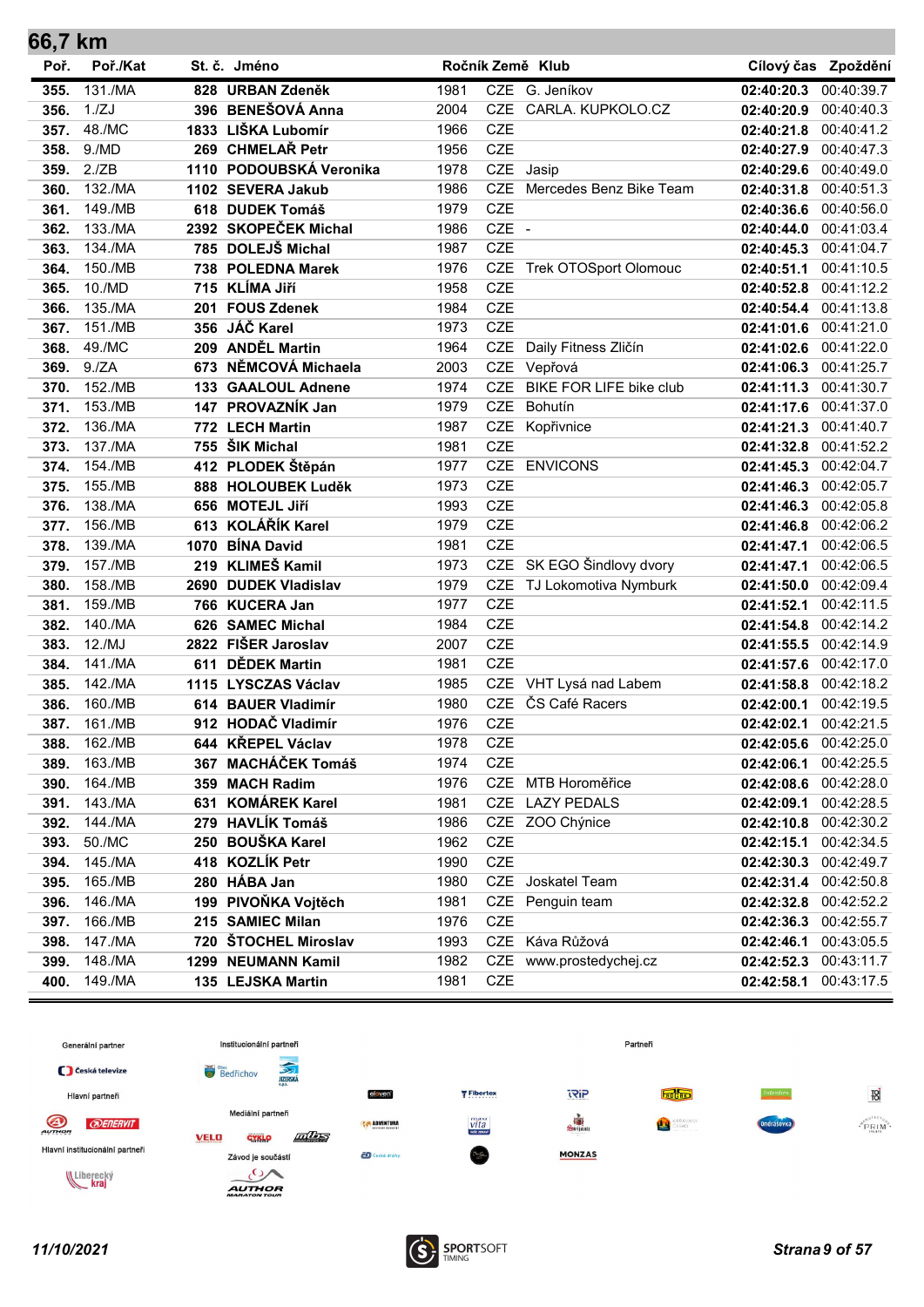| 66,7 km |          |      |                         |      |            |                           |                       |                     |
|---------|----------|------|-------------------------|------|------------|---------------------------|-----------------------|---------------------|
| Poř.    | Poř./Kat |      | St. č. Jméno            |      |            | Ročník Země Klub          |                       | Cílový čas Zpoždění |
| 355.    | 131./MA  |      | 828 URBAN Zdeněk        | 1981 |            | CZE G. Jeníkov            | 02:40:20.3            | 00:40:39.7          |
| 356.    | 1./ZJ    |      | 396 BENEŠOVÁ Anna       | 2004 |            | CZE CARLA. KUPKOLO.CZ     | 02:40:20.9            | 00:40:40.3          |
| 357.    | 48./MC   |      | 1833 LIŠKA Lubomír      | 1966 | <b>CZE</b> |                           | 02:40:21.8            | 00:40:41.2          |
| 358.    | 9./MD    |      | 269 CHMELAŘ Petr        | 1956 | <b>CZE</b> |                           | 02:40:27.9            | 00:40:47.3          |
| 359.    | 2./ZB    |      | 1110 PODOUBSKÁ Veronika | 1978 |            | CZE Jasip                 | 02:40:29.6            | 00:40:49.0          |
| 360.    | 132./MA  |      | 1102 SEVERA Jakub       | 1986 | <b>CZE</b> | Mercedes Benz Bike Team   | 02:40:31.8            | 00:40:51.3          |
| 361.    | 149./MB  |      | 618 DUDEK Tomáš         | 1979 | <b>CZE</b> |                           | 02:40:36.6            | 00:40:56.0          |
| 362.    | 133./MA  |      | 2392 SKOPEČEK Michal    | 1986 | CZE -      |                           | 02:40:44.0            | 00:41:03.4          |
| 363.    | 134./MA  |      | 785 DOLEJŠ Michal       | 1987 | <b>CZE</b> |                           | 02:40:45.3            | 00:41:04.7          |
| 364.    | 150./MB  |      | 738 POLEDNA Marek       | 1976 |            | CZE Trek OTOSport Olomouc | 02:40:51.1            | 00:41:10.5          |
| 365.    | 10./MD   |      | 715 KLÍMA Jiří          | 1958 | <b>CZE</b> |                           | 02:40:52.8            | 00:41:12.2          |
| 366.    | 135./MA  | 201  | <b>FOUS Zdenek</b>      | 1984 | <b>CZE</b> |                           | 02:40:54.4            | 00:41:13.8          |
| 367.    | 151./MB  |      | 356 JÁČ Karel           | 1973 | <b>CZE</b> |                           | 02:41:01.6 00:41:21.0 |                     |
| 368.    | 49./MC   |      | 209 ANDĚL Martin        | 1964 | <b>CZE</b> | Daily Fitness Zličín      | 02:41:02.6 00:41:22.0 |                     |
| 369.    | 9./ZA    | 673  | NĚMCOVÁ Michaela        | 2003 | CZE        | Vepřová                   | 02:41:06.3            | 00:41:25.7          |
| 370.    | 152./MB  |      | 133 GAALOUL Adnene      | 1974 | <b>CZE</b> | BIKE FOR LIFE bike club   | 02:41:11.3            | 00:41:30.7          |
| 371.    | 153./MB  | 147  | PROVAZNÍK Jan           | 1979 | <b>CZE</b> | Bohutín                   | 02:41:17.6            | 00:41:37.0          |
| 372.    | 136./MA  |      | 772 LECH Martin         | 1987 | <b>CZE</b> | Kopřivnice                | 02:41:21.3            | 00:41:40.7          |
| 373.    | 137./MA  | 755  | ŠIK Michal              | 1981 | <b>CZE</b> |                           | 02:41:32.8            | 00:41:52.2          |
| 374.    | 154./MB  |      | 412 PLODEK Štěpán       | 1977 | <b>CZE</b> | <b>ENVICONS</b>           | 02:41:45.3            | 00:42:04.7          |
| 375.    | 155./MB  |      | 888 HOLOUBEK Luděk      | 1973 | <b>CZE</b> |                           | 02:41:46.3            | 00:42:05.7          |
| 376.    | 138./MA  |      | 656 MOTEJL Jiří         | 1993 | <b>CZE</b> |                           | 02:41:46.3            | 00:42:05.8          |
| 377.    | 156./MB  |      | 613 KOLÁŘÍK Karel       | 1979 | <b>CZE</b> |                           | 02:41:46.8            | 00:42:06.2          |
| 378.    | 139./MA  | 1070 | <b>BÍNA David</b>       | 1981 | <b>CZE</b> |                           | 02:41:47.1            | 00:42:06.5          |
| 379.    | 157./MB  | 219  | <b>KLIMEŠ Kamil</b>     | 1973 |            | CZE SK EGO Šindlovy dvory | 02:41:47.1            | 00:42:06.5          |
| 380.    | 158./MB  | 2690 | <b>DUDEK Vladislav</b>  | 1979 | <b>CZE</b> | TJ Lokomotiva Nymburk     | 02:41:50.0            | 00:42:09.4          |
| 381.    | 159./MB  |      | 766 KUCERA Jan          | 1977 | <b>CZE</b> |                           | 02:41:52.1            | 00:42:11.5          |
| 382.    | 140./MA  | 626  | <b>SAMEC Michal</b>     | 1984 | <b>CZE</b> |                           | 02:41:54.8            | 00:42:14.2          |
| 383.    | 12./MJ   | 2822 | <b>FIŠER Jaroslav</b>   | 2007 | <b>CZE</b> |                           | 02:41:55.5            | 00:42:14.9          |
| 384.    | 141./MA  | 611  | <b>DĚDEK Martin</b>     | 1981 | <b>CZE</b> |                           | 02:41:57.6 00:42:17.0 |                     |
| 385.    | 142./MA  |      | 1115 LYSCZAS Václav     | 1985 | <b>CZE</b> | VHT Lysá nad Labem        | 02:41:58.8 00:42:18.2 |                     |
| 386.    | 160./MB  |      | 614 BAUER Vladimír      | 1980 | <b>CZE</b> | ČS Café Racers            | 02:42:00.1            | 00:42:19.5          |
| 387.    | 161./MB  |      | 912 HODAČ Vladimír      | 1976 | <b>CZE</b> |                           | 02:42:02.1            | 00:42:21.5          |
| 388.    | 162./MB  |      | 644 KŘEPEL Václav       | 1978 | <b>CZE</b> |                           | 02:42:05.6            | 00:42:25.0          |
| 389.    | 163./MB  | 367  | <b>MACHÁČEK Tomáš</b>   | 1974 | CZE        |                           | 02:42:06.1            | 00:42:25.5          |
| 390.    | 164./MB  |      | 359 MACH Radim          | 1976 | CZE        | MTB Horoměřice            | 02:42:08.6            | 00:42:28.0          |
| 391.    | 143./MA  | 631  | <b>KOMÁREK Karel</b>    | 1981 | CZE        | <b>LAZY PEDALS</b>        | 02:42:09.1            | 00:42:28.5          |
| 392.    | 144./MA  |      | 279 HAVLÍK Tomáš        | 1986 |            | CZE ZOO Chýnice           | 02:42:10.8 00:42:30.2 |                     |
| 393.    | 50./MC   |      | 250 BOUŠKA Karel        | 1962 | <b>CZE</b> |                           | 02:42:15.1            | 00:42:34.5          |
| 394.    | 145./MA  |      | 418 KOZLÍK Petr         | 1990 | CZE        |                           | 02:42:30.3            | 00:42:49.7          |
| 395.    | 165./MB  |      | 280 HÁBA Jan            | 1980 | CZE        | Joskatel Team             | 02:42:31.4            | 00:42:50.8          |
| 396.    | 146./MA  |      | 199 PIVOŇKA Vojtěch     | 1981 | <b>CZE</b> | Penguin team              | 02:42:32.8            | 00:42:52.2          |
| 397.    | 166./MB  |      | 215 SAMIEC Milan        | 1976 | CZE        |                           | 02:42:36.3            | 00:42:55.7          |
| 398.    | 147./MA  | 720  | ŠTOCHEL Miroslav        | 1993 | <b>CZE</b> | Káva Růžová               | 02:42:46.1            | 00:43:05.5          |
| 399.    | 148./MA  |      | 1299 NEUMANN Kamil      | 1982 | CZE        | www.prostedychej.cz       | 02:42:52.3            | 00:43:11.7          |
| 400.    | 149./MA  |      | 135 LEJSKA Martin       | 1981 | CZE        |                           | 02:42:58.1 00:43:17.5 |                     |



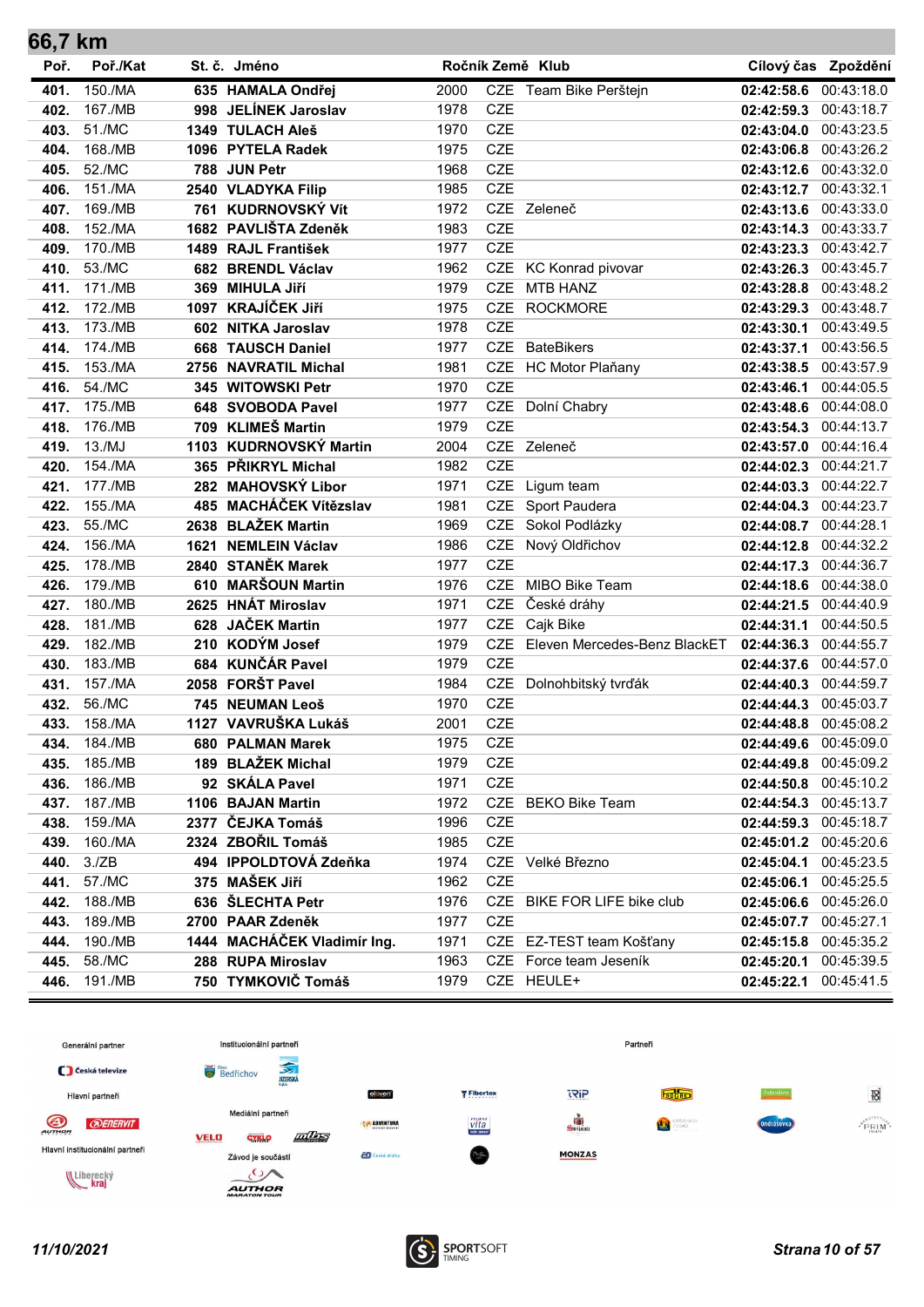| 66,7 km |          |      |                             |      |            |                              |                       |                     |
|---------|----------|------|-----------------------------|------|------------|------------------------------|-----------------------|---------------------|
| Poř.    | Poř./Kat |      | St. č. Jméno                |      |            | Ročník Země Klub             |                       | Cílový čas Zpoždění |
| 401.    | 150./MA  |      | 635 HAMALA Ondřej           | 2000 |            | CZE Team Bike Perštejn       | 02:42:58.6            | 00:43:18.0          |
| 402.    | 167./MB  | 998  | <b>JELÍNEK Jaroslav</b>     | 1978 | <b>CZE</b> |                              | 02:42:59.3            | 00:43:18.7          |
| 403.    | 51./MC   |      | 1349 TULACH Aleš            | 1970 | <b>CZE</b> |                              | 02:43:04.0            | 00:43:23.5          |
| 404.    | 168./MB  |      | 1096 PYTELA Radek           | 1975 | <b>CZE</b> |                              | 02:43:06.8            | 00:43:26.2          |
| 405.    | 52./MC   |      | 788 JUN Petr                | 1968 | <b>CZE</b> |                              | 02:43:12.6            | 00:43:32.0          |
| 406.    | 151./MA  |      | 2540 VLADYKA Filip          | 1985 | <b>CZE</b> |                              | 02:43:12.7 00:43:32.1 |                     |
| 407.    | 169./MB  |      | 761 KUDRNOVSKÝ Vít          | 1972 |            | CZE Zeleneč                  | 02:43:13.6 00:43:33.0 |                     |
| 408.    | 152./MA  |      | 1682 PAVLIŠTA Zdeněk        | 1983 | <b>CZE</b> |                              | 02:43:14.3            | 00:43:33.7          |
| 409.    | 170./MB  |      | 1489 RAJL František         | 1977 | <b>CZE</b> |                              | 02:43:23.3            | 00:43:42.7          |
| 410.    | 53./MC   |      | 682 BRENDL Václav           | 1962 |            | CZE KC Konrad pivovar        | 02:43:26.3            | 00:43:45.7          |
| 411.    | 171./MB  | 369  | <b>MIHULA Jiří</b>          | 1979 | <b>CZE</b> | <b>MTB HANZ</b>              | 02:43:28.8            | 00:43:48.2          |
| 412.    | 172./MB  |      | 1097 KRAJÍČEK JIří          | 1975 | <b>CZE</b> | <b>ROCKMORE</b>              | 02:43:29.3            | 00:43:48.7          |
| 413.    | 173./MB  | 602  | <b>NITKA Jaroslav</b>       | 1978 | <b>CZE</b> |                              | 02:43:30.1            | 00:43:49.5          |
| 414.    | 174./MB  |      | 668 TAUSCH Daniel           | 1977 |            | CZE BateBikers               | 02:43:37.1            | 00:43:56.5          |
| 415.    | 153./MA  | 2756 | <b>NAVRATIL Michal</b>      | 1981 |            | CZE HC Motor Plaňany         | 02:43:38.5            | 00:43:57.9          |
| 416.    | 54./MC   |      | 345 WITOWSKI Petr           | 1970 | <b>CZE</b> |                              | 02:43:46.1            | 00:44:05.5          |
| 417.    | 175./MB  |      | 648 SVOBODA Pavel           | 1977 |            | CZE Dolní Chabry             | 02:43:48.6            | 00:44:08.0          |
| 418.    | 176./MB  |      | 709 KLIMEŠ Martin           | 1979 | <b>CZE</b> |                              | 02:43:54.3            | 00:44:13.7          |
| 419.    | 13./MJ   |      | 1103 KUDRNOVSKÝ Martin      | 2004 |            | CZE Zeleneč                  | 02:43:57.0            | 00:44:16.4          |
| 420.    | 154./MA  |      | 365 PŘIKRYL Michal          | 1982 | <b>CZE</b> |                              | 02:44:02.3            | 00:44:21.7          |
| 421.    | 177./MB  |      | 282 MAHOVSKÝ Libor          | 1971 | <b>CZE</b> | Ligum team                   | 02:44:03.3            | 00:44:22.7          |
| 422.    | 155./MA  |      | 485 MACHÁČEK Vítězslav      | 1981 |            | CZE Sport Paudera            | 02:44:04.3            | 00:44:23.7          |
| 423.    | 55./MC   |      | 2638 BLAŽEK Martin          | 1969 |            | CZE Sokol Podlázky           | 02:44:08.7            | 00:44:28.1          |
| 424.    | 156./MA  | 1621 | <b>NEMLEIN Václav</b>       | 1986 | <b>CZE</b> | Nový Oldřichov               | 02:44:12.8            | 00:44:32.2          |
| 425.    | 178./MB  |      | 2840 STANĚK Marek           | 1977 | <b>CZE</b> |                              | 02:44:17.3            | 00:44:36.7          |
| 426.    | 179./MB  | 610  | <b>MARŠOUN Martin</b>       | 1976 | <b>CZE</b> | MIBO Bike Team               | 02:44:18.6            | 00:44:38.0          |
| 427.    | 180./MB  | 2625 | <b>HNÁT Miroslav</b>        | 1971 | <b>CZE</b> | České dráhy                  | 02:44:21.5            | 00:44:40.9          |
| 428.    | 181./MB  | 628  | <b>JAČEK Martin</b>         | 1977 | <b>CZE</b> | Cajk Bike                    | 02:44:31.1            | 00:44:50.5          |
| 429.    | 182./MB  |      | 210 KODÝM Josef             | 1979 | <b>CZE</b> | Eleven Mercedes-Benz BlackET | 02:44:36.3            | 00:44:55.7          |
| 430.    | 183./MB  |      | 684 KUNČÁR Pavel            | 1979 | <b>CZE</b> |                              | 02:44:37.6 00:44:57.0 |                     |
| 431.    | 157./MA  |      | 2058 FORŠT Pavel            | 1984 |            | CZE Dolnohbitský tvrďák      | 02:44:40.3            | 00:44:59.7          |
| 432.    | 56./MC   |      | 745 NEUMAN Leoš             | 1970 | <b>CZE</b> |                              | 02:44:44.3            | 00:45:03.7          |
| 433.    | 158./MA  |      | 1127 VAVRUŠKA Lukáš         | 2001 | <b>CZE</b> |                              | 02:44:48.8            | 00:45:08.2          |
| 434.    | 184./MB  |      | 680 PALMAN Marek            | 1975 | <b>CZE</b> |                              | 02:44:49.6            | 00:45:09.0          |
| 435.    | 185./MB  |      | 189 BLAŽEK Michal           | 1979 | CZE        |                              | 02:44:49.8            | 00:45:09.2          |
| 436.    | 186./MB  |      | 92 SKÁLA Pavel              | 1971 | <b>CZE</b> |                              | 02:44:50.8            | 00:45:10.2          |
| 437.    | 187./MB  |      | 1106 BAJAN Martin           | 1972 |            | CZE BEKO Bike Team           | 02:44:54.3 00:45:13.7 |                     |
| 438.    | 159./MA  |      | 2377 ČEJKA Tomáš            | 1996 | CZE        |                              | 02:44:59.3 00:45:18.7 |                     |
| 439.    | 160./MA  |      | 2324 ZBOŘIL Tomáš           | 1985 | CZE        |                              | 02:45:01.2 00:45:20.6 |                     |
| 440.    | 3./ZB    |      | 494 IPPOLDTOVÁ Zdeňka       | 1974 |            | CZE Velké Březno             | 02:45:04.1            | 00:45:23.5          |
| 441.    | 57./MC   |      | 375 MAŠEK Jiří              | 1962 | <b>CZE</b> |                              | 02:45:06.1            | 00:45:25.5          |
| 442.    | 188./MB  |      | 636 ŠLECHTA Petr            | 1976 |            | CZE BIKE FOR LIFE bike club  | 02:45:06.6            | 00:45:26.0          |
| 443.    | 189./MB  |      | 2700 PAAR Zdeněk            | 1977 | CZE        |                              | 02:45:07.7            | 00:45:27.1          |
| 444.    | 190./MB  |      | 1444 MACHÁČEK Vladimír Ing. | 1971 |            | CZE EZ-TEST team Košťany     | 02:45:15.8            | 00:45:35.2          |
| 445.    | 58./MC   |      | 288 RUPA Miroslav           | 1963 |            | CZE Force team Jeseník       | 02:45:20.1            | 00:45:39.5          |
| 446.    | 191./MB  |      | 750 TYMKOVIČ Tomáš          | 1979 |            | CZE HEULE+                   | 02:45:22.1 00:45:41.5 |                     |



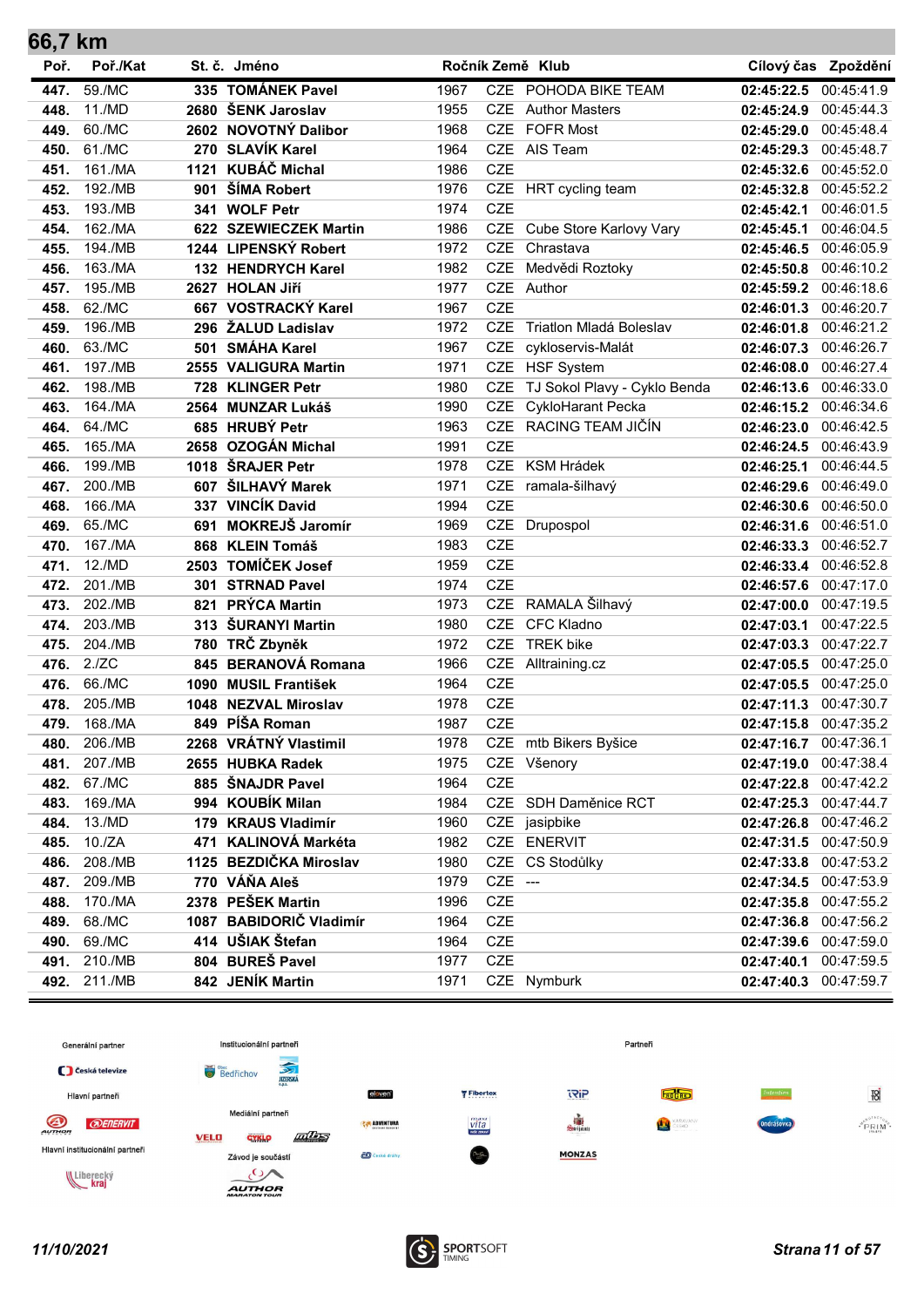| 66,7 km |          |      |                         |      |            |                              |                       |                     |
|---------|----------|------|-------------------------|------|------------|------------------------------|-----------------------|---------------------|
| Poř.    | Poř./Kat |      | St. č. Jméno            |      |            | Ročník Země Klub             |                       | Cílový čas Zpoždění |
| 447.    | 59./MC   |      | 335 TOMÁNEK Pavel       | 1967 |            | CZE POHODA BIKE TEAM         | 02:45:22.5            | 00:45:41.9          |
| 448.    | 11./MD   |      | 2680 ŠENK Jaroslav      | 1955 | CZE        | <b>Author Masters</b>        | 02:45:24.9            | 00:45:44.3          |
| 449.    | 60./MC   |      | 2602 NOVOTNÝ Dalibor    | 1968 | <b>CZE</b> | <b>FOFR Most</b>             | 02:45:29.0            | 00:45:48.4          |
| 450.    | 61./MC   |      | 270 SLAVÍK Karel        | 1964 | <b>CZE</b> | AIS Team                     | 02:45:29.3            | 00:45:48.7          |
| 451.    | 161./MA  |      | 1121 KUBÁČ Michal       | 1986 | <b>CZE</b> |                              | 02:45:32.6            | 00:45:52.0          |
| 452.    | 192./MB  |      | 901 ŠÍMA Robert         | 1976 |            | CZE HRT cycling team         | 02:45:32.8            | 00:45:52.2          |
| 453.    | 193./MB  |      | 341 WOLF Petr           | 1974 | <b>CZE</b> |                              | 02:45:42.1            | 00:46:01.5          |
| 454.    | 162./MA  |      | 622 SZEWIECZEK Martin   | 1986 | CZE        | Cube Store Karlovy Vary      | 02:45:45.1            | 00:46:04.5          |
| 455.    | 194./MB  |      | 1244 LIPENSKÝ Robert    | 1972 | <b>CZE</b> | Chrastava                    | 02:45:46.5            | 00:46:05.9          |
| 456.    | 163./MA  |      | 132 HENDRYCH Karel      | 1982 | <b>CZE</b> | Medvědi Roztoky              | 02:45:50.8            | 00:46:10.2          |
| 457.    | 195./MB  |      | 2627 HOLAN Jiří         | 1977 |            | CZE Author                   | 02:45:59.2            | 00:46:18.6          |
| 458.    | 62./MC   | 667  | <b>VOSTRACKÝ Karel</b>  | 1967 | <b>CZE</b> |                              | 02:46:01.3            | 00:46:20.7          |
| 459.    | 196./MB  | 296  | ŽALUD Ladislav          | 1972 | <b>CZE</b> | Triatlon Mladá Boleslav      | 02:46:01.8            | 00:46:21.2          |
| 460.    | 63./MC   | 501  | <b>SMÁHA Karel</b>      | 1967 | CZE        | cykloservis-Malát            | 02:46:07.3 00:46:26.7 |                     |
| 461.    | 197./MB  |      | 2555 VALIGURA Martin    | 1971 |            | CZE HSF System               | 02:46:08.0            | 00:46:27.4          |
| 462.    | 198./MB  | 728  | <b>KLINGER Petr</b>     | 1980 | <b>CZE</b> | TJ Sokol Plavy - Cyklo Benda | 02:46:13.6            | 00:46:33.0          |
| 463.    | 164./MA  | 2564 | <b>MUNZAR Lukáš</b>     | 1990 | <b>CZE</b> | <b>CykloHarant Pecka</b>     | 02:46:15.2            | 00:46:34.6          |
| 464.    | 64./MC   |      | 685 HRUBÝ Petr          | 1963 |            | CZE RACING TEAM JIČÍN        | 02:46:23.0            | 00:46:42.5          |
| 465.    | 165./MA  |      | 2658 OZOGÁN Michal      | 1991 | <b>CZE</b> |                              | 02:46:24.5            | 00:46:43.9          |
| 466.    | 199./MB  |      | 1018 ŠRAJER Petr        | 1978 | <b>CZE</b> | <b>KSM Hrádek</b>            | 02:46:25.1            | 00:46:44.5          |
| 467.    | 200./MB  |      | 607 ŠILHAVÝ Marek       | 1971 |            | CZE ramala-šilhavý           | 02:46:29.6            | 00:46:49.0          |
| 468.    | 166./MA  |      | 337 VINCÍK David        | 1994 | <b>CZE</b> |                              | 02:46:30.6            | 00:46:50.0          |
| 469.    | 65./MC   | 691  | <b>MOKREJŠ Jaromír</b>  | 1969 |            | CZE Drupospol                | 02:46:31.6            | 00:46:51.0          |
| 470.    | 167./MA  |      | 868 KLEIN Tomáš         | 1983 | <b>CZE</b> |                              | 02:46:33.3            | 00:46:52.7          |
| 471.    | 12./MD   |      | 2503 TOMÍČEK Josef      | 1959 | <b>CZE</b> |                              | 02:46:33.4            | 00:46:52.8          |
| 472.    | 201./MB  |      | 301 STRNAD Pavel        | 1974 | <b>CZE</b> |                              | 02:46:57.6            | 00:47:17.0          |
| 473.    | 202./MB  | 821  | <b>PRÝCA Martin</b>     | 1973 | <b>CZE</b> | RAMALA Šilhavý               | 02:47:00.0            | 00:47:19.5          |
| 474.    | 203./MB  |      | 313 ŠURANYI Martin      | 1980 | <b>CZE</b> | <b>CFC Kladno</b>            | 02:47:03.1            | 00:47:22.5          |
| 475.    | 204./MB  |      | 780 TRČ Zbyněk          | 1972 | <b>CZE</b> | <b>TREK bike</b>             | 02:47:03.3            | 00:47:22.7          |
| 476.    | 2./ZC    | 845  | <b>BERANOVÁ Romana</b>  | 1966 | CZE        | Alltraining.cz               | 02:47:05.5 00:47:25.0 |                     |
| 476.    | 66./MC   |      | 1090 MUSIL František    | 1964 | <b>CZE</b> |                              | 02:47:05.5            | 00:47:25.0          |
| 478.    | 205./MB  |      | 1048 NEZVAL Miroslav    | 1978 | <b>CZE</b> |                              | 02:47:11.3            | 00:47:30.7          |
| 479     | 168./MA  | 849  | PÍŠA Roman              | 1987 | <b>CZE</b> |                              | 02:47:15.8            | 00:47:35.2          |
| 480.    | 206./MB  |      | 2268 VRÁTNÝ Vlastimil   | 1978 |            | CZE mtb Bikers Byšice        | 02:47:16.7 00:47:36.1 |                     |
| 481.    | 207./MB  |      | 2655 HUBKA Radek        | 1975 |            | CZE Všenory                  | 02:47:19.0            | 00:47:38.4          |
| 482.    | 67./MC   |      | 885 ŠNAJDR Pavel        | 1964 | CZE        |                              | 02:47:22.8            | 00:47:42.2          |
| 483.    | 169./MA  |      | 994 KOUBÍK Milan        | 1984 |            | CZE SDH Daměnice RCT         | 02:47:25.3 00:47:44.7 |                     |
| 484.    | 13./MD   |      | 179 KRAUS Vladimír      | 1960 |            | CZE jasipbike                | 02:47:26.8 00:47:46.2 |                     |
| 485.    | 10./ZA   |      | 471 KALINOVÁ Markéta    | 1982 |            | CZE ENERVIT                  | 02:47:31.5 00:47:50.9 |                     |
| 486.    | 208./MB  |      | 1125 BEZDIČKA Miroslav  | 1980 | CZE        | CS Stodůlky                  | 02:47:33.8            | 00:47:53.2          |
| 487.    | 209./MB  |      | 770 VÁŇA Aleš           | 1979 | CZE ---    |                              | 02:47:34.5            | 00:47:53.9          |
| 488.    | 170./MA  |      | 2378 PEŠEK Martin       | 1996 | CZE        |                              | 02:47:35.8            | 00:47:55.2          |
| 489.    | 68./MC   |      | 1087 BABIDORIČ Vladimír | 1964 | CZE        |                              | 02:47:36.8            | 00:47:56.2          |
| 490.    | 69./MC   |      | 414 UŠIAK Štefan        | 1964 | <b>CZE</b> |                              | 02:47:39.6            | 00:47:59.0          |
| 491.    | 210./MB  |      | 804 BUREŠ Pavel         | 1977 | CZE        |                              | 02:47:40.1            | 00:47:59.5          |
| 492.    | 211./MB  |      | 842 JENÍK Martin        | 1971 |            | CZE Nymburk                  | 02:47:40.3 00:47:59.7 |                     |



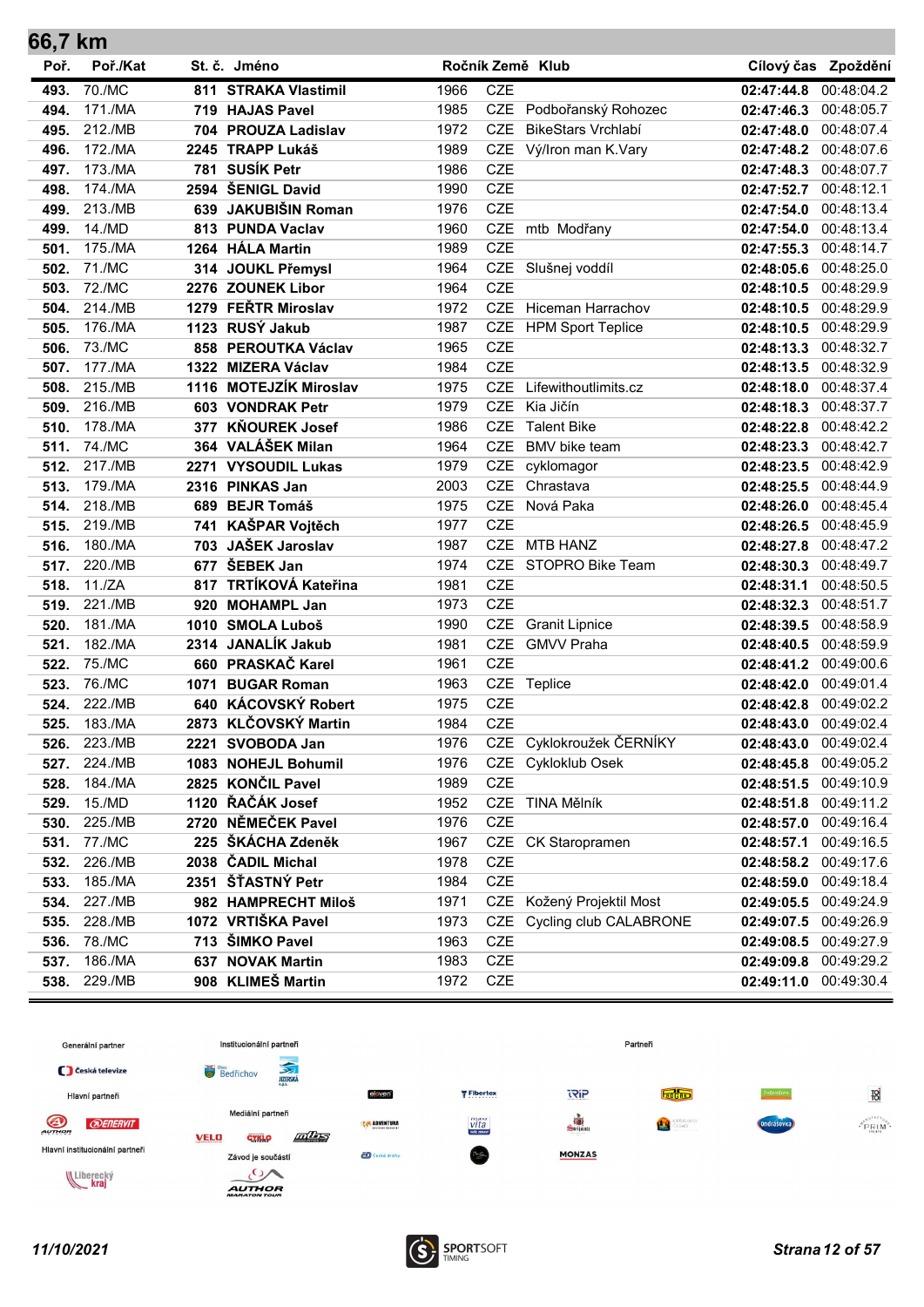| 66,7 km |          |      |                          |      |            |                           |                       |                     |
|---------|----------|------|--------------------------|------|------------|---------------------------|-----------------------|---------------------|
| Poř.    | Poř./Kat |      | St. č. Jméno             |      |            | Ročník Země Klub          |                       | Cílový čas Zpoždění |
| 493.    | 70./MC   |      | 811 STRAKA Vlastimil     | 1966 | CZE        |                           | 02:47:44.8            | 00:48:04.2          |
| 494.    | 171./MA  |      | 719 HAJAS Pavel          | 1985 |            | CZE Podbořanský Rohozec   | 02:47:46.3            | 00:48:05.7          |
| 495.    | 212./MB  |      | 704 PROUZA Ladislav      | 1972 |            | CZE BikeStars Vrchlabí    | 02:47:48.0            | 00:48:07.4          |
| 496.    | 172./MA  |      | 2245 TRAPP Lukáš         | 1989 |            | CZE Vý/Iron man K.Vary    | 02:47:48.2            | 00:48:07.6          |
| 497.    | 173./MA  |      | 781 SUSÍK Petr           | 1986 | <b>CZE</b> |                           | 02:47:48.3            | 00:48:07.7          |
| 498.    | 174./MA  |      | 2594 ŠENIGL David        | 1990 | <b>CZE</b> |                           | 02:47:52.7            | 00:48:12.1          |
| 499.    | 213./MB  |      | 639 JAKUBIŠIN Roman      | 1976 | <b>CZE</b> |                           | 02:47:54.0            | 00:48:13.4          |
| 499.    | 14./MD   |      | 813 PUNDA Vaclav         | 1960 | CZE        | mtb Modřany               | 02:47:54.0            | 00:48:13.4          |
| 501.    | 175./MA  |      | 1264 HÁLA Martin         | 1989 | <b>CZE</b> |                           | 02:47:55.3            | 00:48:14.7          |
| 502.    | 71./MC   |      | 314 JOUKL Přemysl        | 1964 |            | CZE Slušnej voddíl        | 02:48:05.6            | 00:48:25.0          |
| 503.    | 72./MC   |      | 2276 ZOUNEK Libor        | 1964 | <b>CZE</b> |                           | 02:48:10.5            | 00:48:29.9          |
| 504.    | 214./MB  | 1279 | <b>FERTR Miroslav</b>    | 1972 |            | CZE Hiceman Harrachov     | 02:48:10.5            | 00:48:29.9          |
| 505.    | 176./MA  |      | 1123 RUSÝ Jakub          | 1987 |            | CZE HPM Sport Teplice     | 02:48:10.5            | 00:48:29.9          |
| 506.    | 73./MC   |      | 858 PEROUTKA Václav      | 1965 | <b>CZE</b> |                           | 02:48:13.3            | 00:48:32.7          |
| 507.    | 177./MA  |      | 1322 MIZERA Václav       | 1984 | <b>CZE</b> |                           | 02:48:13.5            | 00:48:32.9          |
| 508.    | 215./MB  |      | 1116 MOTEJZÍK Miroslav   | 1975 | <b>CZE</b> | Lifewithoutlimits.cz      | 02:48:18.0            | 00:48:37.4          |
| 509.    | 216./MB  |      | 603 VONDRAK Petr         | 1979 | <b>CZE</b> | Kia Jičín                 | 02:48:18.3            | 00:48:37.7          |
| 510.    | 178./MA  | 377  | <b>KŇOUREK Josef</b>     | 1986 | <b>CZE</b> | <b>Talent Bike</b>        | 02:48:22.8            | 00:48:42.2          |
| 511.    | 74./MC   | 364  | <b>VALÁŠEK Milan</b>     | 1964 | <b>CZE</b> | <b>BMV</b> bike team      | 02:48:23.3            | 00:48:42.7          |
| 512.    | 217./MB  | 2271 | <b>VYSOUDIL Lukas</b>    | 1979 | CZE        | cyklomagor                | 02:48:23.5            | 00:48:42.9          |
| 513.    | 179./MA  |      | 2316 PINKAS Jan          | 2003 | <b>CZE</b> | Chrastava                 | 02:48:25.5            | 00:48:44.9          |
| 514.    | 218./MB  |      | 689 BEJR Tomáš           | 1975 | <b>CZE</b> | Nová Paka                 | 02:48:26.0            | 00:48:45.4          |
| 515.    | 219./MB  |      | 741 KAŠPAR Vojtěch       | 1977 | <b>CZE</b> |                           | 02:48:26.5            | 00:48:45.9          |
| 516.    | 180./MA  |      | 703 JAŠEK Jaroslav       | 1987 | <b>CZE</b> | <b>MTB HANZ</b>           | 02:48:27.8            | 00:48:47.2          |
| 517.    | 220./MB  | 677  | ŠEBEK Jan                | 1974 |            | CZE STOPRO Bike Team      | 02:48:30.3            | 00:48:49.7          |
| 518.    | 11./ZA   | 817  | <b>TRTÍKOVÁ Kateřina</b> | 1981 | <b>CZE</b> |                           | 02:48:31.1            | 00:48:50.5          |
| 519.    | 221./MB  | 920  | <b>MOHAMPL Jan</b>       | 1973 | <b>CZE</b> |                           | 02:48:32.3            | 00:48:51.7          |
| 520.    | 181./MA  | 1010 | <b>SMOLA Luboš</b>       | 1990 | <b>CZE</b> | <b>Granit Lipnice</b>     | 02:48:39.5            | 00:48:58.9          |
| 521.    | 182./MA  |      | 2314 JANALÍK Jakub       | 1981 | <b>CZE</b> | <b>GMVV Praha</b>         | 02:48:40.5            | 00:48:59.9          |
| 522.    | 75./MC   |      | 660 PRASKAČ Karel        | 1961 | <b>CZE</b> |                           | 02:48:41.2 00:49:00.6 |                     |
| 523.    | 76./MC   | 1071 | <b>BUGAR Roman</b>       | 1963 |            | CZE Teplice               | 02:48:42.0            | 00:49:01.4          |
| 524.    | 222./MB  |      | 640 KÁCOVSKÝ Robert      | 1975 | <b>CZE</b> |                           | 02:48:42.8            | 00:49:02.2          |
| 525.    | 183./MA  |      | 2873 KLČOVSKÝ Martin     | 1984 | <b>CZE</b> |                           | 02:48:43.0            | 00:49:02.4          |
| 526.    | 223./MB  |      | 2221 SVOBODA Jan         | 1976 | CZE        | Cyklokroužek ČERNÍKY      | 02:48:43.0            | 00:49:02.4          |
| 527.    | 224./MB  |      | 1083 NOHEJL Bohumil      | 1976 |            | CZE Cykloklub Osek        | 02:48:45.8            | 00:49:05.2          |
| 528.    | 184./MA  |      | 2825 KONČIL Pavel        | 1989 | CZE        |                           | 02:48:51.5            | 00:49:10.9          |
| 529.    | 15./MD   |      | 1120 ŘAČÁK Josef         | 1952 |            | CZE TINA Mělník           | 02:48:51.8            | 00:49:11.2          |
| 530.    | 225./MB  |      | 2720 NĚMEČEK Pavel       | 1976 | CZE        |                           | 02:48:57.0            | 00:49:16.4          |
| 531.    | 77./MC   |      | 225 ŠKÁCHA Zdeněk        | 1967 |            | CZE CK Staropramen        | 02:48:57.1            | 00:49:16.5          |
| 532.    | 226./MB  |      | 2038 ČADIL Michal        | 1978 | CZE        |                           | 02:48:58.2            | 00:49:17.6          |
| 533.    | 185./MA  |      | 2351 ŠŤASTNÝ Petr        | 1984 | CZE        |                           | 02:48:59.0            | 00:49:18.4          |
| 534.    | 227./MB  |      | 982 HAMPRECHT Miloš      | 1971 |            | CZE Kožený Projektil Most | 02:49:05.5            | 00:49:24.9          |
| 535.    | 228./MB  |      | 1072 VRTIŠKA Pavel       | 1973 | <b>CZE</b> | Cycling club CALABRONE    | 02:49:07.5            | 00:49:26.9          |
| 536.    | 78./MC   |      | 713 ŠIMKO Pavel          | 1963 | CZE        |                           | 02:49:08.5            | 00:49:27.9          |
| 537.    | 186./MA  | 637  | <b>NOVAK Martin</b>      | 1983 | CZE        |                           | 02:49:09.8            | 00:49:29.2          |
| 538.    | 229./MB  |      | 908 KLIMEŠ Martin        | 1972 | CZE        |                           | 02:49:11.0 00:49:30.4 |                     |



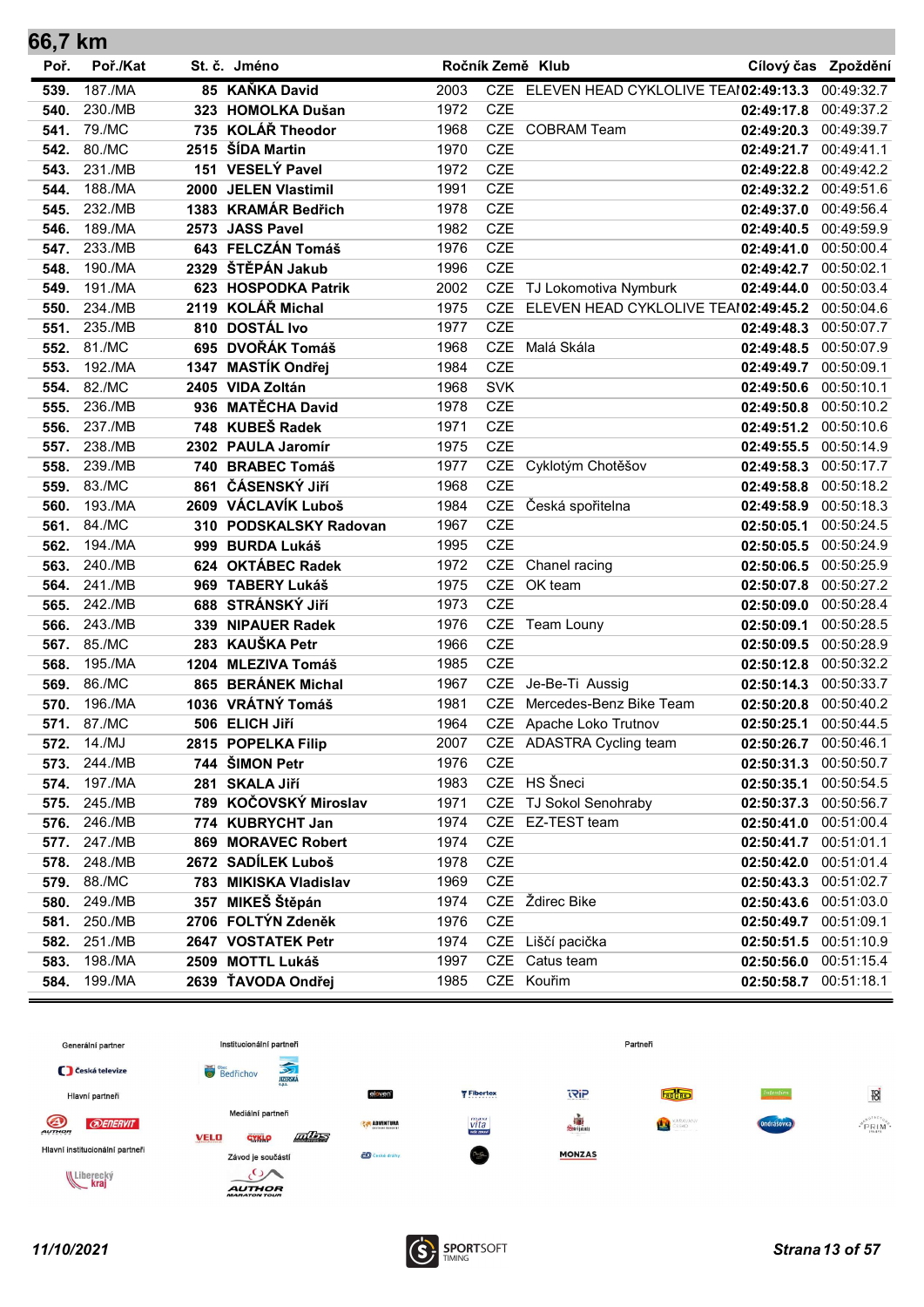| 66,7 km      |                   |      |                                         |              |            |                                                    |                          |                          |
|--------------|-------------------|------|-----------------------------------------|--------------|------------|----------------------------------------------------|--------------------------|--------------------------|
| Poř.         | Poř./Kat          |      | St. č. Jméno                            |              |            | Ročník Země Klub                                   |                          | Cílový čas Zpoždění      |
| 539.         | 187./MA           |      | 85 KAŇKA David                          | 2003         |            | CZE ELEVEN HEAD CYKLOLIVE TEAI02:49:13.3           |                          | 00:49:32.7               |
| 540.         | 230./MB           |      | 323 HOMOLKA Dušan                       | 1972         | <b>CZE</b> |                                                    | 02:49:17.8               | 00:49:37.2               |
| 541.         | 79./MC            |      | 735 KOLÁŘ Theodor                       | 1968         |            | CZE COBRAM Team                                    | 02:49:20.3               | 00:49:39.7               |
| 542.         | 80./MC            |      | 2515 ŠÍDA Martin                        | 1970         | <b>CZE</b> |                                                    | 02:49:21.7               | 00:49:41.1               |
| 543.         | 231./MB           |      | 151 VESELÝ Pavel                        | 1972         | CZE        |                                                    | 02:49:22.8               | 00:49:42.2               |
| 544.         | 188./MA           |      | 2000 JELEN Vlastimil                    | 1991         | CZE        |                                                    | 02:49:32.2 00:49:51.6    |                          |
| 545.         | 232./MB           |      | 1383 KRAMÁR Bedřich                     | 1978         | <b>CZE</b> |                                                    | 02:49:37.0               | 00:49:56.4               |
| 546.         | 189./MA           |      | 2573 JASS Pavel                         | 1982         | <b>CZE</b> |                                                    | 02:49:40.5               | 00:49:59.9               |
| 547.         | 233./MB           |      | 643 FELCZÁN Tomáš                       | 1976         | <b>CZE</b> |                                                    | 02:49:41.0               | 00:50:00.4               |
| 548.         | 190./MA           | 2329 | ŠTĚPÁN Jakub                            | 1996         | <b>CZE</b> |                                                    | 02:49:42.7               | 00:50:02.1               |
| 549.         | 191./MA           |      | 623 HOSPODKA Patrik                     | 2002         |            | CZE TJ Lokomotiva Nymburk                          | 02:49:44.0               | 00:50:03.4               |
| 550.         | 234./MB           | 2119 | KOLÁŘ Michal                            | 1975         | <b>CZE</b> | ELEVEN HEAD CYKLOLIVE TEAI02:49:45.2               |                          | 00:50:04.6               |
| 551.         | 235./MB           |      | 810 DOSTÁL Ivo                          | 1977         | <b>CZE</b> |                                                    | 02:49:48.3               | 00:50:07.7               |
| 552.         | 81./MC            |      | 695 DVOŘÁK Tomáš                        | 1968         |            | CZE Malá Skála                                     | 02:49:48.5               | 00:50:07.9               |
| 553.         | 192./MA           |      | 1347 MASTÍK Ondřej                      | 1984         | <b>CZE</b> |                                                    | 02:49:49.7               | 00:50:09.1               |
| 554.         | 82./MC            |      | 2405 VIDA Zoltán                        | 1968         | <b>SVK</b> |                                                    | 02:49:50.6               | 00:50:10.1               |
| 555.         | 236./MB           | 936  | <b>MATĚCHA David</b>                    | 1978         | <b>CZE</b> |                                                    | 02:49:50.8               | 00:50:10.2               |
| 556.         | 237./MB           |      | 748 KUBEŠ Radek                         | 1971         | CZE        |                                                    | 02:49:51.2               | 00:50:10.6               |
| 557.         | 238./MB           |      | 2302 PAULA Jaromír                      | 1975         | <b>CZE</b> |                                                    | 02:49:55.5               | 00:50:14.9               |
| 558.         | 239./MB           | 740  | <b>BRABEC Tomáš</b>                     | 1977         |            | CZE Cyklotým Chotěšov                              | 02:49:58.3               | 00:50:17.7               |
| 559.         | 83./MC            |      | 861 ČÁSENSKÝ JIří                       | 1968         | <b>CZE</b> |                                                    | 02:49:58.8               | 00:50:18.2               |
| 560.         | 193./MA           |      | 2609 VÁCLAVÍK Luboš                     | 1984         |            | CZE Česká spořitelna                               | 02:49:58.9               | 00:50:18.3               |
| 561.         | 84./MC            |      | 310 PODSKALSKY Radovan                  | 1967         | <b>CZE</b> |                                                    | 02:50:05.1               | 00:50:24.5               |
| 562.         | 194./MA           | 999  | <b>BURDA Lukáš</b>                      | 1995         | <b>CZE</b> |                                                    | 02:50:05.5               | 00:50:24.9               |
| 563.         | 240./MB           |      | 624 OKTÁBEC Radek                       | 1972         | CZE        | Chanel racing                                      | 02:50:06.5               | 00:50:25.9               |
| 564.         | 241./MB           |      | 969 TABERY Lukáš                        | 1975         |            | CZE OK team                                        | 02:50:07.8               | 00:50:27.2               |
| 565.         | 242./MB           |      | 688 STRÁNSKÝ JIří                       | 1973         | <b>CZE</b> |                                                    | 02:50:09.0               | 00:50:28.4               |
| 566.         | 243./MB           | 339  | <b>NIPAUER Radek</b>                    | 1976         |            | CZE Team Louny                                     | 02:50:09.1               | 00:50:28.5               |
| 567.         | 85./MC            |      | 283 KAUŠKA Petr                         | 1966         | CZE        |                                                    | 02:50:09.5               | 00:50:28.9               |
| 568.         | 195./MA           |      | 1204 MLEZIVA Tomáš                      | 1985         | <b>CZE</b> |                                                    | 02:50:12.8 00:50:32.2    |                          |
| 569.         | 86./MC            |      | 865 BERÁNEK Michal<br>1036 VRÁTNÝ Tomáš | 1967         |            | CZE Je-Be-Ti Aussig<br>CZE Mercedes-Benz Bike Team | 02:50:14.3               | 00:50:33.7               |
| 570.         | 196./MA<br>87./MC |      |                                         | 1981<br>1964 |            | CZE Apache Loko Trutnov                            | 02:50:20.8               | 00:50:40.2<br>00:50:44.5 |
| 571.         | 14./MJ            |      | 506 ELICH Jiří<br>2815 POPELKA Filip    | 2007         |            | CZE ADASTRA Cycling team                           | 02:50:25.1               | 00:50:46.1               |
| 572.         | 244./MB           |      | 744 ŠIMON Petr                          | 1976         | CZE        |                                                    | 02:50:26.7<br>02:50:31.3 | 00:50:50.7               |
| 573.<br>574. | 197./MA           | 281  | <b>SKALA Jiří</b>                       | 1983         |            | CZE HS Šneci                                       | 02:50:35.1               | 00:50:54.5               |
| 575.         | 245./MB           |      | 789 KOČOVSKÝ Miroslav                   | 1971         |            | CZE TJ Sokol Senohraby                             | 02:50:37.3 00:50:56.7    |                          |
| 576.         | 246./MB           |      | 774 KUBRYCHT Jan                        | 1974         |            | CZE EZ-TEST team                                   | 02:50:41.0 00:51:00.4    |                          |
| 577.         | 247./MB           |      | 869 MORAVEC Robert                      | 1974         | CZE        |                                                    | 02:50:41.7 00:51:01.1    |                          |
| 578.         | 248./MB           |      | 2672 SADÍLEK Luboš                      | 1978         | CZE        |                                                    | 02:50:42.0               | 00:51:01.4               |
| 579.         | 88./MC            |      | 783 MIKISKA Vladislav                   | 1969         | CZE        |                                                    | 02:50:43.3               | 00:51:02.7               |
| 580.         | 249./MB           | 357  | MIKEŠ Štěpán                            | 1974         |            | CZE Ždirec Bike                                    | 02:50:43.6 00:51:03.0    |                          |
| 581.         | 250./MB           |      | 2706 FOLTÝN Zdeněk                      | 1976         | CZE        |                                                    | 02:50:49.7               | 00:51:09.1               |
| 582.         | 251./MB           |      | 2647 VOSTATEK Petr                      | 1974         |            | CZE Liščí pacička                                  | 02:50:51.5               | 00:51:10.9               |
| 583.         | 198./MA           |      | 2509 MOTTL Lukáš                        | 1997         | CZE        | Catus team                                         | 02:50:56.0               | 00:51:15.4               |
| 584.         | 199./MA           |      | 2639 ŤAVODA Ondřej                      | 1985         |            | CZE Kouřim                                         | 02:50:58.7 00:51:18.1    |                          |
|              |                   |      |                                         |              |            |                                                    |                          |                          |

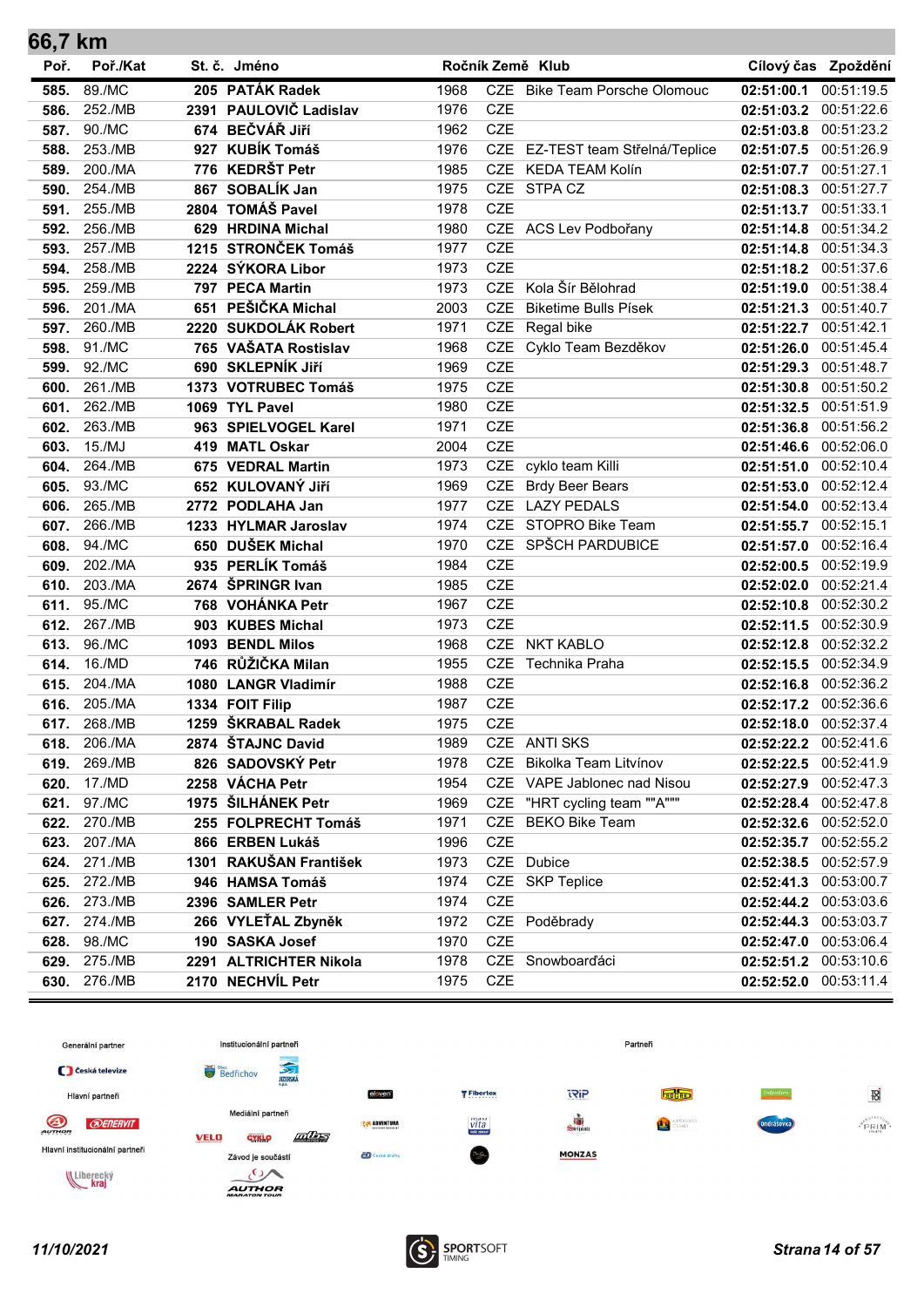| 66,7 km |          |     |                        |      |            |                                  |            |                     |
|---------|----------|-----|------------------------|------|------------|----------------------------------|------------|---------------------|
| Poř.    | Poř./Kat |     | St. č. Jméno           |      |            | Ročník Země Klub                 |            | Cílový čas Zpoždění |
| 585.    | 89./MC   |     | 205 PATÁK Radek        | 1968 |            | CZE Bike Team Porsche Olomouc    | 02:51:00.1 | 00:51:19.5          |
| 586.    | 252./MB  |     | 2391 PAULOVIČ Ladislav | 1976 | <b>CZE</b> |                                  | 02:51:03.2 | 00:51:22.6          |
| 587.    | 90./MC   |     | 674 BEČVÁŘ Jiří        | 1962 | <b>CZE</b> |                                  | 02:51:03.8 | 00:51:23.2          |
| 588.    | 253./MB  |     | 927 KUBÍK Tomáš        | 1976 |            | CZE EZ-TEST team Střelná/Teplice | 02:51:07.5 | 00:51:26.9          |
| 589.    | 200./MA  |     | 776 KEDRŠT Petr        | 1985 | <b>CZE</b> | KEDA TEAM Kolín                  | 02:51:07.7 | 00:51:27.1          |
| 590.    | 254./MB  | 867 | <b>SOBALÍK Jan</b>     | 1975 |            | CZE STPA CZ                      | 02:51:08.3 | 00:51:27.7          |
| 591.    | 255./MB  |     | 2804 TOMÁŠ Pavel       | 1978 | <b>CZE</b> |                                  | 02:51:13.7 | 00:51:33.1          |
| 592.    | 256./MB  |     | 629 HRDINA Michal      | 1980 |            | CZE ACS Lev Podbořany            | 02:51:14.8 | 00:51:34.2          |
| 593.    | 257./MB  |     | 1215 STRONČEK Tomáš    | 1977 | <b>CZE</b> |                                  | 02:51:14.8 | 00:51:34.3          |
| 594.    | 258./MB  |     | 2224 SÝKORA Libor      | 1973 | <b>CZE</b> |                                  | 02:51:18.2 | 00:51:37.6          |
| 595.    | 259./MB  |     | 797 PECA Martin        | 1973 | CZE        | Kola Šír Bělohrad                | 02:51:19.0 | 00:51:38.4          |
| 596.    | 201./MA  |     | 651 PEŠIČKA Michal     | 2003 | <b>CZE</b> | <b>Biketime Bulls Písek</b>      | 02:51:21.3 | 00:51:40.7          |
| 597.    | 260./MB  |     | 2220 SUKDOLÁK Robert   | 1971 | <b>CZE</b> | Regal bike                       | 02:51:22.7 | 00:51:42.1          |
| 598.    | 91./MC   |     | 765 VAŠATA Rostislav   | 1968 | CZE        | Cyklo Team Bezděkov              | 02:51:26.0 | 00:51:45.4          |
| 599.    | 92./MC   |     | 690 SKLEPNÍK JIří      | 1969 | <b>CZE</b> |                                  | 02:51:29.3 | 00:51:48.7          |
| 600.    | 261./MB  |     | 1373 VOTRUBEC Tomáš    | 1975 | <b>CZE</b> |                                  | 02:51:30.8 | 00:51:50.2          |
| 601.    | 262./MB  |     | 1069 TYL Pavel         | 1980 | <b>CZE</b> |                                  | 02:51:32.5 | 00:51:51.9          |
| 602.    | 263./MB  |     | 963 SPIELVOGEL Karel   | 1971 | <b>CZE</b> |                                  | 02:51:36.8 | 00:51:56.2          |
| 603.    | 15./MJ   | 419 | <b>MATL Oskar</b>      | 2004 | <b>CZE</b> |                                  | 02:51:46.6 | 00:52:06.0          |
| 604.    | 264./MB  | 675 | <b>VEDRAL Martin</b>   | 1973 | <b>CZE</b> | cyklo team Killi                 | 02:51:51.0 | 00:52:10.4          |
| 605.    | 93./MC   |     | 652 KULOVANÝ JIří      | 1969 | <b>CZE</b> | <b>Brdy Beer Bears</b>           | 02:51:53.0 | 00:52:12.4          |
| 606.    | 265./MB  |     | 2772 PODLAHA Jan       | 1977 | <b>CZE</b> | <b>LAZY PEDALS</b>               | 02:51:54.0 | 00:52:13.4          |
| 607.    | 266./MB  |     | 1233 HYLMAR Jaroslav   | 1974 | <b>CZE</b> | STOPRO Bike Team                 | 02:51:55.7 | 00:52:15.1          |
| 608.    | 94./MC   |     | 650 DUŠEK Michal       | 1970 |            | CZE SPŠCH PARDUBICE              | 02:51:57.0 | 00:52:16.4          |
| 609.    | 202./MA  |     | 935 PERLÍK Tomáš       | 1984 | <b>CZE</b> |                                  | 02:52:00.5 | 00:52:19.9          |
| 610.    | 203./MA  |     | 2674 ŠPRINGR Ivan      | 1985 | <b>CZE</b> |                                  | 02:52:02.0 | 00:52:21.4          |
| 611.    | 95./MC   |     | 768 VOHÁNKA Petr       | 1967 | CZE        |                                  | 02:52:10.8 | 00:52:30.2          |
| 612.    | 267./MB  |     | 903 KUBES Michal       | 1973 | <b>CZE</b> |                                  | 02:52:11.5 | 00:52:30.9          |
| 613.    | 96./MC   |     | 1093 BENDL Milos       | 1968 | <b>CZE</b> | <b>NKT KABLO</b>                 | 02:52:12.8 | 00:52:32.2          |
| 614.    | 16./MD   |     | 746 RŮŽIČKA Milan      | 1955 | <b>CZE</b> | Technika Praha                   | 02:52:15.5 | 00:52:34.9          |
| 615.    | 204./MA  |     | 1080 LANGR Vladimír    | 1988 | <b>CZE</b> |                                  | 02:52:16.8 | 00:52:36.2          |
| 616.    | 205./MA  |     | 1334 FOIT Filip        | 1987 | <b>CZE</b> |                                  | 02:52:17.2 | 00:52:36.6          |
| 617.    | 268./MB  |     | 1259 ŠKRABAL Radek     | 1975 | <b>CZE</b> |                                  | 02:52:18.0 | 00:52:37.4          |
| 618.    | 206./MA  |     | 2874 ŠTAJNC David      | 1989 |            | CZE ANTI SKS                     | 02:52:22.2 | 00:52:41.6          |
| 619.    | 269./MB  |     | 826 SADOVSKÝ Petr      | 1978 | <b>CZE</b> | Bikolka Team Litvínov            | 02:52:22.5 | 00:52:41.9          |
| 620.    | 17./MD   |     | 2258 VÁCHA Petr        | 1954 |            | CZE VAPE Jablonec nad Nisou      | 02:52:27.9 | 00:52:47.3          |
| 621.    | 97./MC   |     | 1975 ŠILHÁNEK Petr     | 1969 | CZE        | "HRT cycling team ""A"""         | 02:52:28.4 | 00:52:47.8          |
| 622.    | 270./MB  |     | 255 FOLPRECHT Tomáš    | 1971 | <b>CZE</b> | <b>BEKO Bike Team</b>            | 02:52:32.6 | 00:52:52.0          |
| 623.    | 207./MA  |     | 866 ERBEN Lukáš        | 1996 | CZE        |                                  | 02:52:35.7 | 00:52:55.2          |
| 624.    | 271./MB  |     | 1301 RAKUŠAN František | 1973 |            | CZE Dubice                       | 02:52:38.5 | 00:52:57.9          |
| 625.    | 272./MB  |     | 946 HAMSA Tomáš        | 1974 |            | CZE SKP Teplice                  | 02:52:41.3 | 00:53:00.7          |
| 626.    | 273./MB  |     | 2396 SAMLER Petr       | 1974 | CZE        |                                  | 02:52:44.2 | 00:53:03.6          |
| 627.    | 274./MB  |     | 266 VYLEŤAL Zbyněk     | 1972 |            | CZE Poděbrady                    | 02:52:44.3 | 00:53:03.7          |
| 628.    | 98./MC   |     | 190 SASKA Josef        | 1970 | <b>CZE</b> |                                  | 02:52:47.0 | 00:53:06.4          |
| 629.    | 275./MB  |     | 2291 ALTRICHTER Nikola | 1978 |            | CZE Snowboarďáci                 | 02:52:51.2 | 00:53:10.6          |
| 630.    | 276./MB  |     | 2170 NECHVÍL Petr      | 1975 | CZE        |                                  | 02:52:52.0 | 00:53:11.4          |



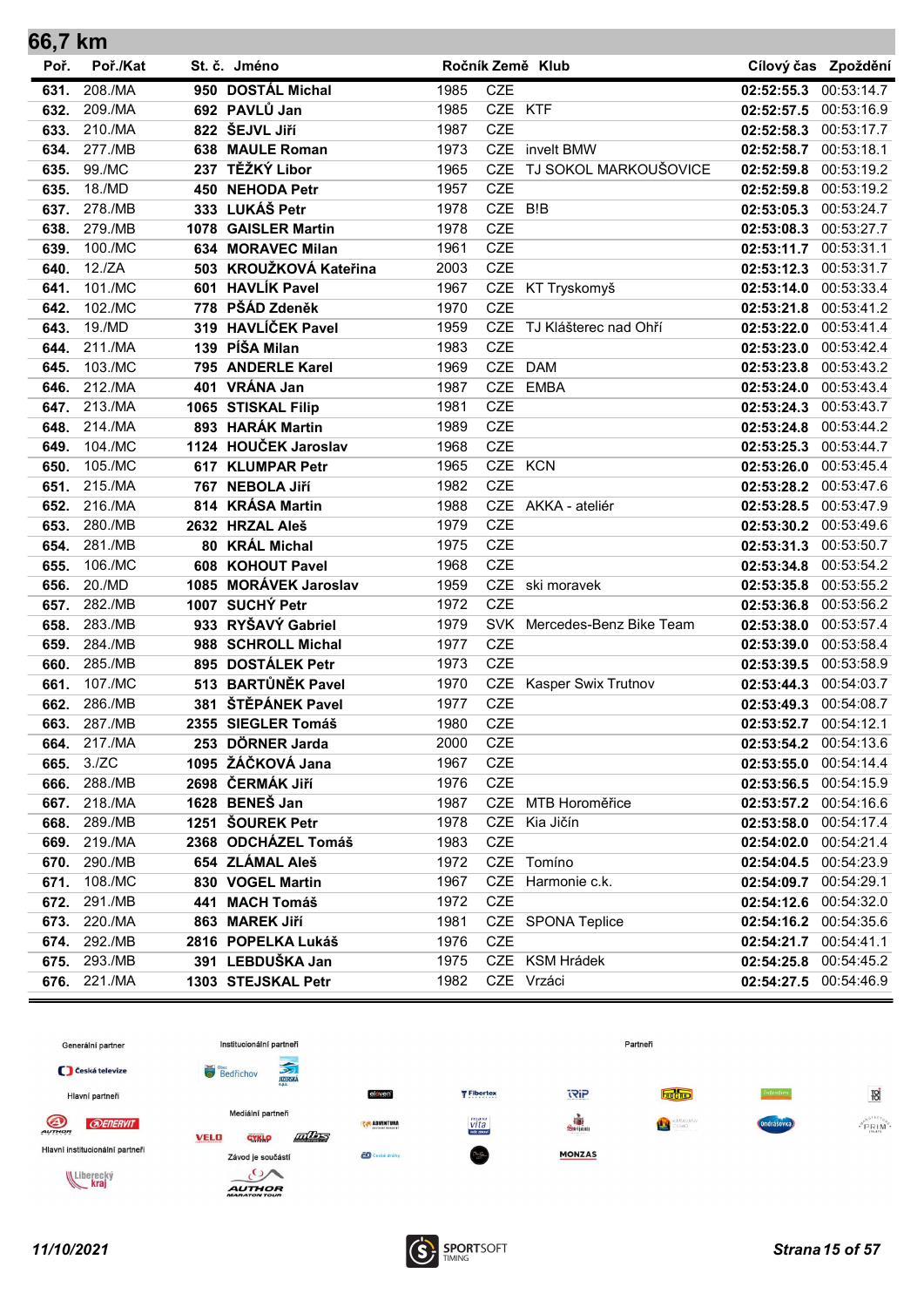| 66,7 km      |                    |                                       |              |            |                             |                          |                          |
|--------------|--------------------|---------------------------------------|--------------|------------|-----------------------------|--------------------------|--------------------------|
| Poř.         | Poř./Kat           | St. č. Jméno                          |              |            | Ročník Země Klub            |                          | Cílový čas Zpoždění      |
| 631.         | 208./MA            | 950 DOSTÁL Michal                     | 1985         | CZE        |                             | 02:52:55.3               | 00:53:14.7               |
| 632.         | 209./MA            | 692 PAVLŮ Jan                         | 1985         | CZE KTF    |                             | 02:52:57.5 00:53:16.9    |                          |
| 633.         | 210./MA            | 822 ŠEJVL Jiří                        | 1987         | <b>CZE</b> |                             | 02:52:58.3 00:53:17.7    |                          |
| 634.         | 277./MB            | 638 MAULE Roman                       | 1973         |            | CZE invelt BMW              | 02:52:58.7 00:53:18.1    |                          |
| 635.         | 99./MC             | 237 TĚŽKÝ Libor                       | 1965         | <b>CZE</b> | TJ SOKOL MARKOUŠOVICE       | 02:52:59.8               | 00:53:19.2               |
| 635.         | 18./MD             | 450 NEHODA Petr                       | 1957         | <b>CZE</b> |                             |                          | 02:52:59.8 00:53:19.2    |
| 637.         | 278./MB            | 333 LUKÁŠ Petr                        | 1978         | CZE B!B    |                             | 02:53:05.3 00:53:24.7    |                          |
| 638.         | 279./MB            | 1078 GAISLER Martin                   | 1978         | <b>CZE</b> |                             | 02:53:08.3 00:53:27.7    |                          |
| 639.         | 100./MC            | 634 MORAVEC Milan                     | 1961         | <b>CZE</b> |                             | 02:53:11.7 00:53:31.1    |                          |
| 640.         | 12./ZA             | 503 KROUŽKOVÁ Kateřina                | 2003         | <b>CZE</b> |                             | 02:53:12.3 00:53:31.7    |                          |
| 641.         | 101./MC            | 601 HAVLÍK Pavel                      | 1967         |            | CZE KT Tryskomyš            | 02:53:14.0 00:53:33.4    |                          |
| 642.         | 102./MC            | 778 PŠÁD Zdeněk                       | 1970         | <b>CZE</b> |                             | 02:53:21.8               | 00:53:41.2               |
| 643.         | 19./MD             | 319 HAVLÍČEK Pavel                    | 1959         | <b>CZE</b> | TJ Klášterec nad Ohří       | 02:53:22.0               | 00:53:41.4               |
| 644.         | 211./MA            | 139 PÍŠA Milan                        | 1983         | <b>CZE</b> |                             | 02:53:23.0               | 00:53:42.4               |
| 645.         | 103./MC            | 795 ANDERLE Karel                     | 1969         |            | CZE DAM                     |                          | 02:53:23.8 00:53:43.2    |
| 646.         | 212./MA            | 401 VRÁNA Jan                         | 1987         | <b>CZE</b> | <b>EMBA</b>                 | 02:53:24.0               | 00:53:43.4               |
| 647.         | 213./MA            | 1065 STISKAL Filip                    | 1981         | <b>CZE</b> |                             | 02:53:24.3               | 00:53:43.7               |
| 648.         | 214./MA            | 893 HARÁK Martin                      | 1989         | CZE        |                             | 02:53:24.8 00:53:44.2    |                          |
| 649.         | 104./MC            | 1124 HOUČEK Jaroslav                  | 1968         | <b>CZE</b> |                             | 02:53:25.3 00:53:44.7    |                          |
| 650.         | 105./MC            | 617 KLUMPAR Petr                      | 1965         |            | CZE KCN                     | 02:53:26.0 00:53:45.4    |                          |
| 651.         | 215./MA            | 767 NEBOLA Jiří                       | 1982         | <b>CZE</b> |                             | 02:53:28.2 00:53:47.6    |                          |
| 652.         | 216./MA            | 814 KRÁSA Martin                      | 1988         |            | CZE AKKA - ateliér          | 02:53:28.5 00:53:47.9    |                          |
| 653.         | 280./MB            | 2632 HRZAL Aleš                       | 1979         | <b>CZE</b> |                             | 02:53:30.2 00:53:49.6    |                          |
| 654.         | 281./MB            | 80 KRÁL Michal                        | 1975         | <b>CZE</b> |                             | 02:53:31.3 00:53:50.7    |                          |
| 655.         | 106./MC            | 608 KOHOUT Pavel                      | 1968         | <b>CZE</b> |                             |                          | 02:53:34.8 00:53:54.2    |
| 656.         | 20./MD             | 1085 MORÁVEK Jaroslav                 | 1959         | <b>CZE</b> | CZE ski moravek             | 02:53:35.8 00:53:55.2    |                          |
| 657.         | 282./MB            | 1007 SUCHÝ Petr<br>933 RYŠAVÝ Gabriel | 1972         |            |                             | 02:53:36.8 00:53:56.2    |                          |
| 658.<br>659. | 283./MB<br>284./MB | 988 SCHROLL Michal                    | 1979<br>1977 | <b>CZE</b> | SVK Mercedes-Benz Bike Team | 02:53:38.0               | 00:53:57.4<br>00:53:58.4 |
| 660.         | 285./MB            | 895 DOSTÁLEK Petr                     | 1973         | <b>CZE</b> |                             | 02:53:39.0<br>02:53:39.5 | 00:53:58.9               |
| 661.         | 107./MC            | 513 BARTŮNĚK Pavel                    | 1970         |            | CZE Kasper Swix Trutnov     | 02:53:44.3 00:54:03.7    |                          |
| 662.         | 286./MB            | 381 ŠTĚPÁNEK Pavel                    | 1977         | <b>CZE</b> |                             | 02:53:49.3 00:54:08.7    |                          |
| 663.         | 287./MB            | 2355 SIEGLER Tomáš                    | 1980         | <b>CZE</b> |                             | 02:53:52.7 00:54:12.1    |                          |
|              | 664. 217./MA       | 253 DÖRNER Jarda                      | 2000         | CZE        |                             | 02:53:54.2 00:54:13.6    |                          |
| 665.         | 3./ZC              | 1095 ŽÁČKOVÁ Jana                     | 1967         | CZE        |                             |                          | 02:53:55.0 00:54:14.4    |
| 666.         | 288./MB            | 2698 ČERMÁK Jiří                      | 1976         | CZE        |                             |                          | 02:53:56.5 00:54:15.9    |
| 667.         | 218./MA            | 1628 BENEŠ Jan                        | 1987         |            | CZE MTB Horoměřice          |                          | 02:53:57.2 00:54:16.6    |
| 668.         | 289./MB            | 1251 ŠOUREK Petr                      | 1978         |            | CZE Kia Jičín               |                          | 02:53:58.0 00:54:17.4    |
| 669.         | 219./MA            | 2368 ODCHÁZEL Tomáš                   | 1983         | CZE        |                             | 02:54:02.0 00:54:21.4    |                          |
|              | 670. 290./MB       | 654 ZLÁMAL Aleš                       | 1972         |            | CZE Tomíno                  | 02:54:04.5 00:54:23.9    |                          |
|              | 671. 108./MC       | 830 VOGEL Martin                      | 1967         |            | CZE Harmonie c.k.           | 02:54:09.7 00:54:29.1    |                          |
| 672.         | 291./MB            | 441 MACH Tomáš                        | 1972         | CZE        |                             |                          | 02:54:12.6 00:54:32.0    |
|              | 673. 220./MA       | 863 MAREK Jiří                        | 1981         |            | CZE SPONA Teplice           |                          | 02:54:16.2 00:54:35.6    |
| 674.         | 292./MB            | 2816 POPELKA Lukáš                    | 1976         | <b>CZE</b> |                             | 02:54:21.7 00:54:41.1    |                          |
| 675.         | 293./MB            | 391 LEBDUŠKA Jan                      | 1975         |            | CZE KSM Hrádek              |                          | 02:54:25.8 00:54:45.2    |
| 676.         | 221./MA            | 1303 STEJSKAL Petr                    | 1982         |            | CZE Vrzáci                  |                          | 02:54:27.5 00:54:46.9    |



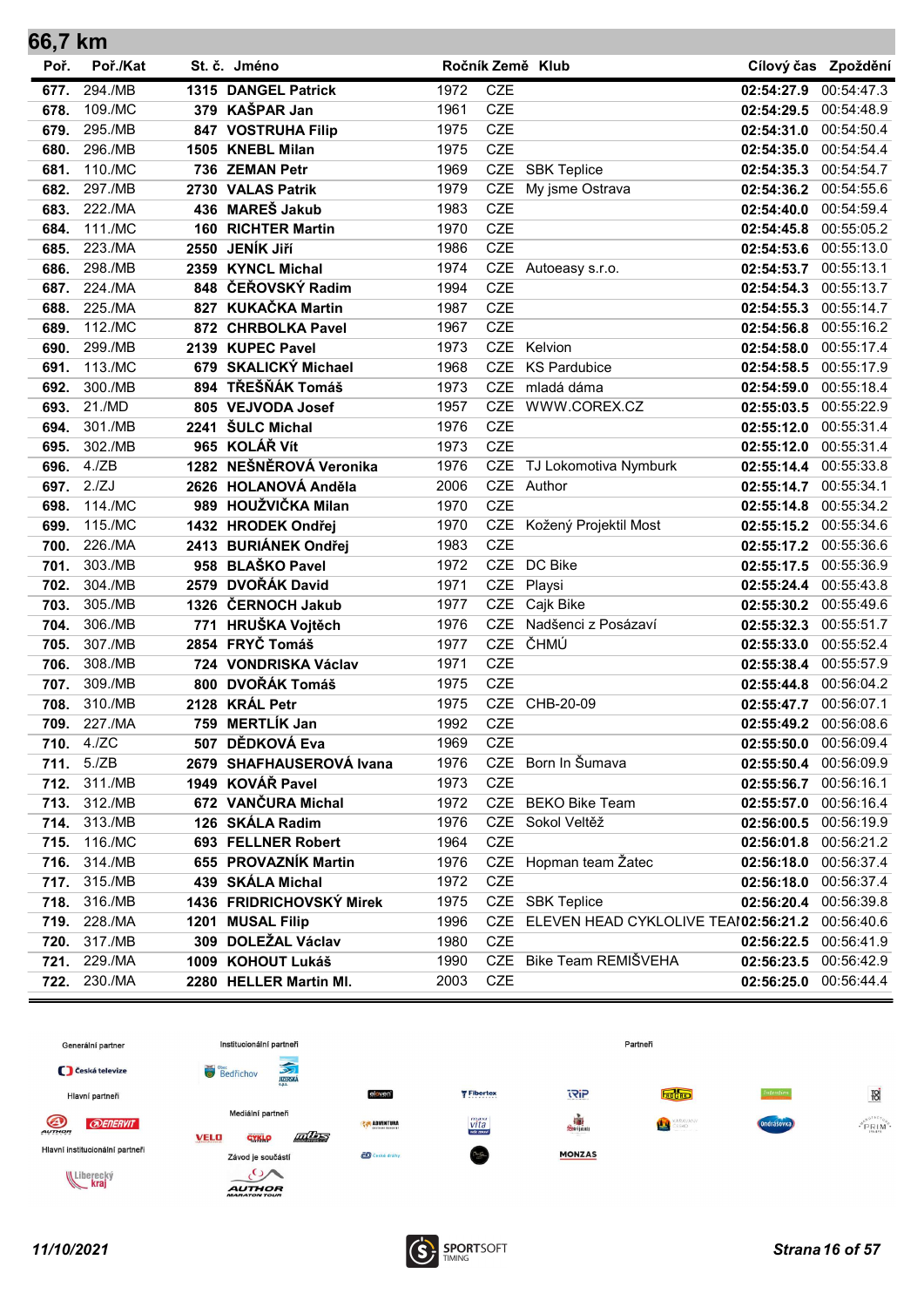| 66,7 km      |                    |      |                                         |              |            |                                                     |                          |                          |
|--------------|--------------------|------|-----------------------------------------|--------------|------------|-----------------------------------------------------|--------------------------|--------------------------|
| Poř.         | Poř./Kat           |      | St. č. Jméno                            |              |            | Ročník Země Klub                                    |                          | Cílový čas Zpoždění      |
| 677.         | 294./MB            |      | 1315 DANGEL Patrick                     | 1972         | <b>CZE</b> |                                                     | 02:54:27.9               | 00:54:47.3               |
| 678.         | 109./MC            |      | 379 KAŠPAR Jan                          | 1961         | <b>CZE</b> |                                                     | 02:54:29.5               | 00:54:48.9               |
| 679.         | 295./MB            |      | 847 VOSTRUHA Filip                      | 1975         | <b>CZE</b> |                                                     | 02:54:31.0               | 00:54:50.4               |
| 680.         | 296./MB            |      | 1505 KNEBL Milan                        | 1975         | <b>CZE</b> |                                                     | 02:54:35.0               | 00:54:54.4               |
| 681.         | 110./MC            |      | 736 ZEMAN Petr                          | 1969         |            | CZE SBK Teplice                                     | 02:54:35.3               | 00:54:54.7               |
| 682.         | 297./MB            |      | 2730 VALAS Patrik                       | 1979         | CZE        | My jsme Ostrava                                     | 02:54:36.2               | 00:54:55.6               |
| 683.         | 222./MA            |      | 436 MAREŠ Jakub                         | 1983         | <b>CZE</b> |                                                     | 02:54:40.0               | 00:54:59.4               |
| 684.         | 111./MC            |      | <b>160 RICHTER Martin</b>               | 1970         | <b>CZE</b> |                                                     | 02:54:45.8               | 00:55:05.2               |
| 685.         | 223./MA            | 2550 | JENÍK Jiří                              | 1986         | <b>CZE</b> |                                                     | 02:54:53.6               | 00:55:13.0               |
| 686.         | 298./MB            |      | 2359 KYNCL Michal                       | 1974         |            | CZE Autoeasy s.r.o.                                 | 02:54:53.7               | 00:55:13.1               |
| 687.         | 224./MA            |      | 848 ČEŘOVSKÝ Radim                      | 1994         | <b>CZE</b> |                                                     | 02:54:54.3               | 00:55:13.7               |
| 688.         | 225./MA            |      | 827 KUKAČKA Martin                      | 1987         | <b>CZE</b> |                                                     | 02:54:55.3               | 00:55:14.7               |
| 689.         | 112./MC            |      | 872 CHRBOLKA Pavel                      | 1967         | <b>CZE</b> |                                                     | 02:54:56.8               | 00:55:16.2               |
| 690.         | 299./MB            |      | 2139 KUPEC Pavel                        | 1973         | <b>CZE</b> | Kelvion                                             | 02:54:58.0               | 00:55:17.4               |
| 691.         | 113./MC            |      | 679 SKALICKÝ Michael                    | 1968         | <b>CZE</b> | <b>KS Pardubice</b>                                 | 02:54:58.5               | 00:55:17.9               |
| 692.         | 300./MB            |      | 894 TŘEŠŇÁK Tomáš                       | 1973         | <b>CZE</b> | mladá dáma                                          | 02:54:59.0               | 00:55:18.4               |
| 693.         | 21./MD             |      | 805 VEJVODA Josef                       | 1957         | CZE        | WWW.COREX.CZ                                        | 02:55:03.5               | 00:55:22.9               |
| 694.         | 301./MB            |      | 2241 ŠULC Michal                        | 1976         | <b>CZE</b> |                                                     | 02:55:12.0               | 00:55:31.4               |
| 695.         | 302./MB            |      | 965 KOLÁŘ Vít                           | 1973         | <b>CZE</b> |                                                     | 02:55:12.0               | 00:55:31.4               |
| 696.         | 4./ZB              |      | 1282 NEŠNĚROVÁ Veronika                 | 1976         | <b>CZE</b> | TJ Lokomotiva Nymburk                               | 02:55:14.4               | 00:55:33.8               |
| 697.         | 2./ZJ              |      | 2626 HOLANOVÁ Anděla                    | 2006         |            | CZE Author                                          | 02:55:14.7               | 00:55:34.1               |
| 698.         | 114./MC            |      | 989 HOUŽVIČKA Milan                     | 1970         | <b>CZE</b> |                                                     | 02:55:14.8               | 00:55:34.2               |
| 699.         | 115./MC            |      | 1432 HRODEK Ondřej                      | 1970         |            | CZE Kožený Projektil Most                           | 02:55:15.2               | 00:55:34.6               |
| 700.         | 226./MA            |      | 2413 BURIÁNEK Ondřej                    | 1983         | <b>CZE</b> |                                                     | 02:55:17.2               | 00:55:36.6               |
| 701.         | 303./MB            |      | 958 BLAŠKO Pavel                        | 1972         | <b>CZE</b> | DC Bike                                             | 02:55:17.5               | 00:55:36.9               |
| 702.         | 304./MB            |      | 2579 DVOŘÁK David<br>1326 ČERNOCH Jakub | 1971         | <b>CZE</b> | Playsi<br>CZE Cajk Bike                             | 02:55:24.4 00:55:43.8    |                          |
| 703.         | 305./MB<br>306./MB |      | 771 HRUŠKA Vojtěch                      | 1977<br>1976 | <b>CZE</b> | Nadšenci z Posázaví                                 | 02:55:30.2               | 00:55:49.6<br>00:55:51.7 |
| 704.<br>705. | 307./MB            |      | 2854 FRYČ Tomáš                         | 1977         | <b>CZE</b> | ČHMÚ                                                | 02:55:32.3<br>02:55:33.0 | 00:55:52.4               |
| 706.         | 308./MB            |      | 724 VONDRISKA Václav                    | 1971         | <b>CZE</b> |                                                     | 02:55:38.4               | 00:55:57.9               |
| 707.         | 309./MB            |      | 800 DVOŘÁK Tomáš                        | 1975         | <b>CZE</b> |                                                     | 02:55:44.8               | 00:56:04.2               |
| 708.         | 310./MB            |      | 2128 KRÁL Petr                          | 1975         | <b>CZE</b> | CHB-20-09                                           | 02:55:47.7               | 00:56:07.1               |
|              | 709. 227./MA       |      | 759 MERTLÍK Jan                         | 1992         | CZE        |                                                     | 02:55:49.2 00:56:08.6    |                          |
|              | 710. 4./ZC         |      | 507 DĚDKOVÁ Eva                         | 1969         | <b>CZE</b> |                                                     | 02:55:50.0 00:56:09.4    |                          |
|              | 711. 5./ZB         |      | 2679 SHAFHAUSEROVÁ Ivana                | 1976         |            | CZE Born In Šumava                                  | 02:55:50.4 00:56:09.9    |                          |
| 712.         | 311./MB            |      | 1949 KOVÁŘ Pavel                        | 1973         | <b>CZE</b> |                                                     | 02:55:56.7 00:56:16.1    |                          |
| 713.         | 312./MB            |      | 672 VANČURA Michal                      | 1972         |            | CZE BEKO Bike Team                                  | 02:55:57.0 00:56:16.4    |                          |
| 714.         | 313./MB            |      | 126 SKÁLA Radim                         | 1976         |            | CZE Sokol Veltěž                                    | 02:56:00.5 00:56:19.9    |                          |
| 715.         | 116./MC            |      | 693 FELLNER Robert                      | 1964         | <b>CZE</b> |                                                     | 02:56:01.8 00:56:21.2    |                          |
|              | 716. 314./MB       |      | 655 PROVAZNÍK Martin                    | 1976         |            | CZE Hopman team Žatec                               | 02:56:18.0 00:56:37.4    |                          |
| 717.         | 315./MB            |      | 439 SKÁLA Michal                        | 1972         | <b>CZE</b> |                                                     | 02:56:18.0 00:56:37.4    |                          |
|              | 718. 316./MB       |      | 1436 FRIDRICHOVSKÝ Mirek                | 1975         |            | CZE SBK Teplice                                     | 02:56:20.4 00:56:39.8    |                          |
|              | 719. 228./MA       |      | 1201 MUSAL Filip                        | 1996         |            | CZE ELEVEN HEAD CYKLOLIVE TEAI02:56:21.2 00:56:40.6 |                          |                          |
| 720.         | 317./MB            |      | 309 DOLEŽAL Václav                      | 1980         | <b>CZE</b> |                                                     | 02:56:22.5 00:56:41.9    |                          |
| 721.         | 229./MA            |      | 1009 KOHOUT Lukáš                       | 1990         |            | CZE Bike Team REMIŠVEHA                             | 02:56:23.5 00:56:42.9    |                          |
| 722.         | 230./MA            |      | 2280 HELLER Martin MI.                  | 2003         | <b>CZE</b> |                                                     | 02:56:25.0 00:56:44.4    |                          |



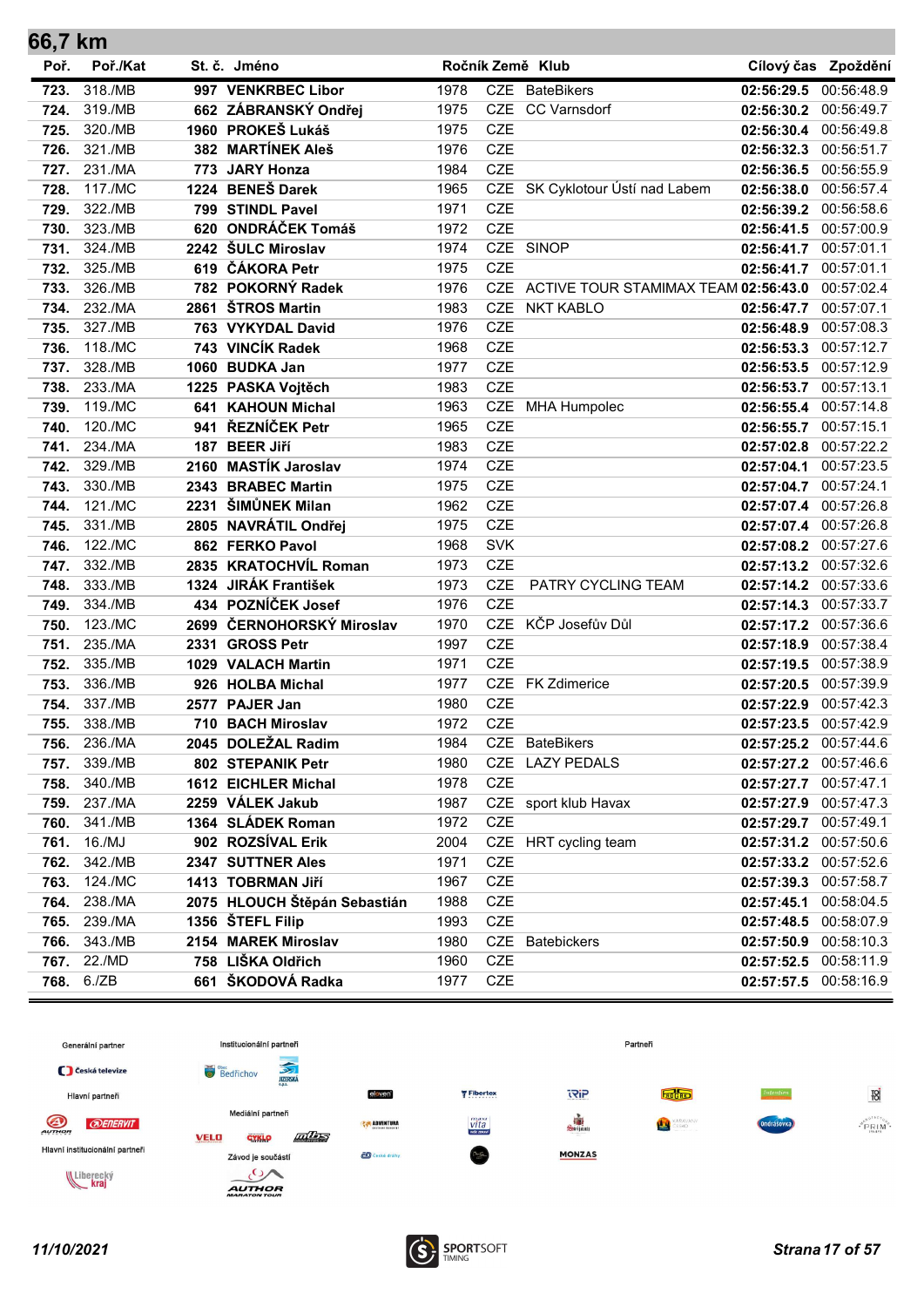| 66,7 km |            |      |                              |      |            |                                          |                       |                     |
|---------|------------|------|------------------------------|------|------------|------------------------------------------|-----------------------|---------------------|
| Poř.    | Poř./Kat   |      | St. č. Jméno                 |      |            | Ročník Země Klub                         |                       | Cílový čas Zpoždění |
| 723.    | 318./MB    |      | 997 VENKRBEC Libor           | 1978 | CZE        | <b>BateBikers</b>                        | 02:56:29.5            | 00:56:48.9          |
| 724.    | 319./MB    |      | 662 ZÁBRANSKÝ Ondřej         | 1975 |            | CZE CC Varnsdorf                         | 02:56:30.2            | 00:56:49.7          |
| 725.    | 320./MB    |      | 1960 PROKEŠ Lukáš            | 1975 | <b>CZE</b> |                                          | 02:56:30.4 00:56:49.8 |                     |
| 726.    | 321./MB    |      | 382 MARTÍNEK Aleš            | 1976 | <b>CZE</b> |                                          | 02:56:32.3            | 00:56:51.7          |
| 727.    | 231./MA    |      | 773 JARY Honza               | 1984 | CZE        |                                          | 02:56:36.5            | 00:56:55.9          |
| 728.    | 117./MC    |      | 1224 BENEŠ Darek             | 1965 |            | CZE SK Cyklotour Ústí nad Labem          | 02:56:38.0 00:56:57.4 |                     |
| 729.    | 322./MB    |      | 799 STINDL Pavel             | 1971 | <b>CZE</b> |                                          | 02:56:39.2 00:56:58.6 |                     |
| 730.    | 323./MB    |      | 620 ONDRÁČEK Tomáš           | 1972 | <b>CZE</b> |                                          | 02:56:41.5 00:57:00.9 |                     |
| 731.    | 324./MB    |      | 2242 ŠULC Miroslav           | 1974 |            | CZE SINOP                                | 02:56:41.7            | 00:57:01.1          |
| 732.    | 325./MB    |      | 619 ČÁKORA Petr              | 1975 | <b>CZE</b> |                                          | 02:56:41.7 00:57:01.1 |                     |
| 733.    | 326./MB    |      | 782 POKORNÝ Radek            | 1976 |            | CZE ACTIVE TOUR STAMIMAX TEAM 02:56:43.0 |                       | 00:57:02.4          |
| 734.    | 232./MA    |      | 2861 ŠTROS Martin            | 1983 | <b>CZE</b> | <b>NKT KABLO</b>                         | 02:56:47.7            | 00:57:07.1          |
| 735.    | 327./MB    |      | 763 VYKYDAL David            | 1976 | <b>CZE</b> |                                          | 02:56:48.9            | 00:57:08.3          |
| 736.    | 118./MC    |      | 743 VINCÍK Radek             | 1968 | <b>CZE</b> |                                          | 02:56:53.3 00:57:12.7 |                     |
| 737.    | 328./MB    |      | 1060 BUDKA Jan               | 1977 | <b>CZE</b> |                                          | 02:56:53.5 00:57:12.9 |                     |
| 738.    | 233./MA    |      | 1225 PASKA Vojtěch           | 1983 | <b>CZE</b> |                                          | 02:56:53.7 00:57:13.1 |                     |
| 739.    | 119./MC    | 641  | <b>KAHOUN Michal</b>         | 1963 |            | CZE MHA Humpolec                         | 02:56:55.4 00:57:14.8 |                     |
| 740.    | 120./MC    | 941  | ŘEZNÍČEK Petr                | 1965 | <b>CZE</b> |                                          | 02:56:55.7 00:57:15.1 |                     |
| 741.    | 234./MA    | 187  | <b>BEER Jiří</b>             | 1983 | <b>CZE</b> |                                          | 02:57:02.8            | 00:57:22.2          |
| 742.    | 329./MB    | 2160 | <b>MASTÍK Jaroslav</b>       | 1974 | <b>CZE</b> |                                          | 02:57:04.1            | 00:57:23.5          |
| 743.    | 330./MB    |      | 2343 BRABEC Martin           | 1975 | <b>CZE</b> |                                          | 02:57:04.7 00:57:24.1 |                     |
| 744.    | 121./MC    |      | 2231 ŠIMŮNEK Milan           | 1962 | <b>CZE</b> |                                          | 02:57:07.4 00:57:26.8 |                     |
| 745.    | 331./MB    |      | 2805 NAVRÁTIL Ondřej         | 1975 | <b>CZE</b> |                                          | 02:57:07.4 00:57:26.8 |                     |
| 746.    | 122./MC    |      | 862 FERKO Pavol              | 1968 | <b>SVK</b> |                                          | 02:57:08.2 00:57:27.6 |                     |
| 747.    | 332./MB    |      | 2835 KRATOCHVÍL Roman        | 1973 | <b>CZE</b> |                                          | 02:57:13.2 00:57:32.6 |                     |
| 748.    | 333./MB    |      | 1324 JIRÁK František         | 1973 | <b>CZE</b> | PATRY CYCLING TEAM                       | 02:57:14.2 00:57:33.6 |                     |
| 749.    | 334./MB    |      | 434 POZNÍČEK Josef           | 1976 | <b>CZE</b> |                                          | 02:57:14.3 00:57:33.7 |                     |
| 750.    | 123./MC    |      | 2699 ČERNOHORSKÝ Miroslav    | 1970 |            | CZE KČP Josefův Důl                      | 02:57:17.2            | 00:57:36.6          |
| 751.    | 235./MA    | 2331 | <b>GROSS Petr</b>            | 1997 | <b>CZE</b> |                                          | 02:57:18.9 00:57:38.4 |                     |
| 752.    | 335./MB    |      | 1029 VALACH Martin           | 1971 | <b>CZE</b> |                                          | 02:57:19.5 00:57:38.9 |                     |
| 753.    | 336./MB    |      | 926 HOLBA Michal             | 1977 |            | CZE FK Zdimerice                         | 02:57:20.5 00:57:39.9 |                     |
| 754.    | 337./MB    |      | 2577 PAJER Jan               | 1980 | <b>CZE</b> |                                          | 02:57:22.9            | 00:57:42.3          |
| 755.    | 338./MB    |      | 710 BACH Miroslav            | 1972 | <b>CZE</b> |                                          | 02:57:23.5 00:57:42.9 |                     |
| 756.    | 236./MA    |      | 2045 DOLEŽAL Radim           | 1984 |            | CZE BateBikers                           | 02:57:25.2 00:57:44.6 |                     |
| 757.    | 339./MB    |      | 802 STEPANIK Petr            | 1980 | CZE        | <b>LAZY PEDALS</b>                       | 02:57:27.2 00:57:46.6 |                     |
| 758.    | 340./MB    |      | 1612 EICHLER Michal          | 1978 | <b>CZE</b> |                                          | 02:57:27.7 00:57:47.1 |                     |
| 759.    | 237./MA    |      | 2259 VÁLEK Jakub             | 1987 |            | CZE sport klub Havax                     | 02:57:27.9 00:57:47.3 |                     |
| 760.    | 341./MB    |      | 1364 SLÁDEK Roman            | 1972 | CZE        |                                          | 02:57:29.7 00:57:49.1 |                     |
| 761.    | 16./MJ     |      | 902 ROZSÍVAL Erik            | 2004 |            | CZE HRT cycling team                     | 02:57:31.2 00:57:50.6 |                     |
| 762.    | 342./MB    |      | 2347 SUTTNER Ales            | 1971 | <b>CZE</b> |                                          | 02:57:33.2            | 00:57:52.6          |
| 763.    | 124./MC    |      | 1413 TOBRMAN Jiří            | 1967 | CZE        |                                          | 02:57:39.3            | 00:57:58.7          |
| 764.    | 238./MA    |      | 2075 HLOUCH Štěpán Sebastián | 1988 | <b>CZE</b> |                                          | 02:57:45.1            | 00:58:04.5          |
| 765.    | 239./MA    |      | 1356 ŠTEFL Filip             | 1993 | CZE        |                                          | 02:57:48.5 00:58:07.9 |                     |
| 766.    | 343./MB    |      | 2154 MAREK Miroslav          | 1980 | CZE        | <b>Batebickers</b>                       | 02:57:50.9            | 00:58:10.3          |
| 767.    | 22./MD     |      | 758 LIŠKA Oldřich            | 1960 | CZE        |                                          | 02:57:52.5            | 00:58:11.9          |
|         | 768. 6./ZB |      | 661 ŠKODOVÁ Radka            | 1977 | CZE        |                                          | 02:57:57.5 00:58:16.9 |                     |



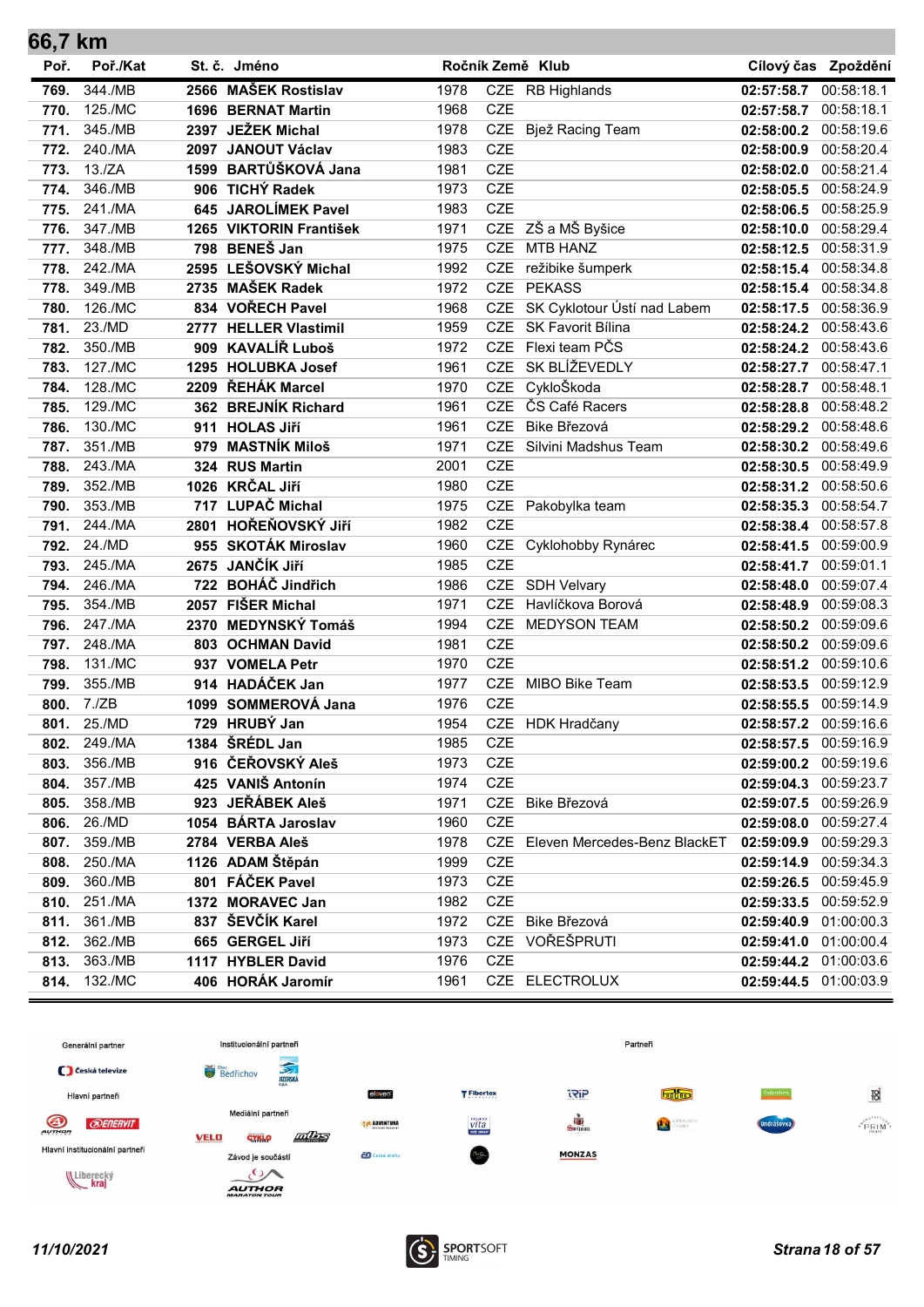| 66,7 km |              |      |                         |      |            |                                  |                       |                     |
|---------|--------------|------|-------------------------|------|------------|----------------------------------|-----------------------|---------------------|
| Poř.    | Poř./Kat     |      | St. č. Jméno            |      |            | Ročník Země Klub                 |                       | Cílový čas Zpoždění |
| 769.    | 344./MB      |      | 2566 MAŠEK Rostislav    | 1978 |            | CZE RB Highlands                 | 02:57:58.7            | 00:58:18.1          |
| 770.    | 125./MC      |      | 1696 BERNAT Martin      | 1968 | <b>CZE</b> |                                  | 02:57:58.7            | 00:58:18.1          |
| 771.    | 345./MB      |      | 2397 JEŽEK Michal       | 1978 | CZE        | Bjež Racing Team                 | 02:58:00.2            | 00:58:19.6          |
| 772.    | 240./MA      |      | 2097 JANOUT Václav      | 1983 | <b>CZE</b> |                                  | 02:58:00.9            | 00:58:20.4          |
| 773.    | 13./ZA       |      | 1599 BARTŮŠKOVÁ Jana    | 1981 | <b>CZE</b> |                                  | 02:58:02.0            | 00:58:21.4          |
| 774.    | 346./MB      |      | 906 TICHÝ Radek         | 1973 | <b>CZE</b> |                                  | 02:58:05.5            | 00:58:24.9          |
| 775.    | 241./MA      |      | 645 JAROLÍMEK Pavel     | 1983 | <b>CZE</b> |                                  | 02:58:06.5 00:58:25.9 |                     |
| 776.    | 347./MB      |      | 1265 VIKTORIN František | 1971 |            | CZE ZŠ a MŠ Byšice               | 02:58:10.0            | 00:58:29.4          |
| 777.    | 348./MB      |      | 798 BENEŠ Jan           | 1975 | <b>CZE</b> | <b>MTB HANZ</b>                  | 02:58:12.5            | 00:58:31.9          |
| 778.    | 242./MA      |      | 2595 LEŠOVSKÝ Michal    | 1992 | <b>CZE</b> | režibike šumperk                 | 02:58:15.4 00:58:34.8 |                     |
| 778.    | 349./MB      |      | 2735 MAŠEK Radek        | 1972 | <b>CZE</b> | <b>PEKASS</b>                    | 02:58:15.4            | 00:58:34.8          |
| 780.    | 126./MC      |      | 834 VOŘECH Pavel        | 1968 | <b>CZE</b> | SK Cyklotour Ústí nad Labem      | 02:58:17.5            | 00:58:36.9          |
| 781.    | 23./MD       |      | 2777 HELLER Vlastimil   | 1959 |            | CZE SK Favorit Bílina            | 02:58:24.2            | 00:58:43.6          |
| 782.    | 350./MB      |      | 909 KAVALÍŘ Luboš       | 1972 |            | CZE Flexi team PČS               | 02:58:24.2 00:58:43.6 |                     |
| 783.    | 127./MC      |      | 1295 HOLUBKA Josef      | 1961 |            | CZE SK BLÍŽEVEDLY                | 02:58:27.7            | 00:58:47.1          |
| 784.    | 128./MC      |      | 2209 ŘEHÁK Marcel       | 1970 | CZE        | CykloŠkoda                       | 02:58:28.7            | 00:58:48.1          |
| 785.    | 129./MC      |      | 362 BREJNÍK Richard     | 1961 | <b>CZE</b> | ČS Café Racers                   | 02:58:28.8            | 00:58:48.2          |
| 786.    | 130./MC      |      | 911 HOLAS Jiří          | 1961 | <b>CZE</b> | Bike Březová                     | 02:58:29.2            | 00:58:48.6          |
| 787.    | 351./MB      |      | 979 MASTNÍK Miloš       | 1971 | <b>CZE</b> | Silvini Madshus Team             | 02:58:30.2            | 00:58:49.6          |
| 788.    | 243./MA      |      | 324 RUS Martin          | 2001 | <b>CZE</b> |                                  | 02:58:30.5            | 00:58:49.9          |
| 789.    | 352./MB      |      | 1026 KRČAL Jiří         | 1980 | <b>CZE</b> |                                  | 02:58:31.2            | 00:58:50.6          |
| 790.    | 353./MB      |      | 717 LUPAČ Michal        | 1975 |            | CZE Pakobylka team               | 02:58:35.3            | 00:58:54.7          |
| 791.    | 244./MA      |      | 2801 HOŘEŇOVSKÝ JIří    | 1982 | <b>CZE</b> |                                  | 02:58:38.4            | 00:58:57.8          |
| 792.    | 24./MD       |      | 955 SKOTÁK Miroslav     | 1960 |            | CZE Cyklohobby Rynárec           | 02:58:41.5            | 00:59:00.9          |
| 793.    | 245./MA      | 2675 | <b>JANČÍK JIří</b>      | 1985 | <b>CZE</b> |                                  | 02:58:41.7            | 00:59:01.1          |
| 794.    | 246./MA      |      | 722 BOHÁČ Jindřich      | 1986 |            | CZE SDH Velvary                  | 02:58:48.0            | 00:59:07.4          |
| 795.    | 354./MB      |      | 2057 FIŠER Michal       | 1971 | <b>CZE</b> | Havlíčkova Borová                | 02:58:48.9            | 00:59:08.3          |
| 796.    | 247./MA      |      | 2370 MEDYNSKÝ Tomáš     | 1994 | <b>CZE</b> | <b>MEDYSON TEAM</b>              | 02:58:50.2            | 00:59:09.6          |
| 797.    | 248./MA      |      | 803 OCHMAN David        | 1981 | CZE        |                                  | 02:58:50.2            | 00:59:09.6          |
| 798.    | 131./MC      |      | 937 VOMELA Petr         | 1970 | <b>CZE</b> |                                  | 02:58:51.2 00:59:10.6 |                     |
| 799.    | 355./MB      |      | 914 HADÁČEK Jan         | 1977 | <b>CZE</b> | MIBO Bike Team                   | 02:58:53.5            | 00:59:12.9          |
| 800.    | 7./ZB        |      | 1099 SOMMEROVÁ Jana     | 1976 | <b>CZE</b> |                                  | 02:58:55.5            | 00:59:14.9          |
| 801.    | 25./MD       |      | 729 HRUBÝ Jan           | 1954 |            | CZE HDK Hradčany                 | 02:58:57.2            | 00:59:16.6          |
| 802.    | 249./MA      |      | 1384 ŠRÉDL Jan          | 1985 | <b>CZE</b> |                                  | 02:58:57.5 00:59:16.9 |                     |
| 803.    | 356./MB      |      | 916 ČEŘOVSKÝ Aleš       | 1973 | CZE        |                                  | 02:59:00.2            | 00:59:19.6          |
| 804.    | 357./MB      |      | 425 VANIŠ Antonín       | 1974 | CZE        |                                  | 02:59:04.3 00:59:23.7 |                     |
| 805.    | 358./MB      |      | 923 JEŘÁBEK Aleš        | 1971 |            | CZE Bike Březová                 | 02:59:07.5 00:59:26.9 |                     |
| 806.    | 26./MD       |      | 1054 BÁRTA Jaroslav     | 1960 | <b>CZE</b> |                                  | 02:59:08.0 00:59:27.4 |                     |
| 807.    | 359./MB      |      | 2784 VERBA Aleš         | 1978 |            | CZE Eleven Mercedes-Benz BlackET | 02:59:09.9 00:59:29.3 |                     |
| 808.    | 250./MA      |      | 1126 ADAM Štěpán        | 1999 | CZE        |                                  | 02:59:14.9            | 00:59:34.3          |
| 809.    | 360./MB      |      | 801 FÁČEK Pavel         | 1973 | CZE        |                                  | 02:59:26.5            | 00:59:45.9          |
| 810.    | 251./MA      |      | 1372 MORAVEC Jan        | 1982 | CZE        |                                  | 02:59:33.5            | 00:59:52.9          |
| 811.    | 361./MB      |      | 837 ŠEVČÍK Karel        | 1972 |            | CZE Bike Březová                 | 02:59:40.9            | 01:00:00.3          |
| 812.    | 362./MB      |      | 665 GERGEL Jiří         | 1973 | CZE        | VOŘEŠPRUTI                       | 02:59:41.0            | 01:00:00.4          |
| 813.    | 363./MB      |      | 1117 HYBLER David       | 1976 | CZE        |                                  | 02:59:44.2 01:00:03.6 |                     |
|         | 814. 132./MC |      | 406 HORÁK Jaromír       | 1961 |            | CZE ELECTROLUX                   | 02:59:44.5 01:00:03.9 |                     |



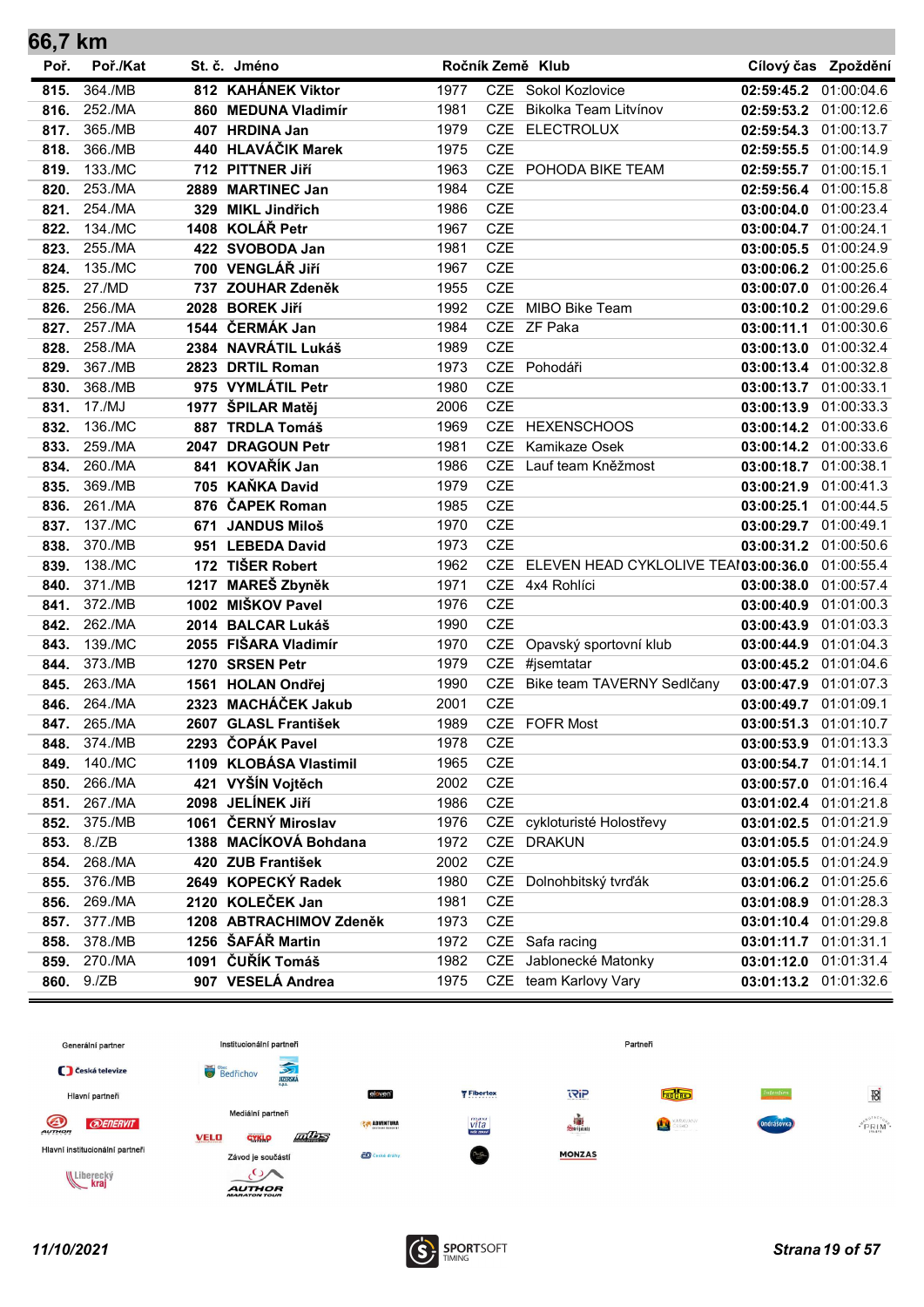| 66,7 km |            |      |                         |      |            |                                      |                       |                     |
|---------|------------|------|-------------------------|------|------------|--------------------------------------|-----------------------|---------------------|
| Poř.    | Poř./Kat   |      | St. č. Jméno            |      |            | Ročník Země Klub                     |                       | Cílový čas Zpoždění |
| 815.    | 364./MB    |      | 812 KAHÁNEK Viktor      | 1977 |            | CZE Sokol Kozlovice                  | 02:59:45.2            | 01:00:04.6          |
| 816.    | 252./MA    |      | 860 MEDUNA Vladimír     | 1981 | <b>CZE</b> | Bikolka Team Litvínov                | 02:59:53.2 01:00:12.6 |                     |
| 817.    | 365./MB    |      | 407 HRDINA Jan          | 1979 |            | CZE ELECTROLUX                       | 02:59:54.3 01:00:13.7 |                     |
| 818.    | 366./MB    |      | 440 HLAVÁČIK Marek      | 1975 | <b>CZE</b> |                                      | 02:59:55.5 01:00:14.9 |                     |
| 819.    | 133./MC    |      | 712 PITTNER Jiří        | 1963 | <b>CZE</b> | POHODA BIKE TEAM                     | 02:59:55.7 01:00:15.1 |                     |
| 820.    | 253./MA    |      | 2889 MARTINEC Jan       | 1984 | <b>CZE</b> |                                      | 02:59:56.4 01:00:15.8 |                     |
| 821.    | 254./MA    |      | 329 MIKL Jindřich       | 1986 | <b>CZE</b> |                                      | 03:00:04.0 01:00:23.4 |                     |
| 822.    | 134./MC    |      | 1408 KOLÁŘ Petr         | 1967 | <b>CZE</b> |                                      | 03:00:04.7 01:00:24.1 |                     |
| 823.    | 255./MA    |      | 422 SVOBODA Jan         | 1981 | <b>CZE</b> |                                      | 03:00:05.5 01:00:24.9 |                     |
| 824.    | 135./MC    |      | 700 VENGLÁŘ JIří        | 1967 | <b>CZE</b> |                                      | 03:00:06.2 01:00:25.6 |                     |
| 825.    | 27./MD     |      | 737 ZOUHAR Zdeněk       | 1955 | <b>CZE</b> |                                      | 03:00:07.0 01:00:26.4 |                     |
| 826.    | 256./MA    |      | 2028 BOREK Jiří         | 1992 |            | CZE MIBO Bike Team                   | 03:00:10.2 01:00:29.6 |                     |
| 827.    | 257./MA    |      | 1544 ČERMÁK Jan         | 1984 |            | CZE ZF Paka                          | 03:00:11.1 01:00:30.6 |                     |
| 828.    | 258./MA    |      | 2384 NAVRÁTIL Lukáš     | 1989 | <b>CZE</b> |                                      | 03:00:13.0 01:00:32.4 |                     |
| 829.    | 367./MB    |      | 2823 DRTIL Roman        | 1973 |            | CZE Pohodáři                         | 03:00:13.4 01:00:32.8 |                     |
| 830.    | 368./MB    |      | 975 VYMLÁTIL Petr       | 1980 | <b>CZE</b> |                                      | 03:00:13.7 01:00:33.1 |                     |
| 831.    | 17./MJ     |      | 1977 ŠPILAR Matěj       | 2006 | <b>CZE</b> |                                      | 03:00:13.9 01:00:33.3 |                     |
| 832.    | 136./MC    |      | 887 TRDLA Tomáš         | 1969 | <b>CZE</b> | <b>HEXENSCHOOS</b>                   | 03:00:14.2 01:00:33.6 |                     |
| 833.    | 259./MA    | 2047 | <b>DRAGOUN Petr</b>     | 1981 | <b>CZE</b> | Kamikaze Osek                        | 03:00:14.2 01:00:33.6 |                     |
| 834.    | 260./MA    |      | 841 KOVAŘÍK Jan         | 1986 | <b>CZE</b> | Lauf team Kněžmost                   | 03:00:18.7 01:00:38.1 |                     |
| 835.    | 369./MB    |      | 705 KAŇKA David         | 1979 | <b>CZE</b> |                                      | 03:00:21.9 01:00:41.3 |                     |
| 836.    | 261./MA    |      | 876 ČAPEK Roman         | 1985 | CZE        |                                      | 03:00:25.1            | 01:00:44.5          |
| 837.    | 137./MC    |      | 671 JANDUS Miloš        | 1970 | <b>CZE</b> |                                      | 03:00:29.7 01:00:49.1 |                     |
| 838.    | 370./MB    |      | 951 LEBEDA David        | 1973 | <b>CZE</b> |                                      | 03:00:31.2 01:00:50.6 |                     |
| 839.    | 138./MC    |      | 172 TIŠER Robert        | 1962 | <b>CZE</b> | ELEVEN HEAD CYKLOLIVE TEAI03:00:36.0 |                       | 01:00:55.4          |
| 840.    | 371./MB    |      | 1217 MAREŠ Zbyněk       | 1971 |            | CZE 4x4 Rohlíci                      | 03:00:38.0 01:00:57.4 |                     |
| 841.    | 372./MB    |      | 1002 MIŠKOV Pavel       | 1976 | <b>CZE</b> |                                      | 03:00:40.9 01:01:00.3 |                     |
| 842.    | 262./MA    |      | 2014 BALCAR Lukáš       | 1990 | <b>CZE</b> |                                      | 03:00:43.9 01:01:03.3 |                     |
| 843.    | 139./MC    |      | 2055 FIŠARA Vladimír    | 1970 |            | CZE Opavský sportovní klub           | 03:00:44.9 01:01:04.3 |                     |
| 844.    | 373./MB    |      | 1270 SRSEN Petr         | 1979 |            | CZE #jsemtatar                       | 03:00:45.2 01:01:04.6 |                     |
| 845.    | 263./MA    |      | 1561 HOLAN Ondřej       | 1990 |            | CZE Bike team TAVERNY Sedlčany       | 03:00:47.9 01:01:07.3 |                     |
| 846.    | 264./MA    |      | 2323 MACHÁČEK Jakub     | 2001 | <b>CZE</b> |                                      | 03:00:49.7 01:01:09.1 |                     |
| 847.    | 265./MA    |      | 2607 GLASL František    | 1989 |            | CZE FOFR Most                        | 03:00:51.3 01:01:10.7 |                     |
| 848.    | 374./MB    |      | 2293 ČOPÁK Pavel        | 1978 | <b>CZE</b> |                                      | 03:00:53.9 01:01:13.3 |                     |
| 849.    | 140./MC    |      | 1109 KLOBÁSA Vlastimil  | 1965 | CZE        |                                      | 03:00:54.7 01:01:14.1 |                     |
| 850.    | 266./MA    |      | 421 VYŠÍN Vojtěch       | 2002 | <b>CZE</b> |                                      | 03:00:57.0            | 01:01:16.4          |
| 851.    | 267./MA    |      | 2098 JELÍNEK Jiří       | 1986 | CZE        |                                      | 03:01:02.4 01:01:21.8 |                     |
| 852.    | 375./MB    |      | 1061 ČERNÝ Miroslav     | 1976 |            | CZE cykloturisté Holostřevy          | 03:01:02.5 01:01:21.9 |                     |
| 853.    | 8./ZB      |      | 1388 MACÍKOVÁ Bohdana   | 1972 |            | CZE DRAKUN                           | 03:01:05.5 01:01:24.9 |                     |
| 854.    | 268./MA    |      | 420 ZUB František       | 2002 | <b>CZE</b> |                                      | 03:01:05.5            | 01:01:24.9          |
| 855.    | 376./MB    |      | 2649 KOPECKÝ Radek      | 1980 | CZE        | Dolnohbitský tvrďák                  | 03:01:06.2            | 01:01:25.6          |
| 856.    | 269./MA    |      | 2120 KOLEČEK Jan        | 1981 | <b>CZE</b> |                                      | 03:01:08.9            | 01:01:28.3          |
| 857.    | 377./MB    |      | 1208 ABTRACHIMOV Zdeněk | 1973 | CZE        |                                      | 03:01:10.4            | 01:01:29.8          |
| 858.    | 378./MB    |      | 1256 ŠAFÁŘ Martin       | 1972 |            | CZE Safa racing                      | 03:01:11.7            | 01:01:31.1          |
| 859.    | 270./MA    |      | 1091 ČUŘÍK Tomáš        | 1982 | CZE        | Jablonecké Matonky                   | 03:01:12.0            | 01:01:31.4          |
|         | 860. 9./ZB |      | 907 VESELÁ Andrea       | 1975 |            | CZE team Karlovy Vary                | 03:01:13.2 01:01:32.6 |                     |



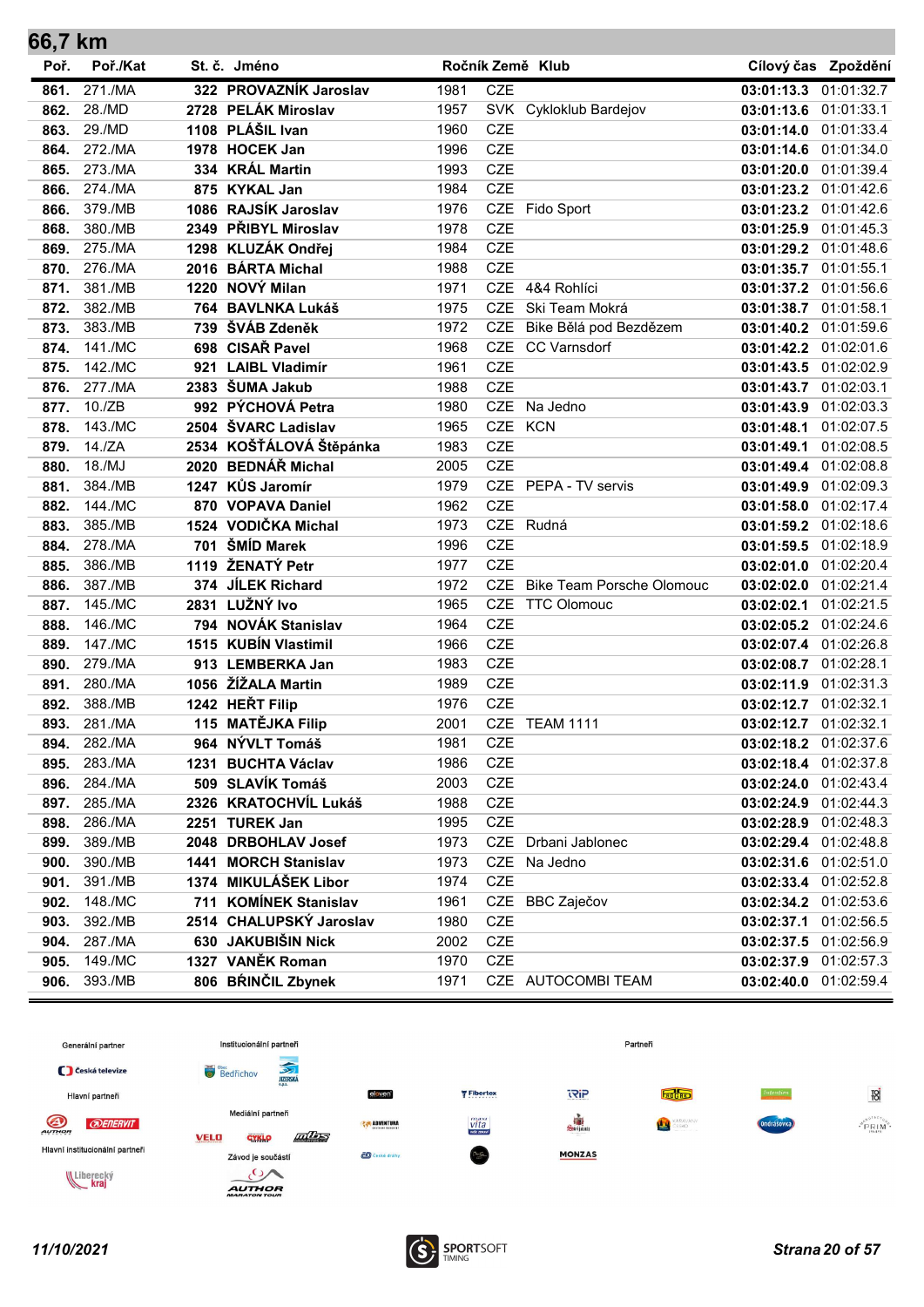| 66,7 km |          |      |                         |      |            |                                  |                       |                       |
|---------|----------|------|-------------------------|------|------------|----------------------------------|-----------------------|-----------------------|
| Poř.    | Poř./Kat |      | St. č. Jméno            |      |            | Ročník Země Klub                 |                       | Cílový čas Zpoždění   |
| 861.    | 271./MA  |      | 322 PROVAZNÍK Jaroslav  | 1981 | <b>CZE</b> |                                  | 03:01:13.3            | 01:01:32.7            |
| 862.    | 28./MD   |      | 2728 PELÁK Miroslav     | 1957 |            | SVK Cykloklub Bardejov           | 03:01:13.6            | 01:01:33.1            |
| 863.    | 29./MD   |      | 1108 PLÁŠIL Ivan        | 1960 | <b>CZE</b> |                                  | 03:01:14.0 01:01:33.4 |                       |
| 864.    | 272./MA  |      | 1978 HOCEK Jan          | 1996 | <b>CZE</b> |                                  | 03:01:14.6            | 01:01:34.0            |
| 865.    | 273./MA  |      | 334 KRÁL Martin         | 1993 | <b>CZE</b> |                                  | 03:01:20.0 01:01:39.4 |                       |
| 866.    | 274./MA  |      | 875 KYKAL Jan           | 1984 | <b>CZE</b> |                                  | 03:01:23.2 01:01:42.6 |                       |
| 866.    | 379./MB  | 1086 | RAJSÍK Jaroslav         | 1976 | CZE        | Fido Sport                       | 03:01:23.2 01:01:42.6 |                       |
| 868.    | 380./MB  | 2349 | PŘIBYL Miroslav         | 1978 | <b>CZE</b> |                                  | 03:01:25.9            | 01:01:45.3            |
| 869.    | 275./MA  |      | 1298 KLUZÁK Ondřej      | 1984 | <b>CZE</b> |                                  | 03:01:29.2 01:01:48.6 |                       |
| 870.    | 276./MA  |      | 2016 BÁRTA Michal       | 1988 | <b>CZE</b> |                                  | 03:01:35.7 01:01:55.1 |                       |
| 871.    | 381./MB  | 1220 | NOVÝ Milan              | 1971 |            | CZE 4&4 Rohlíci                  | 03:01:37.2 01:01:56.6 |                       |
| 872.    | 382./MB  |      | 764 BAVLNKA Lukáš       | 1975 | <b>CZE</b> | Ski Team Mokrá                   | 03:01:38.7 01:01:58.1 |                       |
| 873.    | 383./MB  |      | 739 ŠVÁB Zdeněk         | 1972 | <b>CZE</b> | Bike Bělá pod Bezdězem           | 03:01:40.2 01:01:59.6 |                       |
| 874.    | 141./MC  |      | 698 CISAŘ Pavel         | 1968 |            | CZE CC Varnsdorf                 | 03:01:42.2 01:02:01.6 |                       |
| 875.    | 142./MC  |      | 921 LAIBL Vladimír      | 1961 | <b>CZE</b> |                                  | 03:01:43.5 01:02:02.9 |                       |
| 876.    | 277./MA  |      | 2383 ŠUMA Jakub         | 1988 | <b>CZE</b> |                                  | 03:01:43.7 01:02:03.1 |                       |
| 877.    | 10./ZB   |      | 992 PÝCHOVÁ Petra       | 1980 | <b>CZE</b> | Na Jedno                         | 03:01:43.9            | 01:02:03.3            |
| 878.    | 143./MC  |      | 2504 ŠVARC Ladislav     | 1965 | CZE        | KCN                              | 03:01:48.1            | 01:02:07.5            |
| 879.    | 14./ZA   |      | 2534 KOŠŤÁLOVÁ Štěpánka | 1983 | <b>CZE</b> |                                  | 03:01:49.1            | 01:02:08.5            |
| 880.    | 18./MJ   | 2020 | <b>BEDNÁŘ Michal</b>    | 2005 | <b>CZE</b> |                                  | 03:01:49.4 01:02:08.8 |                       |
| 881.    | 384./MB  |      | 1247 KŮS Jaromír        | 1979 | <b>CZE</b> | PEPA - TV servis                 | 03:01:49.9 01:02:09.3 |                       |
| 882.    | 144./MC  |      | 870 VOPAVA Daniel       | 1962 | CZE        |                                  | 03:01:58.0 01:02:17.4 |                       |
| 883.    | 385./MB  |      | 1524 VODIČKA Michal     | 1973 |            | CZE Rudná                        | 03:01:59.2 01:02:18.6 |                       |
| 884.    | 278./MA  | 701  | ŠMÍD Marek              | 1996 | <b>CZE</b> |                                  | 03:01:59.5 01:02:18.9 |                       |
| 885.    | 386./MB  | 1119 | ŽENATÝ Petr             | 1977 | <b>CZE</b> |                                  | 03:02:01.0 01:02:20.4 |                       |
| 886.    | 387./MB  | 374  | <b>JILEK Richard</b>    | 1972 | <b>CZE</b> | <b>Bike Team Porsche Olomouc</b> | 03:02:02.0 01:02:21.4 |                       |
| 887.    | 145./MC  | 2831 | LUŽNÝ Ivo               | 1965 | <b>CZE</b> | <b>TTC Olomouc</b>               | 03:02:02.1            | 01:02:21.5            |
| 888.    | 146./MC  | 794  | <b>NOVÁK Stanislav</b>  | 1964 | <b>CZE</b> |                                  | 03:02:05.2            | 01:02:24.6            |
| 889.    | 147./MC  |      | 1515 KUBÍN Vlastimil    | 1966 | <b>CZE</b> |                                  | 03:02:07.4 01:02:26.8 |                       |
| 890.    | 279./MA  |      | 913 LEMBERKA Jan        | 1983 | CZE        |                                  | 03:02:08.7 01:02:28.1 |                       |
| 891.    | 280./MA  |      | 1056 ŽÍŽALA Martin      | 1989 | <b>CZE</b> |                                  | 03:02:11.9 01:02:31.3 |                       |
| 892.    | 388./MB  |      | 1242 HEŘT Filip         | 1976 | <b>CZE</b> |                                  | 03:02:12.7 01:02:32.1 |                       |
| 893.    | 281./MA  |      | 115 MATĚJKA Filip       | 2001 |            | CZE TEAM 1111                    | 03:02:12.7 01:02:32.1 |                       |
| 894.    | 282./MA  |      | 964 NÝVLT Tomáš         | 1981 | <b>CZE</b> |                                  | 03:02:18.2 01:02:37.6 |                       |
| 895.    | 283./MA  | 1231 | <b>BUCHTA Václav</b>    | 1986 | CZE        |                                  | 03:02:18.4 01:02:37.8 |                       |
| 896.    | 284./MA  |      | 509 SLAVÍK Tomáš        | 2003 | <b>CZE</b> |                                  | 03:02:24.0 01:02:43.4 |                       |
| 897.    | 285./MA  |      | 2326 KRATOCHVÍL Lukáš   | 1988 | CZE        |                                  | 03:02:24.9 01:02:44.3 |                       |
| 898.    | 286./MA  |      | 2251 TUREK Jan          | 1995 | CZE        |                                  | 03:02:28.9 01:02:48.3 |                       |
| 899.    | 389./MB  |      | 2048 DRBOHLAV Josef     | 1973 |            | CZE Drbani Jablonec              | 03:02:29.4 01:02:48.8 |                       |
| 900.    | 390./MB  |      | 1441 MORCH Stanislav    | 1973 | <b>CZE</b> | Na Jedno                         |                       | 03:02:31.6 01:02:51.0 |
| 901.    | 391./MB  |      | 1374 MIKULÁŠEK Libor    | 1974 | CZE        |                                  | 03:02:33.4 01:02:52.8 |                       |
| 902.    | 148./MC  |      | 711 KOMÍNEK Stanislav   | 1961 | CZE        | <b>BBC Zaječov</b>               | 03:02:34.2 01:02:53.6 |                       |
| 903.    | 392./MB  |      | 2514 CHALUPSKÝ Jaroslav | 1980 | CZE        |                                  | 03:02:37.1            | 01:02:56.5            |
| 904.    | 287./MA  |      | 630 JAKUBIŠIN Nick      | 2002 | CZE        |                                  | 03:02:37.5            | 01:02:56.9            |
| 905.    | 149./MC  |      | 1327 VANĚK Roman        | 1970 | CZE        |                                  |                       | 03:02:37.9 01:02:57.3 |
| 906.    | 393./MB  |      | 806 BRINČIL Zbynek      | 1971 |            | CZE AUTOCOMBI TEAM               |                       | 03:02:40.0 01:02:59.4 |



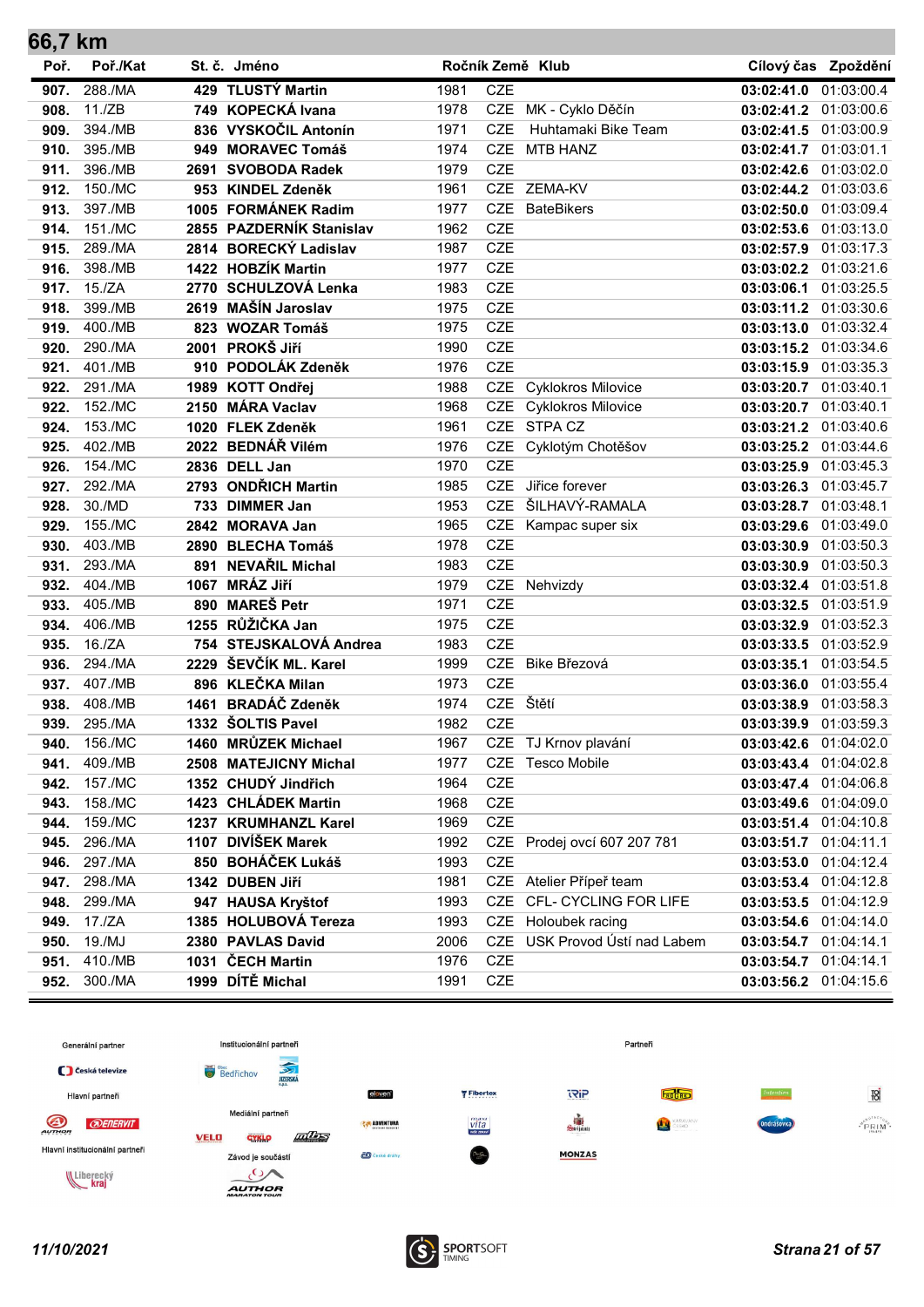| 66,7 km |          |      |                          |      |            |                             |                       |                     |
|---------|----------|------|--------------------------|------|------------|-----------------------------|-----------------------|---------------------|
| Poř.    | Poř./Kat |      | St. č. Jméno             |      |            | Ročník Země Klub            |                       | Cílový čas Zpoždění |
| 907.    | 288./MA  |      | 429 TLUSTÝ Martin        | 1981 | <b>CZE</b> |                             | 03:02:41.0            | 01:03:00.4          |
| 908.    | 11./ZB   |      | 749 KOPECKÁ Ivana        | 1978 | <b>CZE</b> | MK - Cyklo Děčín            | 03:02:41.2 01:03:00.6 |                     |
| 909.    | 394./MB  |      | 836 VYSKOČIL Antonín     | 1971 | <b>CZE</b> | Huhtamaki Bike Team         | 03:02:41.5 01:03:00.9 |                     |
| 910.    | 395./MB  | 949  | <b>MORAVEC Tomáš</b>     | 1974 | <b>CZE</b> | <b>MTB HANZ</b>             | 03:02:41.7 01:03:01.1 |                     |
| 911.    | 396./MB  | 2691 | <b>SVOBODA Radek</b>     | 1979 | <b>CZE</b> |                             | 03:02:42.6            | 01:03:02.0          |
| 912.    | 150./MC  |      | 953 KINDEL Zdeněk        | 1961 | <b>CZE</b> | ZEMA-KV                     | 03:02:44.2 01:03:03.6 |                     |
| 913.    | 397./MB  |      | 1005 FORMÁNEK Radim      | 1977 | <b>CZE</b> | <b>BateBikers</b>           | 03:02:50.0 01:03:09.4 |                     |
| 914.    | 151./MC  |      | 2855 PAZDERNÍK Stanislav | 1962 | <b>CZE</b> |                             | 03:02:53.6 01:03:13.0 |                     |
| 915.    | 289./MA  |      | 2814 BORECKÝ Ladislav    | 1987 | <b>CZE</b> |                             | 03:02:57.9 01:03:17.3 |                     |
| 916.    | 398./MB  |      | 1422 HOBZÍK Martin       | 1977 | <b>CZE</b> |                             | 03:03:02.2 01:03:21.6 |                     |
| 917.    | 15./ZA   |      | 2770 SCHULZOVÁ Lenka     | 1983 | <b>CZE</b> |                             | 03:03:06.1 01:03:25.5 |                     |
| 918.    | 399./MB  |      | 2619 MAŠÍN Jaroslav      | 1975 | <b>CZE</b> |                             | 03:03:11.2 01:03:30.6 |                     |
| 919.    | 400./MB  |      | 823 WOZAR Tomáš          | 1975 | CZE        |                             | 03:03:13.0 01:03:32.4 |                     |
| 920.    | 290./MA  |      | 2001 PROKŠ Jiří          | 1990 | <b>CZE</b> |                             | 03:03:15.2 01:03:34.6 |                     |
| 921.    | 401./MB  |      | 910 PODOLÁK Zdeněk       | 1976 | <b>CZE</b> |                             | 03:03:15.9 01:03:35.3 |                     |
| 922.    | 291./MA  |      | 1989 KOTT Ondřej         | 1988 | <b>CZE</b> | <b>Cyklokros Milovice</b>   | 03:03:20.7 01:03:40.1 |                     |
| 922.    | 152./MC  |      | 2150 MÁRA Vaclav         | 1968 | <b>CZE</b> | <b>Cyklokros Milovice</b>   | 03:03:20.7 01:03:40.1 |                     |
| 924.    | 153./MC  |      | 1020 FLEK Zdeněk         | 1961 |            | CZE STPA CZ                 | 03:03:21.2 01:03:40.6 |                     |
| 925.    | 402./MB  |      | 2022 BEDNÁŘ Vilém        | 1976 | CZE        | Cyklotým Chotěšov           | 03:03:25.2 01:03:44.6 |                     |
| 926.    | 154./MC  |      | 2836 DELL Jan            | 1970 | <b>CZE</b> |                             | 03:03:25.9            | 01:03:45.3          |
| 927.    | 292./MA  |      | 2793 ONDŘICH Martin      | 1985 | <b>CZE</b> | Jiřice forever              | 03:03:26.3            | 01:03:45.7          |
| 928.    | 30./MD   |      | 733 DIMMER Jan           | 1953 | <b>CZE</b> | ŠILHAVÝ-RAMALA              | 03:03:28.7 01:03:48.1 |                     |
| 929.    | 155./MC  |      | 2842 MORAVA Jan          | 1965 |            | CZE Kampac super six        | 03:03:29.6 01:03:49.0 |                     |
| 930.    | 403./MB  |      | 2890 BLECHA Tomáš        | 1978 | <b>CZE</b> |                             | 03:03:30.9            | 01:03:50.3          |
| 931.    | 293./MA  |      | 891 NEVAŘIL Michal       | 1983 | <b>CZE</b> |                             | 03:03:30.9            | 01:03:50.3          |
| 932.    | 404./MB  | 1067 | <b>MRÁZ Jiří</b>         | 1979 |            | CZE Nehvizdy                | 03:03:32.4 01:03:51.8 |                     |
| 933.    | 405./MB  | 890  | <b>MAREŠ Petr</b>        | 1971 | <b>CZE</b> |                             | 03:03:32.5 01:03:51.9 |                     |
| 934.    | 406./MB  |      | 1255 RŮŽIČKA Jan         | 1975 | <b>CZE</b> |                             | 03:03:32.9            | 01:03:52.3          |
| 935.    | 16./ZA   |      | 754 STEJSKALOVÁ Andrea   | 1983 | <b>CZE</b> |                             | 03:03:33.5 01:03:52.9 |                     |
| 936.    | 294./MA  |      | 2229 ŠEVČÍK ML. Karel    | 1999 | <b>CZE</b> | Bike Březová                | 03:03:35.1 01:03:54.5 |                     |
| 937.    | 407./MB  |      | 896 KLEČKA Milan         | 1973 | <b>CZE</b> |                             | 03:03:36.0 01:03:55.4 |                     |
| 938.    | 408./MB  |      | 1461 BRADÁČ Zdeněk       | 1974 | <b>CZE</b> | Štětí                       | 03:03:38.9            | 01:03:58.3          |
| 939.    | 295./MA  |      | 1332 ŠOLTIS Pavel        | 1982 | <b>CZE</b> |                             | 03:03:39.9 01:03:59.3 |                     |
| 940.    | 156./MC  |      | 1460 MRŮZEK Michael      | 1967 | CZE        | TJ Krnov plavání            | 03:03:42.6 01:04:02.0 |                     |
| 941.    | 409./MB  |      | 2508 MATEJICNY Michal    | 1977 | <b>CZE</b> | <b>Tesco Mobile</b>         | 03:03:43.4 01:04:02.8 |                     |
| 942.    | 157./MC  |      | 1352 CHUDÝ Jindřich      | 1964 | <b>CZE</b> |                             | 03:03:47.4 01:04:06.8 |                     |
| 943.    | 158./MC  |      | 1423 CHLÁDEK Martin      | 1968 | CZE        |                             | 03:03:49.6 01:04:09.0 |                     |
| 944.    | 159./MC  |      | 1237 KRUMHANZL Karel     | 1969 | CZE        |                             | 03:03:51.4 01:04:10.8 |                     |
| 945.    | 296./MA  |      | 1107 DIVÍŠEK Marek       | 1992 |            | CZE Prodej ovcí 607 207 781 | 03:03:51.7 01:04:11.1 |                     |
| 946.    | 297./MA  |      | 850 BOHÁČEK Lukáš        | 1993 | <b>CZE</b> |                             | 03:03:53.0            | 01:04:12.4          |
| 947.    | 298./MA  |      | 1342 DUBEN Jiří          | 1981 |            | CZE Atelier Přípeř team     | 03:03:53.4 01:04:12.8 |                     |
| 948.    | 299./MA  |      | 947 HAUSA Kryštof        | 1993 | CZE        | CFL- CYCLING FOR LIFE       | 03:03:53.5            | 01:04:12.9          |
| 949.    | 17./ZA   |      | 1385 HOLUBOVÁ Tereza     | 1993 | CZE        | Holoubek racing             | 03:03:54.6            | 01:04:14.0          |
| 950.    | 19./MJ   |      | 2380 PAVLAS David        | 2006 | <b>CZE</b> | USK Provod Ústí nad Labem   | 03:03:54.7            | 01:04:14.1          |
| 951.    | 410./MB  |      | 1031 ČECH Martin         | 1976 | CZE        |                             | 03:03:54.7 01:04:14.1 |                     |
| 952.    | 300./MA  |      | 1999 DÍTĚ Michal         | 1991 | CZE        |                             | 03:03:56.2 01:04:15.6 |                     |



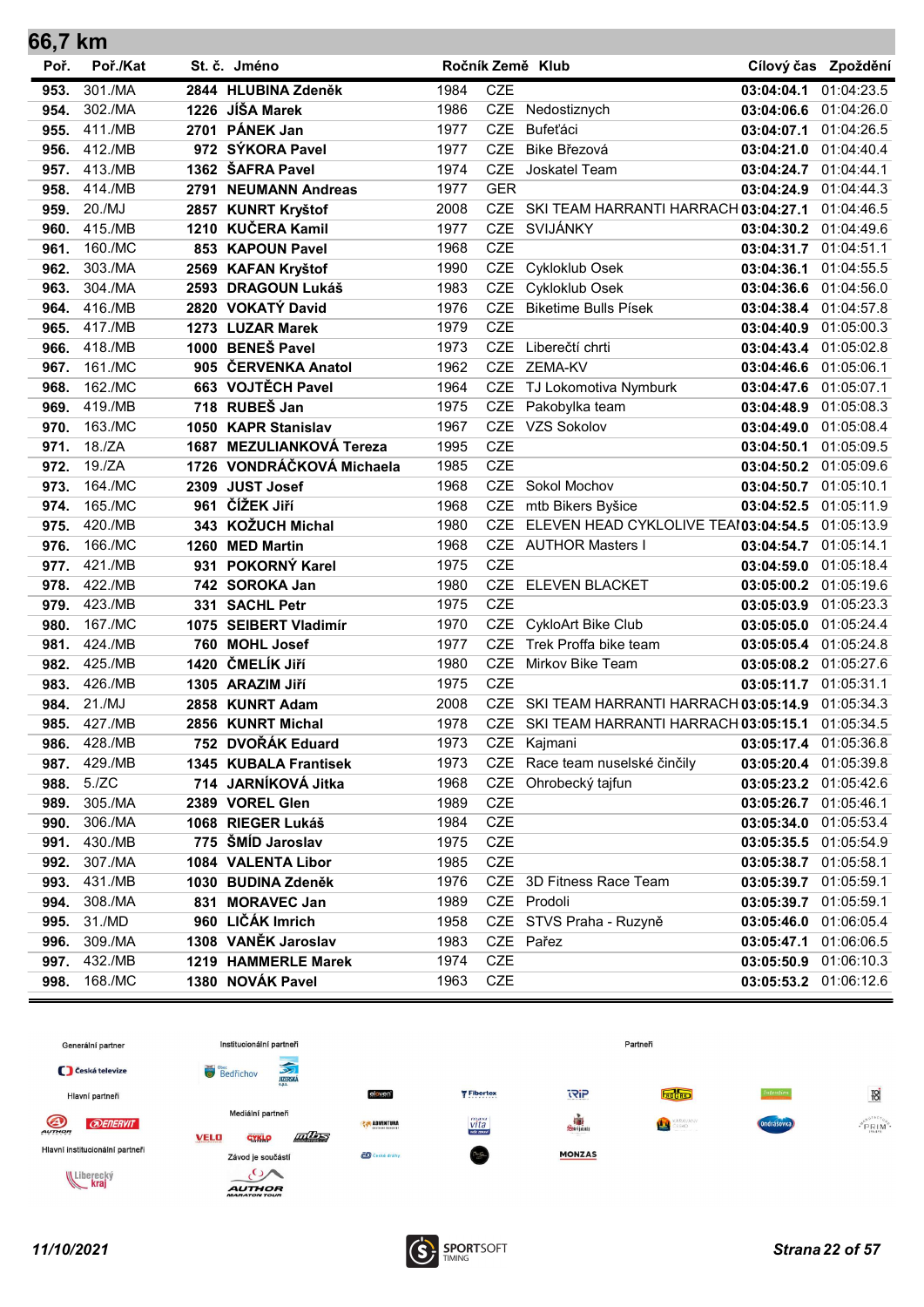| 66,7 km |          |      |                           |      |            |                                          |                       |                     |
|---------|----------|------|---------------------------|------|------------|------------------------------------------|-----------------------|---------------------|
| Poř.    | Poř./Kat |      | St. č. Jméno              |      |            | Ročník Země Klub                         |                       | Cílový čas Zpoždění |
| 953.    | 301./MA  |      | 2844 HLUBINA Zdeněk       | 1984 | CZE        |                                          | 03:04:04.1            | 01:04:23.5          |
| 954.    | 302./MA  |      | 1226 JÍŠA Marek           | 1986 |            | CZE Nedostiznych                         | 03:04:06.6            | 01:04:26.0          |
| 955.    | 411./MB  |      | 2701 PÁNEK Jan            | 1977 | <b>CZE</b> | Bufeťáci                                 | 03:04:07.1            | 01:04:26.5          |
| 956.    | 412./MB  |      | 972 SÝKORA Pavel          | 1977 | <b>CZE</b> | Bike Březová                             | 03:04:21.0            | 01:04:40.4          |
| 957.    | 413./MB  |      | 1362 ŠAFRA Pavel          | 1974 | <b>CZE</b> | Joskatel Team                            | 03:04:24.7            | 01:04:44.1          |
| 958.    | 414./MB  |      | 2791 NEUMANN Andreas      | 1977 | <b>GER</b> |                                          | 03:04:24.9            | 01:04:44.3          |
| 959.    | 20./MJ   |      | 2857 KUNRT Kryštof        | 2008 |            | CZE SKI TEAM HARRANTI HARRACH 03:04:27.1 |                       | 01:04:46.5          |
| 960.    | 415./MB  |      | 1210 KUČERA Kamil         | 1977 | <b>CZE</b> | SVIJÁNKY                                 | 03:04:30.2            | 01:04:49.6          |
| 961.    | 160./MC  |      | 853 KAPOUN Pavel          | 1968 | <b>CZE</b> |                                          | 03:04:31.7 01:04:51.1 |                     |
| 962.    | 303./MA  |      | 2569 KAFAN Kryštof        | 1990 |            | CZE Cykloklub Osek                       | 03:04:36.1            | 01:04:55.5          |
| 963.    | 304./MA  |      | 2593 DRAGOUN Lukáš        | 1983 |            | CZE Cykloklub Osek                       | 03:04:36.6 01:04:56.0 |                     |
| 964.    | 416./MB  |      | 2820 VOKATÝ David         | 1976 | <b>CZE</b> | <b>Biketime Bulls Písek</b>              | 03:04:38.4            | 01:04:57.8          |
| 965.    | 417./MB  |      | 1273 LUZAR Marek          | 1979 | <b>CZE</b> |                                          | 03:04:40.9 01:05:00.3 |                     |
| 966.    | 418./MB  |      | 1000 BENEŠ Pavel          | 1973 |            | CZE Liberečtí chrti                      | 03:04:43.4 01:05:02.8 |                     |
| 967.    | 161./MC  |      | 905 ČERVENKA Anatol       | 1962 |            | CZE ZEMA-KV                              | 03:04:46.6 01:05:06.1 |                     |
| 968.    | 162./MC  |      | 663 VOJTĚCH Pavel         | 1964 |            | CZE TJ Lokomotiva Nymburk                | 03:04:47.6            | 01:05:07.1          |
| 969.    | 419./MB  |      | 718 RUBEŠ Jan             | 1975 |            | CZE Pakobylka team                       | 03:04:48.9            | 01:05:08.3          |
| 970.    | 163./MC  |      | 1050 KAPR Stanislav       | 1967 |            | CZE VZS Sokolov                          | 03:04:49.0            | 01:05:08.4          |
| 971.    | 18./ZA   |      | 1687 MEZULIANKOVÁ Tereza  | 1995 | <b>CZE</b> |                                          | 03:04:50.1            | 01:05:09.5          |
| 972.    | 19./ZA   |      | 1726 VONDRÁČKOVÁ Michaela | 1985 | <b>CZE</b> |                                          | 03:04:50.2            | 01:05:09.6          |
| 973.    | 164./MC  |      | 2309 JUST Josef           | 1968 |            | CZE Sokol Mochov                         | 03:04:50.7            | 01:05:10.1          |
| 974.    | 165./MC  |      | 961 ČÍŽEK Jiří            | 1968 |            | CZE mtb Bikers Byšice                    | 03:04:52.5 01:05:11.9 |                     |
| 975.    | 420./MB  |      | 343 KOŽUCH Michal         | 1980 | <b>CZE</b> | ELEVEN HEAD CYKLOLIVE TEAI03:04:54.5     |                       | 01:05:13.9          |
| 976.    | 166./MC  |      | 1260 MED Martin           | 1968 |            | CZE AUTHOR Masters I                     | 03:04:54.7            | 01:05:14.1          |
| 977.    | 421./MB  | 931  | POKORNÝ Karel             | 1975 | <b>CZE</b> |                                          | 03:04:59.0            | 01:05:18.4          |
| 978.    | 422./MB  |      | 742 SOROKA Jan            | 1980 |            | CZE ELEVEN BLACKET                       | 03:05:00.2 01:05:19.6 |                     |
| 979.    | 423./MB  | 331  | <b>SACHL Petr</b>         | 1975 | <b>CZE</b> |                                          | 03:05:03.9            | 01:05:23.3          |
| 980.    | 167./MC  | 1075 | <b>SEIBERT Vladimír</b>   | 1970 |            | CZE CykloArt Bike Club                   | 03:05:05.0            | 01:05:24.4          |
| 981.    | 424./MB  | 760  | <b>MOHL Josef</b>         | 1977 | CZE        | Trek Proffa bike team                    | 03:05:05.4 01:05:24.8 |                     |
| 982.    | 425./MB  |      | 1420 ČMELÍK Jiří          | 1980 |            | CZE Mirkov Bike Team                     | 03:05:08.2 01:05:27.6 |                     |
| 983.    | 426./MB  |      | 1305 ARAZIM Jiří          | 1975 | <b>CZE</b> |                                          | 03:05:11.7            | 01:05:31.1          |
| 984.    | 21./MJ   |      | 2858 KUNRT Adam           | 2008 |            | CZE SKI TEAM HARRANTI HARRACH 03:05:14.9 |                       | 01:05:34.3          |
| 985.    | 427./MB  |      | 2856 KUNRT Michal         | 1978 |            | CZE SKI TEAM HARRANTI HARRACH 03:05:15.1 |                       | 01:05:34.5          |
| 986.    | 428./MB  |      | 752 DVOŘÁK Eduard         | 1973 | CZE        | Kajmani                                  | 03:05:17.4 01:05:36.8 |                     |
| 987.    | 429./MB  |      | 1345 KUBALA Frantisek     | 1973 | CZE        | Race team nuselské činčily               | 03:05:20.4            | 01:05:39.8          |
| 988.    | 5./ZC    |      | 714 JARNÍKOVÁ Jitka       | 1968 | <b>CZE</b> | Ohrobecký tajfun                         | 03:05:23.2            | 01:05:42.6          |
| 989.    | 305./MA  |      | 2389 VOREL Glen           | 1989 | CZE        |                                          | 03:05:26.7 01:05:46.1 |                     |
| 990.    | 306./MA  |      | 1068 RIEGER Lukáš         | 1984 | CZE        |                                          | 03:05:34.0 01:05:53.4 |                     |
| 991.    | 430./MB  |      | 775 ŠMÍD Jaroslav         | 1975 | CZE        |                                          | 03:05:35.5            | 01:05:54.9          |
| 992.    | 307./MA  |      | 1084 VALENTA Libor        | 1985 | CZE        |                                          | 03:05:38.7            | 01:05:58.1          |
| 993.    | 431./MB  |      | 1030 BUDINA Zdeněk        | 1976 |            | CZE 3D Fitness Race Team                 | 03:05:39.7            | 01:05:59.1          |
| 994.    | 308./MA  | 831  | <b>MORAVEC Jan</b>        | 1989 |            | CZE Prodoli                              | 03:05:39.7            | 01:05:59.1          |
| 995.    | 31./MD   | 960  | LIČÁK Imrich              | 1958 |            | CZE STVS Praha - Ruzyně                  | 03:05:46.0            | 01:06:05.4          |
| 996.    | 309./MA  |      | 1308 VANĚK Jaroslav       | 1983 |            | CZE Pařez                                | 03:05:47.1            | 01:06:06.5          |
| 997.    | 432./MB  |      | 1219 HAMMERLE Marek       | 1974 | CZE        |                                          | 03:05:50.9            | 01:06:10.3          |
| 998.    | 168./MC  |      | 1380 NOVÁK Pavel          | 1963 | CZE        |                                          | 03:05:53.2 01:06:12.6 |                     |

![](_page_21_Figure_1.jpeg)

![](_page_21_Picture_3.jpeg)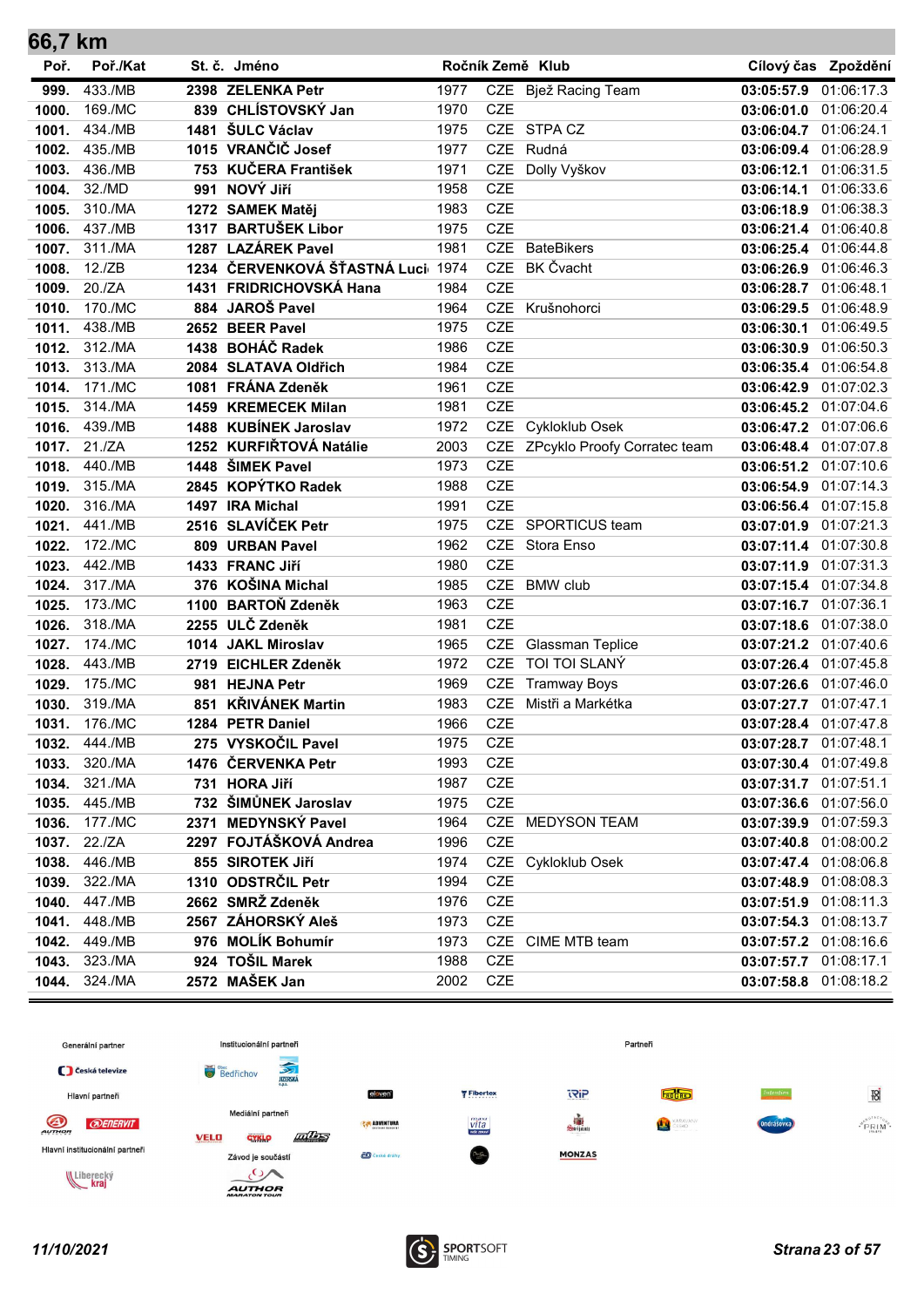| 66,7 km        |                    |     |                                      |              |                          |                              |                                                |                       |
|----------------|--------------------|-----|--------------------------------------|--------------|--------------------------|------------------------------|------------------------------------------------|-----------------------|
| Poř.           | Poř./Kat           |     | St. č. Jméno                         |              |                          | Ročník Země Klub             |                                                | Cílový čas Zpoždění   |
| 999.           | 433./MB            |     | 2398 ZELENKA Petr                    | 1977         |                          | CZE Bjež Racing Team         | 03:05:57.9                                     | 01:06:17.3            |
| 1000.          | 169./MC            |     | 839 CHLÍSTOVSKÝ Jan                  | 1970         | <b>CZE</b>               |                              | 03:06:01.0                                     | 01:06:20.4            |
| 1001.          | 434./MB            |     | 1481 ŠULC Václav                     | 1975         | <b>CZE</b>               | STPA CZ                      | 03:06:04.7 01:06:24.1                          |                       |
| 1002.          | 435./MB            |     | 1015 VRANČIČ Josef                   | 1977         | <b>CZE</b>               | Rudná                        | 03:06:09.4 01:06:28.9                          |                       |
| 1003.          | 436./MB            |     | 753 KUČERA František                 | 1971         | CZE                      | Dolly Vyškov                 | 03:06:12.1                                     | 01:06:31.5            |
| 1004.          | 32./MD             | 991 | NOVÝ Jiří                            | 1958         | <b>CZE</b>               |                              | 03:06:14.1                                     | 01:06:33.6            |
| 1005.          | 310./MA            |     | 1272 SAMEK Matěj                     | 1983         | <b>CZE</b>               |                              | 03:06:18.9 01:06:38.3                          |                       |
| 1006.          | 437./MB            |     | 1317 BARTUŠEK Libor                  | 1975         | <b>CZE</b>               |                              | 03:06:21.4                                     | 01:06:40.8            |
| 1007.          | 311./MA            |     | 1287 LAZÁREK Pavel                   | 1981         | <b>CZE</b>               | <b>BateBikers</b>            | 03:06:25.4 01:06:44.8                          |                       |
| 1008.          | 12./ZB             |     | 1234 ČERVENKOVÁ ŠŤASTNÁ Luci 1974    |              | <b>CZE</b>               | <b>BK Čvacht</b>             | 03:06:26.9                                     | 01:06:46.3            |
| 1009.          | 20./ZA             |     | 1431 FRIDRICHOVSKÁ Hana              | 1984         | <b>CZE</b>               |                              | 03:06:28.7 01:06:48.1                          |                       |
| 1010.          | 170./MC            |     | 884 JAROŠ Pavel                      | 1964         | <b>CZE</b>               | Krušnohorci                  | 03:06:29.5 01:06:48.9                          |                       |
| 1011.          | 438./MB            |     | 2652 BEER Pavel                      | 1975         | <b>CZE</b>               |                              | 03:06:30.1                                     | 01:06:49.5            |
| 1012.          | 312./MA            |     | 1438 BOHÁČ Radek                     | 1986         | <b>CZE</b>               |                              | 03:06:30.9                                     | 01:06:50.3            |
| 1013.          | 313./MA            |     | 2084 SLATAVA Oldřich                 | 1984         | <b>CZE</b>               |                              | 03:06:35.4                                     | 01:06:54.8            |
| 1014.          | 171./MC            |     | 1081 FRÁNA Zdeněk                    | 1961         | <b>CZE</b>               |                              | 03:06:42.9                                     | 01:07:02.3            |
| 1015.          | 314./MA            |     | 1459 KREMECEK Milan                  | 1981         | <b>CZE</b>               |                              | 03:06:45.2                                     | 01:07:04.6            |
| 1016.          | 439./MB            |     | 1488 KUBÍNEK Jaroslav                | 1972         | <b>CZE</b>               | Cykloklub Osek               | 03:06:47.2 01:07:06.6                          |                       |
| 1017.          | 21./ZA             |     | 1252 KURFIŘTOVÁ Natálie              | 2003         | <b>CZE</b>               | ZPcyklo Proofy Corratec team | 03:06:48.4                                     | 01:07:07.8            |
| 1018.          | 440./MB            |     | 1448 ŠIMEK Pavel                     | 1973         | <b>CZE</b>               |                              | 03:06:51.2                                     | 01:07:10.6            |
| 1019.          | 315./MA            |     | 2845 KOPÝTKO Radek                   | 1988         | <b>CZE</b>               |                              | 03:06:54.9                                     | 01:07:14.3            |
| 1020.          | 316./MA            |     | 1497 IRA Michal                      | 1991         | <b>CZE</b>               |                              | 03:06:56.4 01:07:15.8                          |                       |
| 1021.          | 441./MB            |     | 2516 SLAVÍČEK Petr                   | 1975         | <b>CZE</b>               | SPORTICUS team               | 03:07:01.9 01:07:21.3                          |                       |
| 1022.          | 172./MC            |     | 809 URBAN Pavel                      | 1962         | <b>CZE</b>               | Stora Enso                   | 03:07:11.4                                     | 01:07:30.8            |
| 1023.          | 442./MB            |     | 1433 FRANC Jiří<br>376 KOŠINA Michal | 1980         | <b>CZE</b><br><b>CZE</b> | <b>BMW</b> club              | 03:07:11.9 01:07:31.3                          |                       |
| 1024.          | 317./MA<br>173./MC |     | 1100 BARTOŇ Zdeněk                   | 1985<br>1963 | <b>CZE</b>               |                              | 03:07:15.4 01:07:34.8<br>03:07:16.7 01:07:36.1 |                       |
| 1025.<br>1026. | 318./MA            |     | 2255 ULČ Zdeněk                      | 1981         | <b>CZE</b>               |                              | 03:07:18.6                                     | 01:07:38.0            |
| 1027.          | 174./MC            |     | 1014 JAKL Miroslav                   | 1965         | <b>CZE</b>               | Glassman Teplice             | 03:07:21.2 01:07:40.6                          |                       |
| 1028.          | 443./MB            |     | 2719 EICHLER Zdeněk                  | 1972         | <b>CZE</b>               | TOI TOI SLANÝ                | 03:07:26.4 01:07:45.8                          |                       |
| 1029.          | 175./MC            |     | 981 HEJNA Petr                       | 1969         | <b>CZE</b>               | <b>Tramway Boys</b>          | 03:07:26.6                                     | 01:07:46.0            |
| 1030.          | 319./MA            |     | 851 KŘIVÁNEK Martin                  | 1983         | <b>CZE</b>               | Mistři a Markétka            | 03:07:27.7 01:07:47.1                          |                       |
| 1031.          | 176./MC            |     | 1284 PETR Daniel                     | 1966         | CZE                      |                              |                                                | 03:07:28.4 01:07:47.8 |
| 1032.          | 444./MB            |     | 275 VYSKOČIL Pavel                   | 1975         | CZE                      |                              | 03:07:28.7 01:07:48.1                          |                       |
| 1033.          | 320./MA            |     | 1476 ČERVENKA Petr                   | 1993         | CZE                      |                              | 03:07:30.4 01:07:49.8                          |                       |
| 1034.          | 321./MA            |     | 731 HORA Jiří                        | 1987         | <b>CZE</b>               |                              | 03:07:31.7 01:07:51.1                          |                       |
| 1035.          | 445./MB            |     | 732 ŠIMŮNEK Jaroslav                 | 1975         | CZE                      |                              |                                                | 03:07:36.6 01:07:56.0 |
| 1036.          | 177./MC            |     | 2371 MEDYNSKÝ Pavel                  | 1964         |                          | CZE MEDYSON TEAM             |                                                | 03:07:39.9 01:07:59.3 |
| 1037.          | 22./ZA             |     | 2297 FOJTÁŠKOVÁ Andrea               | 1996         | <b>CZE</b>               |                              |                                                | 03:07:40.8 01:08:00.2 |
| 1038.          | 446./MB            |     | 855 SIROTEK Jiří                     | 1974         |                          | CZE Cykloklub Osek           |                                                | 03:07:47.4 01:08:06.8 |
| 1039.          | 322./MA            |     | 1310 ODSTRČIL Petr                   | 1994         | CZE                      |                              |                                                | 03:07:48.9 01:08:08.3 |
| 1040.          | 447./MB            |     | 2662 SMRŽ Zdeněk                     | 1976         | CZE                      |                              | 03:07:51.9 01:08:11.3                          |                       |
| 1041.          | 448./MB            |     | 2567 ZÁHORSKÝ Aleš                   | 1973         | <b>CZE</b>               |                              | 03:07:54.3 01:08:13.7                          |                       |
| 1042.          | 449./MB            |     | 976 MOLÍK Bohumír                    | 1973         |                          | CZE CIME MTB team            | 03:07:57.2 01:08:16.6                          |                       |
| 1043.          | 323./MA            |     | 924 TOŠIL Marek                      | 1988         | CZE                      |                              |                                                | 03:07:57.7 01:08:17.1 |
| 1044.          | 324./MA            |     | 2572 MAŠEK Jan                       | 2002         | CZE                      |                              |                                                | 03:07:58.8 01:08:18.2 |

![](_page_22_Figure_1.jpeg)

![](_page_22_Picture_3.jpeg)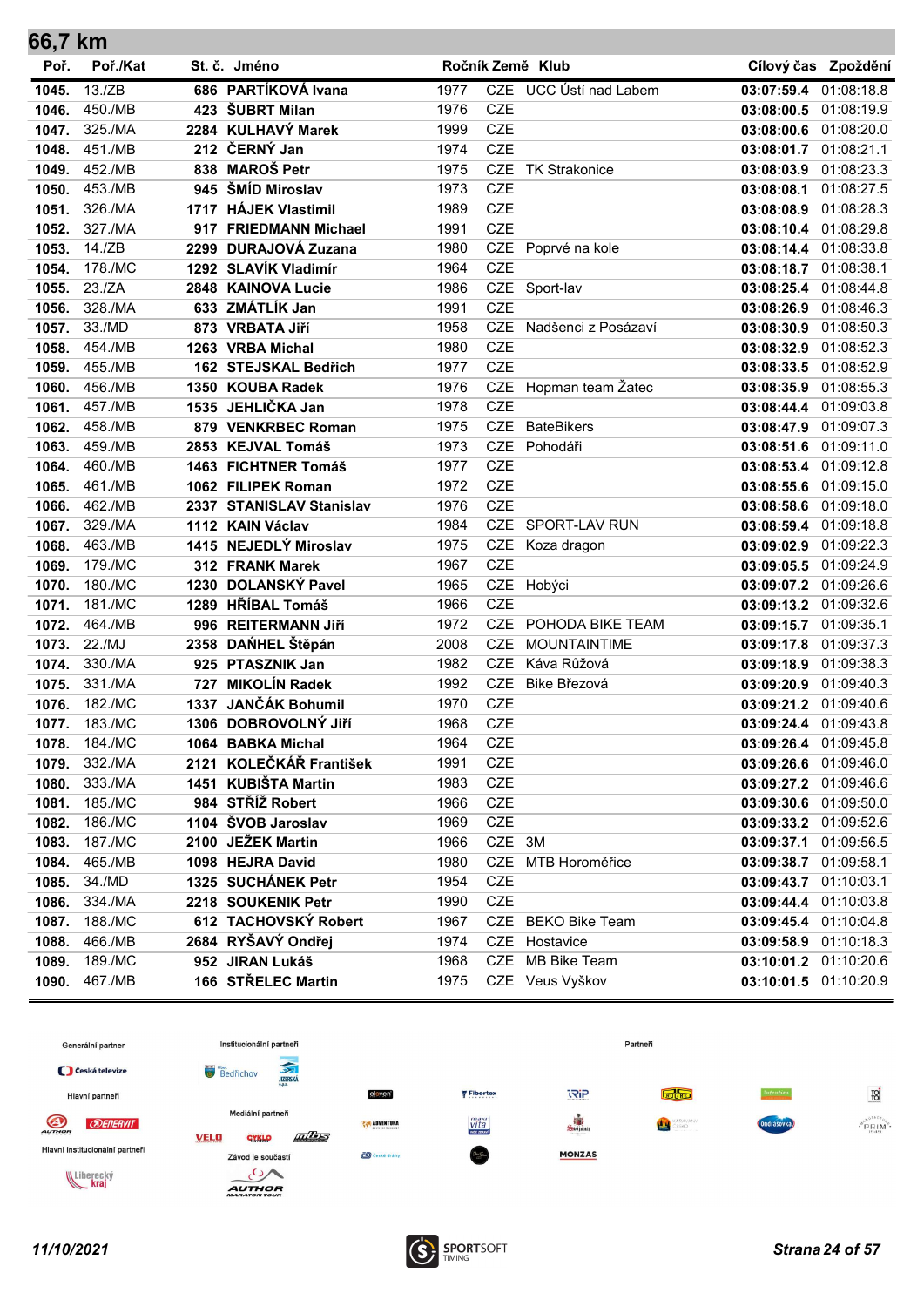| 66,7 km        |                    |      |                                                |              |                          |                        |                                     |            |
|----------------|--------------------|------|------------------------------------------------|--------------|--------------------------|------------------------|-------------------------------------|------------|
| Poř.           | Poř./Kat           |      | St. č. Jméno                                   |              |                          | Ročník Země Klub       | Cílový čas                          | Zpoždění   |
| 1045.          | 13./ZB             |      | 686 PARTÍKOVÁ Ivana                            | 1977         |                          | CZE UCC Ústí nad Labem | 03:07:59.4                          | 01:08:18.8 |
| 1046.          | 450./MB            |      | 423 ŠUBRT Milan                                | 1976         | <b>CZE</b>               |                        | 03:08:00.5                          | 01:08:19.9 |
| 1047.          | 325./MA            |      | 2284 KULHAVÝ Marek                             | 1999         | <b>CZE</b>               |                        | 03:08:00.6                          | 01:08:20.0 |
| 1048.          | 451./MB            |      | 212 ČERNÝ Jan                                  | 1974         | <b>CZE</b>               |                        | 03:08:01.7                          | 01:08:21.1 |
| 1049.          | 452./MB            |      | 838 MAROŠ Petr                                 | 1975         | <b>CZE</b>               | <b>TK Strakonice</b>   | 03:08:03.9                          | 01:08:23.3 |
| 1050.          | 453./MB            |      | 945 ŠMÍD Miroslav                              | 1973         | <b>CZE</b>               |                        | 03:08:08.1                          | 01:08:27.5 |
| 1051.          | 326./MA            | 1717 | <b>HÁJEK Vlastimil</b>                         | 1989         | <b>CZE</b>               |                        | 03:08:08.9                          | 01:08:28.3 |
| 1052.          | 327./MA            |      | 917 FRIEDMANN Michael                          | 1991         | <b>CZE</b>               |                        | 03:08:10.4                          | 01:08:29.8 |
| 1053.          | 14./ZB             |      | 2299 DURAJOVÁ Zuzana                           | 1980         | <b>CZE</b>               | Poprvé na kole         | 03:08:14.4 01:08:33.8               |            |
| 1054.          | 178./MC            |      | 1292 SLAVÍK Vladimír                           | 1964         | <b>CZE</b>               |                        | 03:08:18.7                          | 01:08:38.1 |
| 1055.          | 23./ZA             |      | 2848 KAINOVA Lucie                             | 1986         | CZE                      | Sport-lav              | 03:08:25.4                          | 01:08:44.8 |
| 1056.          | 328./MA            |      | 633 ZMÁTLÍK Jan                                | 1991         | <b>CZE</b>               |                        | 03:08:26.9                          | 01:08:46.3 |
| 1057.          | 33./MD             |      | 873 VRBATA Jiří                                | 1958         | <b>CZE</b>               | Nadšenci z Posázaví    | 03:08:30.9                          | 01:08:50.3 |
| 1058.          | 454./MB            |      | 1263 VRBA Michal                               | 1980         | <b>CZE</b>               |                        | 03:08:32.9                          | 01:08:52.3 |
| 1059.          | 455./MB            |      | 162 STEJSKAL Bedřich                           | 1977         | <b>CZE</b>               |                        | 03:08:33.5                          | 01:08:52.9 |
| 1060.          | 456./MB            |      | 1350 KOUBA Radek                               | 1976         | <b>CZE</b>               | Hopman team Žatec      | 03:08:35.9                          | 01:08:55.3 |
| 1061.          | 457./MB            |      | 1535 JEHLIČKA Jan                              | 1978         | <b>CZE</b>               |                        | 03:08:44.4                          | 01:09:03.8 |
| 1062.          | 458./MB            |      | 879 VENKRBEC Roman                             | 1975         | <b>CZE</b>               | <b>BateBikers</b>      | 03:08:47.9                          | 01:09:07.3 |
| 1063.          | 459./MB            |      | 2853 KEJVAL Tomáš                              | 1973         | <b>CZE</b><br><b>CZE</b> | Pohodáři               | 03:08:51.6                          | 01:09:11.0 |
| 1064.<br>1065. | 460./MB<br>461./MB |      | 1463 FICHTNER Tomáš                            | 1977<br>1972 | <b>CZE</b>               |                        | 03:08:53.4<br>03:08:55.6 01:09:15.0 | 01:09:12.8 |
| 1066.          | 462./MB            |      | 1062 FILIPEK Roman<br>2337 STANISLAV Stanislav | 1976         | <b>CZE</b>               |                        | 03:08:58.6 01:09:18.0               |            |
| 1067.          | 329./MA            |      | 1112 KAIN Václav                               | 1984         | <b>CZE</b>               | SPORT-LAV RUN          | 03:08:59.4                          | 01:09:18.8 |
| 1068.          | 463./MB            |      | 1415 NEJEDLÝ Miroslav                          | 1975         | <b>CZE</b>               | Koza dragon            | 03:09:02.9                          | 01:09:22.3 |
| 1069.          | 179./MC            |      | 312 FRANK Marek                                | 1967         | <b>CZE</b>               |                        | 03:09:05.5 01:09:24.9               |            |
| 1070.          | 180./MC            |      | 1230 DOLANSKÝ Pavel                            | 1965         |                          | CZE Hobýci             | 03:09:07.2                          | 01:09:26.6 |
| 1071.          | 181./MC            |      | 1289 HŘÍBAL Tomáš                              | 1966         | <b>CZE</b>               |                        | 03:09:13.2                          | 01:09:32.6 |
| 1072.          | 464./MB            |      | 996 REITERMANN JIří                            | 1972         | <b>CZE</b>               | POHODA BIKE TEAM       | 03:09:15.7                          | 01:09:35.1 |
| 1073.          | 22./MJ             |      | 2358 DANHEL Štěpán                             | 2008         | <b>CZE</b>               | <b>MOUNTAINTIME</b>    | 03:09:17.8                          | 01:09:37.3 |
| 1074.          | 330./MA            |      | 925 PTASZNIK Jan                               | 1982         | <b>CZE</b>               | Káva Růžová            | 03:09:18.9                          | 01:09:38.3 |
| 1075.          | 331./MA            |      | 727 MIKOLÍN Radek                              | 1992         | <b>CZE</b>               | Bike Březová           | 03:09:20.9                          | 01:09:40.3 |
| 1076.          | 182./MC            |      | 1337 JANČÁK Bohumil                            | 1970         | <b>CZE</b>               |                        | 03:09:21.2 01:09:40.6               |            |
| 1077.          | 183./MC            |      | 1306 DOBROVOLNÝ JIří                           | 1968         | <b>CZE</b>               |                        | 03:09:24.4 01:09:43.8               |            |
| 1078.          | 184./MC            |      | 1064 BABKA Michal                              | 1964         | CZE                      |                        | 03:09:26.4 01:09:45.8               |            |
| 1079.          | 332./MA            |      | 2121 KOLEČKÁŘ František                        | 1991         | CZE                      |                        | 03:09:26.6 01:09:46.0               |            |
| 1080.          | 333./MA            |      | 1451 KUBIŠTA Martin                            | 1983         | <b>CZE</b>               |                        | 03:09:27.2 01:09:46.6               |            |
| 1081.          | 185./MC            |      | 984 STŘÍŽ Robert                               | 1966         | <b>CZE</b>               |                        | 03:09:30.6 01:09:50.0               |            |
| 1082.          | 186./MC            |      | 1104 ŠVOB Jaroslav                             | 1969         | CZE                      |                        | 03:09:33.2 01:09:52.6               |            |
| 1083.          | 187./MC            |      | 2100 JEŽEK Martin                              | 1966         | CZE 3M                   |                        | 03:09:37.1                          | 01:09:56.5 |
| 1084.          | 465./MB            |      | 1098 HEJRA David                               | 1980         | <b>CZE</b>               | MTB Horoměřice         | 03:09:38.7 01:09:58.1               |            |
| 1085.          | 34./MD             |      | 1325 SUCHÁNEK Petr                             | 1954         | <b>CZE</b>               |                        | 03:09:43.7 01:10:03.1               |            |
| 1086.          | 334./MA            |      | 2218 SOUKENIK Petr                             | 1990         | <b>CZE</b>               |                        | 03:09:44.4 01:10:03.8               |            |
| 1087.          | 188./MC            |      | 612 TACHOVSKÝ Robert                           | 1967         | CZE                      | <b>BEKO Bike Team</b>  | 03:09:45.4 01:10:04.8               |            |
| 1088.          | 466./MB            |      | 2684 RYŠAVÝ Ondřej                             | 1974         | <b>CZE</b>               | Hostavice              | 03:09:58.9                          | 01:10:18.3 |
| 1089.          | 189./MC            |      | 952 JIRAN Lukáš                                | 1968         | <b>CZE</b>               | MB Bike Team           | 03:10:01.2 01:10:20.6               |            |
| 1090.          | 467./MB            |      | 166 STŘELEC Martin                             | 1975         |                          | CZE Veus Vyškov        | 03:10:01.5 01:10:20.9               |            |

![](_page_23_Figure_1.jpeg)

![](_page_23_Picture_3.jpeg)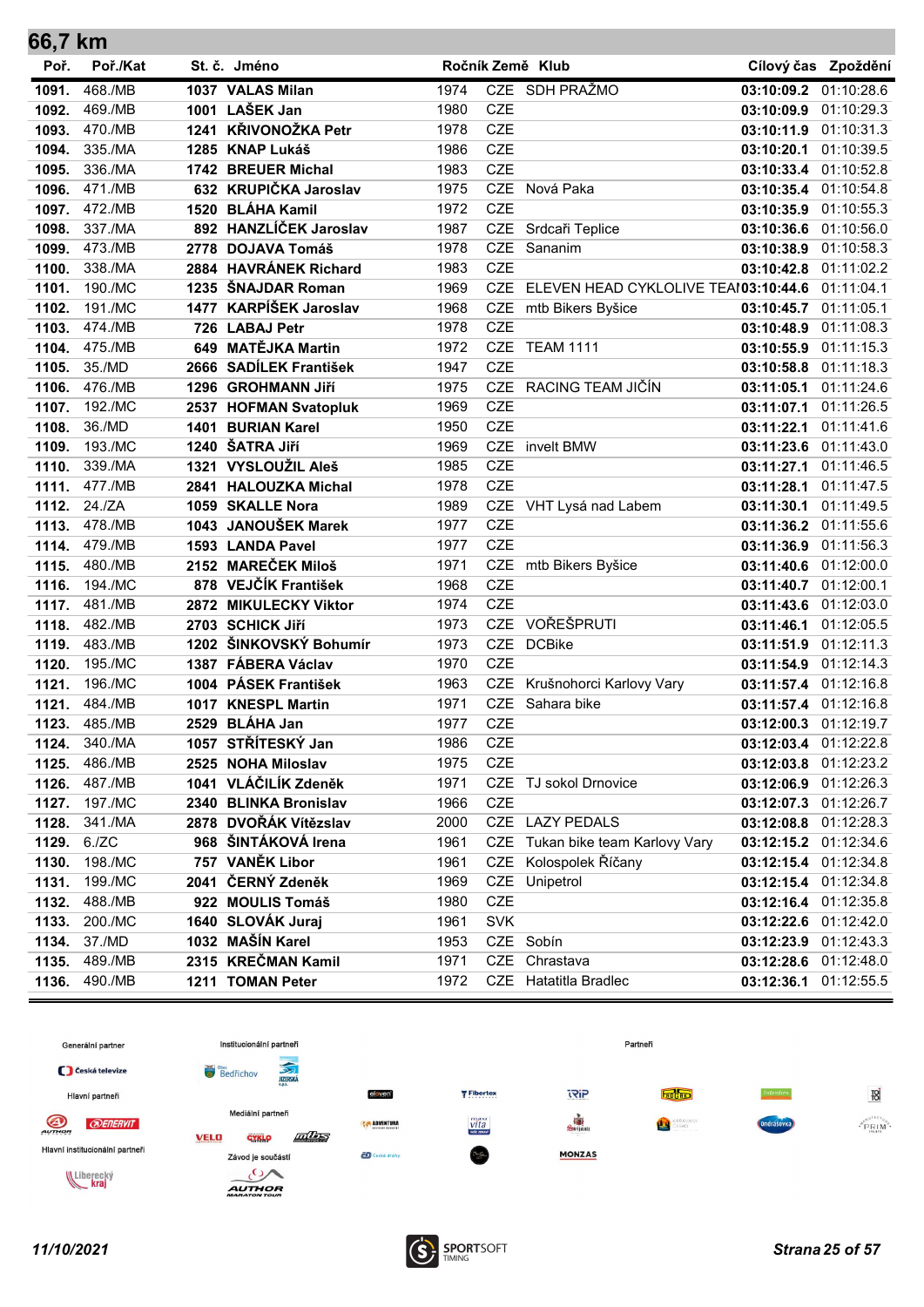| 66,7 km        |                    |                                           |              |            |                                      |                                     |                       |
|----------------|--------------------|-------------------------------------------|--------------|------------|--------------------------------------|-------------------------------------|-----------------------|
| Poř.           | Poř./Kat           | St. č. Jméno                              |              |            | Ročník Země Klub                     |                                     | Cílový čas Zpoždění   |
| 1091.          | 468./MB            | 1037 VALAS Milan                          | 1974         |            | CZE SDH PRAŽMO                       | 03:10:09.2 01:10:28.6               |                       |
| 1092.          | 469./MB            | 1001 LAŠEK Jan                            | 1980         | <b>CZE</b> |                                      | 03:10:09.9                          | 01:10:29.3            |
| 1093.          | 470./MB            | 1241 KŘIVONOŽKA Petr                      | 1978         | <b>CZE</b> |                                      | 03:10:11.9                          | 01:10:31.3            |
| 1094.          | 335./MA            | 1285 KNAP Lukáš                           | 1986         | <b>CZE</b> |                                      | 03:10:20.1                          | 01:10:39.5            |
| 1095.          | 336./MA            | 1742 BREUER Michal                        | 1983         | <b>CZE</b> |                                      | 03:10:33.4 01:10:52.8               |                       |
| 1096.          | 471./MB            | 632 KRUPIČKA Jaroslav                     | 1975         | <b>CZE</b> | Nová Paka                            | 03:10:35.4 01:10:54.8               |                       |
| 1097.          | 472./MB            | 1520 BLÁHA Kamil                          | 1972         | <b>CZE</b> |                                      | 03:10:35.9 01:10:55.3               |                       |
| 1098.          | 337./MA            | 892 HANZLÍČEK Jaroslav                    | 1987         |            | CZE Srdcaři Teplice                  | 03:10:36.6 01:10:56.0               |                       |
| 1099.          | 473./MB            | 2778 DOJAVA Tomáš                         | 1978         | CZE        | Sananim                              | 03:10:38.9 01:10:58.3               |                       |
| 1100.          | 338./MA            | 2884 HAVRÁNEK Richard                     | 1983         | <b>CZE</b> |                                      | 03:10:42.8                          | 01:11:02.2            |
| 1101.          | 190./MC            | 1235 ŠNAJDAR Roman                        | 1969         | <b>CZE</b> | ELEVEN HEAD CYKLOLIVE TEAI03:10:44.6 |                                     | 01:11:04.1            |
| 1102.          | 191./MC            | 1477 KARPÍŠEK Jaroslav                    | 1968         |            | CZE mtb Bikers Byšice                | 03:10:45.7                          | 01:11:05.1            |
| 1103.          | 474./MB            | 726 LABAJ Petr                            | 1978         | <b>CZE</b> |                                      | 03:10:48.9                          | 01:11:08.3            |
| 1104.          | 475./MB            | 649 MATĚJKA Martin                        | 1972         | <b>CZE</b> | <b>TEAM 1111</b>                     | 03:10:55.9                          | 01:11:15.3            |
| 1105.          | 35./MD             | 2666 SADÍLEK František                    | 1947         | <b>CZE</b> |                                      | 03:10:58.8                          | 01:11:18.3            |
| 1106.          | 476./MB            | 1296 GROHMANN Jiří                        | 1975         | <b>CZE</b> | RACING TEAM JIČÍN                    | 03:11:05.1                          | 01:11:24.6            |
| 1107.          | 192./MC            | 2537 HOFMAN Svatopluk                     | 1969         | <b>CZE</b> |                                      | 03:11:07.1 01:11:26.5               |                       |
| 1108.          | 36./MD             | 1401 BURIAN Karel                         | 1950         | <b>CZE</b> |                                      | 03:11:22.1                          | 01:11:41.6            |
| 1109.          | 193./MC            | 1240 ŠATRA Jiří                           | 1969         | <b>CZE</b> | invelt BMW                           | 03:11:23.6                          | 01:11:43.0            |
| 1110.          | 339./MA            | 1321 VYSLOUŽIL Aleš                       | 1985         | <b>CZE</b> |                                      | 03:11:27.1                          | 01:11:46.5            |
| 1111.          | 477./MB            | 2841 HALOUZKA Michal                      | 1978         | <b>CZE</b> |                                      | 03:11:28.1 01:11:47.5               |                       |
| 1112.          | 24./ZA             | 1059 SKALLE Nora                          | 1989         |            | CZE VHT Lysá nad Labem               | 03:11:30.1                          | 01:11:49.5            |
| 1113.          | 478./MB            | 1043 JANOUŠEK Marek                       | 1977         | <b>CZE</b> |                                      | 03:11:36.2                          | 01:11:55.6            |
| 1114.          | 479./MB            | 1593 LANDA Pavel<br>2152 MAREČEK Miloš    | 1977         | <b>CZE</b> |                                      | 03:11:36.9 01:11:56.3               |                       |
| 1115.          | 480./MB            | 878 VEJČÍK František                      | 1971         | <b>CZE</b> | CZE mtb Bikers Byšice                | 03:11:40.6 01:12:00.0               |                       |
| 1116.          | 194./MC            |                                           | 1968         | <b>CZE</b> |                                      | 03:11:40.7 01:12:00.1               |                       |
| 1117.<br>1118. | 481./MB<br>482./MB | 2872 MIKULECKY Viktor<br>2703 SCHICK Jiří | 1974<br>1973 | <b>CZE</b> | VOŘEŠPRUTI                           | 03:11:43.6 01:12:03.0               | 01:12:05.5            |
| 1119.          | 483./MB            | 1202 ŠINKOVSKÝ Bohumír                    | 1973         | <b>CZE</b> | <b>DCBike</b>                        | 03:11:46.1<br>03:11:51.9 01:12:11.3 |                       |
| 1120.          | 195./MC            | 1387 FÁBERA Václav                        | 1970         | <b>CZE</b> |                                      | 03:11:54.9 01:12:14.3               |                       |
| 1121.          | 196./MC            | 1004 PÁSEK František                      | 1963         | <b>CZE</b> | Krušnohorci Karlovy Vary             | 03:11:57.4 01:12:16.8               |                       |
| 1121.          | 484./MB            | 1017 KNESPL Martin                        | 1971         |            | CZE Sahara bike                      | 03:11:57.4 01:12:16.8               |                       |
| 1123.          | 485./MB            | 2529 BLÁHA Jan                            | 1977         | CZE        |                                      |                                     | 03:12:00.3 01:12:19.7 |
| 1124.          | 340./MA            | 1057 STŘÍTESKÝ Jan                        | 1986         | <b>CZE</b> |                                      | 03:12:03.4 01:12:22.8               |                       |
| 1125.          | 486./MB            | 2525 NOHA Miloslav                        | 1975         | CZE        |                                      | 03:12:03.8 01:12:23.2               |                       |
| 1126.          | 487./MB            | 1041 VLÁČILÍK Zdeněk                      | 1971         |            | CZE TJ sokol Drnovice                | 03:12:06.9 01:12:26.3               |                       |
| 1127.          | 197./MC            | 2340 BLINKA Bronislav                     | 1966         | CZE        |                                      | 03:12:07.3 01:12:26.7               |                       |
| 1128.          | 341./MA            | 2878 DVOŘÁK Vítězslav                     | 2000         |            | CZE LAZY PEDALS                      | 03:12:08.8 01:12:28.3               |                       |
| 1129.          | 6./ZC              | 968 ŠINTÁKOVÁ Irena                       | 1961         |            | CZE Tukan bike team Karlovy Vary     | 03:12:15.2 01:12:34.6               |                       |
| 1130.          | 198./MC            | 757 VANĚK Libor                           | 1961         |            | CZE Kolospolek Říčany                | 03:12:15.4 01:12:34.8               |                       |
| 1131.          | 199./MC            | 2041 ČERNÝ Zdeněk                         | 1969         |            | CZE Unipetrol                        | 03:12:15.4 01:12:34.8               |                       |
| 1132.          | 488./MB            | 922 MOULIS Tomáš                          | 1980         | CZE        |                                      | 03:12:16.4 01:12:35.8               |                       |
| 1133.          | 200./MC            | 1640 SLOVÁK Juraj                         | 1961         | <b>SVK</b> |                                      | 03:12:22.6 01:12:42.0               |                       |
| 1134.          | 37./MD             | 1032 MAŠÍN Karel                          | 1953         |            | CZE Sobín                            | 03:12:23.9 01:12:43.3               |                       |
| 1135.          | 489./MB            | 2315 KREČMAN Kamil                        | 1971         | CZE        | Chrastava                            |                                     | 03:12:28.6 01:12:48.0 |
| 1136.          | 490./MB            | 1211 TOMAN Peter                          | 1972         |            | CZE Hatatitla Bradlec                |                                     | 03:12:36.1 01:12:55.5 |

![](_page_24_Figure_1.jpeg)

![](_page_24_Picture_3.jpeg)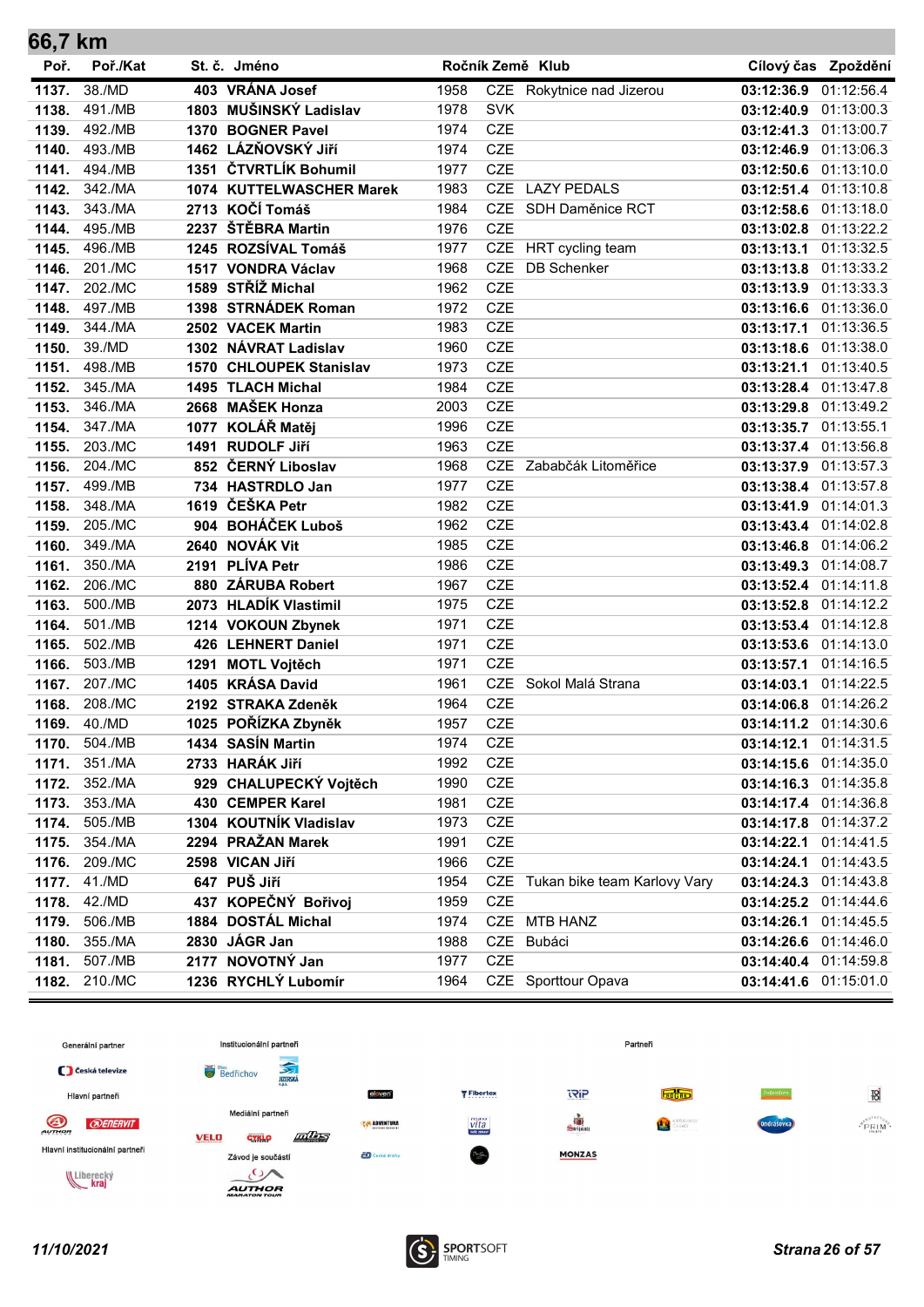| 66,7 km |               |                          |      |            |                                  |                       |                       |
|---------|---------------|--------------------------|------|------------|----------------------------------|-----------------------|-----------------------|
| Poř.    | Poř./Kat      | St. č. Jméno             |      |            | Ročník Země Klub                 |                       | Cílový čas Zpoždění   |
| 1137.   | 38./MD        | 403 VRÁNA Josef          | 1958 |            | CZE Rokytnice nad Jizerou        | 03:12:36.9            | 01:12:56.4            |
| 1138.   | 491./MB       | 1803 MUŠINSKÝ Ladislav   | 1978 | <b>SVK</b> |                                  | 03:12:40.9 01:13:00.3 |                       |
| 1139.   | 492./MB       | 1370 BOGNER Pavel        | 1974 | <b>CZE</b> |                                  | 03:12:41.3 01:13:00.7 |                       |
| 1140.   | 493./MB       | 1462 LÁZŇOVSKÝ Jiří      | 1974 | <b>CZE</b> |                                  | 03:12:46.9            | 01:13:06.3            |
| 1141.   | 494./MB       | 1351 ČTVRTLÍK Bohumil    | 1977 | <b>CZE</b> |                                  | 03:12:50.6 01:13:10.0 |                       |
| 1142.   | 342./MA       | 1074 KUTTELWASCHER Marek | 1983 | <b>CZE</b> | <b>LAZY PEDALS</b>               | 03:12:51.4 01:13:10.8 |                       |
| 1143.   | 343./MA       | 2713 KOČÍ Tomáš          | 1984 | <b>CZE</b> | SDH Daměnice RCT                 | 03:12:58.6 01:13:18.0 |                       |
| 1144.   | 495./MB       | 2237 ŠTĚBRA Martin       | 1976 | <b>CZE</b> |                                  | 03:13:02.8 01:13:22.2 |                       |
| 1145.   | 496./MB       | 1245 ROZSÍVAL Tomáš      | 1977 |            | CZE HRT cycling team             | 03:13:13.1 01:13:32.5 |                       |
| 1146.   | 201./MC       | 1517 VONDRA Václav       | 1968 | CZE        | <b>DB</b> Schenker               | 03:13:13.8 01:13:33.2 |                       |
| 1147.   | 202./MC       | 1589 STŘÍŽ Michal        | 1962 | <b>CZE</b> |                                  | 03:13:13.9 01:13:33.3 |                       |
| 1148.   | 497./MB       | 1398 STRNÁDEK Roman      | 1972 | <b>CZE</b> |                                  | 03:13:16.6 01:13:36.0 |                       |
| 1149.   | 344./MA       | 2502 VACEK Martin        | 1983 | <b>CZE</b> |                                  | 03:13:17.1            | 01:13:36.5            |
| 1150.   | 39./MD        | 1302 NÁVRAT Ladislav     | 1960 | <b>CZE</b> |                                  | 03:13:18.6 01:13:38.0 |                       |
| 1151.   | 498./MB       | 1570 CHLOUPEK Stanislav  | 1973 | <b>CZE</b> |                                  | 03:13:21.1            | 01:13:40.5            |
| 1152.   | 345./MA       | 1495 TLACH Michal        | 1984 | <b>CZE</b> |                                  | 03:13:28.4 01:13:47.8 |                       |
| 1153.   | 346./MA       | 2668 MAŠEK Honza         | 2003 | <b>CZE</b> |                                  |                       | 03:13:29.8 01:13:49.2 |
| 1154.   | 347./MA       | 1077 KOLÁŘ Matěj         | 1996 | <b>CZE</b> |                                  | 03:13:35.7 01:13:55.1 |                       |
| 1155.   | 203./MC       | 1491 RUDOLF Jiří         | 1963 | <b>CZE</b> |                                  | 03:13:37.4 01:13:56.8 |                       |
| 1156.   | 204./MC       | 852 ČERNÝ Liboslav       | 1968 | <b>CZE</b> | Zababčák Litoměřice              | 03:13:37.9            | 01:13:57.3            |
| 1157.   | 499./MB       | 734 HASTRDLO Jan         | 1977 | <b>CZE</b> |                                  | 03:13:38.4 01:13:57.8 |                       |
| 1158.   | 348./MA       | 1619 ČEŠKA Petr          | 1982 | <b>CZE</b> |                                  | 03:13:41.9 01:14:01.3 |                       |
| 1159.   | 205./MC       | 904 BOHÁČEK Luboš        | 1962 | <b>CZE</b> |                                  | 03:13:43.4 01:14:02.8 |                       |
| 1160.   | 349./MA       | 2640 NOVÁK Vit           | 1985 | <b>CZE</b> |                                  | 03:13:46.8 01:14:06.2 |                       |
| 1161.   | 350./MA       | 2191 PLÍVA Petr          | 1986 | <b>CZE</b> |                                  |                       | 03:13:49.3 01:14:08.7 |
| 1162.   | 206./MC       | 880 ZÁRUBA Robert        | 1967 | <b>CZE</b> |                                  | 03:13:52.4 01:14:11.8 |                       |
| 1163.   | 500./MB       | 2073 HLADÍK Vlastimil    | 1975 | <b>CZE</b> |                                  |                       | 03:13:52.8 01:14:12.2 |
| 1164.   | 501./MB       | 1214 VOKOUN Zbynek       | 1971 | <b>CZE</b> |                                  | 03:13:53.4 01:14:12.8 |                       |
| 1165.   | 502./MB       | 426 LEHNERT Daniel       | 1971 | <b>CZE</b> |                                  | 03:13:53.6 01:14:13.0 |                       |
| 1166.   | 503./MB       | 1291 MOTL Vojtěch        | 1971 | <b>CZE</b> |                                  | 03:13:57.1 01:14:16.5 |                       |
| 1167.   | 207./MC       | 1405 KRÁSA David         | 1961 | <b>CZE</b> | Sokol Malá Strana                | 03:14:03.1            | 01:14:22.5            |
| 1168.   | 208./MC       | 2192 STRAKA Zdeněk       | 1964 | <b>CZE</b> |                                  | 03:14:06.8 01:14:26.2 |                       |
|         | 1169. 40./MD  | 1025 POŘÍZKA Zbyněk      | 1957 | <b>CZE</b> |                                  |                       | 03:14:11.2 01:14:30.6 |
|         | 1170. 504./MB | 1434 SASÍN Martin        | 1974 | <b>CZE</b> |                                  | 03:14:12.1 01:14:31.5 |                       |
| 1171.   | 351./MA       | 2733 HARÁK Jiří          | 1992 | CZE        |                                  | 03:14:15.6 01:14:35.0 |                       |
| 1172.   | 352./MA       | 929 CHALUPECKÝ Vojtěch   | 1990 | <b>CZE</b> |                                  |                       | 03:14:16.3 01:14:35.8 |
| 1173.   | 353./MA       | 430 CEMPER Karel         | 1981 | <b>CZE</b> |                                  |                       | 03:14:17.4 01:14:36.8 |
| 1174.   | 505./MB       | 1304 KOUTNÍK Vladislav   | 1973 | CZE        |                                  |                       | 03:14:17.8 01:14:37.2 |
| 1175.   | 354./MA       | 2294 PRAŽAN Marek        | 1991 | CZE        |                                  |                       | 03:14:22.1 01:14:41.5 |
| 1176.   | 209./MC       | 2598 VICAN Jiří          | 1966 | CZE        |                                  | 03:14:24.1 01:14:43.5 |                       |
| 1177.   | 41./MD        | 647 PUŠ Jiří             | 1954 |            | CZE Tukan bike team Karlovy Vary | 03:14:24.3 01:14:43.8 |                       |
| 1178.   | 42./MD        | 437 KOPEČNÝ Bořivoj      | 1959 | CZE        |                                  |                       | 03:14:25.2 01:14:44.6 |
| 1179.   | 506./MB       | 1884 DOSTÁL Michal       | 1974 |            | CZE MTB HANZ                     | 03:14:26.1 01:14:45.5 |                       |
| 1180.   | 355./MA       | 2830 JÁGR Jan            | 1988 |            | CZE Bubáci                       |                       | 03:14:26.6 01:14:46.0 |
| 1181.   | 507./MB       | 2177 NOVOTNÝ Jan         | 1977 | <b>CZE</b> |                                  |                       | 03:14:40.4 01:14:59.8 |
|         | 1182. 210./MC | 1236 RYCHLÝ Lubomír      | 1964 |            | CZE Sporttour Opava              |                       | 03:14:41.6 01:15:01.0 |

![](_page_25_Figure_1.jpeg)

![](_page_25_Picture_3.jpeg)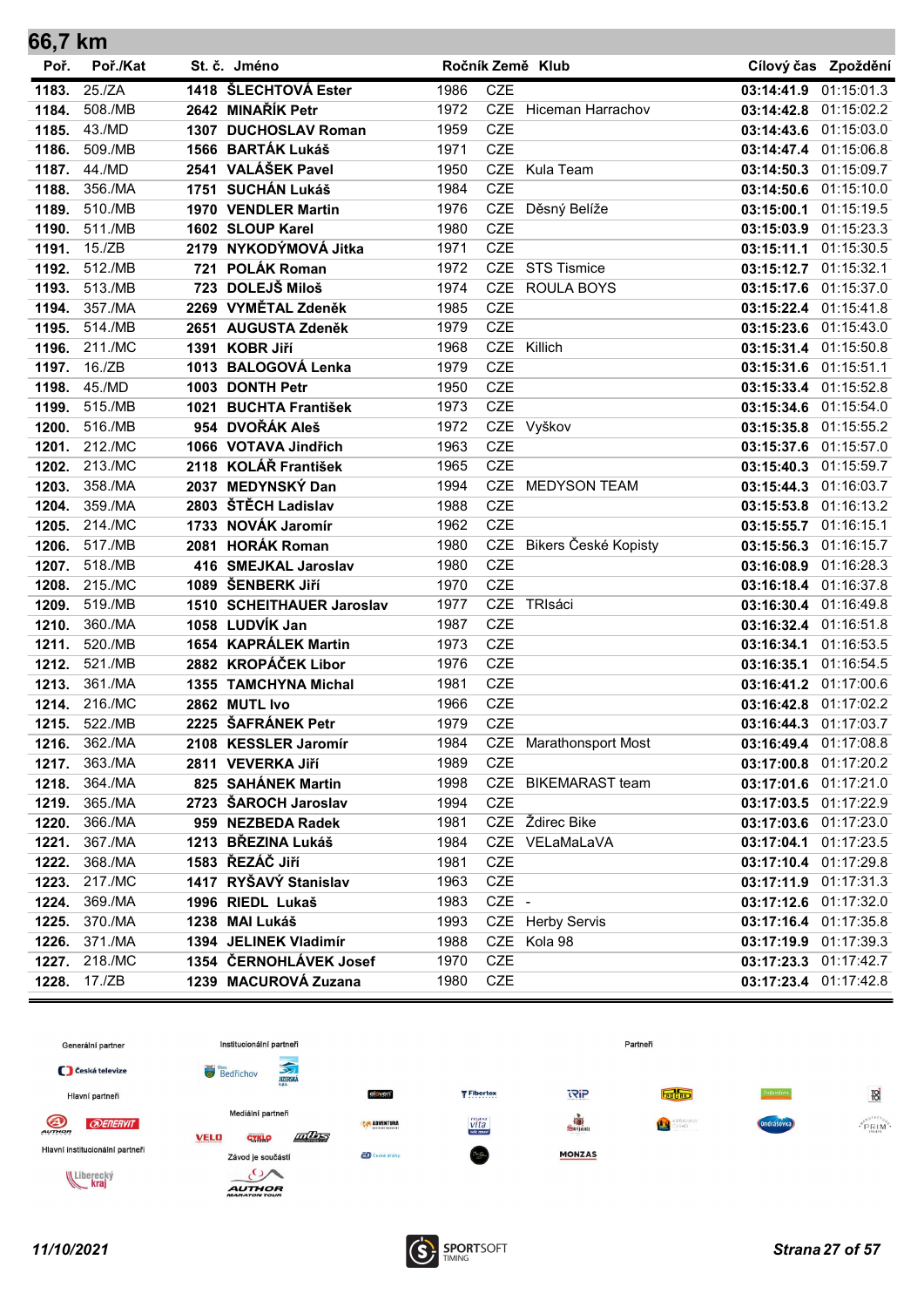| 66,7 km |          |     |                           |      |            |                        |            |                       |
|---------|----------|-----|---------------------------|------|------------|------------------------|------------|-----------------------|
| Poř.    | Poř./Kat |     | St. č. Jméno              |      |            | Ročník Země Klub       |            | Cílový čas Zpoždění   |
| 1183.   | 25./ZA   |     | 1418 ŠLECHTOVÁ Ester      | 1986 | <b>CZE</b> |                        | 03:14:41.9 | 01:15:01.3            |
| 1184.   | 508./MB  |     | 2642 MINAŘÍK Petr         | 1972 |            | CZE Hiceman Harrachov  |            | 03:14:42.8 01:15:02.2 |
| 1185.   | 43./MD   |     | 1307 DUCHOSLAV Roman      | 1959 | <b>CZE</b> |                        |            | 03:14:43.6 01:15:03.0 |
| 1186.   | 509./MB  |     | 1566 BARTÁK Lukáš         | 1971 | <b>CZE</b> |                        |            | 03:14:47.4 01:15:06.8 |
| 1187.   | 44./MD   |     | 2541 VALÁŠEK Pavel        | 1950 | <b>CZE</b> | Kula Team              | 03:14:50.3 | 01:15:09.7            |
| 1188.   | 356./MA  |     | 1751 SUCHÁN Lukáš         | 1984 | <b>CZE</b> |                        | 03:14:50.6 | 01:15:10.0            |
| 1189.   | 510./MB  |     | 1970 VENDLER Martin       | 1976 | CZE        | Děsný Belíže           | 03:15:00.1 | 01:15:19.5            |
| 1190.   | 511./MB  |     | 1602 SLOUP Karel          | 1980 | <b>CZE</b> |                        |            | 03:15:03.9 01:15:23.3 |
| 1191.   | 15./ZB   |     | 2179 NYKODÝMOVÁ Jitka     | 1971 | <b>CZE</b> |                        | 03:15:11.1 | 01:15:30.5            |
| 1192.   | 512./MB  | 721 | POLÁK Roman               | 1972 | <b>CZE</b> | <b>STS Tismice</b>     |            | 03:15:12.7 01:15:32.1 |
| 1193.   | 513./MB  |     | 723 DOLEJŠ Miloš          | 1974 | <b>CZE</b> | <b>ROULA BOYS</b>      |            | 03:15:17.6 01:15:37.0 |
| 1194.   | 357./MA  |     | 2269 VYMĚTAL Zdeněk       | 1985 | <b>CZE</b> |                        |            | 03:15:22.4 01:15:41.8 |
| 1195.   | 514./MB  |     | 2651 AUGUSTA Zdeněk       | 1979 | <b>CZE</b> |                        | 03:15:23.6 | 01:15:43.0            |
| 1196.   | 211./MC  |     | 1391 KOBR Jiří            | 1968 | <b>CZE</b> | Killich                |            | 03:15:31.4 01:15:50.8 |
| 1197.   | 16./ZB   |     | 1013 BALOGOVÁ Lenka       | 1979 | <b>CZE</b> |                        |            | 03:15:31.6 01:15:51.1 |
| 1198.   | 45./MD   |     | 1003 DONTH Petr           | 1950 | <b>CZE</b> |                        |            | 03:15:33.4 01:15:52.8 |
| 1199.   | 515./MB  |     | 1021 BUCHTA František     | 1973 | <b>CZE</b> |                        |            | 03:15:34.6 01:15:54.0 |
| 1200.   | 516./MB  |     | 954 DVOŘÁK Aleš           | 1972 |            | CZE Vyškov             |            | 03:15:35.8 01:15:55.2 |
| 1201.   | 212./MC  |     | 1066 VOTAVA Jindřich      | 1963 | <b>CZE</b> |                        |            | 03:15:37.6 01:15:57.0 |
| 1202.   | 213./MC  |     | 2118 KOLÁŘ František      | 1965 | <b>CZE</b> |                        | 03:15:40.3 | 01:15:59.7            |
| 1203.   | 358./MA  |     | 2037 MEDYNSKÝ Dan         | 1994 | <b>CZE</b> | <b>MEDYSON TEAM</b>    | 03:15:44.3 | 01:16:03.7            |
| 1204.   | 359./MA  |     | 2803 ŠTĚCH Ladislav       | 1988 | <b>CZE</b> |                        | 03:15:53.8 | 01:16:13.2            |
| 1205.   | 214./MC  |     | 1733 NOVÁK Jaromír        | 1962 | <b>CZE</b> |                        | 03:15:55.7 | 01:16:15.1            |
| 1206.   | 517./MB  |     | 2081 HORÁK Roman          | 1980 | <b>CZE</b> | Bikers České Kopisty   | 03:15:56.3 | 01:16:15.7            |
| 1207.   | 518./MB  |     | 416 SMEJKAL Jaroslav      | 1980 | <b>CZE</b> |                        | 03:16:08.9 | 01:16:28.3            |
| 1208.   | 215./MC  |     | 1089 ŠENBERK JIří         | 1970 | <b>CZE</b> |                        |            | 03:16:18.4 01:16:37.8 |
| 1209.   | 519./MB  |     | 1510 SCHEITHAUER Jaroslav | 1977 | <b>CZE</b> | TRIsáci                |            | 03:16:30.4 01:16:49.8 |
| 1210.   | 360./MA  |     | 1058 LUDVÍK Jan           | 1987 | <b>CZE</b> |                        |            | 03:16:32.4 01:16:51.8 |
| 1211.   | 520./MB  |     | 1654 KAPRÁLEK Martin      | 1973 | <b>CZE</b> |                        | 03:16:34.1 | 01:16:53.5            |
| 1212.   | 521./MB  |     | 2882 KROPÁČEK Libor       | 1976 | <b>CZE</b> |                        | 03:16:35.1 | 01:16:54.5            |
| 1213.   | 361./MA  |     | 1355 TAMCHYNA Michal      | 1981 | CZE        |                        |            | 03:16:41.2 01:17:00.6 |
| 1214.   | 216./MC  |     | 2862 MUTL Ivo             | 1966 | <b>CZE</b> |                        |            | 03:16:42.8 01:17:02.2 |
| 1215.   | 522./MB  |     | 2225 ŠAFRÁNEK Petr        | 1979 | <b>CZE</b> |                        |            | 03:16:44.3 01:17:03.7 |
| 1216.   | 362./MA  |     | 2108 KESSLER Jaromír      | 1984 |            | CZE Marathonsport Most |            | 03:16:49.4 01:17:08.8 |
| 1217.   | 363./MA  |     | 2811 VEVERKA Jiří         | 1989 | <b>CZE</b> |                        |            | 03:17:00.8 01:17:20.2 |
| 1218.   | 364./MA  |     | 825 SAHÁNEK Martin        | 1998 |            | CZE BIKEMARAST team    |            | 03:17:01.6 01:17:21.0 |
| 1219.   | 365./MA  |     | 2723 ŠAROCH Jaroslav      | 1994 | <b>CZE</b> |                        |            | 03:17:03.5 01:17:22.9 |
| 1220.   | 366./MA  |     | 959 NEZBEDA Radek         | 1981 |            | CZE Ždirec Bike        |            | 03:17:03.6 01:17:23.0 |
| 1221.   | 367./MA  |     | 1213 BŘEZINA Lukáš        | 1984 |            | CZE VELaMaLaVA         |            | 03:17:04.1 01:17:23.5 |
| 1222.   | 368./MA  |     | 1583 ŘEZÁČ Jiří           | 1981 | CZE        |                        |            | 03:17:10.4 01:17:29.8 |
| 1223.   | 217./MC  |     | 1417 RYŠAVÝ Stanislav     | 1963 | CZE        |                        |            | 03:17:11.9 01:17:31.3 |
| 1224.   | 369./MA  |     | 1996 RIEDL Lukaš          | 1983 | CZE -      |                        |            | 03:17:12.6 01:17:32.0 |
| 1225.   | 370./MA  |     | 1238 MAI Lukáš            | 1993 |            | CZE Herby Servis       |            | 03:17:16.4 01:17:35.8 |
| 1226.   | 371./MA  |     | 1394 JELINEK Vladimír     | 1988 |            | CZE Kola 98            |            | 03:17:19.9 01:17:39.3 |
| 1227.   | 218./MC  |     | 1354 ČERNOHLÁVEK Josef    | 1970 | <b>CZE</b> |                        |            | 03:17:23.3 01:17:42.7 |
| 1228.   | 17./ZB   |     | 1239 MACUROVÁ Zuzana      | 1980 | <b>CZE</b> |                        |            | 03:17:23.4 01:17:42.8 |

![](_page_26_Figure_1.jpeg)

![](_page_26_Picture_3.jpeg)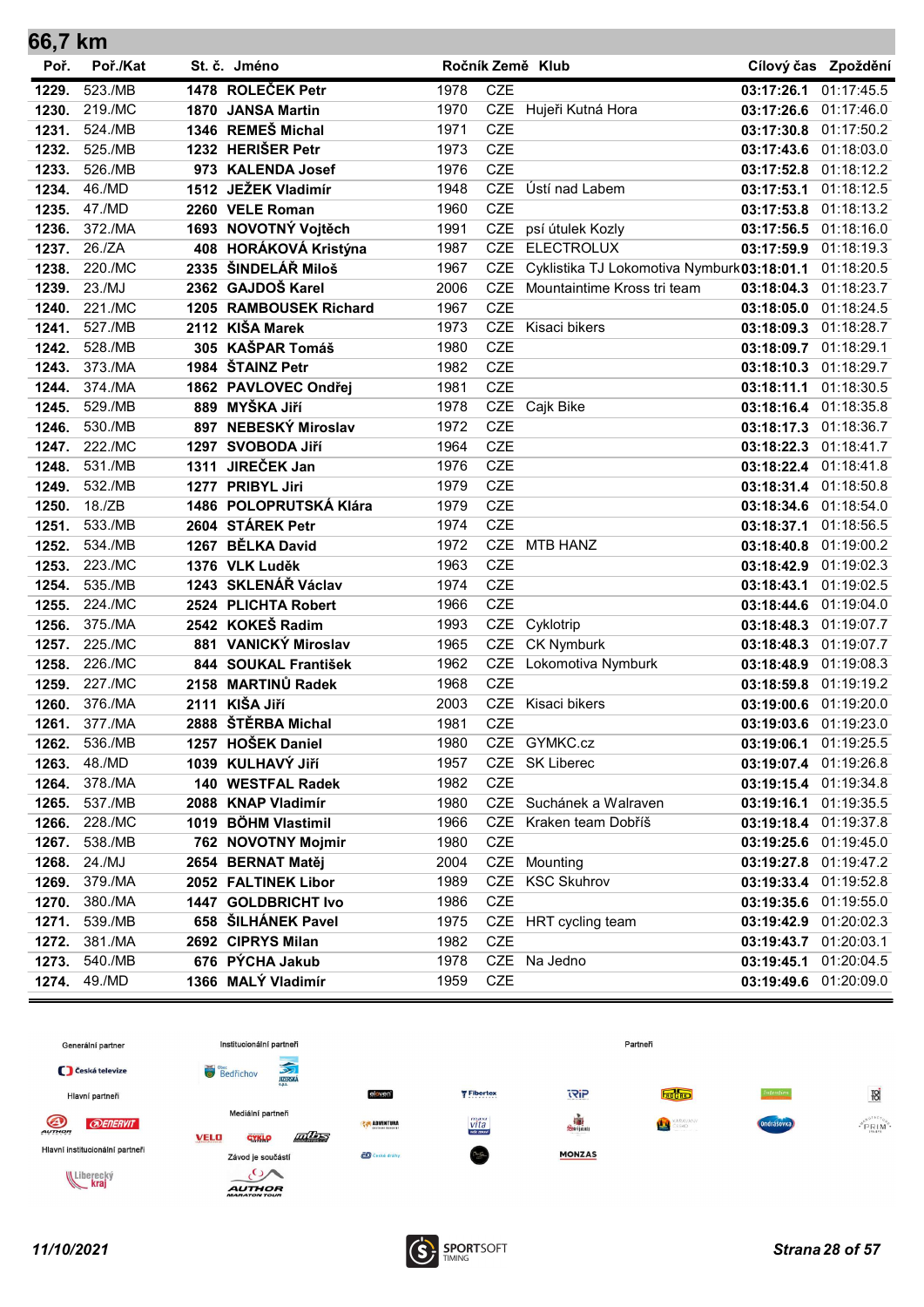| 66,7 km        |                    |                                       |              |                          |                                             |                          |                          |
|----------------|--------------------|---------------------------------------|--------------|--------------------------|---------------------------------------------|--------------------------|--------------------------|
| Poř.           | Poř./Kat           | St. č. Jméno                          |              |                          | Ročník Země Klub                            |                          | Cílový čas Zpoždění      |
| 1229.          | 523./MB            | 1478 ROLEČEK Petr                     | 1978         | <b>CZE</b>               |                                             | 03:17:26.1               | 01:17:45.5               |
| 1230.          | 219./MC            | 1870 JANSA Martin                     | 1970         |                          | CZE Hujeři Kutná Hora                       | 03:17:26.6 01:17:46.0    |                          |
| 1231.          | 524./MB            | 1346 REMEŠ Michal                     | 1971         | <b>CZE</b>               |                                             | 03:17:30.8               | 01:17:50.2               |
| 1232.          | 525./MB            | 1232 HERIŠER Petr                     | 1973         | <b>CZE</b>               |                                             | 03:17:43.6               | 01:18:03.0               |
| 1233.          | 526./MB            | 973 KALENDA Josef                     | 1976         | <b>CZE</b>               |                                             | 03:17:52.8               | 01:18:12.2               |
| 1234.          | 46./MD             | 1512 JEŽEK Vladimír                   | 1948         | <b>CZE</b>               | Ústí nad Labem                              | 03:17:53.1               | 01:18:12.5               |
| 1235.          | 47./MD             | 2260 VELE Roman                       | 1960         | <b>CZE</b>               |                                             | 03:17:53.8               | 01:18:13.2               |
| 1236.          | 372./MA            | 1693 NOVOTNÝ Vojtěch                  | 1991         | CZE                      | psí útulek Kozly                            | 03:17:56.5 01:18:16.0    |                          |
| 1237.          | 26./ZA             | 408 HORÁKOVÁ Kristýna                 | 1987         | <b>CZE</b>               | <b>ELECTROLUX</b>                           | 03:17:59.9 01:18:19.3    |                          |
| 1238.          | 220./MC            | 2335 ŠINDELÁŘ Miloš                   | 1967         | <b>CZE</b>               | Cyklistika TJ Lokomotiva Nymburk 03:18:01.1 |                          | 01:18:20.5               |
| 1239.          | 23./MJ             | 2362 GAJDOŠ Karel                     | 2006         | <b>CZE</b>               | Mountaintime Kross tri team                 | 03:18:04.3               | 01:18:23.7               |
| 1240.          | 221./MC            | 1205 RAMBOUSEK Richard                | 1967         | <b>CZE</b>               |                                             | 03:18:05.0               | 01:18:24.5               |
| 1241.          | 527./MB            | 2112 KIŠA Marek                       | 1973         | <b>CZE</b>               | Kisaci bikers                               | 03:18:09.3               | 01:18:28.7               |
| 1242.          | 528./MB            | 305 KAŠPAR Tomáš                      | 1980         | <b>CZE</b>               |                                             | 03:18:09.7               | 01:18:29.1               |
| 1243.          | 373./MA            | 1984 ŠTAINZ Petr                      | 1982         | <b>CZE</b>               |                                             | 03:18:10.3               | 01:18:29.7               |
| 1244.          | 374./MA            | 1862 PAVLOVEC Ondřej                  | 1981         | <b>CZE</b>               |                                             | 03:18:11.1               | 01:18:30.5               |
| 1245.          | 529./MB            | 889 MYŠKA Jiří                        | 1978         | CZE                      | Cajk Bike                                   | 03:18:16.4 01:18:35.8    |                          |
| 1246.          | 530./MB            | 897 NEBESKÝ Miroslav                  | 1972         | <b>CZE</b>               |                                             | 03:18:17.3 01:18:36.7    |                          |
| 1247.          | 222./MC            | 1297 SVOBODA Jiří                     | 1964         | <b>CZE</b>               |                                             | 03:18:22.3               | 01:18:41.7               |
| 1248.          | 531./MB            | 1311 JIREČEK Jan                      | 1976         | <b>CZE</b>               |                                             | 03:18:22.4 01:18:41.8    |                          |
| 1249.          | 532./MB            | 1277 PRIBYL Jiri                      | 1979         | <b>CZE</b>               |                                             | 03:18:31.4 01:18:50.8    |                          |
| 1250.          | 18./ZB             | 1486 POLOPRUTSKÁ Klára                | 1979         | <b>CZE</b>               |                                             | 03:18:34.6 01:18:54.0    |                          |
| 1251.          | 533./MB            | 2604 STÁREK Petr                      | 1974         | <b>CZE</b>               |                                             | 03:18:37.1               | 01:18:56.5               |
| 1252.          | 534./MB            | 1267 BĚLKA David                      | 1972         | <b>CZE</b><br><b>CZE</b> | <b>MTB HANZ</b>                             | 03:18:40.8 01:19:00.2    |                          |
| 1253.          | 223./MC            | 1376 VLK Luděk<br>1243 SKLENÁŘ Václav | 1963         | <b>CZE</b>               |                                             | 03:18:42.9 01:19:02.3    |                          |
| 1254.          | 535./MB<br>224./MC | 2524 PLICHTA Robert                   | 1974<br>1966 | <b>CZE</b>               |                                             | 03:18:43.1               | 01:19:02.5<br>01:19:04.0 |
| 1255.<br>1256. | 375./MA            | 2542 KOKEŠ Radim                      | 1993         | <b>CZE</b>               | Cyklotrip                                   | 03:18:44.6<br>03:18:48.3 | 01:19:07.7               |
| 1257.          | 225./MC            | 881 VANICKÝ Miroslav                  | 1965         | <b>CZE</b>               | <b>CK Nymburk</b>                           | 03:18:48.3               | 01:19:07.7               |
| 1258.          | 226./MC            | 844 SOUKAL František                  | 1962         | <b>CZE</b>               | Lokomotiva Nymburk                          | 03:18:48.9               | 01:19:08.3               |
| 1259.          | 227./MC            | 2158 MARTINŮ Radek                    | 1968         | <b>CZE</b>               |                                             | 03:18:59.8               | 01:19:19.2               |
| 1260.          | 376./MA            | 2111 KIŠA Jiří                        | 2003         | <b>CZE</b>               | Kisaci bikers                               | 03:19:00.6 01:19:20.0    |                          |
| 1261.          | 377./MA            | 2888 ŠTĚRBA Michal                    | 1981         | <b>CZE</b>               |                                             | 03:19:03.6 01:19:23.0    |                          |
| 1262.          | 536./MB            | 1257 HOŠEK Daniel                     | 1980         |                          | CZE GYMKC.cz                                | 03:19:06.1 01:19:25.5    |                          |
| 1263.          | 48./MD             | 1039 KULHAVÝ JIří                     | 1957         | CZE                      | <b>SK Liberec</b>                           | 03:19:07.4 01:19:26.8    |                          |
| 1264.          | 378./MA            | 140 WESTFAL Radek                     | 1982         | CZE                      |                                             | 03:19:15.4 01:19:34.8    |                          |
| 1265.          | 537./MB            | 2088 KNAP Vladimír                    | 1980         |                          | CZE Suchánek a Walraven                     | 03:19:16.1 01:19:35.5    |                          |
| 1266.          | 228./MC            | 1019 BÖHM Vlastimil                   | 1966         | CZE                      | Kraken team Dobříš                          | 03:19:18.4 01:19:37.8    |                          |
| 1267.          | 538./MB            | 762 NOVOTNY Mojmir                    | 1980         | <b>CZE</b>               |                                             | 03:19:25.6 01:19:45.0    |                          |
| 1268.          | 24./MJ             | 2654 BERNAT Matěj                     | 2004         | CZE                      | Mounting                                    | 03:19:27.8 01:19:47.2    |                          |
| 1269.          | 379./MA            | 2052 FALTINEK Libor                   | 1989         | CZE                      | <b>KSC Skuhrov</b>                          | 03:19:33.4 01:19:52.8    |                          |
| 1270.          | 380./MA            | 1447 GOLDBRICHT Ivo                   | 1986         | <b>CZE</b>               |                                             | 03:19:35.6 01:19:55.0    |                          |
| 1271.          | 539./MB            | 658 ŠILHÁNEK Pavel                    | 1975         |                          | CZE HRT cycling team                        | 03:19:42.9 01:20:02.3    |                          |
| 1272.          | 381./MA            | 2692 CIPRYS Milan                     | 1982         | <b>CZE</b>               |                                             | 03:19:43.7 01:20:03.1    |                          |
| 1273.          | 540./MB            | 676 PÝCHA Jakub                       | 1978         |                          | CZE Na Jedno                                | 03:19:45.1 01:20:04.5    |                          |
| 1274.          | 49./MD             | 1366 MALÝ Vladimír                    | 1959         | <b>CZE</b>               |                                             | 03:19:49.6 01:20:09.0    |                          |

![](_page_27_Figure_1.jpeg)

![](_page_27_Picture_3.jpeg)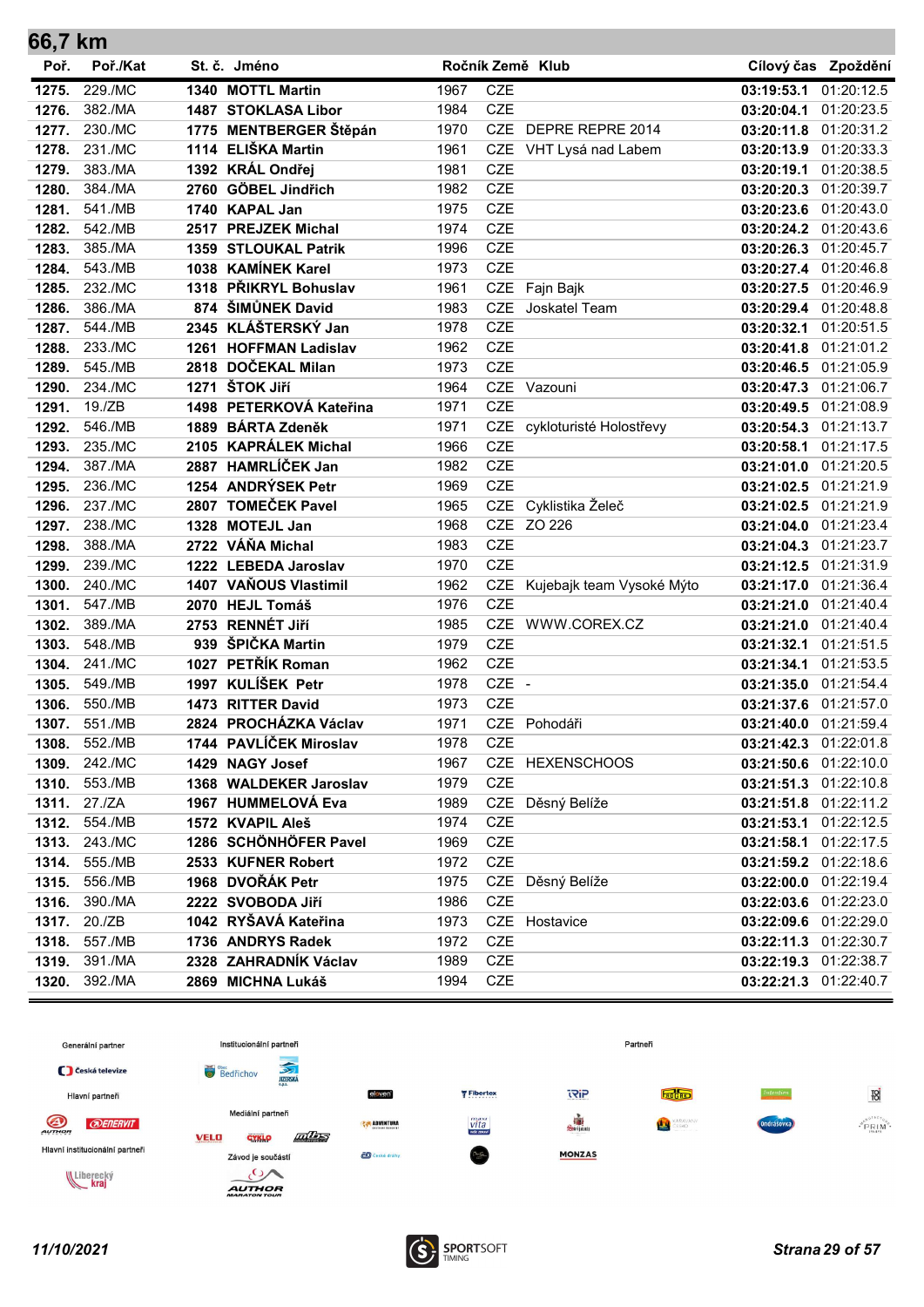| 66,7 km |          |                         |      |                  |                             |                       |                       |
|---------|----------|-------------------------|------|------------------|-----------------------------|-----------------------|-----------------------|
| Poř.    | Poř./Kat | St. č. Jméno            |      | Ročník Země Klub |                             |                       | Cílový čas Zpoždění   |
| 1275.   | 229./MC  | 1340 MOTTL Martin       | 1967 | <b>CZE</b>       |                             | 03:19:53.1            | 01:20:12.5            |
| 1276.   | 382./MA  | 1487 STOKLASA Libor     | 1984 | <b>CZE</b>       |                             | 03:20:04.1 01:20:23.5 |                       |
| 1277.   | 230./MC  | 1775 MENTBERGER Štěpán  | 1970 |                  | CZE DEPRE REPRE 2014        | 03:20:11.8 01:20:31.2 |                       |
| 1278.   | 231./MC  | 1114 ELIŠKA Martin      | 1961 |                  | CZE VHT Lysá nad Labem      | 03:20:13.9 01:20:33.3 |                       |
| 1279.   | 383./MA  | 1392 KRÁL Ondřej        | 1981 | <b>CZE</b>       |                             | 03:20:19.1            | 01:20:38.5            |
| 1280.   | 384./MA  | 2760 GÖBEL Jindřich     | 1982 | <b>CZE</b>       |                             | 03:20:20.3            | 01:20:39.7            |
| 1281.   | 541./MB  | 1740 KAPAL Jan          | 1975 | <b>CZE</b>       |                             | 03:20:23.6 01:20:43.0 |                       |
| 1282.   | 542./MB  | 2517 PREJZEK Michal     | 1974 | <b>CZE</b>       |                             | 03:20:24.2            | 01:20:43.6            |
| 1283.   | 385./MA  | 1359 STLOUKAL Patrik    | 1996 | <b>CZE</b>       |                             | 03:20:26.3            | 01:20:45.7            |
| 1284.   | 543./MB  | 1038 KAMÍNEK Karel      | 1973 | <b>CZE</b>       |                             | 03:20:27.4            | 01:20:46.8            |
| 1285.   | 232./MC  | 1318 PŘIKRYL Bohuslav   | 1961 | CZE              | Fajn Bajk                   | 03:20:27.5 01:20:46.9 |                       |
| 1286.   | 386./MA  | 874 ŠIMŮNEK David       | 1983 | <b>CZE</b>       | Joskatel Team               | 03:20:29.4 01:20:48.8 |                       |
| 1287.   | 544./MB  | 2345 KLÁŠTERSKÝ Jan     | 1978 | <b>CZE</b>       |                             | 03:20:32.1            | 01:20:51.5            |
| 1288.   | 233./MC  | 1261 HOFFMAN Ladislav   | 1962 | <b>CZE</b>       |                             | 03:20:41.8 01:21:01.2 |                       |
| 1289.   | 545./MB  | 2818 DOČEKAL Milan      | 1973 | <b>CZE</b>       |                             | 03:20:46.5 01:21:05.9 |                       |
| 1290.   | 234./MC  | 1271 ŠTOK Jiří          | 1964 |                  | CZE Vazouni                 | 03:20:47.3 01:21:06.7 |                       |
| 1291.   | 19./ZB   | 1498 PETERKOVÁ Kateřina | 1971 | <b>CZE</b>       |                             | 03:20:49.5 01:21:08.9 |                       |
| 1292.   | 546./MB  | 1889 BÁRTA Zdeněk       | 1971 |                  | CZE cykloturisté Holostřevy | 03:20:54.3 01:21:13.7 |                       |
| 1293.   | 235./MC  | 2105 KAPRÁLEK Michal    | 1966 | <b>CZE</b>       |                             | 03:20:58.1            | 01:21:17.5            |
| 1294.   | 387./MA  | 2887 HAMRLÍČEK Jan      | 1982 | <b>CZE</b>       |                             | 03:21:01.0            | 01:21:20.5            |
| 1295.   | 236./MC  | 1254 ANDRÝSEK Petr      | 1969 | <b>CZE</b>       |                             | 03:21:02.5            | 01:21:21.9            |
| 1296.   | 237./MC  | 2807 TOMEČEK Pavel      | 1965 | <b>CZE</b>       | Cyklistika Želeč            | 03:21:02.5            | 01:21:21.9            |
| 1297.   | 238./MC  | 1328 MOTEJL Jan         | 1968 |                  | CZE ZO 226                  | 03:21:04.0 01:21:23.4 |                       |
| 1298.   | 388./MA  | 2722 VÁŇA Michal        | 1983 | <b>CZE</b>       |                             | 03:21:04.3            | 01:21:23.7            |
| 1299.   | 239./MC  | 1222 LEBEDA Jaroslav    | 1970 | <b>CZE</b>       |                             | 03:21:12.5            | 01:21:31.9            |
| 1300.   | 240./MC  | 1407 VAŇOUS Vlastimil   | 1962 | CZE              | Kujebajk team Vysoké Mýto   | 03:21:17.0 01:21:36.4 |                       |
| 1301.   | 547./MB  | 2070 HEJL Tomáš         | 1976 | <b>CZE</b>       |                             | 03:21:21.0 01:21:40.4 |                       |
| 1302.   | 389./MA  | 2753 RENNÉT JIří        | 1985 |                  | CZE WWW.COREX.CZ            | 03:21:21.0            | 01:21:40.4            |
| 1303.   | 548./MB  | 939 ŠPIČKA Martin       | 1979 | <b>CZE</b>       |                             | 03:21:32.1            | 01:21:51.5            |
| 1304.   | 241./MC  | 1027 PETŘÍK Roman       | 1962 | <b>CZE</b>       |                             | 03:21:34.1            | 01:21:53.5            |
| 1305.   | 549./MB  | 1997 KULÍŠEK Petr       | 1978 | CZE -            |                             | 03:21:35.0 01:21:54.4 |                       |
| 1306.   | 550./MB  | 1473 RITTER David       | 1973 | <b>CZE</b>       |                             | 03:21:37.6 01:21:57.0 |                       |
| 1307.   | 551./MB  | 2824 PROCHÁZKA Václav   | 1971 |                  | CZE Pohodáři                | 03:21:40.0 01:21:59.4 |                       |
| 1308.   | 552./MB  | 1744 PAVLÍČEK Miroslav  | 1978 | CZE              |                             | 03:21:42.3 01:22:01.8 |                       |
| 1309.   | 242./MC  | 1429 NAGY Josef         | 1967 |                  | CZE HEXENSCHOOS             | 03:21:50.6 01:22:10.0 |                       |
| 1310.   | 553./MB  | 1368 WALDEKER Jaroslav  | 1979 | CZE              |                             | 03:21:51.3 01:22:10.8 |                       |
| 1311.   | 27./ZA   | 1967 HUMMELOVÁ Eva      | 1989 |                  | CZE Děsný Belíže            | 03:21:51.8 01:22:11.2 |                       |
| 1312.   | 554./MB  | 1572 KVAPIL Aleš        | 1974 | <b>CZE</b>       |                             | 03:21:53.1 01:22:12.5 |                       |
| 1313.   | 243./MC  | 1286 SCHÖNHÖFER Pavel   | 1969 | CZE              |                             | 03:21:58.1 01:22:17.5 |                       |
| 1314.   | 555./MB  | 2533 KUFNER Robert      | 1972 | CZE              |                             | 03:21:59.2 01:22:18.6 |                       |
| 1315.   | 556./MB  | 1968 DVOŘÁK Petr        | 1975 |                  | CZE Děsný Belíže            | 03:22:00.0 01:22:19.4 |                       |
| 1316.   | 390./MA  | 2222 SVOBODA Jiří       | 1986 | CZE              |                             | 03:22:03.6 01:22:23.0 |                       |
| 1317.   | 20./ZB   | 1042 RYŠAVÁ Kateřina    | 1973 |                  | CZE Hostavice               | 03:22:09.6 01:22:29.0 |                       |
| 1318.   | 557./MB  | 1736 ANDRYS Radek       | 1972 | CZE              |                             |                       | 03:22:11.3 01:22:30.7 |
| 1319.   | 391./MA  | 2328 ZAHRADNÍK Václav   | 1989 | CZE              |                             |                       | 03:22:19.3 01:22:38.7 |
| 1320.   | 392./MA  | 2869 MICHNA Lukáš       | 1994 | CZE              |                             |                       | 03:22:21.3 01:22:40.7 |

![](_page_28_Figure_1.jpeg)

![](_page_28_Picture_3.jpeg)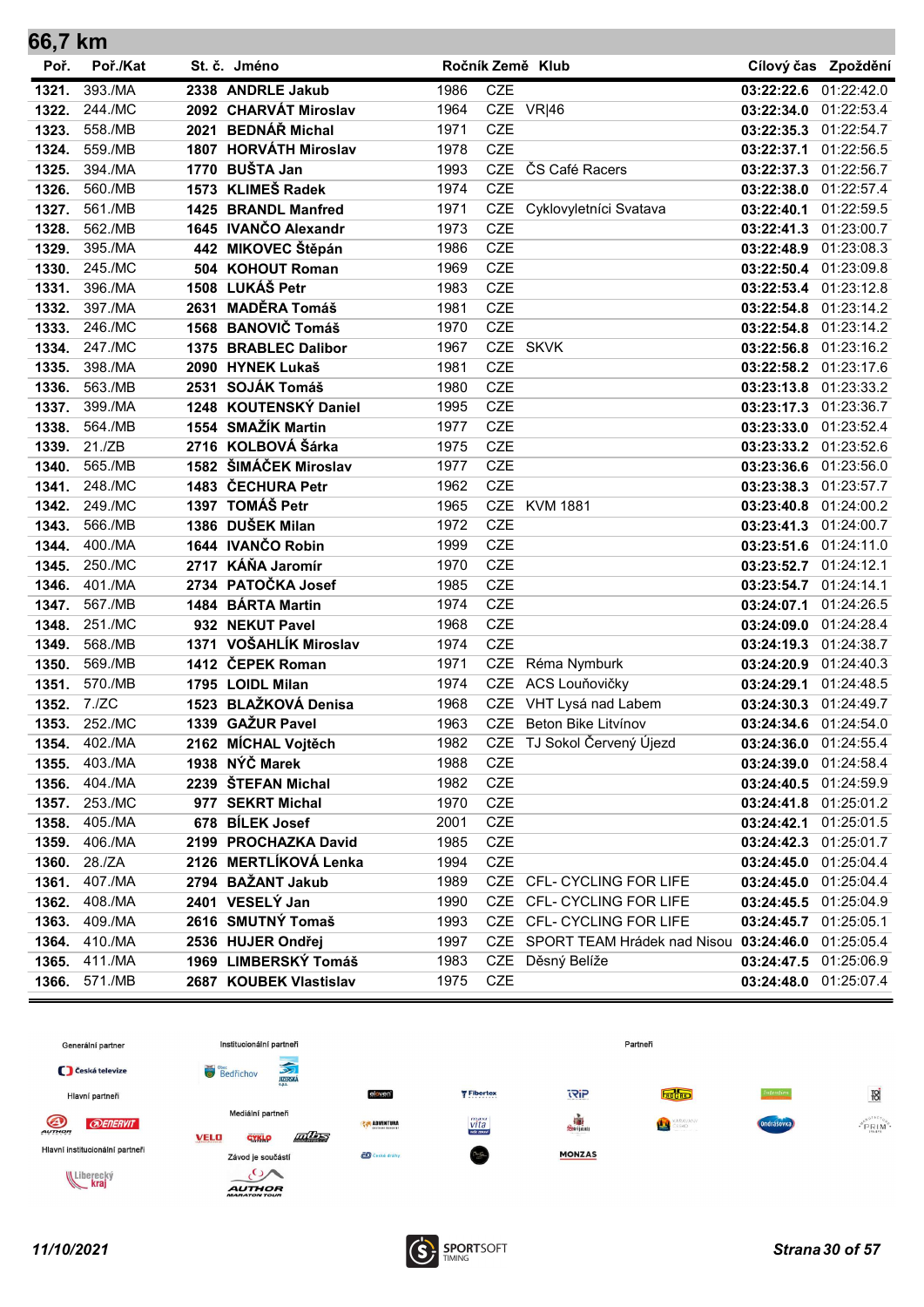| 66,7 km |          |      |                        |      |                  |                                            |                       |                     |
|---------|----------|------|------------------------|------|------------------|--------------------------------------------|-----------------------|---------------------|
| Poř.    | Poř./Kat |      | St. č. Jméno           |      | Ročník Země Klub |                                            |                       | Cílový čas Zpoždění |
| 1321.   | 393./MA  |      | 2338 ANDRLE Jakub      | 1986 | <b>CZE</b>       |                                            | 03:22:22.6            | 01:22:42.0          |
| 1322.   | 244./MC  |      | 2092 CHARVÁT Miroslav  | 1964 | CZE VR 46        |                                            | 03:22:34.0 01:22:53.4 |                     |
| 1323.   | 558./MB  |      | 2021 BEDNÁŘ Michal     | 1971 | <b>CZE</b>       |                                            | 03:22:35.3 01:22:54.7 |                     |
| 1324.   | 559./MB  |      | 1807 HORVÁTH Miroslav  | 1978 | <b>CZE</b>       |                                            | 03:22:37.1            | 01:22:56.5          |
| 1325.   | 394./MA  |      | 1770 BUŠTA Jan         | 1993 | <b>CZE</b>       | ČS Café Racers                             | 03:22:37.3            | 01:22:56.7          |
| 1326.   | 560./MB  |      | 1573 KLIMEŠ Radek      | 1974 | <b>CZE</b>       |                                            | 03:22:38.0            | 01:22:57.4          |
| 1327.   | 561./MB  |      | 1425 BRANDL Manfred    | 1971 | <b>CZE</b>       | Cyklovyletníci Svatava                     | 03:22:40.1            | 01:22:59.5          |
| 1328.   | 562./MB  |      | 1645 IVANČO Alexandr   | 1973 | <b>CZE</b>       |                                            | 03:22:41.3            | 01:23:00.7          |
| 1329.   | 395./MA  |      | 442 MIKOVEC Štěpán     | 1986 | <b>CZE</b>       |                                            | 03:22:48.9            | 01:23:08.3          |
| 1330.   | 245./MC  |      | 504 KOHOUT Roman       | 1969 | <b>CZE</b>       |                                            | 03:22:50.4            | 01:23:09.8          |
| 1331.   | 396./MA  |      | 1508 LUKÁŠ Petr        | 1983 | <b>CZE</b>       |                                            | 03:22:53.4 01:23:12.8 |                     |
| 1332.   | 397./MA  |      | 2631 MADĚRA Tomáš      | 1981 | <b>CZE</b>       |                                            | 03:22:54.8            | 01:23:14.2          |
| 1333.   | 246./MC  |      | 1568 BANOVIČ Tomáš     | 1970 | <b>CZE</b>       |                                            | 03:22:54.8            | 01:23:14.2          |
| 1334.   | 247./MC  |      | 1375 BRABLEC Dalibor   | 1967 | CZE SKVK         |                                            | 03:22:56.8 01:23:16.2 |                     |
| 1335.   | 398./MA  |      | 2090 HYNEK Lukaš       | 1981 | <b>CZE</b>       |                                            | 03:22:58.2 01:23:17.6 |                     |
| 1336.   | 563./MB  |      | 2531 SOJÁK Tomáš       | 1980 | <b>CZE</b>       |                                            | 03:23:13.8 01:23:33.2 |                     |
| 1337.   | 399./MA  |      | 1248 KOUTENSKÝ Daniel  | 1995 | <b>CZE</b>       |                                            | 03:23:17.3 01:23:36.7 |                     |
| 1338.   | 564./MB  |      | 1554 SMAŽÍK Martin     | 1977 | <b>CZE</b>       |                                            | 03:23:33.0 01:23:52.4 |                     |
| 1339.   | 21./ZB   |      | 2716 KOLBOVÁ Šárka     | 1975 | <b>CZE</b>       |                                            | 03:23:33.2 01:23:52.6 |                     |
| 1340.   | 565./MB  |      | 1582 ŠIMÁČEK Miroslav  | 1977 | <b>CZE</b>       |                                            | 03:23:36.6            | 01:23:56.0          |
| 1341.   | 248./MC  |      | 1483 ČECHURA Petr      | 1962 | <b>CZE</b>       |                                            | 03:23:38.3            | 01:23:57.7          |
| 1342.   | 249./MC  |      | 1397 TOMÁŠ Petr        | 1965 | <b>CZE</b>       | <b>KVM 1881</b>                            | 03:23:40.8            | 01:24:00.2          |
| 1343.   | 566./MB  |      | 1386 DUŠEK Milan       | 1972 | <b>CZE</b>       |                                            | 03:23:41.3            | 01:24:00.7          |
| 1344.   | 400./MA  |      | 1644 IVANČO Robin      | 1999 | <b>CZE</b>       |                                            | 03:23:51.6            | 01:24:11.0          |
| 1345.   | 250./MC  |      | 2717 KÁŇA Jaromír      | 1970 | <b>CZE</b>       |                                            | 03:23:52.7            | 01:24:12.1          |
| 1346.   | 401./MA  |      | 2734 PATOČKA Josef     | 1985 | <b>CZE</b>       |                                            | 03:23:54.7            | 01:24:14.1          |
| 1347.   | 567./MB  |      | 1484 BÁRTA Martin      | 1974 | <b>CZE</b>       |                                            | 03:24:07.1            | 01:24:26.5          |
| 1348.   | 251./MC  |      | 932 NEKUT Pavel        | 1968 | <b>CZE</b>       |                                            | 03:24:09.0            | 01:24:28.4          |
| 1349.   | 568./MB  | 1371 | VOŠAHLÍK Miroslav      | 1974 | <b>CZE</b>       |                                            | 03:24:19.3            | 01:24:38.7          |
| 1350.   | 569./MB  |      | 1412 ČEPEK Roman       | 1971 | <b>CZE</b>       | Réma Nymburk                               | 03:24:20.9 01:24:40.3 |                     |
| 1351.   | 570./MB  |      | 1795 LOIDL Milan       | 1974 | <b>CZE</b>       | ACS Louňovičky                             | 03:24:29.1            | 01:24:48.5          |
| 1352.   | 7./ZC    |      | 1523 BLAŽKOVÁ Denisa   | 1968 | CZE              | VHT Lysá nad Labem                         | 03:24:30.3            | 01:24:49.7          |
| 1353.   | 252./MC  |      | 1339 GAŽUR Pavel       | 1963 |                  | CZE Beton Bike Litvínov                    | 03:24:34.6            | 01:24:54.0          |
| 1354.   | 402./MA  |      | 2162 MÍCHAL Vojtěch    | 1982 |                  | CZE TJ Sokol Červený Újezd                 | 03:24:36.0 01:24:55.4 |                     |
| 1355.   | 403./MA  |      | 1938 NÝČ Marek         | 1988 | CZE              |                                            | 03:24:39.0 01:24:58.4 |                     |
| 1356.   | 404./MA  |      | 2239 ŠTEFAN Michal     | 1982 | CZE              |                                            | 03:24:40.5 01:24:59.9 |                     |
| 1357.   | 253./MC  |      | 977 SEKRT Michal       | 1970 | CZE              |                                            | 03:24:41.8 01:25:01.2 |                     |
| 1358.   | 405./MA  |      | 678 BÍLEK Josef        | 2001 | CZE              |                                            | 03:24:42.1 01:25:01.5 |                     |
| 1359.   | 406./MA  |      | 2199 PROCHAZKA David   | 1985 | <b>CZE</b>       |                                            | 03:24:42.3 01:25:01.7 |                     |
| 1360.   | 28./ZA   |      | 2126 MERTLÍKOVÁ Lenka  | 1994 | CZE              |                                            | 03:24:45.0 01:25:04.4 |                     |
| 1361.   | 407./MA  |      | 2794 BAŽANT Jakub      | 1989 |                  | CZE CFL- CYCLING FOR LIFE                  | 03:24:45.0 01:25:04.4 |                     |
| 1362.   | 408./MA  |      | 2401 VESELÝ Jan        | 1990 |                  | CZE CFL- CYCLING FOR LIFE                  | 03:24:45.5 01:25:04.9 |                     |
| 1363.   | 409./MA  |      | 2616 SMUTNÝ Tomaš      | 1993 |                  | CZE CFL- CYCLING FOR LIFE                  | 03:24:45.7 01:25:05.1 |                     |
| 1364.   | 410./MA  |      | 2536 HUJER Ondřej      | 1997 |                  | CZE SPORT TEAM Hrádek nad Nisou 03:24:46.0 |                       | 01:25:05.4          |
| 1365.   | 411./MA  |      | 1969 LIMBERSKÝ Tomáš   | 1983 | <b>CZE</b>       | Děsný Belíže                               | 03:24:47.5            | 01:25:06.9          |
| 1366.   | 571./MB  |      | 2687 KOUBEK Vlastislav | 1975 | CZE              |                                            | 03:24:48.0            | 01:25:07.4          |

![](_page_29_Figure_1.jpeg)

![](_page_29_Picture_3.jpeg)

 $\sim$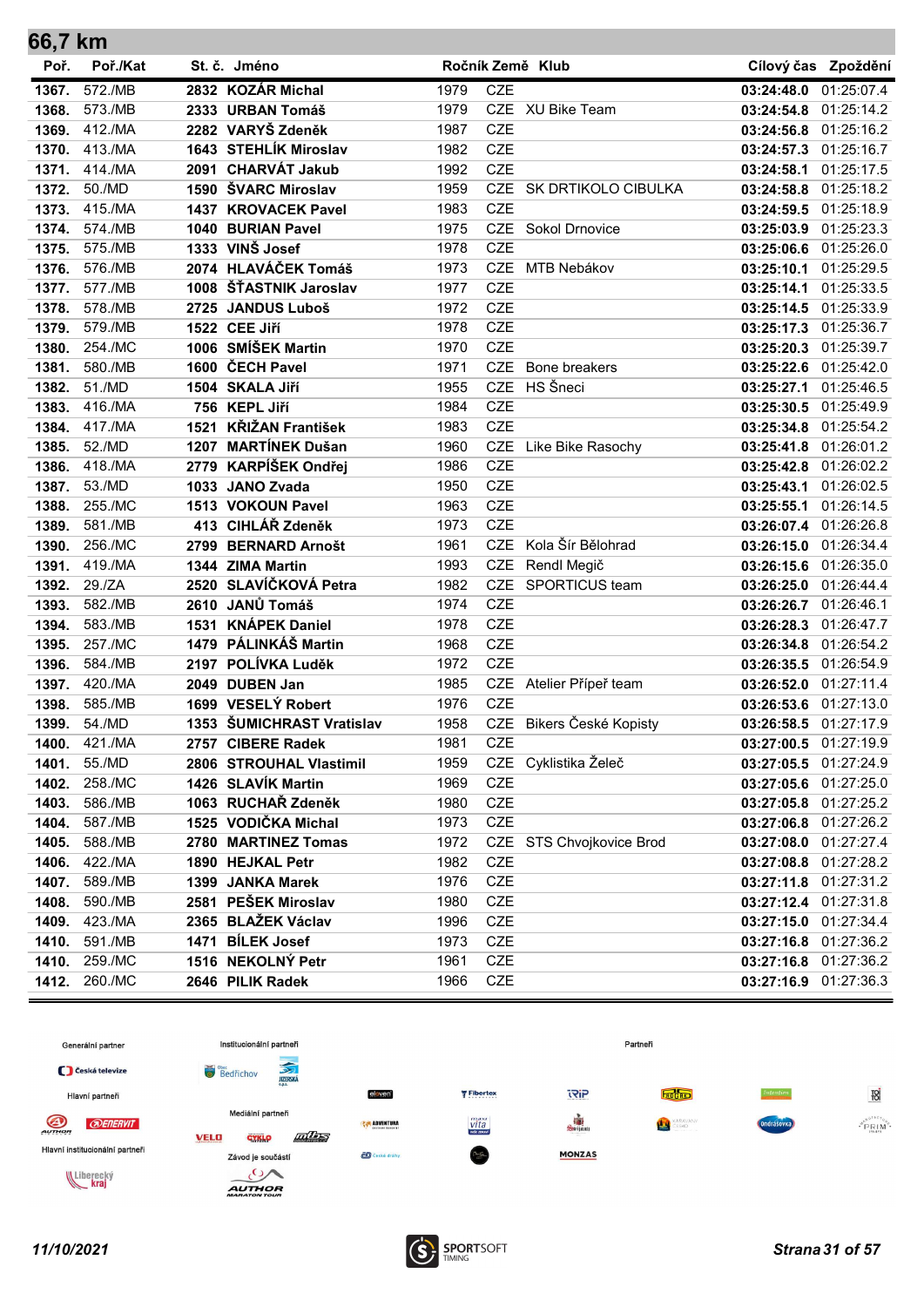| 66,7 km        |                    |      |                                           |              |                          |                               |                                                |                       |
|----------------|--------------------|------|-------------------------------------------|--------------|--------------------------|-------------------------------|------------------------------------------------|-----------------------|
| Poř.           | Poř./Kat           |      | St. č. Jméno                              |              |                          | Ročník Země Klub              |                                                | Cílový čas Zpoždění   |
| 1367.          | 572./MB            |      | 2832 KOZÁR Michal                         | 1979         | <b>CZE</b>               |                               | 03:24:48.0                                     | 01:25:07.4            |
| 1368.          | 573./MB            |      | 2333 URBAN Tomáš                          | 1979         |                          | CZE XU Bike Team              | 03:24:54.8 01:25:14.2                          |                       |
| 1369.          | 412./MA            |      | 2282 VARYŠ Zdeněk                         | 1987         | <b>CZE</b>               |                               | 03:24:56.8 01:25:16.2                          |                       |
| 1370.          | 413./MA            |      | 1643 STEHLÍK Miroslav                     | 1982         | <b>CZE</b>               |                               | 03:24:57.3 01:25:16.7                          |                       |
| 1371.          | 414./MA            |      | 2091 CHARVÁT Jakub                        | 1992         | <b>CZE</b>               |                               | 03:24:58.1 01:25:17.5                          |                       |
| 1372.          | 50./MD             |      | 1590 ŠVARC Miroslav                       | 1959         | <b>CZE</b>               | SK DRTIKOLO CIBULKA           | 03:24:58.8 01:25:18.2                          |                       |
| 1373.          | 415./MA            |      | 1437 KROVACEK Pavel                       | 1983         | <b>CZE</b>               |                               | 03:24:59.5 01:25:18.9                          |                       |
| 1374.          | 574./MB            |      | 1040 BURIAN Pavel                         | 1975         |                          | CZE Sokol Drnovice            | 03:25:03.9 01:25:23.3                          |                       |
| 1375.          | 575./MB            |      | 1333 VINŠ Josef                           | 1978         | <b>CZE</b>               |                               | 03:25:06.6 01:25:26.0                          |                       |
| 1376.          | 576./MB            |      | 2074 HLAVÁČEK Tomáš                       | 1973         | <b>CZE</b>               | MTB Nebákov                   | 03:25:10.1 01:25:29.5                          |                       |
| 1377.          | 577./MB            |      | 1008 ŠŤASTNIK Jaroslav                    | 1977         | <b>CZE</b>               |                               | 03:25:14.1                                     | 01:25:33.5            |
| 1378.          | 578./MB            |      | 2725 JANDUS Luboš                         | 1972         | <b>CZE</b>               |                               | 03:25:14.5 01:25:33.9                          |                       |
| 1379.          | 579./MB            |      | 1522 CEE Jiří                             | 1978         | <b>CZE</b>               |                               | 03:25:17.3 01:25:36.7                          |                       |
| 1380.          | 254./MC            |      | 1006 SMÍŠEK Martin                        | 1970         | <b>CZE</b>               |                               | 03:25:20.3 01:25:39.7                          |                       |
| 1381.          | 580./MB            |      | 1600 ČECH Pavel                           | 1971         | <b>CZE</b>               | Bone breakers                 | 03:25:22.6 01:25:42.0                          |                       |
| 1382.          | 51./MD             |      | 1504 SKALA Jiří                           | 1955         | <b>CZE</b>               | HS Šneci                      | 03:25:27.1 01:25:46.5                          |                       |
| 1383.          | 416./MA            |      | 756 KEPL Jiří                             | 1984         | <b>CZE</b>               |                               | 03:25:30.5 01:25:49.9                          |                       |
| 1384.          | 417./MA            | 1521 | <b>KŘIŽAN František</b>                   | 1983         | <b>CZE</b>               |                               | 03:25:34.8 01:25:54.2                          |                       |
| 1385.          | 52./MD             |      | 1207 MARTÍNEK Dušan                       | 1960         | <b>CZE</b>               | Like Bike Rasochy             | 03:25:41.8 01:26:01.2                          |                       |
| 1386.          | 418./MA            |      | 2779 KARPÍŠEK Ondřej                      | 1986         | <b>CZE</b>               |                               | 03:25:42.8 01:26:02.2                          |                       |
| 1387.          | 53./MD             |      | 1033 JANO Zvada                           | 1950         | <b>CZE</b>               |                               | 03:25:43.1 01:26:02.5                          |                       |
| 1388.          | 255./MC            |      | 1513 VOKOUN Pavel                         | 1963         | <b>CZE</b>               |                               | 03:25:55.1 01:26:14.5                          |                       |
| 1389.          | 581./MB            |      | 413 CIHLÁŘ Zdeněk                         | 1973         | <b>CZE</b><br><b>CZE</b> |                               | 03:26:07.4 01:26:26.8                          |                       |
| 1390.          | 256./MC<br>419./MA |      | 2799 BERNARD Arnošt                       | 1961         | <b>CZE</b>               | Kola Šír Bělohrad             | 03:26:15.0 01:26:34.4                          |                       |
| 1391.          |                    |      | 1344 ZIMA Martin<br>2520 SLAVÍČKOVÁ Petra | 1993         | <b>CZE</b>               | Rendl Megič<br>SPORTICUS team | 03:26:15.6 01:26:35.0<br>03:26:25.0 01:26:44.4 |                       |
| 1392.<br>1393. | 29./ZA<br>582./MB  |      | 2610 JANŮ Tomáš                           | 1982<br>1974 | <b>CZE</b>               |                               |                                                | 01:26:46.1            |
| 1394.          | 583./MB            |      | 1531 KNÁPEK Daniel                        | 1978         | <b>CZE</b>               |                               | 03:26:26.7<br>03:26:28.3                       | 01:26:47.7            |
| 1395.          | 257./MC            |      | 1479 PÁLINKÁŠ Martin                      | 1968         | <b>CZE</b>               |                               | 03:26:34.8 01:26:54.2                          |                       |
| 1396.          | 584./MB            |      | 2197 POLÍVKA Luděk                        | 1972         | <b>CZE</b>               |                               | 03:26:35.5 01:26:54.9                          |                       |
| 1397.          | 420./MA            |      | 2049 DUBEN Jan                            | 1985         | CZE                      | Atelier Přípeř team           | 03:26:52.0                                     | 01:27:11.4            |
| 1398.          | 585./MB            |      | 1699 VESELÝ Robert                        | 1976         | <b>CZE</b>               |                               | 03:26:53.6 01:27:13.0                          |                       |
| 1399.          | 54./MD             |      | 1353 ŠUMICHRAST Vratislav                 | 1958         |                          | CZE Bikers České Kopisty      |                                                | 03:26:58.5 01:27:17.9 |
| 1400.          | 421./MA            |      | 2757 CIBERE Radek                         | 1981         | CZE                      |                               | 03:27:00.5 01:27:19.9                          |                       |
| 1401.          | 55./MD             |      | 2806 STROUHAL Vlastimil                   | 1959         |                          | CZE Cyklistika Želeč          | 03:27:05.5 01:27:24.9                          |                       |
| 1402.          | 258./MC            |      | 1426 SLAVÍK Martin                        | 1969         | CZE                      |                               | 03:27:05.6 01:27:25.0                          |                       |
| 1403.          | 586./MB            |      | 1063 RUCHAŘ Zdeněk                        | 1980         | <b>CZE</b>               |                               | 03:27:05.8 01:27:25.2                          |                       |
| 1404.          | 587./MB            |      | 1525 VODIČKA Michal                       | 1973         | CZE                      |                               | 03:27:06.8 01:27:26.2                          |                       |
| 1405.          | 588./MB            |      | 2780 MARTINEZ Tomas                       | 1972         | CZE                      | STS Chvojkovice Brod          | 03:27:08.0                                     | 01:27:27.4            |
| 1406.          | 422./MA            |      | 1890 HEJKAL Petr                          | 1982         | CZE                      |                               | 03:27:08.8 01:27:28.2                          |                       |
| 1407.          | 589./MB            |      | 1399 JANKA Marek                          | 1976         | CZE                      |                               | 03:27:11.8 01:27:31.2                          |                       |
| 1408.          | 590./MB            |      | 2581 PEŠEK Miroslav                       | 1980         | CZE                      |                               | 03:27:12.4 01:27:31.8                          |                       |
| 1409.          | 423./MA            |      | 2365 BLAŽEK Václav                        | 1996         | CZE                      |                               | 03:27:15.0 01:27:34.4                          |                       |
| 1410.          | 591./MB            |      | 1471 BILEK Josef                          | 1973         | CZE                      |                               | 03:27:16.8 01:27:36.2                          |                       |
| 1410.          | 259./MC            |      | 1516 NEKOLNÝ Petr                         | 1961         | CZE                      |                               |                                                | 03:27:16.8 01:27:36.2 |
| 1412.          | 260./MC            |      | 2646 PILIK Radek                          | 1966         | CZE                      |                               | 03:27:16.9 01:27:36.3                          |                       |

![](_page_30_Figure_1.jpeg)

![](_page_30_Picture_3.jpeg)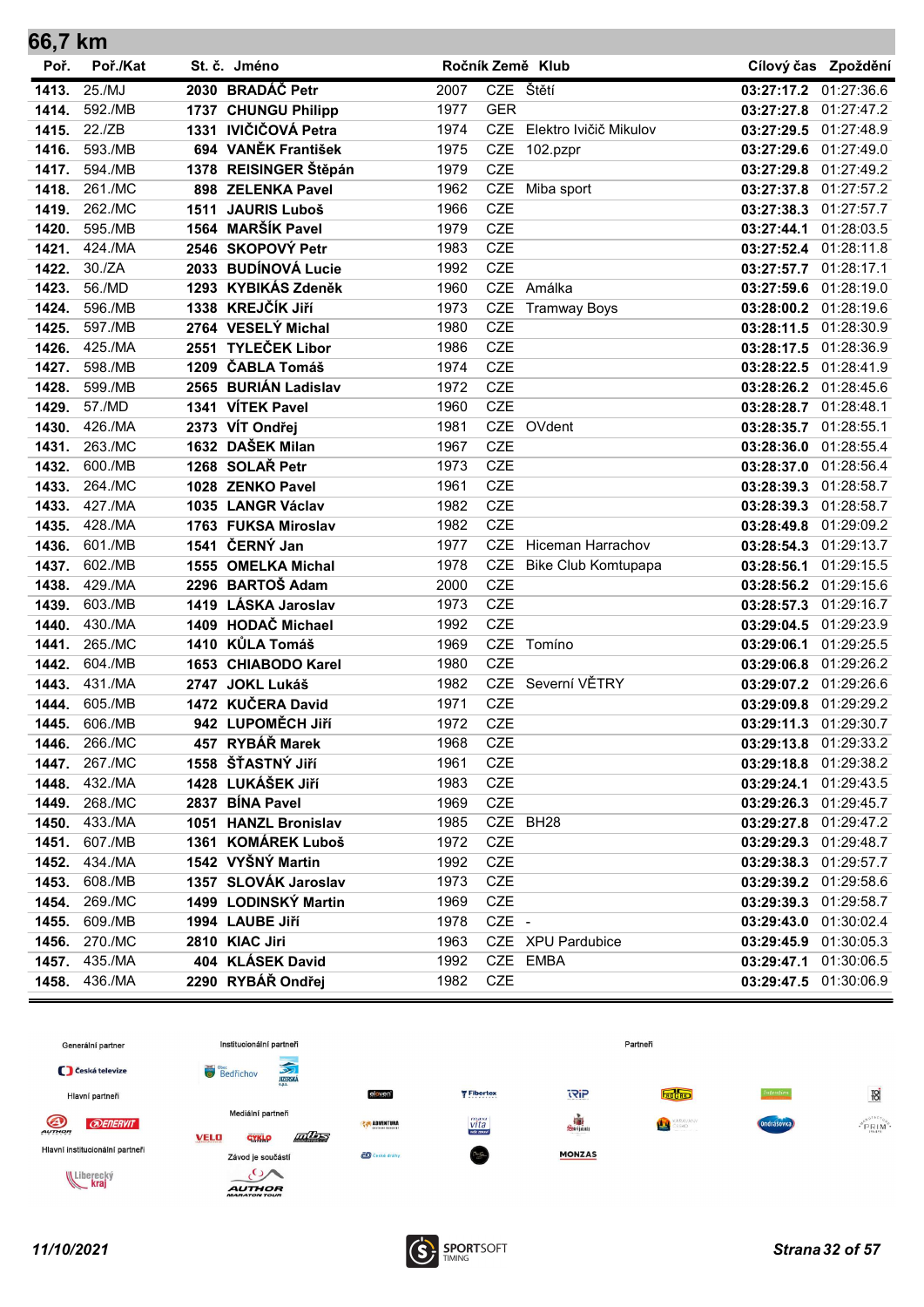| 66,7 km        |                    |                                       |              |                          |                            |                          |                          |
|----------------|--------------------|---------------------------------------|--------------|--------------------------|----------------------------|--------------------------|--------------------------|
| Poř.           | Poř./Kat           | St. č. Jméno                          |              |                          | Ročník Země Klub           |                          | Cílový čas Zpoždění      |
| 1413.          | 25./MJ             | 2030 BRADÁČ Petr                      | 2007         |                          | CZE Štětí                  | 03:27:17.2 01:27:36.6    |                          |
| 1414.          | 592./MB            | 1737 CHUNGU Philipp                   | 1977         | <b>GER</b>               |                            | 03:27:27.8               | 01:27:47.2               |
| 1415.          | 22./ZB             | 1331 IVIČIČOVÁ Petra                  | 1974         | <b>CZE</b>               | Elektro Ivičič Mikulov     | 03:27:29.5               | 01:27:48.9               |
| 1416.          | 593./MB            | 694 VANĚK František                   | 1975         | <b>CZE</b>               | 102.pzpr                   | 03:27:29.6               | 01:27:49.0               |
| 1417.          | 594./MB            | 1378 REISINGER Štěpán                 | 1979         | <b>CZE</b>               |                            | 03:27:29.8               | 01:27:49.2               |
| 1418.          | 261./MC            | 898 ZELENKA Pavel                     | 1962         | <b>CZE</b>               | Miba sport                 | 03:27:37.8 01:27:57.2    |                          |
| 1419.          | 262./MC            | 1511 JAURIS Luboš                     | 1966         | <b>CZE</b>               |                            | 03:27:38.3               | 01:27:57.7               |
| 1420.          | 595./MB            | 1564 MARŠÍK Pavel                     | 1979         | CZE                      |                            | 03:27:44.1               | 01:28:03.5               |
| 1421.          | 424./MA            | 2546 SKOPOVÝ Petr                     | 1983         | <b>CZE</b>               |                            | 03:27:52.4 01:28:11.8    |                          |
| 1422.          | 30./ZA             | 2033 BUDÍNOVÁ Lucie                   | 1992         | <b>CZE</b>               |                            | 03:27:57.7               | 01:28:17.1               |
| 1423.          | 56./MD             | 1293 KYBIKÁS Zdeněk                   | 1960         | <b>CZE</b>               | Amálka                     | 03:27:59.6               | 01:28:19.0               |
| 1424.          | 596./MB            | 1338 KREJČÍK JIří                     | 1973         | <b>CZE</b>               | <b>Tramway Boys</b>        | 03:28:00.2               | 01:28:19.6               |
| 1425.          | 597./MB            | 2764 VESELÝ Michal                    | 1980         | <b>CZE</b>               |                            | 03:28:11.5 01:28:30.9    |                          |
| 1426.          | 425./MA            | 2551 TYLEČEK Libor                    | 1986         | <b>CZE</b>               |                            | 03:28:17.5               | 01:28:36.9               |
| 1427.          | 598./MB            | 1209 ČABLA Tomáš                      | 1974         | <b>CZE</b>               |                            | 03:28:22.5               | 01:28:41.9               |
| 1428.          | 599./MB            | 2565 BURIÁN Ladislav                  | 1972         | <b>CZE</b>               |                            | 03:28:26.2               | 01:28:45.6               |
| 1429.          | 57./MD             | 1341 VÍTEK Pavel                      | 1960         | <b>CZE</b>               |                            | 03:28:28.7 01:28:48.1    |                          |
| 1430.          | 426./MA            | 2373 VÍT Ondřej                       | 1981         | <b>CZE</b>               | OVdent                     | 03:28:35.7               | 01:28:55.1               |
| 1431.          | 263./MC            | 1632 DAŠEK Milan                      | 1967         | <b>CZE</b>               |                            | 03:28:36.0               | 01:28:55.4               |
| 1432.          | 600./MB            | 1268 SOLAŘ Petr                       | 1973         | <b>CZE</b>               |                            | 03:28:37.0 01:28:56.4    |                          |
| 1433.          | 264./MC            | 1028 ZENKO Pavel                      | 1961         | <b>CZE</b>               |                            | 03:28:39.3 01:28:58.7    |                          |
| 1433.          | 427./MA            | 1035 LANGR Václav                     | 1982         | <b>CZE</b>               |                            | 03:28:39.3               | 01:28:58.7               |
| 1435.          | 428./MA<br>601./MB | 1763 FUKSA Miroslav<br>1541 ČERNÝ Jan | 1982<br>1977 | <b>CZE</b><br><b>CZE</b> | <b>Hiceman Harrachov</b>   | 03:28:49.8               | 01:29:09.2               |
| 1436.<br>1437. | 602./MB            | 1555 OMELKA Michal                    | 1978         | <b>CZE</b>               |                            | 03:28:54.3               | 01:29:13.7<br>01:29:15.5 |
| 1438.          | 429./MA            | 2296 BARTOŠ Adam                      | 2000         | <b>CZE</b>               | <b>Bike Club Komtupapa</b> | 03:28:56.1<br>03:28:56.2 | 01:29:15.6               |
| 1439.          | 603./MB            | 1419 LÁSKA Jaroslav                   | 1973         | <b>CZE</b>               |                            | 03:28:57.3               | 01:29:16.7               |
| 1440.          | 430./MA            | 1409 HODAČ Michael                    | 1992         | <b>CZE</b>               |                            | 03:29:04.5               | 01:29:23.9               |
| 1441.          | 265./MC            | 1410 KŮLA Tomáš                       | 1969         | <b>CZE</b>               | Tomíno                     | 03:29:06.1               | 01:29:25.5               |
| 1442.          | 604./MB            | 1653 CHIABODO Karel                   | 1980         | <b>CZE</b>               |                            | 03:29:06.8               | 01:29:26.2               |
| 1443.          | 431./MA            | 2747 JOKL Lukáš                       | 1982         | <b>CZE</b>               | Severní VĚTRY              | 03:29:07.2               | 01:29:26.6               |
| 1444.          | 605./MB            | 1472 KUČERA David                     | 1971         | <b>CZE</b>               |                            | 03:29:09.8               | 01:29:29.2               |
| 1445.          | 606./MB            | 942 LUPOMĚCH JIří                     | 1972         | <b>CZE</b>               |                            | 03:29:11.3 01:29:30.7    |                          |
| 1446.          | 266./MC            | 457 RYBÁŘ Marek                       | 1968         | CZE                      |                            | 03:29:13.8 01:29:33.2    |                          |
| 1447.          | 267./MC            | 1558 ŠŤASTNÝ JIří                     | 1961         | <b>CZE</b>               |                            | 03:29:18.8 01:29:38.2    |                          |
| 1448.          | 432./MA            | 1428 LUKÁŠEK JIří                     | 1983         | CZE                      |                            | 03:29:24.1 01:29:43.5    |                          |
| 1449.          | 268./MC            | 2837 BÍNA Pavel                       | 1969         | CZE                      |                            | 03:29:26.3 01:29:45.7    |                          |
| 1450.          | 433./MA            | 1051 HANZL Bronislav                  | 1985         |                          | CZE BH28                   | 03:29:27.8 01:29:47.2    |                          |
| 1451.          | 607./MB            | 1361 KOMÁREK Luboš                    | 1972         | CZE                      |                            | 03:29:29.3 01:29:48.7    |                          |
| 1452.          | 434./MA            | 1542 VYŠNÝ Martin                     | 1992         | CZE                      |                            | 03:29:38.3 01:29:57.7    |                          |
| 1453.          | 608./MB            | 1357 SLOVÁK Jaroslav                  | 1973         | CZE                      |                            | 03:29:39.2 01:29:58.6    |                          |
| 1454.          | 269./MC            | 1499 LODINSKÝ Martin                  | 1969         | CZE                      |                            | 03:29:39.3 01:29:58.7    |                          |
| 1455.          | 609./MB            | 1994 LAUBE Jiří                       | 1978         | CZE -                    |                            | 03:29:43.0 01:30:02.4    |                          |
| 1456.          | 270./MC            | 2810 KIAC Jiri                        | 1963         |                          | CZE XPU Pardubice          | 03:29:45.9 01:30:05.3    |                          |
| 1457.          | 435./MA            | 404 KLÁSEK David                      | 1992         |                          | CZE EMBA                   | 03:29:47.1 01:30:06.5    |                          |
| 1458.          | 436./MA            | 2290 RYBÁŘ Ondřej                     | 1982         | <b>CZE</b>               |                            | 03:29:47.5 01:30:06.9    |                          |

![](_page_31_Figure_1.jpeg)

![](_page_31_Picture_3.jpeg)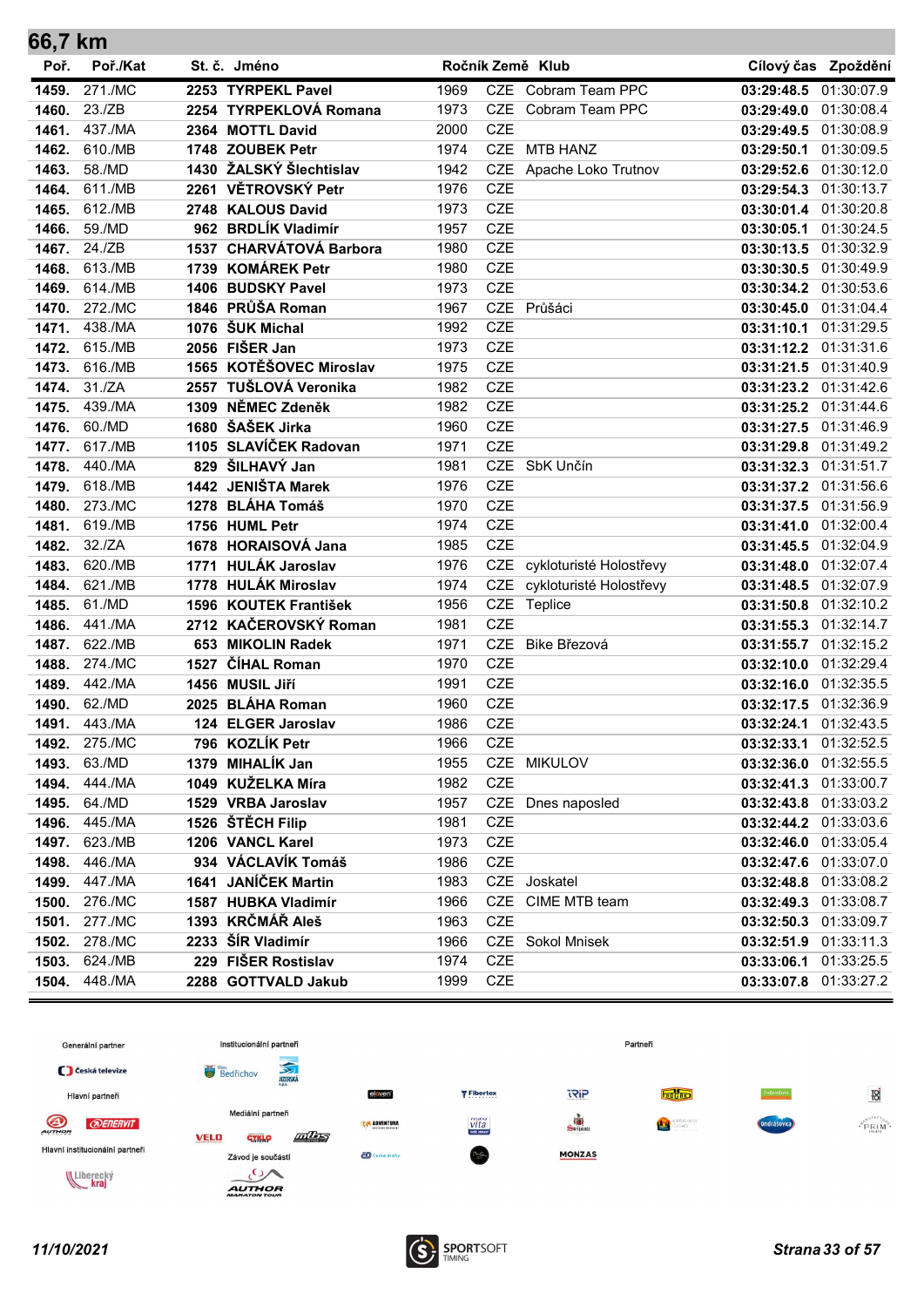| 66,7 km        |                   |      |                                       |              |            |                         |                                                |                     |
|----------------|-------------------|------|---------------------------------------|--------------|------------|-------------------------|------------------------------------------------|---------------------|
| Poř.           | Poř./Kat          |      | St. č. Jméno                          |              |            | Ročník Země Klub        |                                                | Cílový čas Zpoždění |
| 1459.          | 271./MC           |      | 2253 TYRPEKL Pavel                    | 1969         |            | CZE Cobram Team PPC     | 03:29:48.5                                     | 01:30:07.9          |
| 1460.          | 23./ZB            |      | 2254 TYRPEKLOVÁ Romana                | 1973         | <b>CZE</b> | Cobram Team PPC         | 03:29:49.0 01:30:08.4                          |                     |
| 1461.          | 437./MA           |      | 2364 MOTTL David                      | 2000         | <b>CZE</b> |                         | 03:29:49.5 01:30:08.9                          |                     |
| 1462.          | 610./MB           |      | 1748 ZOUBEK Petr                      | 1974         | <b>CZE</b> | <b>MTB HANZ</b>         | 03:29:50.1 01:30:09.5                          |                     |
| 1463.          | 58./MD            |      | 1430 ŽALSKÝ Šlechtislav               | 1942         |            | CZE Apache Loko Trutnov | 03:29:52.6 01:30:12.0                          |                     |
| 1464.          | 611./MB           |      | 2261 VĚTROVSKÝ Petr                   | 1976         | CZE        |                         | 03:29:54.3 01:30:13.7                          |                     |
| 1465.          | 612./MB           |      | 2748 KALOUS David                     | 1973         | <b>CZE</b> |                         | 03:30:01.4 01:30:20.8                          |                     |
| 1466.          | 59./MD            |      | 962 BRDLÍK Vladimír                   | 1957         | CZE        |                         | 03:30:05.1 01:30:24.5                          |                     |
| 1467.          | 24./ZB            |      | 1537 CHARVÁTOVÁ Barbora               | 1980         | <b>CZE</b> |                         | 03:30:13.5 01:30:32.9                          |                     |
| 1468.          | 613./MB           |      | 1739 KOMÁREK Petr                     | 1980         | <b>CZE</b> |                         | 03:30:30.5 01:30:49.9                          |                     |
| 1469.          | 614./MB           |      | 1406 BUDSKY Pavel                     | 1973         | <b>CZE</b> |                         | 03:30:34.2 01:30:53.6                          |                     |
| 1470.          | 272./MC           |      | 1846 PRŮŠA Roman                      | 1967         |            | CZE Průšáci             | 03:30:45.0 01:31:04.4                          |                     |
| 1471.          | 438./MA           |      | 1076 ŠUK Michal                       | 1992         | <b>CZE</b> |                         | 03:31:10.1 01:31:29.5                          |                     |
| 1472.          | 615./MB           |      | 2056 FIŠER Jan                        | 1973         | CZE        |                         | 03:31:12.2 01:31:31.6                          |                     |
| 1473.          | 616./MB           |      | 1565 KOTĚŠOVEC Miroslav               | 1975         | <b>CZE</b> |                         | 03:31:21.5 01:31:40.9                          |                     |
| 1474.          | 31./ZA            |      | 2557 TUŠLOVÁ Veronika                 | 1982         | CZE        |                         | 03:31:23.2 01:31:42.6                          |                     |
| 1475.          | 439./MA           |      | 1309 NĚMEC Zdeněk                     | 1982         | <b>CZE</b> |                         | 03:31:25.2 01:31:44.6                          |                     |
| 1476.          | 60./MD            |      | 1680 ŠAŠEK Jirka                      | 1960         | <b>CZE</b> |                         | 03:31:27.5 01:31:46.9                          |                     |
| 1477.          | 617./MB           |      | 1105 SLAVÍČEK Radovan                 | 1971         | <b>CZE</b> |                         | 03:31:29.8 01:31:49.2                          |                     |
| 1478.          | 440./MA           |      | 829 ŠILHAVÝ Jan                       | 1981         | <b>CZE</b> | SbK Unčín               | 03:31:32.3 01:31:51.7                          |                     |
| 1479.          | 618./MB           |      | 1442 JENIŠTA Marek                    | 1976         | <b>CZE</b> |                         | 03:31:37.2 01:31:56.6                          |                     |
| 1480.          | 273./MC           |      | 1278 BLÁHA Tomáš                      | 1970         | CZE        |                         | 03:31:37.5 01:31:56.9                          |                     |
| 1481.          | 619./MB           |      | 1756 HUML Petr                        | 1974         | <b>CZE</b> |                         | 03:31:41.0 01:32:00.4                          |                     |
| 1482.          | 32./ZA            |      | 1678 HORAISOVÁ Jana                   | 1985         | <b>CZE</b> |                         | 03:31:45.5 01:32:04.9                          |                     |
| 1483.          | 620./MB           |      | 1771 HULÁK Jaroslav                   | 1976         | <b>CZE</b> | cykloturisté Holostřevy | 03:31:48.0 01:32:07.4                          |                     |
| 1484.          | 621./MB           |      | 1778 HULÁK Miroslav                   | 1974         | CZE        | cykloturisté Holostřevy | 03:31:48.5 01:32:07.9                          |                     |
| 1485.          | 61./MD            |      | 1596 KOUTEK František                 | 1956         |            | CZE Teplice             | 03:31:50.8 01:32:10.2                          |                     |
| 1486.          | 441./MA           |      | 2712 KAČEROVSKÝ Roman                 | 1981         | <b>CZE</b> |                         | 03:31:55.3 01:32:14.7                          |                     |
| 1487.          | 622./MB           |      | 653 MIKOLIN Radek                     | 1971         | <b>CZE</b> | Bike Březová            | 03:31:55.7 01:32:15.2                          |                     |
| 1488.          | 274./MC           | 1527 | <b>ČÍHAL Roman</b>                    | 1970         | CZE        |                         | 03:32:10.0 01:32:29.4                          |                     |
| 1489.          | 442./MA           |      | 1456 MUSIL Jiří                       | 1991         | <b>CZE</b> |                         | 03:32:16.0 01:32:35.5                          |                     |
| 1490.          | 62./MD            |      | 2025 BLÁHA Roman                      | 1960         | <b>CZE</b> |                         | 03:32:17.5 01:32:36.9                          |                     |
| 1491.          | 443./MA           |      | 124 ELGER Jaroslav<br>796 KOZLÍK Petr | 1986         | <b>CZE</b> |                         | 03:32:24.1 01:32:43.5<br>03:32:33.1 01:32:52.5 |                     |
| 1492.          | 275./MC<br>63./MD |      | 1379 MIHALÍK Jan                      | 1966<br>1955 | CZE        |                         | 03:32:36.0 01:32:55.5                          |                     |
| 1493.          | 444./MA           |      | 1049 KUŽELKA Míra                     | 1982         | CZE        | CZE MIKULOV             | 03:32:41.3 01:33:00.7                          |                     |
| 1494.<br>1495. | 64./MD            |      | 1529 VRBA Jaroslav                    | 1957         |            | CZE Dnes naposled       | 03:32:43.8 01:33:03.2                          |                     |
| 1496.          | 445./MA           |      | 1526 ŠTĚCH Filip                      | 1981         | <b>CZE</b> |                         | 03:32:44.2 01:33:03.6                          |                     |
| 1497.          | 623./MB           |      | 1206 VANCL Karel                      | 1973         | CZE        |                         | 03:32:46.0 01:33:05.4                          |                     |
| 1498.          | 446./MA           |      | 934 VÁCLAVÍK Tomáš                    | 1986         | CZE        |                         | 03:32:47.6 01:33:07.0                          |                     |
| 1499.          | 447./MA           |      | 1641 JANÍČEK Martin                   | 1983         | CZE        | Joskatel                | 03:32:48.8 01:33:08.2                          |                     |
| 1500.          | 276./MC           |      | 1587 HUBKA Vladimír                   | 1966         | CZE        | CIME MTB team           | 03:32:49.3 01:33:08.7                          |                     |
| 1501.          | 277./MC           |      | 1393 KRČMÁŘ Aleš                      | 1963         | CZE        |                         | 03:32:50.3 01:33:09.7                          |                     |
| 1502.          | 278./MC           |      | 2233 ŠÍR Vladimír                     | 1966         | CZE        | Sokol Mnisek            | 03:32:51.9 01:33:11.3                          |                     |
| 1503.          | 624./MB           |      | 229 FIŠER Rostislav                   | 1974         | CZE        |                         | 03:33:06.1 01:33:25.5                          |                     |
| 1504.          | 448./MA           |      | 2288 GOTTVALD Jakub                   | 1999         | CZE        |                         | 03:33:07.8 01:33:27.2                          |                     |
|                |                   |      |                                       |              |            |                         |                                                |                     |

![](_page_32_Figure_1.jpeg)

![](_page_32_Picture_3.jpeg)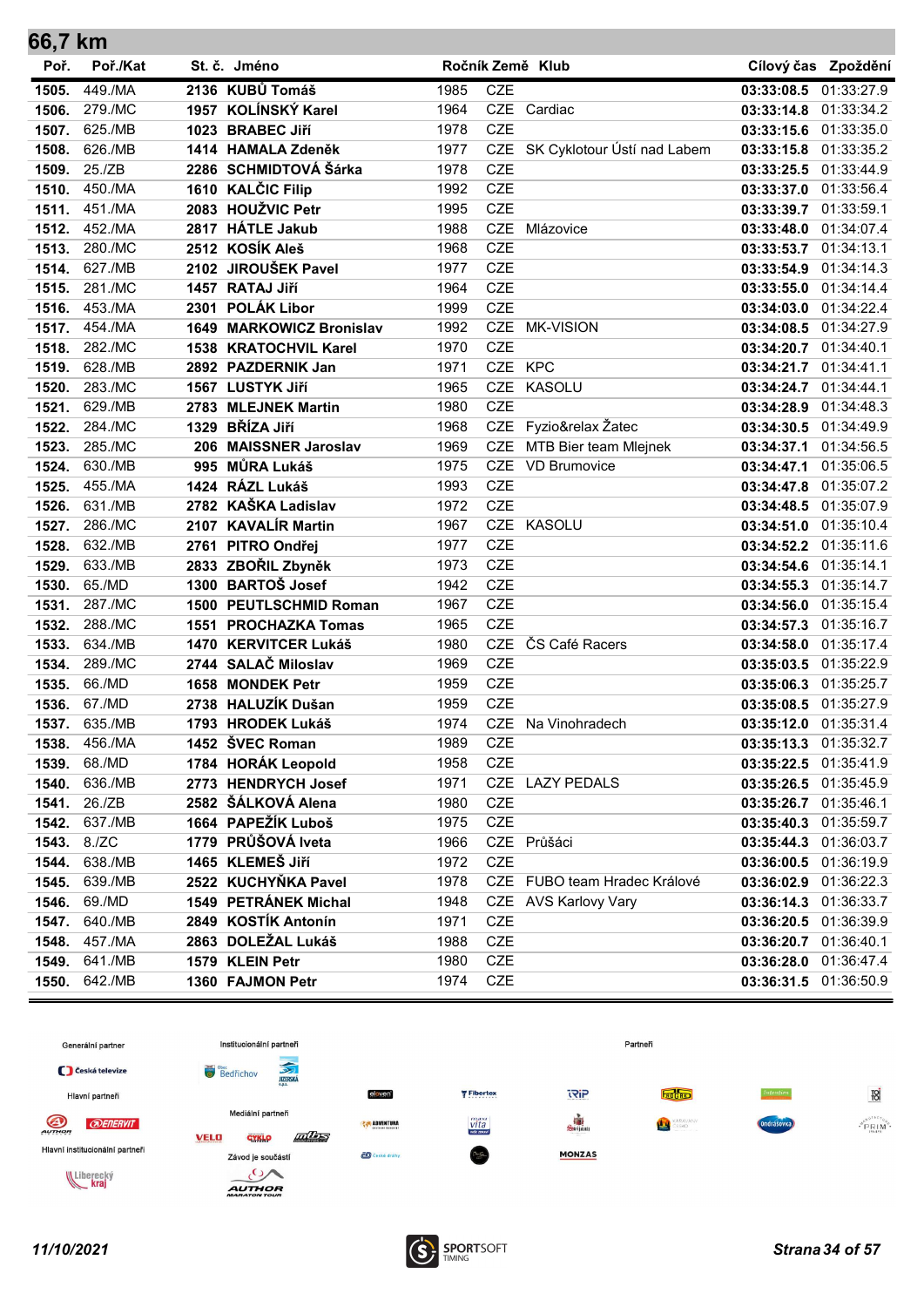| 66,7 KM |          |                                 |      |            |                                 |                       |                     |
|---------|----------|---------------------------------|------|------------|---------------------------------|-----------------------|---------------------|
| Poř.    | Poř./Kat | St. č. Jméno                    |      |            | Ročník Země Klub                |                       | Cílový čas Zpoždění |
| 1505.   | 449./MA  | 2136 KUBŮ Tomáš                 | 1985 | <b>CZE</b> |                                 | 03:33:08.5 01:33:27.9 |                     |
| 1506.   | 279./MC  | 1957 KOLÍNSKÝ Karel             | 1964 |            | CZE Cardiac                     | 03:33:14.8 01:33:34.2 |                     |
| 1507.   | 625./MB  | 1023 BRABEC Jiří                | 1978 | <b>CZE</b> |                                 | 03:33:15.6 01:33:35.0 |                     |
| 1508.   | 626./MB  | 1414 HAMALA Zdeněk              | 1977 |            | CZE SK Cyklotour Ústí nad Labem | 03:33:15.8 01:33:35.2 |                     |
| 1509.   | 25./ZB   | 2286 SCHMIDTOVÁ Šárka           | 1978 | <b>CZE</b> |                                 | 03:33:25.5            | 01:33:44.9          |
| 1510.   | 450./MA  | 1610 KALČIC Filip               | 1992 | <b>CZE</b> |                                 | 03:33:37.0            | 01:33:56.4          |
| 1511.   | 451./MA  | 2083 HOUŽVIC Petr               | 1995 | <b>CZE</b> |                                 | 03:33:39.7 01:33:59.1 |                     |
| 1512.   | 452./MA  | 2817 HÁTLE Jakub                | 1988 | <b>CZE</b> | Mlázovice                       | 03:33:48.0            | 01:34:07.4          |
| 1513.   | 280./MC  | 2512 KOSÍK Aleš                 | 1968 | <b>CZE</b> |                                 | 03:33:53.7            | 01:34:13.1          |
| 1514.   | 627./MB  | 2102 JIROUŠEK Pavel             | 1977 | <b>CZE</b> |                                 | 03:33:54.9            | 01:34:14.3          |
| 1515.   | 281./MC  | 1457 RATAJ Jiří                 | 1964 | <b>CZE</b> |                                 | 03:33:55.0 01:34:14.4 |                     |
| 1516.   | 453./MA  | 2301 POLÁK Libor                | 1999 | <b>CZE</b> |                                 | 03:34:03.0 01:34:22.4 |                     |
| 1517.   | 454./MA  | <b>1649 MARKOWICZ Bronislav</b> | 1992 | <b>CZE</b> | <b>MK-VISION</b>                | 03:34:08.5 01:34:27.9 |                     |
| 1518.   | 282./MC  | 1538 KRATOCHVIL Karel           | 1970 | <b>CZE</b> |                                 | 03:34:20.7            | 01:34:40.1          |
| 1519.   | 628./MB  | 2892 PAZDERNIK Jan              | 1971 | CZE KPC    |                                 | 03:34:21.7 01:34:41.1 |                     |
| 1520.   | 283./MC  | 1567 LUSTYK JIří                | 1965 | <b>CZE</b> | KASOLU                          | 03:34:24.7 01:34:44.1 |                     |
| 1521.   | 629./MB  | 2783 MLEJNEK Martin             | 1980 | <b>CZE</b> |                                 | 03:34:28.9            | 01:34:48.3          |
| 1522.   | 284./MC  | 1329 BŘÍZA Jiří                 | 1968 |            | CZE Fyzio&relax Žatec           | 03:34:30.5 01:34:49.9 |                     |
| 1523.   | 285./MC  | 206 MAISSNER Jaroslav           | 1969 | <b>CZE</b> | MTB Bier team Mlejnek           | 03:34:37.1 01:34:56.5 |                     |
| 1524.   | 630./MB  | 995 MŮRA Lukáš                  | 1975 |            | CZE VD Brumovice                | 03:34:47.1            | 01:35:06.5          |
| 1525.   | 455./MA  | 1424 RÁZL Lukáš                 | 1993 | <b>CZE</b> |                                 | 03:34:47.8            | 01:35:07.2          |
| 1526.   | 631./MB  | 2782 KAŠKA Ladislav             | 1972 | <b>CZE</b> |                                 | 03:34:48.5            | 01:35:07.9          |
| 1527.   | 286./MC  | 2107 KAVALÍR Martin             | 1967 | <b>CZE</b> | <b>KASOLU</b>                   | 03:34:51.0            | 01:35:10.4          |
| 1528.   | 632./MB  | 2761 PITRO Ondřej               | 1977 | <b>CZE</b> |                                 | 03:34:52.2            | 01:35:11.6          |
| 1529.   | 633./MB  | 2833 ZBOŘIL Zbyněk              | 1973 | <b>CZE</b> |                                 | 03:34:54.6            | 01:35:14.1          |
| 1530.   | 65./MD   | 1300 BARTOŠ Josef               | 1942 | <b>CZE</b> |                                 | 03:34:55.3            | 01:35:14.7          |
| 1531.   | 287./MC  | 1500 PEUTLSCHMID Roman          | 1967 | <b>CZE</b> |                                 | 03:34:56.0 01:35:15.4 |                     |
| 1532.   | 288./MC  | 1551 PROCHAZKA Tomas            | 1965 | <b>CZE</b> |                                 | 03:34:57.3            | 01:35:16.7          |
| 1533.   | 634./MB  | 1470 KERVITCER Lukáš            | 1980 | <b>CZE</b> | ČS Café Racers                  | 03:34:58.0            | 01:35:17.4          |
| 1534.   | 289./MC  | 2744 SALAČ Miloslav             | 1969 | <b>CZE</b> |                                 | 03:35:03.5 01:35:22.9 |                     |
| 1535.   | 66./MD   | 1658 MONDEK Petr                | 1959 | <b>CZE</b> |                                 | 03:35:06.3 01:35:25.7 |                     |
| 1536.   | 67./MD   | 2738 HALUZÍK Dušan              | 1959 | <b>CZE</b> |                                 | 03:35:08.5 01:35:27.9 |                     |
| 1537.   | 635./MB  | 1793 HRODEK Lukáš               | 1974 |            | CZE Na Vinohradech              | 03:35:12.0 01:35:31.4 |                     |
| 1538.   | 456./MA  | 1452 ŠVEC Roman                 | 1989 | CZE        |                                 | 03:35:13.3            | 01:35:32.7          |
| 1539.   | 68./MD   | 1784 HORÁK Leopold              | 1958 | <b>CZE</b> |                                 | 03:35:22.5 01:35:41.9 |                     |
| 1540.   | 636./MB  | 2773 HENDRYCH Josef             | 1971 |            | CZE LAZY PEDALS                 | 03:35:26.5 01:35:45.9 |                     |
| 1541.   | 26./ZB   | 2582 ŠÁLKOVÁ Alena              | 1980 | CZE        |                                 | 03:35:26.7 01:35:46.1 |                     |
| 1542.   | 637./MB  | 1664 PAPEŽÍK Luboš              | 1975 | <b>CZE</b> |                                 | 03:35:40.3            | 01:35:59.7          |
| 1543.   | 8./ZC    | 1779 PRŮŠOVÁ lveta              | 1966 |            | CZE Průšáci                     | 03:35:44.3            | 01:36:03.7          |
| 1544.   | 638./MB  | 1465 KLEMEŠ Jiří                | 1972 | <b>CZE</b> |                                 | 03:36:00.5 01:36:19.9 |                     |
| 1545.   | 639./MB  | 2522 KUCHYŇKA Pavel             | 1978 |            | CZE FUBO team Hradec Králové    | 03:36:02.9            | 01:36:22.3          |
| 1546.   | 69./MD   | 1549 PETRÁNEK Michal            | 1948 |            | CZE AVS Karlovy Vary            | 03:36:14.3            | 01:36:33.7          |
| 1547.   | 640./MB  | 2849 KOSTÍK Antonín             | 1971 | CZE        |                                 | 03:36:20.5 01:36:39.9 |                     |
| 1548.   | 457./MA  | 2863 DOLEŽAL Lukáš              | 1988 | CZE        |                                 | 03:36:20.7 01:36:40.1 |                     |
| 1549.   | 641./MB  | 1579 KLEIN Petr                 | 1980 | <b>CZE</b> |                                 | 03:36:28.0            | 01:36:47.4          |
| 1550.   | 642./MB  | 1360 FAJMON Petr                | 1974 | <b>CZE</b> |                                 | 03:36:31.5            | 01:36:50.9          |

![](_page_33_Figure_1.jpeg)

![](_page_33_Picture_3.jpeg)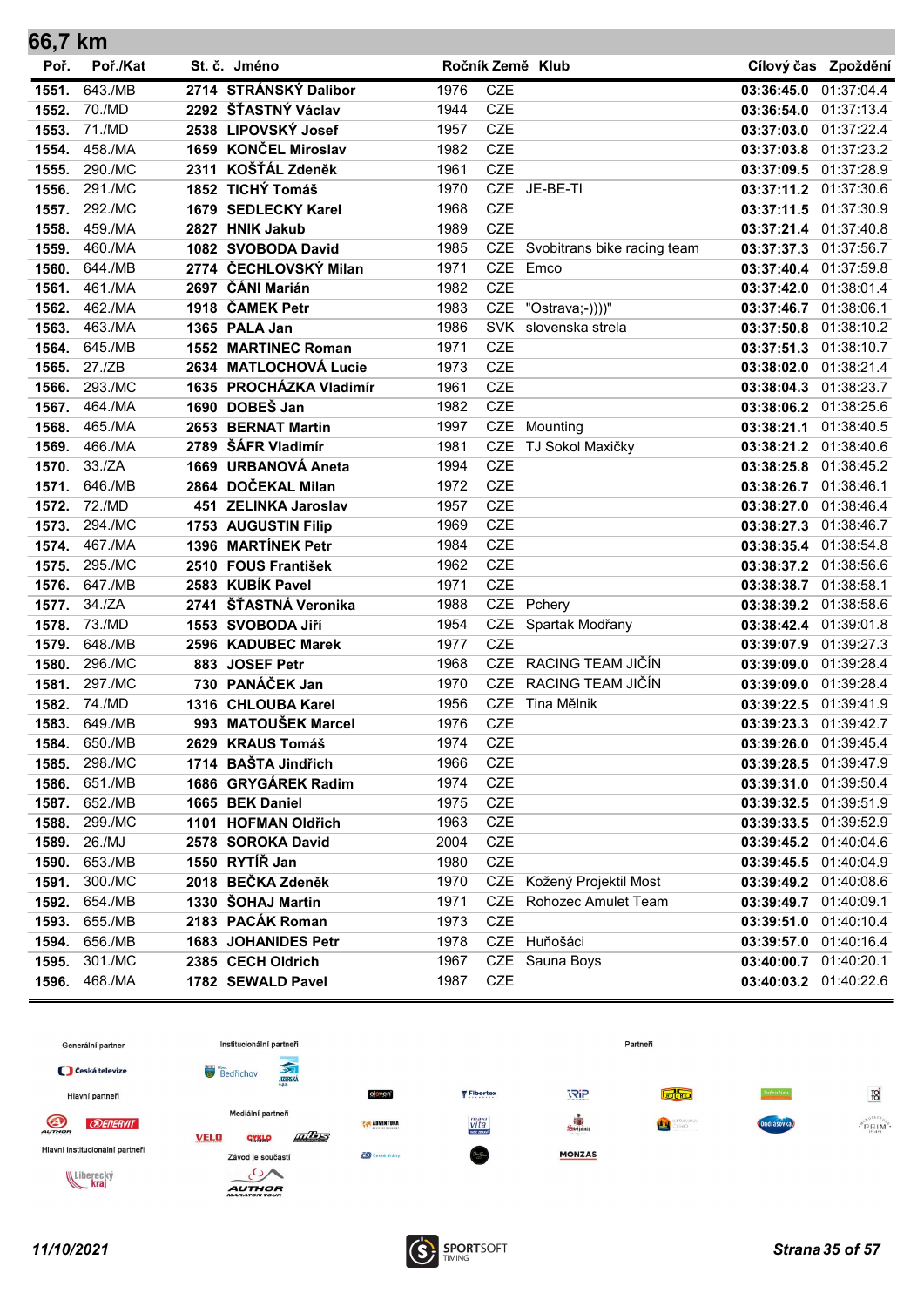| 66,7 km |          |      |                         |      |            |                                 |                       |                       |
|---------|----------|------|-------------------------|------|------------|---------------------------------|-----------------------|-----------------------|
| Poř.    | Poř./Kat |      | St. č. Jméno            |      |            | Ročník Země Klub                |                       | Cílový čas Zpoždění   |
| 1551.   | 643./MB  |      | 2714 STRÁNSKÝ Dalibor   | 1976 | <b>CZE</b> |                                 | 03:36:45.0            | 01:37:04.4            |
| 1552.   | 70./MD   |      | 2292 ŠŤASTNÝ Václav     | 1944 | <b>CZE</b> |                                 | 03:36:54.0            | 01:37:13.4            |
| 1553.   | 71./MD   |      | 2538 LIPOVSKÝ Josef     | 1957 | <b>CZE</b> |                                 | 03:37:03.0 01:37:22.4 |                       |
| 1554.   | 458./MA  |      | 1659 KONČEL Miroslav    | 1982 | CZE        |                                 | 03:37:03.8 01:37:23.2 |                       |
| 1555.   | 290./MC  |      | 2311 KOŠŤÁL Zdeněk      | 1961 | <b>CZE</b> |                                 | 03:37:09.5 01:37:28.9 |                       |
| 1556.   | 291./MC  |      | 1852 TICHÝ Tomáš        | 1970 |            | CZE JE-BE-TI                    | 03:37:11.2 01:37:30.6 |                       |
| 1557.   | 292./MC  |      | 1679 SEDLECKY Karel     | 1968 | <b>CZE</b> |                                 | 03:37:11.5 01:37:30.9 |                       |
| 1558.   | 459./MA  |      | 2827 HNIK Jakub         | 1989 | <b>CZE</b> |                                 | 03:37:21.4            | 01:37:40.8            |
| 1559.   | 460./MA  |      | 1082 SVOBODA David      | 1985 |            | CZE Svobitrans bike racing team |                       | 03:37:37.3 01:37:56.7 |
| 1560.   | 644./MB  |      | 2774 ČECHLOVSKÝ Milan   | 1971 | <b>CZE</b> | Emco                            | 03:37:40.4 01:37:59.8 |                       |
| 1561.   | 461./MA  |      | 2697 ČÁNI Marián        | 1982 | <b>CZE</b> |                                 | 03:37:42.0            | 01:38:01.4            |
| 1562.   | 462./MA  |      | 1918 ČAMEK Petr         | 1983 | CZE        | "Ostrava;-))))"                 | 03:37:46.7 01:38:06.1 |                       |
| 1563.   | 463./MA  |      | 1365 PALA Jan           | 1986 | <b>SVK</b> | slovenska strela                | 03:37:50.8            | 01:38:10.2            |
| 1564.   | 645./MB  |      | 1552 MARTINEC Roman     | 1971 | <b>CZE</b> |                                 |                       | 03:37:51.3 01:38:10.7 |
| 1565.   | 27./ZB   |      | 2634 MATLOCHOVÁ Lucie   | 1973 | <b>CZE</b> |                                 |                       | 03:38:02.0 01:38:21.4 |
| 1566.   | 293./MC  |      | 1635 PROCHÁZKA Vladimír | 1961 | <b>CZE</b> |                                 | 03:38:04.3 01:38:23.7 |                       |
| 1567.   | 464./MA  |      | 1690 DOBEŠ Jan          | 1982 | <b>CZE</b> |                                 |                       | 03:38:06.2 01:38:25.6 |
| 1568.   | 465./MA  |      | 2653 BERNAT Martin      | 1997 | <b>CZE</b> | Mounting                        | 03:38:21.1            | 01:38:40.5            |
| 1569.   | 466./MA  |      | 2789 ŠÁFR Vladimír      | 1981 | <b>CZE</b> | TJ Sokol Maxičky                | 03:38:21.2 01:38:40.6 |                       |
| 1570.   | 33./ZA   |      | 1669 URBANOVÁ Aneta     | 1994 | <b>CZE</b> |                                 | 03:38:25.8            | 01:38:45.2            |
| 1571.   | 646./MB  |      | 2864 DOČEKAL Milan      | 1972 | <b>CZE</b> |                                 | 03:38:26.7 01:38:46.1 |                       |
| 1572.   | 72./MD   |      | 451 ZELINKA Jaroslav    | 1957 | <b>CZE</b> |                                 | 03:38:27.0 01:38:46.4 |                       |
| 1573.   | 294./MC  |      | 1753 AUGUSTIN Filip     | 1969 | <b>CZE</b> |                                 |                       | 03:38:27.3 01:38:46.7 |
| 1574.   | 467./MA  |      | 1396 MARTÍNEK Petr      | 1984 | <b>CZE</b> |                                 | 03:38:35.4 01:38:54.8 |                       |
| 1575.   | 295./MC  |      | 2510 FOUS František     | 1962 | <b>CZE</b> |                                 | 03:38:37.2 01:38:56.6 |                       |
| 1576.   | 647./MB  |      | 2583 KUBÍK Pavel        | 1971 | <b>CZE</b> |                                 | 03:38:38.7 01:38:58.1 |                       |
| 1577.   | 34./ZA   | 2741 | ŠŤASTNÁ Veronika        | 1988 | CZE        | Pchery                          | 03:38:39.2 01:38:58.6 |                       |
| 1578.   | 73./MD   |      | 1553 SVOBODA Jiří       | 1954 | CZE        | Spartak Modřany                 |                       | 03:38:42.4 01:39:01.8 |
| 1579.   | 648./MB  |      | 2596 KADUBEC Marek      | 1977 | <b>CZE</b> |                                 | 03:39:07.9 01:39:27.3 |                       |
| 1580.   | 296./MC  |      | 883 JOSEF Petr          | 1968 | <b>CZE</b> | RACING TEAM JIČÍN               | 03:39:09.0 01:39:28.4 |                       |
| 1581.   | 297./MC  |      | 730 PANÁČEK Jan         | 1970 | <b>CZE</b> | RACING TEAM JIČÍN               | 03:39:09.0 01:39:28.4 |                       |
| 1582.   | 74./MD   |      | 1316 CHLOUBA Karel      | 1956 | <b>CZE</b> | Tina Mělnik                     |                       | 03:39:22.5 01:39:41.9 |
| 1583.   | 649./MB  |      | 993 MATOUŠEK Marcel     | 1976 | <b>CZE</b> |                                 |                       | 03:39:23.3 01:39:42.7 |
| 1584.   | 650./MB  |      | 2629 KRAUS Tomáš        | 1974 | CZE        |                                 |                       | 03:39:26.0 01:39:45.4 |
| 1585.   | 298./MC  |      | 1714 BAŠTA Jindřich     | 1966 | CZE        |                                 |                       | 03:39:28.5 01:39:47.9 |
| 1586.   | 651./MB  |      | 1686 GRYGÁREK Radim     | 1974 | CZE        |                                 |                       | 03:39:31.0 01:39:50.4 |
| 1587.   | 652./MB  |      | 1665 BEK Daniel         | 1975 | CZE        |                                 |                       | 03:39:32.5 01:39:51.9 |
| 1588.   | 299./MC  |      | 1101 HOFMAN Oldřich     | 1963 | CZE        |                                 |                       | 03:39:33.5 01:39:52.9 |
| 1589.   | 26./MJ   |      | 2578 SOROKA David       | 2004 | <b>CZE</b> |                                 |                       | 03:39:45.2 01:40:04.6 |
| 1590.   | 653./MB  |      | 1550 RYTÍŘ Jan          | 1980 | <b>CZE</b> |                                 | 03:39:45.5            | 01:40:04.9            |
| 1591.   | 300./MC  |      | 2018 BEČKA Zdeněk       | 1970 |            | CZE Kožený Projektil Most       |                       | 03:39:49.2 01:40:08.6 |
| 1592.   | 654./MB  |      | 1330 ŠOHAJ Martin       | 1971 | CZE        | Rohozec Amulet Team             |                       | 03:39:49.7 01:40:09.1 |
| 1593.   | 655./MB  |      | 2183 PACÁK Roman        | 1973 | CZE        |                                 |                       | 03:39:51.0 01:40:10.4 |
| 1594.   | 656./MB  |      | 1683 JOHANIDES Petr     | 1978 |            | CZE Huňošáci                    |                       | 03:39:57.0 01:40:16.4 |
| 1595.   | 301./MC  |      | 2385 CECH Oldrich       | 1967 |            | CZE Sauna Boys                  |                       | 03:40:00.7 01:40:20.1 |
| 1596.   | 468./MA  |      | 1782 SEWALD Pavel       | 1987 | CZE        |                                 |                       | 03:40:03.2 01:40:22.6 |

![](_page_34_Figure_1.jpeg)

![](_page_34_Picture_3.jpeg)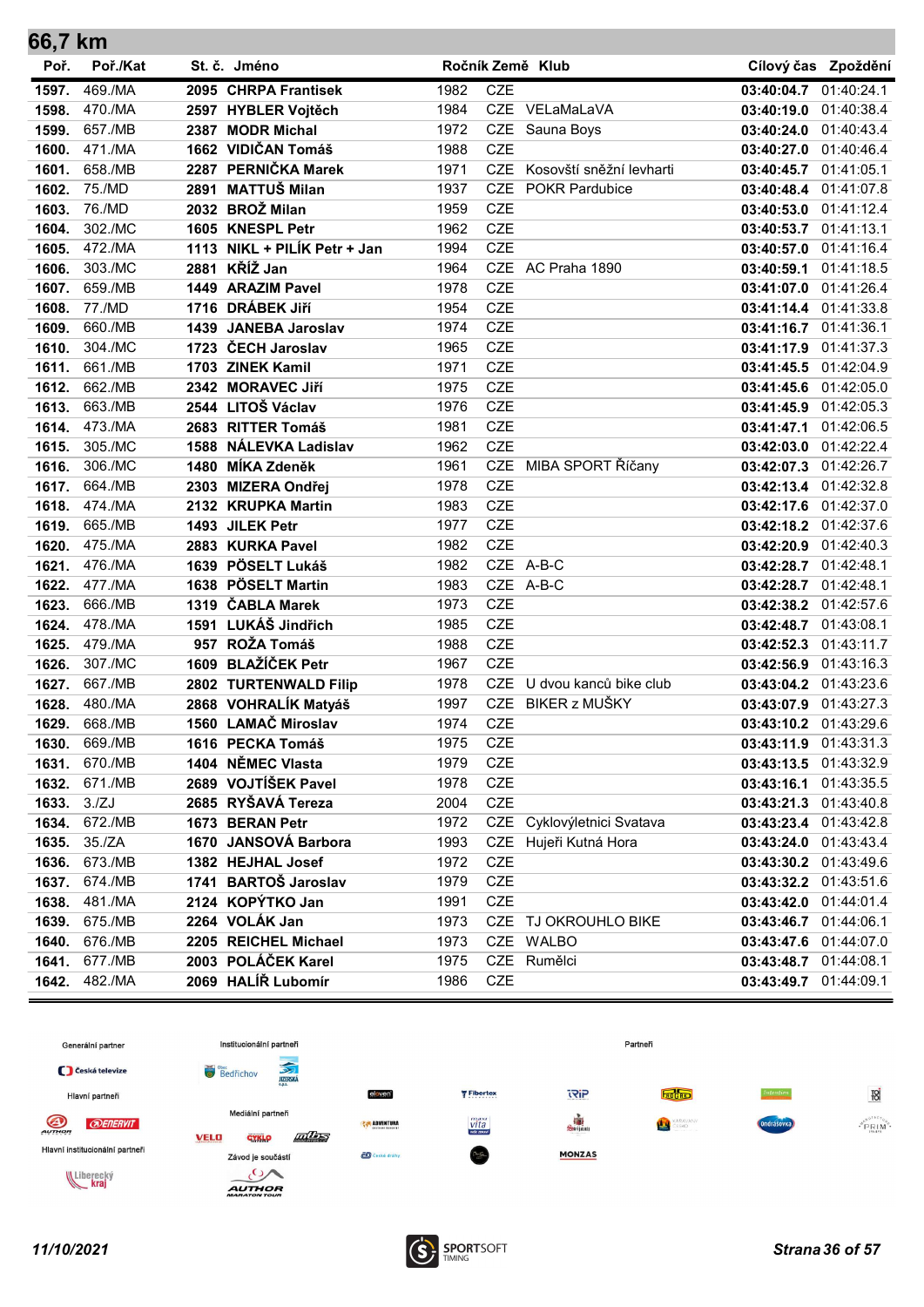| 66,7 km |          |                              |      |            |                          |                       |                       |
|---------|----------|------------------------------|------|------------|--------------------------|-----------------------|-----------------------|
| Poř.    | Poř./Kat | St. č. Jméno                 |      |            | Ročník Země Klub         |                       | Cílový čas Zpoždění   |
| 1597.   | 469./MA  | 2095 CHRPA Frantisek         | 1982 | <b>CZE</b> |                          | 03:40:04.7 01:40:24.1 |                       |
| 1598.   | 470./MA  | 2597 HYBLER Vojtěch          | 1984 |            | CZE VELaMaLaVA           | 03:40:19.0            | 01:40:38.4            |
| 1599.   | 657./MB  | 2387 MODR Michal             | 1972 |            | CZE Sauna Boys           | 03:40:24.0 01:40:43.4 |                       |
| 1600.   | 471./MA  | 1662 VIDIČAN Tomáš           | 1988 | <b>CZE</b> |                          | 03:40:27.0 01:40:46.4 |                       |
| 1601.   | 658./MB  | 2287 PERNIČKA Marek          | 1971 | <b>CZE</b> | Kosovští sněžní levharti | 03:40:45.7            | 01:41:05.1            |
| 1602.   | 75./MD   | 2891 MATTUŠ Milan            | 1937 | <b>CZE</b> | <b>POKR Pardubice</b>    | 03:40:48.4 01:41:07.8 |                       |
| 1603.   | 76./MD   | 2032 BROŽ Milan              | 1959 | <b>CZE</b> |                          | 03:40:53.0 01:41:12.4 |                       |
| 1604.   | 302./MC  | 1605 KNESPL Petr             | 1962 | <b>CZE</b> |                          | 03:40:53.7 01:41:13.1 |                       |
| 1605.   | 472./MA  | 1113 NIKL + PILÍK Petr + Jan | 1994 | <b>CZE</b> |                          | 03:40:57.0            | 01:41:16.4            |
| 1606.   | 303./MC  | 2881 KŘÍŽ Jan                | 1964 | <b>CZE</b> | AC Praha 1890            | 03:40:59.1            | 01:41:18.5            |
| 1607.   | 659./MB  | 1449 ARAZIM Pavel            | 1978 | <b>CZE</b> |                          | 03:41:07.0 01:41:26.4 |                       |
| 1608.   | 77./MD   | 1716 DRÁBEK JIří             | 1954 | <b>CZE</b> |                          | 03:41:14.4 01:41:33.8 |                       |
| 1609.   | 660./MB  | 1439 JANEBA Jaroslav         | 1974 | <b>CZE</b> |                          | 03:41:16.7 01:41:36.1 |                       |
| 1610.   | 304./MC  | 1723 ČECH Jaroslav           | 1965 | <b>CZE</b> |                          | 03:41:17.9            | 01:41:37.3            |
| 1611.   | 661./MB  | 1703 ZINEK Kamil             | 1971 | <b>CZE</b> |                          | 03:41:45.5 01:42:04.9 |                       |
| 1612.   | 662./MB  | 2342 MORAVEC Jiří            | 1975 | <b>CZE</b> |                          | 03:41:45.6 01:42:05.0 |                       |
| 1613.   | 663./MB  | 2544 LITOŠ Václav            | 1976 | <b>CZE</b> |                          | 03:41:45.9 01:42:05.3 |                       |
| 1614.   | 473./MA  | 2683 RITTER Tomáš            | 1981 | <b>CZE</b> |                          | 03:41:47.1 01:42:06.5 |                       |
| 1615.   | 305./MC  | 1588 NÁLEVKA Ladislav        | 1962 | <b>CZE</b> |                          | 03:42:03.0 01:42:22.4 |                       |
| 1616.   | 306./MC  | 1480 MÍKA Zdeněk             | 1961 |            | CZE MIBA SPORT Říčany    | 03:42:07.3 01:42:26.7 |                       |
| 1617.   | 664./MB  | 2303 MIZERA Ondřej           | 1978 | <b>CZE</b> |                          | 03:42:13.4 01:42:32.8 |                       |
| 1618.   | 474./MA  | 2132 KRUPKA Martin           | 1983 | <b>CZE</b> |                          | 03:42:17.6 01:42:37.0 |                       |
| 1619.   | 665./MB  | 1493 JILEK Petr              | 1977 | <b>CZE</b> |                          | 03:42:18.2 01:42:37.6 |                       |
| 1620.   | 475./MA  | 2883 KURKA Pavel             | 1982 | <b>CZE</b> |                          | 03:42:20.9 01:42:40.3 |                       |
| 1621.   | 476./MA  | 1639 PÖSELT Lukáš            | 1982 |            | CZE A-B-C                | 03:42:28.7 01:42:48.1 |                       |
| 1622.   | 477./MA  | 1638 PÖSELT Martin           | 1983 |            | CZE A-B-C                | 03:42:28.7 01:42:48.1 |                       |
| 1623.   | 666./MB  | 1319 ČABLA Marek             | 1973 | <b>CZE</b> |                          | 03:42:38.2 01:42:57.6 |                       |
| 1624.   | 478./MA  | 1591 LUKÁŠ Jindřich          | 1985 | <b>CZE</b> |                          | 03:42:48.7 01:43:08.1 |                       |
| 1625.   | 479./MA  | 957 ROŽA Tomáš               | 1988 | <b>CZE</b> |                          | 03:42:52.3            | 01:43:11.7            |
| 1626.   | 307./MC  | 1609 BLAŽÍČEK Petr           | 1967 | <b>CZE</b> |                          | 03:42:56.9 01:43:16.3 |                       |
| 1627.   | 667./MB  | 2802 TURTENWALD Filip        | 1978 | <b>CZE</b> | U dvou kanců bike club   | 03:43:04.2 01:43:23.6 |                       |
| 1628.   | 480./MA  | 2868 VOHRALÍK Matyáš         | 1997 | <b>CZE</b> | BIKER z MUŠKY            | 03:43:07.9 01:43:27.3 |                       |
| 1629.   | 668./MB  | 1560 LAMAČ Miroslav          | 1974 | <b>CZE</b> |                          | 03:43:10.2 01:43:29.6 |                       |
| 1630.   | 669./MB  | 1616 PECKA Tomáš             | 1975 | CZE        |                          |                       | 03:43:11.9 01:43:31.3 |
| 1631.   | 670./MB  | 1404 NĚMEC Vlasta            | 1979 | CZE        |                          | 03:43:13.5 01:43:32.9 |                       |
| 1632.   | 671./MB  | 2689 VOJTÍŠEK Pavel          | 1978 | CZE        |                          | 03:43:16.1 01:43:35.5 |                       |
| 1633.   | 3./ZJ    | 2685 RYŠAVÁ Tereza           | 2004 | <b>CZE</b> |                          |                       | 03:43:21.3 01:43:40.8 |
| 1634.   | 672./MB  | 1673 BERAN Petr              | 1972 | CZE        | Cyklovýletnici Svatava   |                       | 03:43:23.4 01:43:42.8 |
| 1635.   | 35./ZA   | 1670 JANSOVÁ Barbora         | 1993 | CZE        | Hujeři Kutná Hora        |                       | 03:43:24.0 01:43:43.4 |
| 1636.   | 673./MB  | 1382 HEJHAL Josef            | 1972 | <b>CZE</b> |                          | 03:43:30.2 01:43:49.6 |                       |
| 1637.   | 674./MB  | 1741 BARTOŠ Jaroslav         | 1979 | CZE        |                          |                       | 03:43:32.2 01:43:51.6 |
| 1638.   | 481./MA  | 2124 KOPÝTKO Jan             | 1991 | CZE        |                          | 03:43:42.0 01:44:01.4 |                       |
| 1639.   | 675./MB  | 2264 VOLÁK Jan               | 1973 |            | CZE TJ OKROUHLO BIKE     | 03:43:46.7 01:44:06.1 |                       |
| 1640.   | 676./MB  | 2205 REICHEL Michael         | 1973 |            | CZE WALBO                | 03:43:47.6 01:44:07.0 |                       |
| 1641.   | 677./MB  | 2003 POLÁČEK Karel           | 1975 | <b>CZE</b> | Rumělci                  | 03:43:48.7            | 01:44:08.1            |
| 1642.   | 482./MA  | 2069 HALÍŘ Lubomír           | 1986 | <b>CZE</b> |                          | 03:43:49.7            | 01:44:09.1            |

![](_page_35_Figure_1.jpeg)

![](_page_35_Picture_3.jpeg)

 $\sim$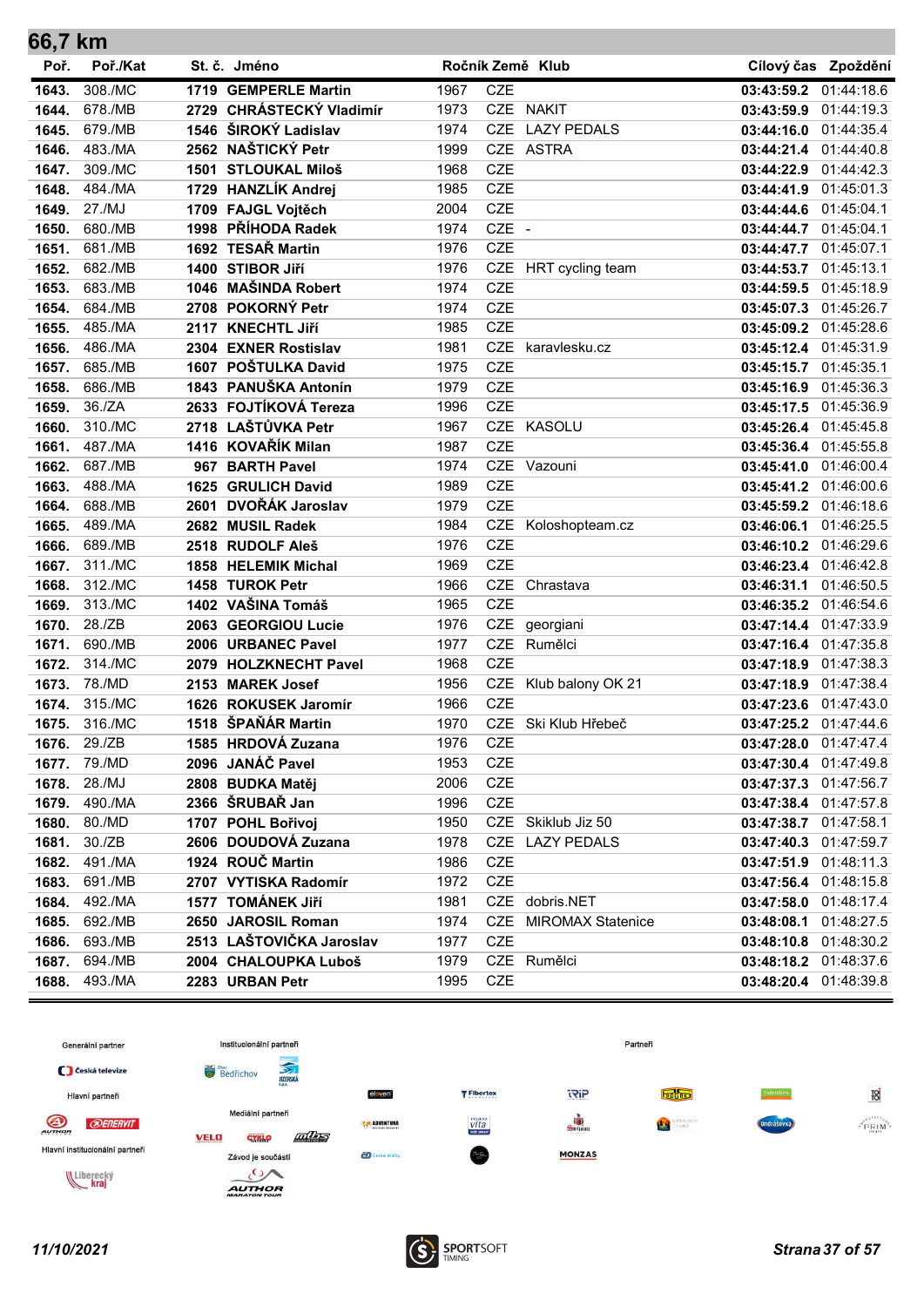| 66,7 km        |                   |                                            |              |            |                          |                                                |                       |
|----------------|-------------------|--------------------------------------------|--------------|------------|--------------------------|------------------------------------------------|-----------------------|
| Poř.           | Poř./Kat          | St. č. Jméno                               |              |            | Ročník Země Klub         |                                                | Cílový čas Zpoždění   |
| 1643.          | 308./MC           | 1719 GEMPERLE Martin                       | 1967         | <b>CZE</b> |                          | 03:43:59.2                                     | 01:44:18.6            |
| 1644.          | 678./MB           | 2729 CHRÁSTECKÝ Vladimír                   | 1973         |            | CZE NAKIT                | 03:43:59.9 01:44:19.3                          |                       |
| 1645.          | 679./MB           | 1546 ŠIROKÝ Ladislav                       | 1974         | <b>CZE</b> | <b>LAZY PEDALS</b>       | 03:44:16.0 01:44:35.4                          |                       |
| 1646.          | 483./MA           | 2562 NAŠTICKÝ Petr                         | 1999         |            | CZE ASTRA                | 03:44:21.4 01:44:40.8                          |                       |
| 1647.          | 309./MC           | 1501 STLOUKAL Miloš                        | 1968         | <b>CZE</b> |                          | 03:44:22.9 01:44:42.3                          |                       |
| 1648.          | 484./MA           | 1729 HANZLÍK Andrej                        | 1985         | CZE        |                          | 03:44:41.9 01:45:01.3                          |                       |
| 1649.          | 27./MJ            | 1709 FAJGL Vojtěch                         | 2004         | <b>CZE</b> |                          | 03:44:44.6 01:45:04.1                          |                       |
| 1650.          | 680./MB           | 1998 PŘÍHODA Radek                         | 1974         | CZE -      |                          | 03:44:44.7 01:45:04.1                          |                       |
| 1651.          | 681./MB           | 1692 TESAŘ Martin                          | 1976         | <b>CZE</b> |                          | 03:44:47.7 01:45:07.1                          |                       |
| 1652.          | 682./MB           | 1400 STIBOR JIří                           | 1976         | CZE        | HRT cycling team         | 03:44:53.7 01:45:13.1                          |                       |
| 1653.          | 683./MB           | 1046 MAŠINDA Robert                        | 1974         | <b>CZE</b> |                          | 03:44:59.5 01:45:18.9                          |                       |
| 1654.          | 684./MB           | 2708 POKORNÝ Petr                          | 1974         | <b>CZE</b> |                          | 03:45:07.3 01:45:26.7                          |                       |
| 1655.          | 485./MA           | 2117 KNECHTL Jiří                          | 1985         | <b>CZE</b> |                          | 03:45:09.2 01:45:28.6                          |                       |
| 1656.          | 486./MA           | 2304 EXNER Rostislav                       | 1981         | <b>CZE</b> | karavlesku.cz            | 03:45:12.4 01:45:31.9                          |                       |
| 1657.          | 685./MB           | 1607 POŠTULKA David                        | 1975         | <b>CZE</b> |                          | 03:45:15.7 01:45:35.1                          |                       |
| 1658.          | 686./MB           | 1843 PANUŠKA Antonín                       | 1979         | <b>CZE</b> |                          | 03:45:16.9 01:45:36.3                          |                       |
| 1659.          | 36./ZA            | 2633 FOJTÍKOVÁ Tereza                      | 1996         | <b>CZE</b> |                          | 03:45:17.5 01:45:36.9                          |                       |
| 1660.          | 310./MC           | 2718 LAŠTŮVKA Petr                         | 1967         | <b>CZE</b> | <b>KASOLU</b>            | 03:45:26.4 01:45:45.8                          |                       |
| 1661.          | 487./MA           | 1416 KOVAŘÍK Milan                         | 1987         | <b>CZE</b> |                          | 03:45:36.4 01:45:55.8                          |                       |
| 1662.          | 687./MB           | 967 BARTH Pavel                            | 1974         | <b>CZE</b> | Vazouni                  | 03:45:41.0                                     | 01:46:00.4            |
| 1663.          | 488./MA           | 1625 GRULICH David                         | 1989         | <b>CZE</b> |                          | 03:45:41.2 01:46:00.6                          |                       |
| 1664.          | 688./MB           | 2601 DVOŘÁK Jaroslav                       | 1979         | <b>CZE</b> |                          | 03:45:59.2 01:46:18.6                          |                       |
| 1665.          | 489./MA           | 2682 MUSIL Radek                           | 1984         | CZE        | Koloshopteam.cz          | 03:46:06.1                                     | 01:46:25.5            |
| 1666.          | 689./MB           | 2518 RUDOLF Aleš                           | 1976         | <b>CZE</b> |                          | 03:46:10.2 01:46:29.6                          |                       |
| 1667.          | 311./MC           | 1858 HELEMIK Michal                        | 1969         | <b>CZE</b> |                          | 03:46:23.4 01:46:42.8                          |                       |
| 1668.          | 312./MC           | 1458 TUROK Petr                            | 1966         | <b>CZE</b> | Chrastava                | 03:46:31.1 01:46:50.5                          |                       |
| 1669.          | 313./MC           | 1402 VAŠINA Tomáš                          | 1965         | <b>CZE</b> |                          | 03:46:35.2 01:46:54.6                          |                       |
| 1670.          | 28./ZB            | 2063 GEORGIOU Lucie                        | 1976         | CZE        | georgiani                | 03:47:14.4 01:47:33.9                          |                       |
| 1671.          | 690./MB           | 2006 URBANEC Pavel                         | 1977         | <b>CZE</b> | Rumělci                  | 03:47:16.4 01:47:35.8                          |                       |
| 1672.          | 314./MC           | 2079 HOLZKNECHT Pavel                      | 1968         | <b>CZE</b> |                          | 03:47:18.9 01:47:38.3                          |                       |
| 1673.          | 78./MD<br>315./MC | 2153 MAREK Josef                           | 1956         | <b>CZE</b> | CZE Klub balony OK 21    | 03:47:18.9 01:47:38.4<br>03:47:23.6 01:47:43.0 |                       |
| 1674.          |                   | 1626 ROKUSEK Jaromír<br>1518 ŠPAŇÁR Martin | 1966         |            |                          |                                                |                       |
| 1675.          | 316./MC           |                                            | 1970         | CZE        | CZE Ski Klub Hřebeč      |                                                | 03:47:25.2 01:47:44.6 |
| 1676.<br>1677. | 29./ZB<br>79./MD  | 1585 HRDOVÁ Zuzana<br>2096 JANÁČ Pavel     | 1976<br>1953 | CZE        |                          | 03:47:28.0 01:47:47.4<br>03:47:30.4 01:47:49.8 |                       |
| 1678.          | 28./MJ            | 2808 BUDKA Matěj                           | 2006         | CZE        |                          |                                                | 03:47:37.3 01:47:56.7 |
| 1679.          | 490./MA           | 2366 ŠRUBAŘ Jan                            | 1996         | CZE        |                          | 03:47:38.4 01:47:57.8                          |                       |
| 1680.          | 80./MD            | 1707 POHL Bořivoj                          | 1950         |            | CZE Skiklub Jiz 50       | 03:47:38.7 01:47:58.1                          |                       |
| 1681.          | 30./ZB            | 2606 DOUDOVÁ Zuzana                        | 1978         |            | CZE LAZY PEDALS          | 03:47:40.3 01:47:59.7                          |                       |
| 1682.          | 491./MA           | 1924 ROUČ Martin                           | 1986         | CZE        |                          |                                                | 03:47:51.9 01:48:11.3 |
| 1683.          | 691./MB           | 2707 VYTISKA Radomír                       | 1972         | CZE        |                          | 03:47:56.4 01:48:15.8                          |                       |
| 1684.          | 492./MA           | 1577 TOMÁNEK Jiří                          | 1981         |            | CZE dobris.NET           |                                                | 03:47:58.0 01:48:17.4 |
| 1685.          | 692./MB           | 2650 JAROSIL Roman                         | 1974         | CZE        | <b>MIROMAX Statenice</b> | 03:48:08.1                                     | 01:48:27.5            |
| 1686.          | 693./MB           | 2513 LAŠTOVIČKA Jaroslav                   | 1977         | CZE        |                          |                                                | 03:48:10.8 01:48:30.2 |
| 1687.          | 694./MB           | 2004 CHALOUPKA Luboš                       | 1979         |            | CZE Rumělci              |                                                | 03:48:18.2 01:48:37.6 |
| 1688.          | 493./MA           | 2283 URBAN Petr                            | 1995         | CZE        |                          |                                                | 03:48:20.4 01:48:39.8 |
|                |                   |                                            |              |            |                          |                                                |                       |

![](_page_36_Figure_1.jpeg)

![](_page_36_Picture_3.jpeg)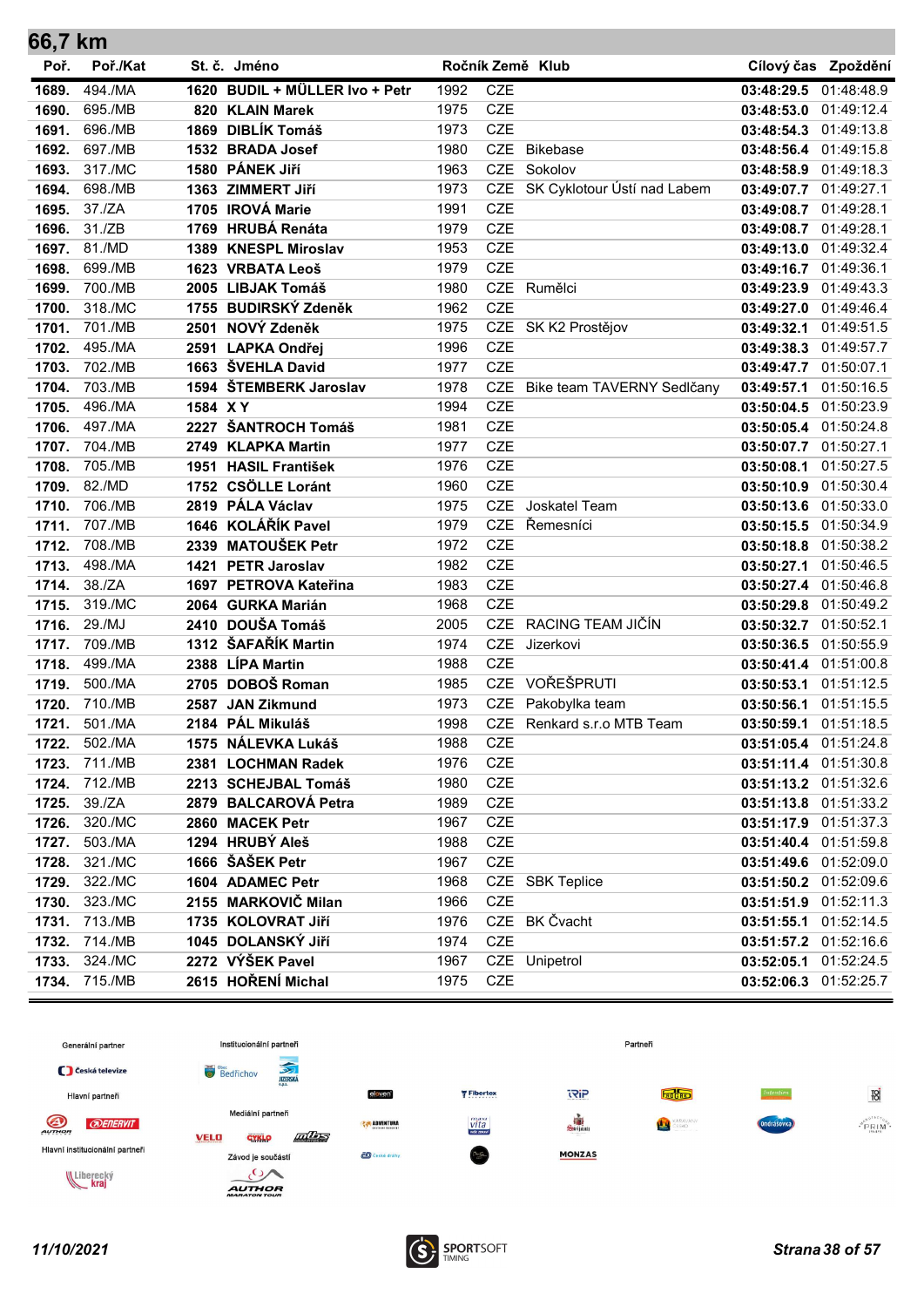| 66,7 km |          |                        |                                |      |            |                             |                       |                     |
|---------|----------|------------------------|--------------------------------|------|------------|-----------------------------|-----------------------|---------------------|
| Poř.    | Poř./Kat | St. č. Jméno           |                                |      |            | Ročník Země Klub            |                       | Cílový čas Zpoždění |
| 1689.   | 494./MA  |                        | 1620 BUDIL + MÜLLER Ivo + Petr | 1992 | <b>CZE</b> |                             | 03:48:29.5 01:48:48.9 |                     |
| 1690.   | 695./MB  | 820 KLAIN Marek        |                                | 1975 | <b>CZE</b> |                             | 03:48:53.0 01:49:12.4 |                     |
| 1691.   | 696./MB  | 1869 DIBLÍK Tomáš      |                                | 1973 | <b>CZE</b> |                             | 03:48:54.3 01:49:13.8 |                     |
| 1692.   | 697./MB  | 1532 BRADA Josef       |                                | 1980 | <b>CZE</b> | <b>Bikebase</b>             | 03:48:56.4 01:49:15.8 |                     |
| 1693.   | 317./MC  | 1580 PÁNEK Jiří        |                                | 1963 | <b>CZE</b> | Sokolov                     | 03:48:58.9 01:49:18.3 |                     |
| 1694.   | 698./MB  | 1363 ZIMMERT Jiří      |                                | 1973 | <b>CZE</b> | SK Cyklotour Ústí nad Labem | 03:49:07.7 01:49:27.1 |                     |
| 1695.   | 37./ZA   | 1705 IROVÁ Marie       |                                | 1991 | <b>CZE</b> |                             | 03:49:08.7 01:49:28.1 |                     |
| 1696.   | 31./ZB   | 1769 HRUBÁ Renáta      |                                | 1979 | <b>CZE</b> |                             | 03:49:08.7 01:49:28.1 |                     |
| 1697.   | 81./MD   | 1389 KNESPL Miroslav   |                                | 1953 | <b>CZE</b> |                             | 03:49:13.0 01:49:32.4 |                     |
| 1698.   | 699./MB  | 1623 VRBATA Leoš       |                                | 1979 | <b>CZE</b> |                             | 03:49:16.7 01:49:36.1 |                     |
| 1699.   | 700./MB  | 2005 LIBJAK Tomáš      |                                | 1980 | <b>CZE</b> | Rumělci                     | 03:49:23.9 01:49:43.3 |                     |
| 1700.   | 318./MC  | 1755 BUDIRSKÝ Zdeněk   |                                | 1962 | <b>CZE</b> |                             | 03:49:27.0 01:49:46.4 |                     |
| 1701.   | 701./MB  | 2501 NOVÝ Zdeněk       |                                | 1975 |            | CZE SK K2 Prostějov         | 03:49:32.1 01:49:51.5 |                     |
| 1702.   | 495./MA  | 2591 LAPKA Ondřej      |                                | 1996 | <b>CZE</b> |                             | 03:49:38.3 01:49:57.7 |                     |
| 1703.   | 702./MB  | 1663 ŠVEHLA David      |                                | 1977 | <b>CZE</b> |                             | 03:49:47.7 01:50:07.1 |                     |
| 1704.   | 703./MB  | 1594 ŠTEMBERK Jaroslav |                                | 1978 | <b>CZE</b> | Bike team TAVERNY Sedlčany  | 03:49:57.1            | 01:50:16.5          |
| 1705.   | 496./MA  | 1584 X Y               |                                | 1994 | <b>CZE</b> |                             | 03:50:04.5 01:50:23.9 |                     |
| 1706.   | 497./MA  | 2227 ŠANTROCH Tomáš    |                                | 1981 | <b>CZE</b> |                             | 03:50:05.4 01:50:24.8 |                     |
| 1707.   | 704./MB  | 2749 KLAPKA Martin     |                                | 1977 | <b>CZE</b> |                             | 03:50:07.7 01:50:27.1 |                     |
| 1708.   | 705./MB  | 1951 HASIL František   |                                | 1976 | <b>CZE</b> |                             | 03:50:08.1            | 01:50:27.5          |
| 1709.   | 82./MD   | 1752 CSÖLLE Loránt     |                                | 1960 | <b>CZE</b> |                             | 03:50:10.9 01:50:30.4 |                     |
| 1710.   | 706./MB  | 2819 PÁLA Václav       |                                | 1975 | <b>CZE</b> | Joskatel Team               | 03:50:13.6 01:50:33.0 |                     |
| 1711.   | 707./MB  | 1646 KOLÁŘÍK Pavel     |                                | 1979 | <b>CZE</b> | Řemesníci                   | 03:50:15.5 01:50:34.9 |                     |
| 1712.   | 708./MB  | 2339 MATOUŠEK Petr     |                                | 1972 | <b>CZE</b> |                             | 03:50:18.8 01:50:38.2 |                     |
| 1713.   | 498./MA  | 1421 PETR Jaroslav     |                                | 1982 | <b>CZE</b> |                             | 03:50:27.1 01:50:46.5 |                     |
| 1714.   | 38./ZA   | 1697 PETROVA Kateřina  |                                | 1983 | <b>CZE</b> |                             | 03:50:27.4 01:50:46.8 |                     |
| 1715.   | 319./MC  | 2064 GURKA Marián      |                                | 1968 | <b>CZE</b> |                             | 03:50:29.8            | 01:50:49.2          |
| 1716.   | 29./MJ   | 2410 DOUŠA Tomáš       |                                | 2005 | <b>CZE</b> | RACING TEAM JIČÍN           | 03:50:32.7 01:50:52.1 |                     |
| 1717.   | 709./MB  | 1312 ŠAFAŘÍK Martin    |                                | 1974 | <b>CZE</b> | Jizerkovi                   | 03:50:36.5 01:50:55.9 |                     |
| 1718.   | 499./MA  | 2388 LÍPA Martin       |                                | 1988 | <b>CZE</b> |                             | 03:50:41.4 01:51:00.8 |                     |
| 1719.   | 500./MA  | 2705 DOBOŠ Roman       |                                | 1985 | <b>CZE</b> | VOŘEŠPRUTI                  | 03:50:53.1            | 01:51:12.5          |
| 1720.   | 710./MB  | 2587 JAN Zikmund       |                                | 1973 |            | CZE Pakobylka team          | 03:50:56.1 01:51:15.5 |                     |
| 1721.   | 501./MA  | 2184 PÁL Mikuláš       |                                | 1998 |            | CZE Renkard s.r.o MTB Team  | 03:50:59.1 01:51:18.5 |                     |
| 1722.   | 502./MA  | 1575 NÁLEVKA Lukáš     |                                | 1988 | CZE        |                             | 03:51:05.4 01:51:24.8 |                     |
| 1723.   | 711./MB  | 2381 LOCHMAN Radek     |                                | 1976 | <b>CZE</b> |                             | 03:51:11.4 01:51:30.8 |                     |
| 1724.   | 712./MB  | 2213 SCHEJBAL Tomáš    |                                | 1980 | CZE        |                             | 03:51:13.2 01:51:32.6 |                     |
| 1725.   | 39./ZA   | 2879 BALCAROVÁ Petra   |                                | 1989 | CZE        |                             | 03:51:13.8 01:51:33.2 |                     |
| 1726.   | 320./MC  | 2860 MACEK Petr        |                                | 1967 | <b>CZE</b> |                             | 03:51:17.9 01:51:37.3 |                     |
| 1727.   | 503./MA  | 1294 HRUBÝ Aleš        |                                | 1988 | <b>CZE</b> |                             | 03:51:40.4 01:51:59.8 |                     |
| 1728.   | 321./MC  | 1666 ŠAŠEK Petr        |                                | 1967 | <b>CZE</b> |                             | 03:51:49.6 01:52:09.0 |                     |
| 1729.   | 322./MC  | 1604 ADAMEC Petr       |                                | 1968 |            | CZE SBK Teplice             | 03:51:50.2 01:52:09.6 |                     |
| 1730.   | 323./MC  | 2155 MARKOVIČ Milan    |                                | 1966 | <b>CZE</b> |                             | 03:51:51.9 01:52:11.3 |                     |
| 1731.   | 713./MB  | 1735 KOLOVRAT Jiří     |                                | 1976 |            | CZE BK Čvacht               | 03:51:55.1            | 01:52:14.5          |
| 1732.   | 714./MB  | 1045 DOLANSKÝ JIří     |                                | 1974 | CZE        |                             | 03:51:57.2 01:52:16.6 |                     |
| 1733.   | 324./MC  | 2272 VÝŠEK Pavel       |                                | 1967 |            | CZE Unipetrol               | 03:52:05.1 01:52:24.5 |                     |
| 1734.   | 715./MB  | 2615 HOŘENÍ Michal     |                                | 1975 | <b>CZE</b> |                             | 03:52:06.3 01:52:25.7 |                     |

![](_page_37_Figure_1.jpeg)

![](_page_37_Picture_3.jpeg)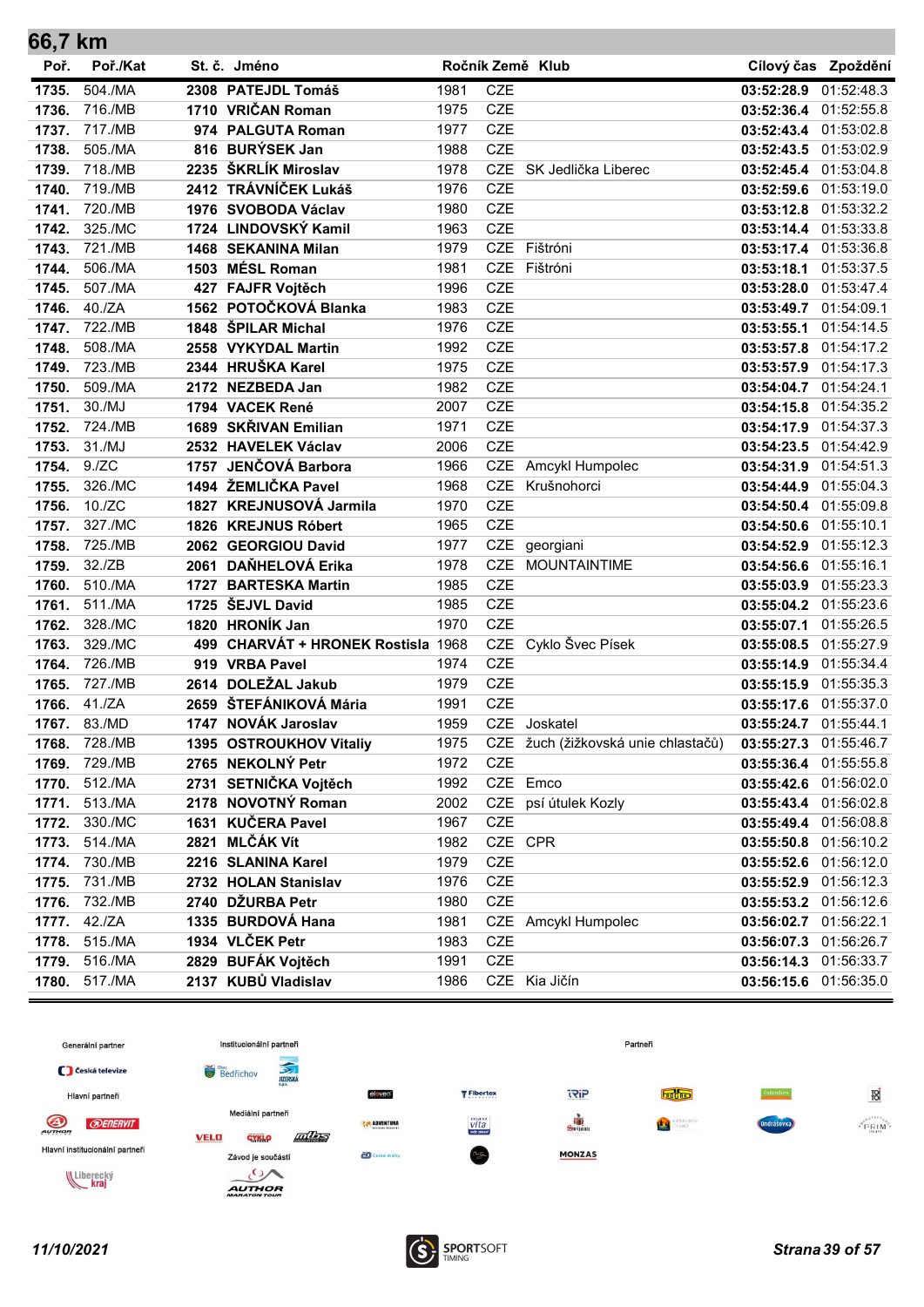| 66,7 KM |          |      |                                    |      |            |                                     |                       |                     |
|---------|----------|------|------------------------------------|------|------------|-------------------------------------|-----------------------|---------------------|
| Poř.    | Poř./Kat |      | St. č. Jméno                       |      |            | Ročník Země Klub                    |                       | Cílový čas Zpoždění |
| 1735.   | 504./MA  |      | 2308 PATEJDL Tomáš                 | 1981 | <b>CZE</b> |                                     | 03:52:28.9 01:52:48.3 |                     |
| 1736.   | 716./MB  |      | 1710 VRIČAN Roman                  | 1975 | <b>CZE</b> |                                     | 03:52:36.4 01:52:55.8 |                     |
| 1737.   | 717./MB  |      | 974 PALGUTA Roman                  | 1977 | <b>CZE</b> |                                     | 03:52:43.4 01:53:02.8 |                     |
| 1738.   | 505./MA  |      | 816 BURÝSEK Jan                    | 1988 | <b>CZE</b> |                                     | 03:52:43.5 01:53:02.9 |                     |
| 1739.   | 718./MB  |      | 2235 ŠKRLÍK Miroslav               | 1978 | <b>CZE</b> | SK Jedlička Liberec                 | 03:52:45.4            | 01:53:04.8          |
| 1740.   | 719./MB  |      | 2412 TRÁVNÍČEK Lukáš               | 1976 | <b>CZE</b> |                                     | 03:52:59.6            | 01:53:19.0          |
| 1741.   | 720./MB  |      | 1976 SVOBODA Václav                | 1980 | <b>CZE</b> |                                     | 03:53:12.8 01:53:32.2 |                     |
| 1742.   | 325./MC  |      | 1724 LINDOVSKÝ Kamil               | 1963 | <b>CZE</b> |                                     | 03:53:14.4 01:53:33.8 |                     |
| 1743.   | 721./MB  |      | 1468 SEKANINA Milan                | 1979 | <b>CZE</b> | Fištróni                            | 03:53:17.4            | 01:53:36.8          |
| 1744.   | 506./MA  |      | 1503 MÉSL Roman                    | 1981 | <b>CZE</b> | Fištróni                            | 03:53:18.1            | 01:53:37.5          |
| 1745.   | 507./MA  |      | 427 FAJFR Vojtěch                  | 1996 | <b>CZE</b> |                                     | 03:53:28.0 01:53:47.4 |                     |
| 1746.   | 40./ZA   |      | 1562 POTOČKOVÁ Blanka              | 1983 | <b>CZE</b> |                                     | 03:53:49.7 01:54:09.1 |                     |
| 1747.   | 722./MB  |      | 1848 ŠPILAR Michal                 | 1976 | <b>CZE</b> |                                     | 03:53:55.1            | 01:54:14.5          |
| 1748.   | 508./MA  |      | 2558 VYKYDAL Martin                | 1992 | <b>CZE</b> |                                     | 03:53:57.8            | 01:54:17.2          |
| 1749.   | 723./MB  |      | 2344 HRUŠKA Karel                  | 1975 | <b>CZE</b> |                                     | 03:53:57.9 01:54:17.3 |                     |
| 1750.   | 509./MA  |      | 2172 NEZBEDA Jan                   | 1982 | <b>CZE</b> |                                     | 03:54:04.7 01:54:24.1 |                     |
| 1751.   | 30./MJ   |      | 1794 VACEK René                    | 2007 | <b>CZE</b> |                                     | 03:54:15.8            | 01:54:35.2          |
| 1752.   | 724./MB  |      | 1689 SKŘIVAN Emilian               | 1971 | <b>CZE</b> |                                     | 03:54:17.9            | 01:54:37.3          |
| 1753.   | 31./MJ   |      | 2532 HAVELEK Václav                | 2006 | <b>CZE</b> |                                     | 03:54:23.5 01:54:42.9 |                     |
| 1754.   | 9./ZC    |      | 1757 JENČOVÁ Barbora               | 1966 | <b>CZE</b> | Amcykl Humpolec                     | 03:54:31.9            | 01:54:51.3          |
| 1755.   | 326./MC  |      | 1494 ŽEMLIČKA Pavel                | 1968 | <b>CZE</b> | Krušnohorci                         | 03:54:44.9            | 01:55:04.3          |
| 1756.   | 10./ZC   |      | 1827 KREJNUSOVÁ Jarmila            | 1970 | <b>CZE</b> |                                     | 03:54:50.4            | 01:55:09.8          |
| 1757.   | 327./MC  |      | 1826 KREJNUS Róbert                | 1965 | <b>CZE</b> |                                     | 03:54:50.6            | 01:55:10.1          |
| 1758.   | 725./MB  |      | 2062 GEORGIOU David                | 1977 | <b>CZE</b> | georgiani                           | 03:54:52.9            | 01:55:12.3          |
| 1759.   | 32./ZB   |      | 2061 DAŇHELOVÁ Erika               | 1978 | <b>CZE</b> | <b>MOUNTAINTIME</b>                 | 03:54:56.6            | 01:55:16.1          |
| 1760.   | 510./MA  | 1727 | <b>BARTESKA Martin</b>             | 1985 | <b>CZE</b> |                                     | 03:55:03.9            | 01:55:23.3          |
| 1761.   | 511./MA  |      | 1725 ŠEJVL David                   | 1985 | <b>CZE</b> |                                     | 03:55:04.2 01:55:23.6 |                     |
| 1762.   | 328./MC  |      | 1820 HRONÍK Jan                    | 1970 | <b>CZE</b> |                                     | 03:55:07.1            | 01:55:26.5          |
| 1763.   | 329./MC  |      | 499 CHARVÁT + HRONEK Rostisla 1968 |      | <b>CZE</b> | Cyklo Švec Písek                    | 03:55:08.5            | 01:55:27.9          |
| 1764.   | 726./MB  |      | 919 VRBA Pavel                     | 1974 | <b>CZE</b> |                                     | 03:55:14.9            | 01:55:34.4          |
| 1765.   | 727./MB  |      | 2614 DOLEŽAL Jakub                 | 1979 | <b>CZE</b> |                                     | 03:55:15.9 01:55:35.3 |                     |
| 1766.   | 41./ZA   |      | 2659 ŠTEFÁNIKOVÁ Mária             | 1991 | <b>CZE</b> |                                     | 03:55:17.6 01:55:37.0 |                     |
| 1767.   | 83./MD   |      | 1747 NOVÁK Jaroslav                | 1959 |            | CZE Joskatel                        | 03:55:24.7 01:55:44.1 |                     |
| 1768.   | 728./MB  |      | 1395 OSTROUKHOV Vitaliy            | 1975 |            | CZE žuch (žižkovská unie chlastačů) | 03:55:27.3 01:55:46.7 |                     |
| 1769.   | 729./MB  |      | 2765 NEKOLNÝ Petr                  | 1972 | CZE        |                                     | 03:55:36.4 01:55:55.8 |                     |
| 1770.   | 512./MA  |      | 2731 SETNIČKA Vojtěch              | 1992 |            | CZE Emco                            | 03:55:42.6 01:56:02.0 |                     |
| 1771.   | 513./MA  |      | 2178 NOVOTNÝ Roman                 | 2002 | CZE        | psí útulek Kozly                    | 03:55:43.4 01:56:02.8 |                     |
| 1772.   | 330./MC  |      | 1631 KUČERA Pavel                  | 1967 | <b>CZE</b> |                                     | 03:55:49.4 01:56:08.8 |                     |
| 1773.   | 514./MA  |      | 2821 MLČÁK Vít                     | 1982 | CZE CPR    |                                     | 03:55:50.8 01:56:10.2 |                     |
| 1774.   | 730./MB  |      | 2216 SLANINA Karel                 | 1979 | <b>CZE</b> |                                     | 03:55:52.6 01:56:12.0 |                     |
| 1775.   | 731./MB  |      | 2732 HOLAN Stanislav               | 1976 | <b>CZE</b> |                                     | 03:55:52.9            | 01:56:12.3          |
| 1776.   | 732./MB  |      | 2740 DŽURBA Petr                   | 1980 | CZE        |                                     | 03:55:53.2 01:56:12.6 |                     |
| 1777.   | 42./ZA   |      | 1335 BURDOVÁ Hana                  | 1981 |            | CZE Amcykl Humpolec                 | 03:56:02.7 01:56:22.1 |                     |
| 1778.   | 515./MA  |      | 1934 VLČEK Petr                    | 1983 | <b>CZE</b> |                                     | 03:56:07.3 01:56:26.7 |                     |
| 1779.   | 516./MA  |      | 2829 BUFÁK Vojtěch                 | 1991 | CZE        |                                     | 03:56:14.3 01:56:33.7 |                     |
| 1780.   | 517./MA  |      | 2137 KUBŮ Vladislav                | 1986 |            | CZE Kia Jičín                       | 03:56:15.6            | 01:56:35.0          |

![](_page_38_Figure_1.jpeg)

![](_page_38_Picture_3.jpeg)

÷.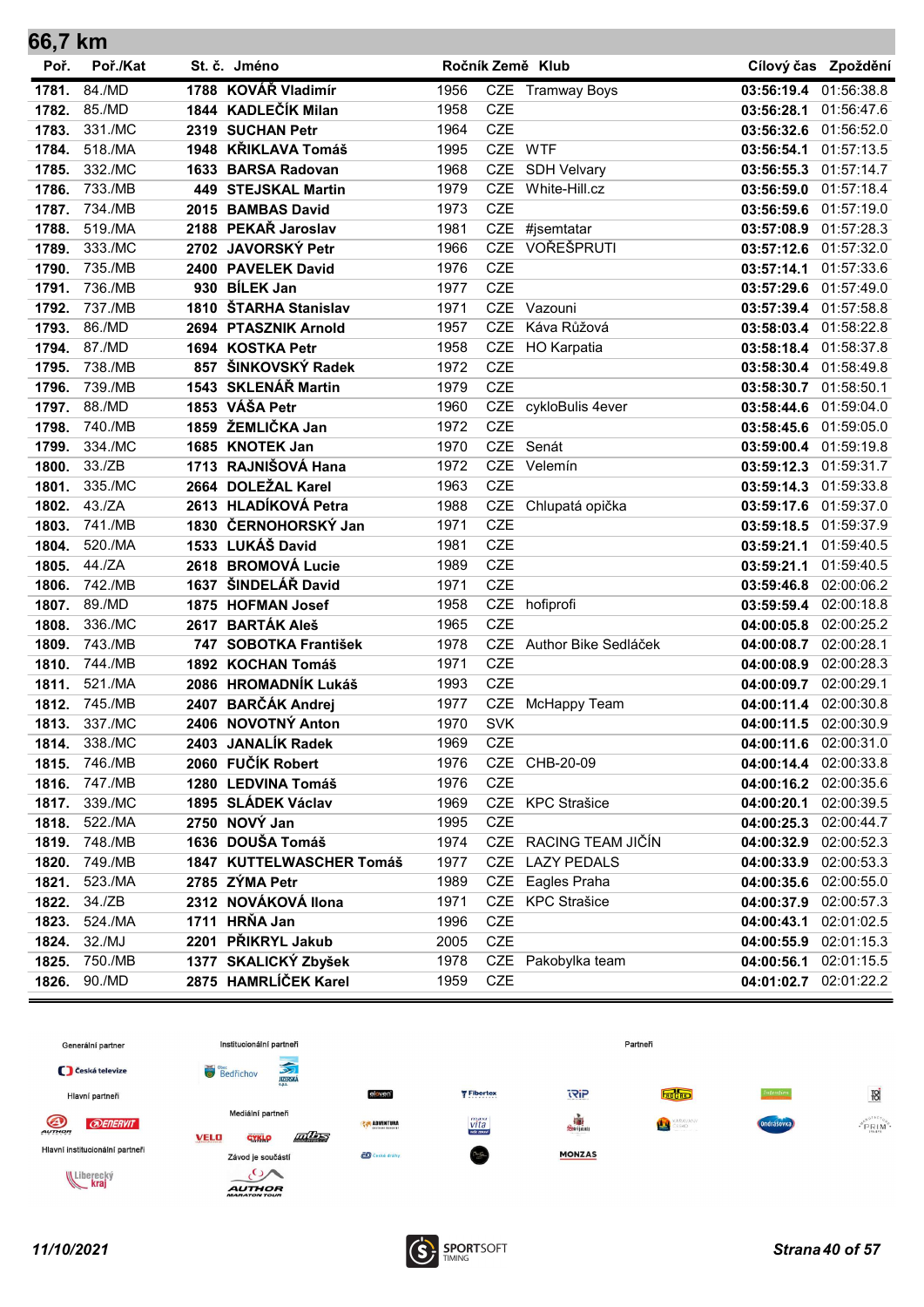| 66,7 km |          |      |                          |      |            |                       |                       |                     |
|---------|----------|------|--------------------------|------|------------|-----------------------|-----------------------|---------------------|
| Poř.    | Poř./Kat |      | St. č. Jméno             |      |            | Ročník Země Klub      |                       | Cílový čas Zpoždění |
| 1781.   | 84./MD   |      | 1788 KOVÁŘ Vladimír      | 1956 |            | CZE Tramway Boys      | 03:56:19.4            | 01:56:38.8          |
| 1782.   | 85./MD   |      | 1844 KADLEČÍK Milan      | 1958 | <b>CZE</b> |                       | 03:56:28.1            | 01:56:47.6          |
| 1783.   | 331./MC  |      | 2319 SUCHAN Petr         | 1964 | <b>CZE</b> |                       | 03:56:32.6 01:56:52.0 |                     |
| 1784.   | 518./MA  |      | 1948 KŘIKLAVA Tomáš      | 1995 | <b>CZE</b> | <b>WTF</b>            | 03:56:54.1            | 01:57:13.5          |
| 1785.   | 332./MC  |      | 1633 BARSA Radovan       | 1968 | <b>CZE</b> | <b>SDH Velvary</b>    | 03:56:55.3            | 01:57:14.7          |
| 1786.   | 733./MB  |      | 449 STEJSKAL Martin      | 1979 | <b>CZE</b> | White-Hill.cz         | 03:56:59.0            | 01:57:18.4          |
| 1787.   | 734./MB  |      | 2015 BAMBAS David        | 1973 | <b>CZE</b> |                       | 03:56:59.6            | 01:57:19.0          |
| 1788.   | 519./MA  |      | 2188 PEKAŘ Jaroslav      | 1981 | <b>CZE</b> | #jsemtatar            | 03:57:08.9            | 01:57:28.3          |
| 1789.   | 333./MC  |      | 2702 JAVORSKÝ Petr       | 1966 | <b>CZE</b> | VOŘEŠPRUTI            | 03:57:12.6            | 01:57:32.0          |
| 1790.   | 735./MB  |      | 2400 PAVELEK David       | 1976 | <b>CZE</b> |                       | 03:57:14.1            | 01:57:33.6          |
| 1791.   | 736./MB  |      | 930 BÍLEK Jan            | 1977 | <b>CZE</b> |                       | 03:57:29.6 01:57:49.0 |                     |
| 1792.   | 737./MB  |      | 1810 ŠTARHA Stanislav    | 1971 |            | CZE Vazouni           | 03:57:39.4 01:57:58.8 |                     |
| 1793.   | 86./MD   |      | 2694 PTASZNIK Arnold     | 1957 | <b>CZE</b> | Káva Růžová           | 03:58:03.4            | 01:58:22.8          |
| 1794.   | 87./MD   |      | 1694 KOSTKA Petr         | 1958 | <b>CZE</b> | HO Karpatia           | 03:58:18.4 01:58:37.8 |                     |
| 1795.   | 738./MB  | 857  | ŠINKOVSKÝ Radek          | 1972 | <b>CZE</b> |                       | 03:58:30.4 01:58:49.8 |                     |
| 1796.   | 739./MB  |      | 1543 SKLENÁŘ Martin      | 1979 | <b>CZE</b> |                       | 03:58:30.7            | 01:58:50.1          |
| 1797.   | 88./MD   |      | 1853 VÁŠA Petr           | 1960 |            | CZE cykloBulis 4ever  | 03:58:44.6            | 01:59:04.0          |
| 1798.   | 740./MB  |      | 1859 ŽEMLIČKA Jan        | 1972 | <b>CZE</b> |                       | 03:58:45.6 01:59:05.0 |                     |
| 1799.   | 334./MC  |      | 1685 KNOTEK Jan          | 1970 | CZE        | Senát                 | 03:59:00.4 01:59:19.8 |                     |
| 1800.   | 33./ZB   |      | 1713 RAJNIŠOVÁ Hana      | 1972 | <b>CZE</b> | Velemín               | 03:59:12.3            | 01:59:31.7          |
| 1801.   | 335./MC  |      | 2664 DOLEŽAL Karel       | 1963 | <b>CZE</b> |                       | 03:59:14.3            | 01:59:33.8          |
| 1802.   | 43./ZA   |      | 2613 HLADÍKOVÁ Petra     | 1988 | <b>CZE</b> | Chlupatá opička       | 03:59:17.6            | 01:59:37.0          |
| 1803.   | 741./MB  |      | 1830 ČERNOHORSKÝ Jan     | 1971 | <b>CZE</b> |                       | 03:59:18.5            | 01:59:37.9          |
| 1804.   | 520./MA  |      | 1533 LUKÁŠ David         | 1981 | <b>CZE</b> |                       | 03:59:21.1            | 01:59:40.5          |
| 1805.   | 44./ZA   |      | 2618 BROMOVÁ Lucie       | 1989 | <b>CZE</b> |                       | 03:59:21.1            | 01:59:40.5          |
| 1806.   | 742./MB  |      | 1637 ŠINDELÁŘ David      | 1971 | <b>CZE</b> |                       | 03:59:46.8            | 02:00:06.2          |
| 1807.   | 89./MD   |      | 1875 HOFMAN Josef        | 1958 | CZE        | hofiprofi             | 03:59:59.4            | 02:00:18.8          |
| 1808.   | 336./MC  | 2617 | <b>BARTÁK Aleš</b>       | 1965 | <b>CZE</b> |                       | 04:00:05.8            | 02:00:25.2          |
| 1809.   | 743./MB  | 747  | <b>SOBOTKA František</b> | 1978 | <b>CZE</b> | Author Bike Sedláček  | 04:00:08.7            | 02:00:28.1          |
| 1810.   | 744./MB  |      | 1892 KOCHAN Tomáš        | 1971 | <b>CZE</b> |                       | 04:00:08.9            | 02:00:28.3          |
| 1811.   | 521./MA  |      | 2086 HROMADNÍK Lukáš     | 1993 | <b>CZE</b> |                       | 04:00:09.7            | 02:00:29.1          |
| 1812.   | 745./MB  |      | 2407 BARČÁK Andrej       | 1977 | <b>CZE</b> | McHappy Team          | 04:00:11.4            | 02:00:30.8          |
| 1813.   | 337./MC  |      | 2406 NOVOTNÝ Anton       | 1970 | <b>SVK</b> |                       | 04:00:11.5            | 02:00:30.9          |
| 1814.   | 338./MC  |      | 2403 JANALÍK Radek       | 1969 | CZE        |                       | 04:00:11.6 02:00:31.0 |                     |
| 1815.   | 746./MB  |      | 2060 FUČÍK Robert        | 1976 | CZE        | CHB-20-09             | 04:00:14.4 02:00:33.8 |                     |
| 1816.   | 747./MB  |      | 1280 LEDVINA Tomáš       | 1976 | <b>CZE</b> |                       | 04:00:16.2 02:00:35.6 |                     |
| 1817.   | 339./MC  |      | 1895 SLÁDEK Václav       | 1969 |            | CZE KPC Strašice      | 04:00:20.1            | 02:00:39.5          |
| 1818.   | 522./MA  |      | 2750 NOVÝ Jan            | 1995 | <b>CZE</b> |                       | 04:00:25.3            | 02:00:44.7          |
| 1819.   | 748./MB  |      | 1636 DOUŠA Tomáš         | 1974 |            | CZE RACING TEAM JIČÍN | 04:00:32.9 02:00:52.3 |                     |
| 1820.   | 749./MB  |      | 1847 KUTTELWASCHER Tomáš | 1977 | <b>CZE</b> | <b>LAZY PEDALS</b>    | 04:00:33.9            | 02:00:53.3          |
| 1821.   | 523./MA  |      | 2785 ZÝMA Petr           | 1989 | CZE        | Eagles Praha          | 04:00:35.6 02:00:55.0 |                     |
| 1822.   | 34./ZB   |      | 2312 NOVÁKOVÁ Ilona      | 1971 | CZE        | <b>KPC Strašice</b>   | 04:00:37.9 02:00:57.3 |                     |
| 1823.   | 524./MA  |      | 1711 HRŇA Jan            | 1996 | CZE        |                       | 04:00:43.1 02:01:02.5 |                     |
| 1824.   | 32./MJ   |      | 2201 PŘIKRYL Jakub       | 2005 | CZE        |                       | 04:00:55.9            | 02:01:15.3          |
| 1825.   | 750./MB  |      | 1377 SKALICKÝ Zbyšek     | 1978 | CZE        | Pakobylka team        | 04:00:56.1            | 02:01:15.5          |
| 1826.   | 90./MD   |      | 2875 HAMRLÍČEK Karel     | 1959 | CZE        |                       | 04:01:02.7            | 02:01:22.2          |

![](_page_39_Figure_1.jpeg)

![](_page_39_Picture_3.jpeg)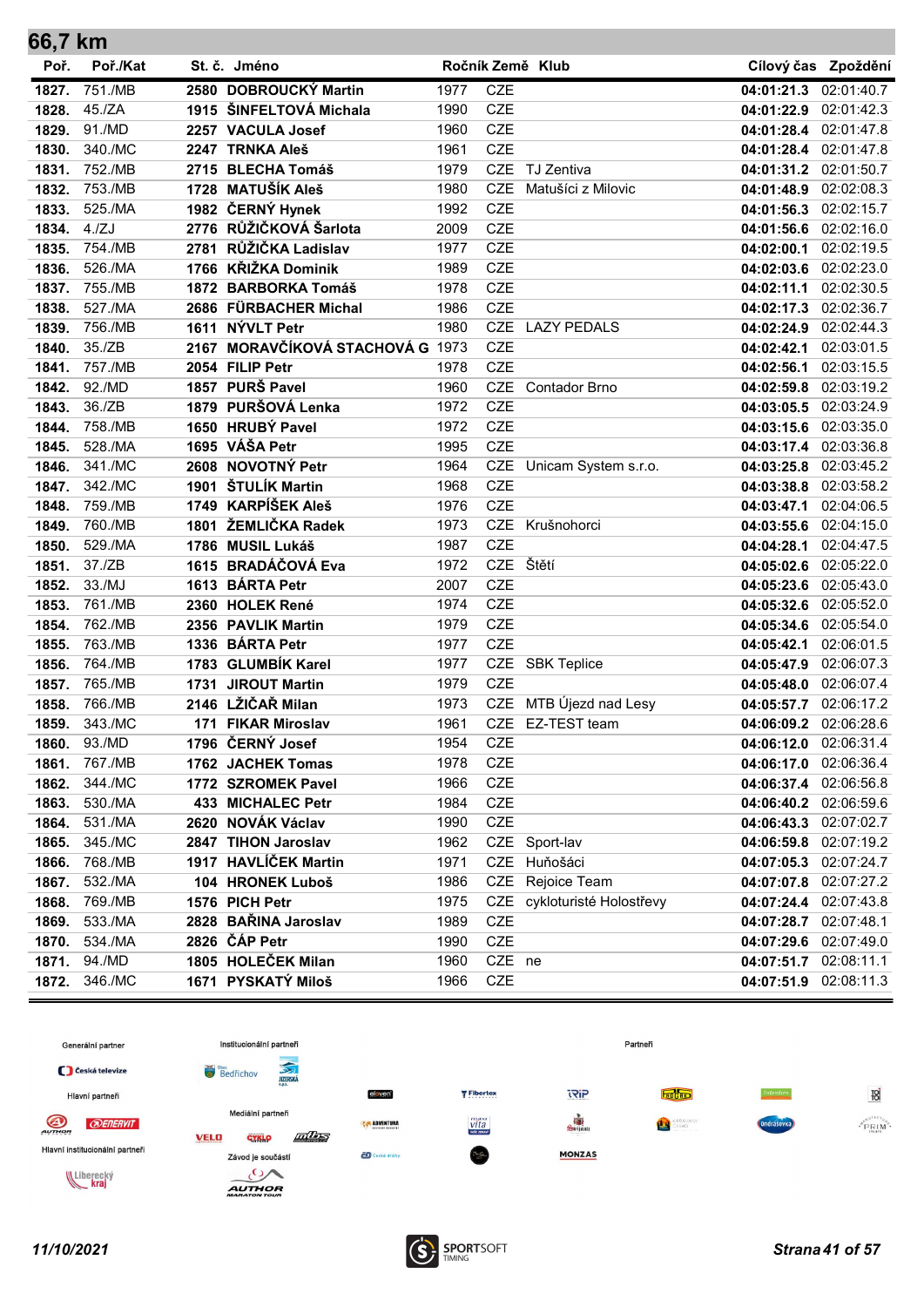| 66,7 km |          |      |                                  |      |            |                             |                       |                     |
|---------|----------|------|----------------------------------|------|------------|-----------------------------|-----------------------|---------------------|
| Poř.    | Poř./Kat |      | St. č. Jméno                     |      |            | Ročník Země Klub            |                       | Cílový čas Zpoždění |
| 1827.   | 751./MB  |      | 2580 DOBROUCKÝ Martin            | 1977 | <b>CZE</b> |                             | 04:01:21.3 02:01:40.7 |                     |
| 1828.   | 45./ZA   |      | 1915 ŠINFELTOVÁ Michala          | 1990 | <b>CZE</b> |                             | 04:01:22.9            | 02:01:42.3          |
| 1829.   | 91./MD   |      | 2257 VACULA Josef                | 1960 | <b>CZE</b> |                             | 04:01:28.4 02:01:47.8 |                     |
| 1830.   | 340./MC  |      | 2247 TRNKA Aleš                  | 1961 | <b>CZE</b> |                             | 04:01:28.4 02:01:47.8 |                     |
| 1831.   | 752./MB  |      | 2715 BLECHA Tomáš                | 1979 | <b>CZE</b> | TJ Zentiva                  | 04:01:31.2            | 02:01:50.7          |
| 1832.   | 753./MB  |      | 1728 MATUŠÍK Aleš                | 1980 | <b>CZE</b> | Matušíci z Milovic          | 04:01:48.9            | 02:02:08.3          |
| 1833.   | 525./MA  |      | 1982 ČERNÝ Hynek                 | 1992 | <b>CZE</b> |                             | 04:01:56.3            | 02:02:15.7          |
| 1834.   | 4./ZJ    |      | 2776 RŮŽIČKOVÁ Šarlota           | 2009 | <b>CZE</b> |                             | 04:01:56.6            | 02:02:16.0          |
| 1835.   | 754./MB  | 2781 | RŮŽIČKA Ladislav                 | 1977 | <b>CZE</b> |                             | 04:02:00.1            | 02:02:19.5          |
| 1836.   | 526./MA  |      | 1766 KŘIŽKA Dominik              | 1989 | <b>CZE</b> |                             | 04:02:03.6            | 02:02:23.0          |
| 1837.   | 755./MB  |      | 1872 BARBORKA Tomáš              | 1978 | <b>CZE</b> |                             | 04:02:11.1            | 02:02:30.5          |
| 1838.   | 527./MA  |      | 2686 FÜRBACHER Michal            | 1986 | <b>CZE</b> |                             | 04:02:17.3 02:02:36.7 |                     |
| 1839.   | 756./MB  |      | 1611 NÝVLT Petr                  | 1980 | <b>CZE</b> | <b>LAZY PEDALS</b>          | 04:02:24.9            | 02:02:44.3          |
| 1840.   | 35./ZB   |      | 2167 MORAVČÍKOVÁ STACHOVÁ G 1973 |      | <b>CZE</b> |                             | 04:02:42.1            | 02:03:01.5          |
| 1841.   | 757./MB  |      | 2054 FILIP Petr                  | 1978 | <b>CZE</b> |                             | 04:02:56.1            | 02:03:15.5          |
| 1842.   | 92./MD   |      | 1857 PURŠ Pavel                  | 1960 | <b>CZE</b> | <b>Contador Brno</b>        | 04:02:59.8 02:03:19.2 |                     |
| 1843.   | 36./ZB   |      | 1879 PURŠOVÁ Lenka               | 1972 | <b>CZE</b> |                             | 04:03:05.5 02:03:24.9 |                     |
| 1844.   | 758./MB  |      | 1650 HRUBÝ Pavel                 | 1972 | <b>CZE</b> |                             | 04:03:15.6 02:03:35.0 |                     |
| 1845.   | 528./MA  |      | 1695 VÁŠA Petr                   | 1995 | <b>CZE</b> |                             | 04:03:17.4 02:03:36.8 |                     |
| 1846.   | 341./MC  |      | 2608 NOVOTNÝ Petr                | 1964 | CZE        | Unicam System s.r.o.        | 04:03:25.8 02:03:45.2 |                     |
| 1847.   | 342./MC  |      | 1901 ŠTULÍK Martin               | 1968 | <b>CZE</b> |                             | 04:03:38.8            | 02:03:58.2          |
| 1848.   | 759./MB  |      | 1749 KARPÍŠEK Aleš               | 1976 | <b>CZE</b> |                             | 04:03:47.1            | 02:04:06.5          |
| 1849.   | 760./MB  | 1801 | ŽEMLIČKA Radek                   | 1973 | <b>CZE</b> | Krušnohorci                 | 04:03:55.6 02:04:15.0 |                     |
| 1850.   | 529./MA  |      | 1786 MUSIL Lukáš                 | 1987 | <b>CZE</b> |                             | 04:04:28.1            | 02:04:47.5          |
| 1851.   | 37./ZB   |      | 1615 BRADÁČOVÁ Eva               | 1972 | <b>CZE</b> | Štětí                       | 04:05:02.6            | 02:05:22.0          |
| 1852.   | 33./MJ   |      | 1613 BÁRTA Petr                  | 2007 | <b>CZE</b> |                             | 04:05:23.6            | 02:05:43.0          |
| 1853.   | 761./MB  |      | 2360 HOLEK René                  | 1974 | <b>CZE</b> |                             | 04:05:32.6            | 02:05:52.0          |
| 1854.   | 762./MB  |      | 2356 PAVLIK Martin               | 1979 | <b>CZE</b> |                             | 04:05:34.6            | 02:05:54.0          |
| 1855.   | 763./MB  |      | 1336 BÁRTA Petr                  | 1977 | <b>CZE</b> |                             | 04:05:42.1            | 02:06:01.5          |
| 1856.   | 764./MB  |      | 1783 GLUMBÍK Karel               | 1977 | CZE        | <b>SBK Teplice</b>          | 04:05:47.9            | 02:06:07.3          |
| 1857.   | 765./MB  |      | 1731 JIROUT Martin               | 1979 | <b>CZE</b> |                             | 04:05:48.0 02:06:07.4 |                     |
| 1858.   | 766./MB  |      | 2146 LŽIČAŘ Milan                | 1973 | CZE        | MTB Újezd nad Lesy          | 04:05:57.7 02:06:17.2 |                     |
| 1859.   | 343./MC  |      | 171 FIKAR Miroslav               | 1961 |            | CZE EZ-TEST team            | 04:06:09.2            | 02:06:28.6          |
| 1860.   | 93./MD   |      | 1796 ČERNÝ Josef                 | 1954 | CZE        |                             | 04:06:12.0            | 02:06:31.4          |
| 1861.   | 767./MB  |      | 1762 JACHEK Tomas                | 1978 | CZE        |                             | 04:06:17.0            | 02:06:36.4          |
| 1862.   | 344./MC  |      | 1772 SZROMEK Pavel               | 1966 | CZE        |                             | 04:06:37.4 02:06:56.8 |                     |
| 1863.   | 530./MA  |      | 433 MICHALEC Petr                | 1984 | CZE        |                             | 04:06:40.2 02:06:59.6 |                     |
| 1864.   | 531./MA  |      | 2620 NOVÁK Václav                | 1990 | CZE        |                             | 04:06:43.3 02:07:02.7 |                     |
| 1865.   | 345./MC  |      | 2847 TIHON Jaroslav              | 1962 |            | CZE Sport-lav               | 04:06:59.8 02:07:19.2 |                     |
| 1866.   | 768./MB  |      | 1917 HAVLÍČEK Martin             | 1971 | CZE        | Huňošáci                    | 04:07:05.3 02:07:24.7 |                     |
| 1867.   | 532./MA  |      | 104 HRONEK Luboš                 | 1986 | CZE        | Rejoice Team                | 04:07:07.8 02:07:27.2 |                     |
| 1868.   | 769./MB  |      | 1576 PICH Petr                   | 1975 |            | CZE cykloturisté Holostřevy | 04:07:24.4            | 02:07:43.8          |
| 1869.   | 533./MA  |      | 2828 BAŘINA Jaroslav             | 1989 | <b>CZE</b> |                             | 04:07:28.7 02:07:48.1 |                     |
| 1870.   | 534./MA  |      | 2826 ČÁP Petr                    | 1990 | <b>CZE</b> |                             | 04:07:29.6 02:07:49.0 |                     |
| 1871.   | 94./MD   |      | 1805 HOLEČEK Milan               | 1960 | CZE ne     |                             | 04:07:51.7            | 02:08:11.1          |
| 1872.   | 346./MC  |      | 1671 PYSKATÝ Miloš               | 1966 | CZE        |                             | 04:07:51.9            | 02:08:11.3          |

![](_page_40_Figure_1.jpeg)

![](_page_40_Picture_3.jpeg)

 $\sim$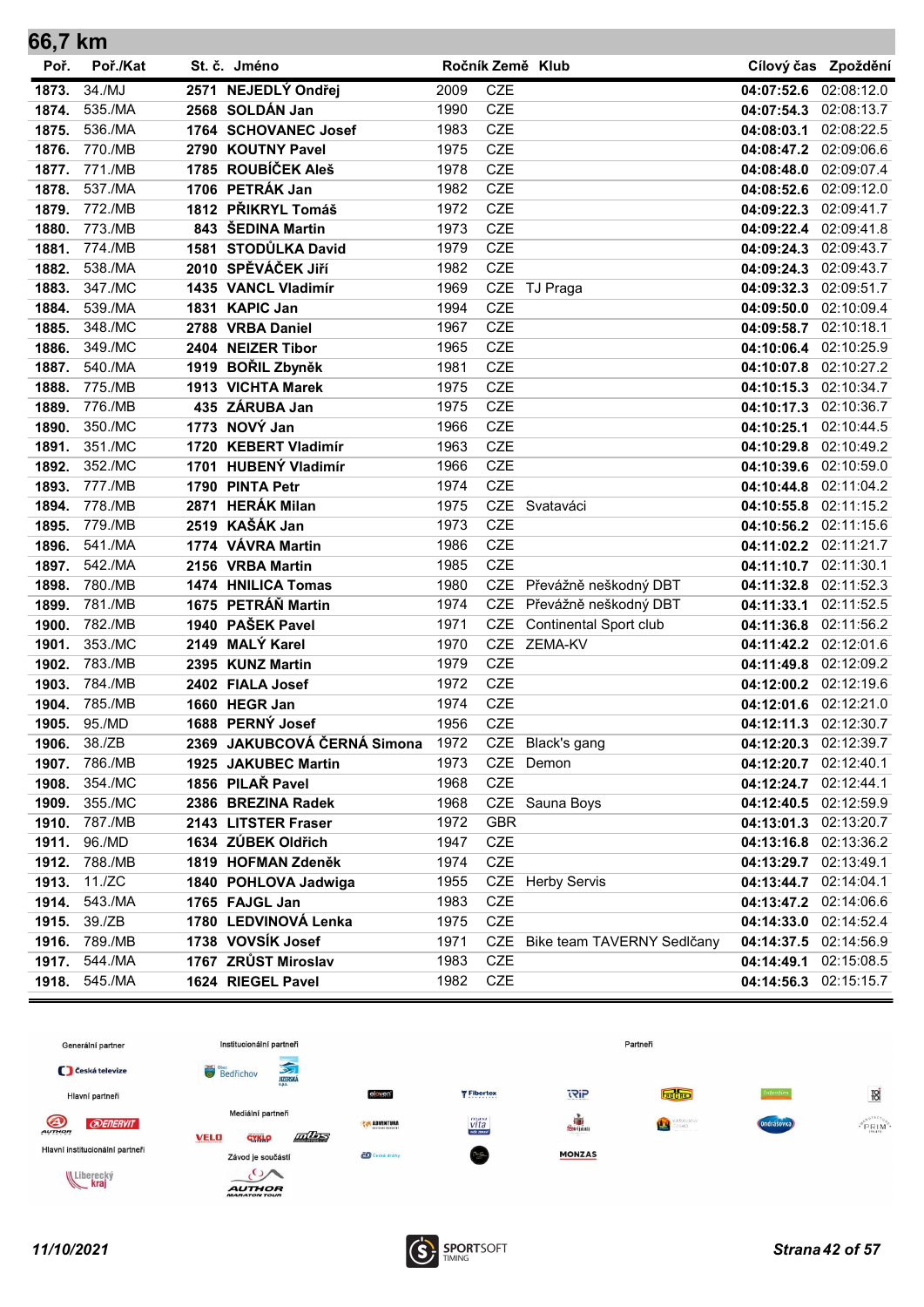| 66,7 km |          |      |                             |      |                  |                                |                       |                     |
|---------|----------|------|-----------------------------|------|------------------|--------------------------------|-----------------------|---------------------|
| Poř.    | Poř./Kat |      | St. č. Jméno                |      | Ročník Země Klub |                                |                       | Cílový čas Zpoždění |
| 1873.   | 34./MJ   |      | 2571 NEJEDLÝ Ondřej         | 2009 | <b>CZE</b>       |                                | 04:07:52.6            | 02:08:12.0          |
| 1874.   | 535./MA  |      | 2568 SOLDÁN Jan             | 1990 | <b>CZE</b>       |                                | 04:07:54.3            | 02:08:13.7          |
| 1875.   | 536./MA  |      | 1764 SCHOVANEC Josef        | 1983 | <b>CZE</b>       |                                | 04:08:03.1            | 02:08:22.5          |
| 1876.   | 770./MB  |      | 2790 KOUTNY Pavel           | 1975 | <b>CZE</b>       |                                | 04:08:47.2            | 02:09:06.6          |
| 1877.   | 771./MB  |      | 1785 ROUBÍČEK Aleš          | 1978 | <b>CZE</b>       |                                | 04:08:48.0            | 02:09:07.4          |
| 1878.   | 537./MA  |      | 1706 PETRÁK Jan             | 1982 | <b>CZE</b>       |                                | 04:08:52.6            | 02:09:12.0          |
| 1879.   | 772./MB  |      | 1812 PŘIKRYL Tomáš          | 1972 | <b>CZE</b>       |                                | 04:09:22.3            | 02:09:41.7          |
| 1880.   | 773./MB  |      | 843 ŠEDINA Martin           | 1973 | <b>CZE</b>       |                                | 04:09:22.4            | 02:09:41.8          |
| 1881.   | 774./MB  |      | 1581 STODŮLKA David         | 1979 | <b>CZE</b>       |                                | 04:09:24.3            | 02:09:43.7          |
| 1882.   | 538./MA  |      | 2010 SPĚVÁČEK JIří          | 1982 | <b>CZE</b>       |                                | 04:09:24.3            | 02:09:43.7          |
| 1883.   | 347./MC  |      | 1435 VANCL Vladimír         | 1969 | CZE              | TJ Praga                       | 04:09:32.3            | 02:09:51.7          |
| 1884.   | 539./MA  |      | 1831 KAPIC Jan              | 1994 | <b>CZE</b>       |                                | 04:09:50.0            | 02:10:09.4          |
| 1885.   | 348./MC  |      | 2788 VRBA Daniel            | 1967 | <b>CZE</b>       |                                | 04:09:58.7            | 02:10:18.1          |
| 1886.   | 349./MC  |      | 2404 NEIZER Tibor           | 1965 | <b>CZE</b>       |                                | 04:10:06.4            | 02:10:25.9          |
| 1887.   | 540./MA  |      | 1919 BOŘIL Zbyněk           | 1981 | <b>CZE</b>       |                                | 04:10:07.8            | 02:10:27.2          |
| 1888.   | 775./MB  |      | 1913 VICHTA Marek           | 1975 | <b>CZE</b>       |                                | 04:10:15.3            | 02:10:34.7          |
| 1889.   | 776./MB  |      | 435 ZÁRUBA Jan              | 1975 | <b>CZE</b>       |                                | 04:10:17.3            | 02:10:36.7          |
| 1890.   | 350./MC  |      | 1773 NOVÝ Jan               | 1966 | <b>CZE</b>       |                                | 04:10:25.1            | 02:10:44.5          |
| 1891.   | 351./MC  |      | 1720 KEBERT Vladimír        | 1963 | <b>CZE</b>       |                                | 04:10:29.8            | 02:10:49.2          |
| 1892.   | 352./MC  |      | 1701 HUBENÝ Vladimír        | 1966 | <b>CZE</b>       |                                | 04:10:39.6            | 02:10:59.0          |
| 1893.   | 777./MB  |      | 1790 PINTA Petr             | 1974 | <b>CZE</b>       |                                | 04:10:44.8            | 02:11:04.2          |
| 1894.   | 778./MB  | 2871 | <b>HERÁK Milan</b>          | 1975 | <b>CZE</b>       | Svataváci                      | 04:10:55.8            | 02:11:15.2          |
| 1895.   | 779./MB  |      | 2519 KAŠÁK Jan              | 1973 | <b>CZE</b>       |                                | 04:10:56.2            | 02:11:15.6          |
| 1896.   | 541./MA  |      | 1774 VÁVRA Martin           | 1986 | <b>CZE</b>       |                                | 04:11:02.2            | 02:11:21.7          |
| 1897.   | 542./MA  |      | 2156 VRBA Martin            | 1985 | <b>CZE</b>       |                                | 04:11:10.7            | 02:11:30.1          |
| 1898.   | 780./MB  |      | 1474 HNILICA Tomas          | 1980 | CZE              | Převážně neškodný DBT          | 04:11:32.8            | 02:11:52.3          |
| 1899.   | 781./MB  |      | 1675 PETRÁŇ Martin          | 1974 | <b>CZE</b>       | Převážně neškodný DBT          | 04:11:33.1            | 02:11:52.5          |
| 1900.   | 782./MB  |      | 1940 PAŠEK Pavel            | 1971 | <b>CZE</b>       | Continental Sport club         | 04:11:36.8            | 02:11:56.2          |
| 1901.   | 353./MC  |      | 2149 MALÝ Karel             | 1970 | <b>CZE</b>       | <b>ZEMA-KV</b>                 | 04:11:42.2            | 02:12:01.6          |
| 1902.   | 783./MB  |      | 2395 KUNZ Martin            | 1979 | <b>CZE</b>       |                                | 04:11:49.8            | 02:12:09.2          |
| 1903.   | 784./MB  |      | 2402 FIALA Josef            | 1972 | <b>CZE</b>       |                                | 04:12:00.2            | 02:12:19.6          |
| 1904.   | 785./MB  |      | 1660 HEGR Jan               | 1974 | <b>CZE</b>       |                                | 04:12:01.6            | 02:12:21.0          |
| 1905.   | 95./MD   |      | 1688 PERNÝ Josef            | 1956 | <b>CZE</b>       |                                | 04:12:11.3            | 02:12:30.7          |
| 1906.   | 38./ZB   |      | 2369 JAKUBCOVÁ ČERNÁ Simona | 1972 |                  | CZE Black's gang               | 04:12:20.3 02:12:39.7 |                     |
| 1907.   | 786./MB  |      | 1925 JAKUBEC Martin         | 1973 |                  | CZE Demon                      | 04:12:20.7 02:12:40.1 |                     |
| 1908.   | 354./MC  |      | 1856 PILAŘ Pavel            | 1968 | <b>CZE</b>       |                                | 04:12:24.7 02:12:44.1 |                     |
| 1909.   | 355./MC  |      | 2386 BREZINA Radek          | 1968 |                  | CZE Sauna Boys                 | 04:12:40.5 02:12:59.9 |                     |
| 1910.   | 787./MB  |      | 2143 LITSTER Fraser         | 1972 | <b>GBR</b>       |                                | 04:13:01.3 02:13:20.7 |                     |
| 1911.   | 96./MD   |      | 1634 ZÚBEK Oldřich          | 1947 | <b>CZE</b>       |                                | 04:13:16.8 02:13:36.2 |                     |
| 1912.   | 788./MB  |      | 1819 HOFMAN Zdeněk          | 1974 | <b>CZE</b>       |                                | 04:13:29.7 02:13:49.1 |                     |
| 1913.   | 11./ZC   |      | 1840 POHLOVA Jadwiga        | 1955 |                  | CZE Herby Servis               | 04:13:44.7 02:14:04.1 |                     |
| 1914.   | 543./MA  |      | 1765 FAJGL Jan              | 1983 | <b>CZE</b>       |                                | 04:13:47.2 02:14:06.6 |                     |
| 1915.   | 39./ZB   |      | 1780 LEDVINOVÁ Lenka        | 1975 | CZE              |                                | 04:14:33.0 02:14:52.4 |                     |
| 1916.   | 789./MB  |      | 1738 VOVSÍK Josef           | 1971 |                  | CZE Bike team TAVERNY Sedlčany | 04:14:37.5 02:14:56.9 |                     |
| 1917.   | 544./MA  |      | 1767 ZRŮST Miroslav         | 1983 | CZE              |                                | 04:14:49.1            | 02:15:08.5          |
| 1918.   | 545./MA  |      | 1624 RIEGEL Pavel           | 1982 | <b>CZE</b>       |                                | 04:14:56.3            | 02:15:15.7          |

![](_page_41_Figure_1.jpeg)

![](_page_41_Picture_3.jpeg)

 $\sim$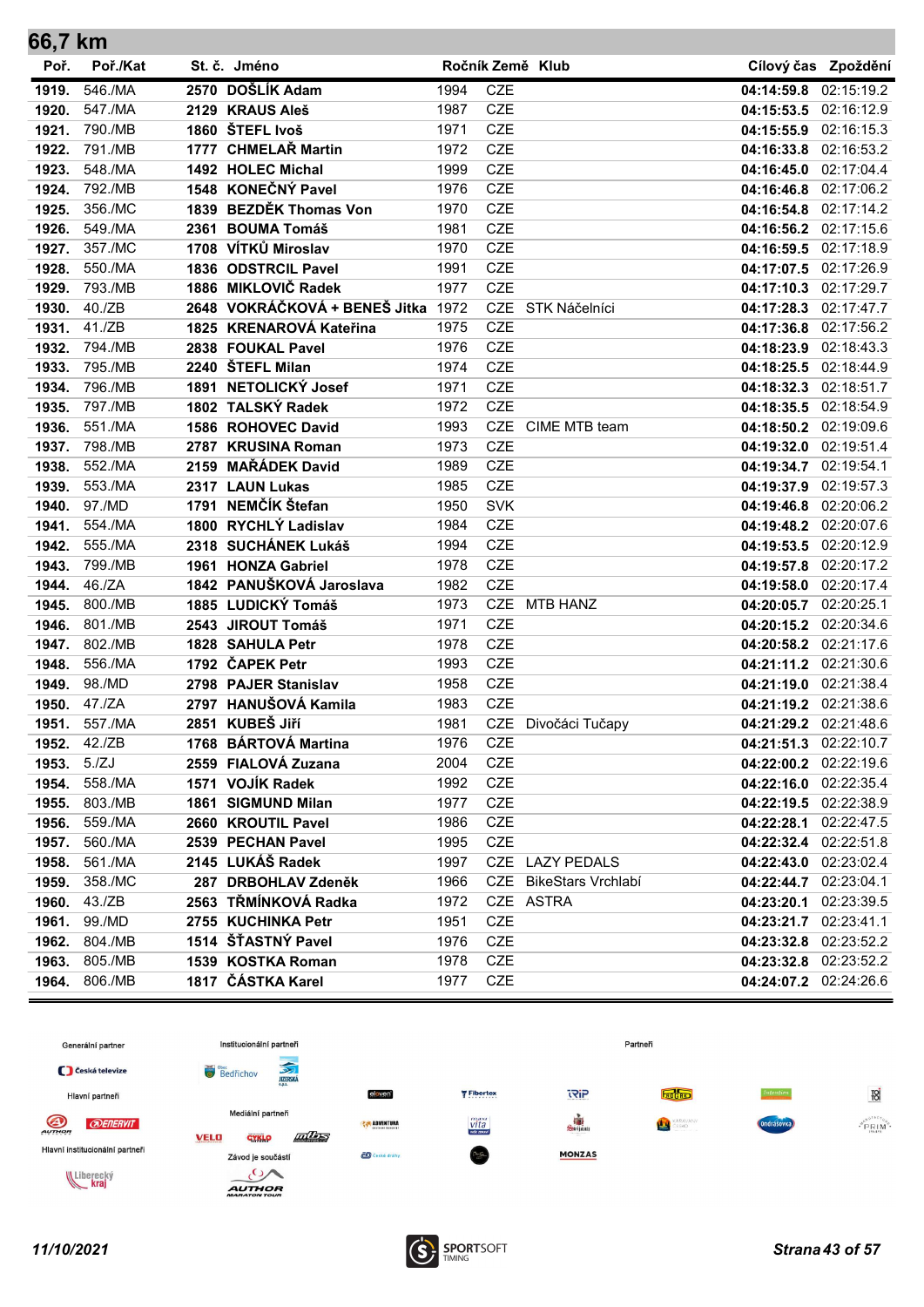| 66,7 KM |          |      |                                    |      |                  |                           |                       |                     |
|---------|----------|------|------------------------------------|------|------------------|---------------------------|-----------------------|---------------------|
| Poř.    | Poř./Kat |      | St. č. Jméno                       |      | Ročník Země Klub |                           |                       | Cílový čas Zpoždění |
| 1919.   | 546./MA  |      | 2570 DOŠLÍK Adam                   | 1994 | <b>CZE</b>       |                           | 04:14:59.8            | 02:15:19.2          |
| 1920.   | 547./MA  |      | 2129 KRAUS Aleš                    | 1987 | <b>CZE</b>       |                           | 04:15:53.5 02:16:12.9 |                     |
| 1921.   | 790./MB  |      | 1860 ŠTEFL Ivoš                    | 1971 | <b>CZE</b>       |                           | 04:15:55.9 02:16:15.3 |                     |
| 1922.   | 791./MB  |      | 1777 CHMELAŘ Martin                | 1972 | <b>CZE</b>       |                           | 04:16:33.8 02:16:53.2 |                     |
| 1923.   | 548./MA  |      | 1492 HOLEC Michal                  | 1999 | <b>CZE</b>       |                           | 04:16:45.0            | 02:17:04.4          |
| 1924.   | 792./MB  |      | 1548 KONEČNÝ Pavel                 | 1976 | <b>CZE</b>       |                           | 04:16:46.8            | 02:17:06.2          |
| 1925.   | 356./MC  |      | 1839 BEZDĚK Thomas Von             | 1970 | <b>CZE</b>       |                           | 04:16:54.8            | 02:17:14.2          |
| 1926.   | 549./MA  | 2361 | <b>BOUMA Tomáš</b>                 | 1981 | <b>CZE</b>       |                           | 04:16:56.2            | 02:17:15.6          |
| 1927.   | 357./MC  |      | 1708 VÍTKŮ Miroslav                | 1970 | <b>CZE</b>       |                           | 04:16:59.5            | 02:17:18.9          |
| 1928.   | 550./MA  |      | 1836 ODSTRCIL Pavel                | 1991 | <b>CZE</b>       |                           | 04:17:07.5            | 02:17:26.9          |
| 1929.   | 793./MB  |      | 1886 MIKLOVIČ Radek                | 1977 | <b>CZE</b>       |                           | 04:17:10.3            | 02:17:29.7          |
| 1930.   | 40./ZB   |      | 2648 VOKRÁČKOVÁ + BENEŠ Jitka 1972 |      | <b>CZE</b>       | STK Náčelníci             | 04:17:28.3            | 02:17:47.7          |
| 1931.   | 41./ZB   |      | 1825 KRENAROVÁ Kateřina            | 1975 | <b>CZE</b>       |                           | 04:17:36.8            | 02:17:56.2          |
| 1932.   | 794./MB  |      | 2838 FOUKAL Pavel                  | 1976 | <b>CZE</b>       |                           | 04:18:23.9            | 02:18:43.3          |
| 1933.   | 795./MB  |      | 2240 ŠTEFL Milan                   | 1974 | <b>CZE</b>       |                           | 04:18:25.5            | 02:18:44.9          |
| 1934.   | 796./MB  |      | 1891 NETOLICKÝ Josef               | 1971 | CZE              |                           | 04:18:32.3 02:18:51.7 |                     |
| 1935.   | 797./MB  |      | 1802 TALSKÝ Radek                  | 1972 | <b>CZE</b>       |                           | 04:18:35.5            | 02:18:54.9          |
| 1936.   | 551./MA  |      | 1586 ROHOVEC David                 | 1993 | <b>CZE</b>       | CIME MTB team             | 04:18:50.2            | 02:19:09.6          |
| 1937.   | 798./MB  |      | 2787 KRUSINA Roman                 | 1973 | <b>CZE</b>       |                           | 04:19:32.0 02:19:51.4 |                     |
| 1938.   | 552./MA  |      | 2159 MAŘÁDEK David                 | 1989 | <b>CZE</b>       |                           | 04:19:34.7 02:19:54.1 |                     |
| 1939.   | 553./MA  |      | 2317 LAUN Lukas                    | 1985 | <b>CZE</b>       |                           | 04:19:37.9            | 02:19:57.3          |
| 1940.   | 97./MD   |      | 1791 NEMČÍK Štefan                 | 1950 | <b>SVK</b>       |                           | 04:19:46.8            | 02:20:06.2          |
| 1941.   | 554./MA  |      | 1800 RYCHLÝ Ladislav               | 1984 | <b>CZE</b>       |                           | 04:19:48.2            | 02:20:07.6          |
| 1942.   | 555./MA  |      | 2318 SUCHÁNEK Lukáš                | 1994 | <b>CZE</b>       |                           | 04:19:53.5            | 02:20:12.9          |
| 1943.   | 799./MB  |      | 1961 HONZA Gabriel                 | 1978 | <b>CZE</b>       |                           | 04:19:57.8            | 02:20:17.2          |
| 1944.   | 46./ZA   |      | 1842 PANUŠKOVÁ Jaroslava           | 1982 | <b>CZE</b>       |                           | 04:19:58.0            | 02:20:17.4          |
| 1945.   | 800./MB  |      | 1885 LUDICKÝ Tomáš                 | 1973 | <b>CZE</b>       | <b>MTB HANZ</b>           | 04:20:05.7            | 02:20:25.1          |
| 1946.   | 801./MB  |      | 2543 JIROUT Tomáš                  | 1971 | <b>CZE</b>       |                           | 04:20:15.2 02:20:34.6 |                     |
| 1947.   | 802./MB  |      | 1828 SAHULA Petr                   | 1978 | <b>CZE</b>       |                           | 04:20:58.2            | 02:21:17.6          |
| 1948.   | 556./MA  |      | 1792 ČAPEK Petr                    | 1993 | <b>CZE</b>       |                           | 04:21:11.2            | 02:21:30.6          |
| 1949.   | 98./MD   |      | 2798 PAJER Stanislav               | 1958 | <b>CZE</b>       |                           | 04:21:19.0            | 02:21:38.4          |
| 1950.   | 47./ZA   |      | 2797 HANUŠOVÁ Kamila               | 1983 | <b>CZE</b>       |                           | 04:21:19.2            | 02:21:38.6          |
| 1951.   | 557./MA  |      | 2851 KUBEŠ Jiří                    | 1981 |                  | CZE Divočáci Tučapy       | 04:21:29.2            | 02:21:48.6          |
| 1952.   | 42./ZB   |      | 1768 BÁRTOVÁ Martina               | 1976 | CZE              |                           | 04:21:51.3 02:22:10.7 |                     |
| 1953.   | 5./ZJ    |      | 2559 FIALOVÁ Zuzana                | 2004 | CZE              |                           | 04:22:00.2 02:22:19.6 |                     |
| 1954.   | 558./MA  |      | 1571 VOJÍK Radek                   | 1992 | CZE              |                           | 04:22:16.0 02:22:35.4 |                     |
| 1955.   | 803./MB  |      | 1861 SIGMUND Milan                 | 1977 | CZE              |                           | 04:22:19.5 02:22:38.9 |                     |
| 1956.   | 559./MA  |      | 2660 KROUTIL Pavel                 | 1986 | CZE              |                           | 04:22:28.1            | 02:22:47.5          |
| 1957.   | 560./MA  |      | 2539 PECHAN Pavel                  | 1995 | CZE              |                           | 04:22:32.4 02:22:51.8 |                     |
| 1958.   | 561./MA  |      | 2145 LUKÁŠ Radek                   | 1997 |                  | CZE LAZY PEDALS           | 04:22:43.0 02:23:02.4 |                     |
| 1959.   | 358./MC  |      | 287 DRBOHLAV Zdeněk                | 1966 | CZE              | <b>BikeStars Vrchlabí</b> | 04:22:44.7            | 02:23:04.1          |
| 1960.   | 43./ZB   |      | 2563 TŘMÍNKOVÁ Radka               | 1972 |                  | CZE ASTRA                 | 04:23:20.1            | 02:23:39.5          |
| 1961.   | 99./MD   |      | 2755 KUCHINKA Petr                 | 1951 | CZE              |                           | 04:23:21.7 02:23:41.1 |                     |
| 1962.   | 804./MB  |      | 1514 ŠŤASTNÝ Pavel                 | 1976 | CZE              |                           | 04:23:32.8 02:23:52.2 |                     |
| 1963.   | 805./MB  |      | 1539 KOSTKA Roman                  | 1978 | CZE              |                           | 04:23:32.8 02:23:52.2 |                     |
| 1964.   | 806./MB  |      | 1817 ČÁSTKA Karel                  | 1977 | CZE              |                           | 04:24:07.2            | 02:24:26.6          |

![](_page_42_Figure_1.jpeg)

![](_page_42_Picture_3.jpeg)

÷.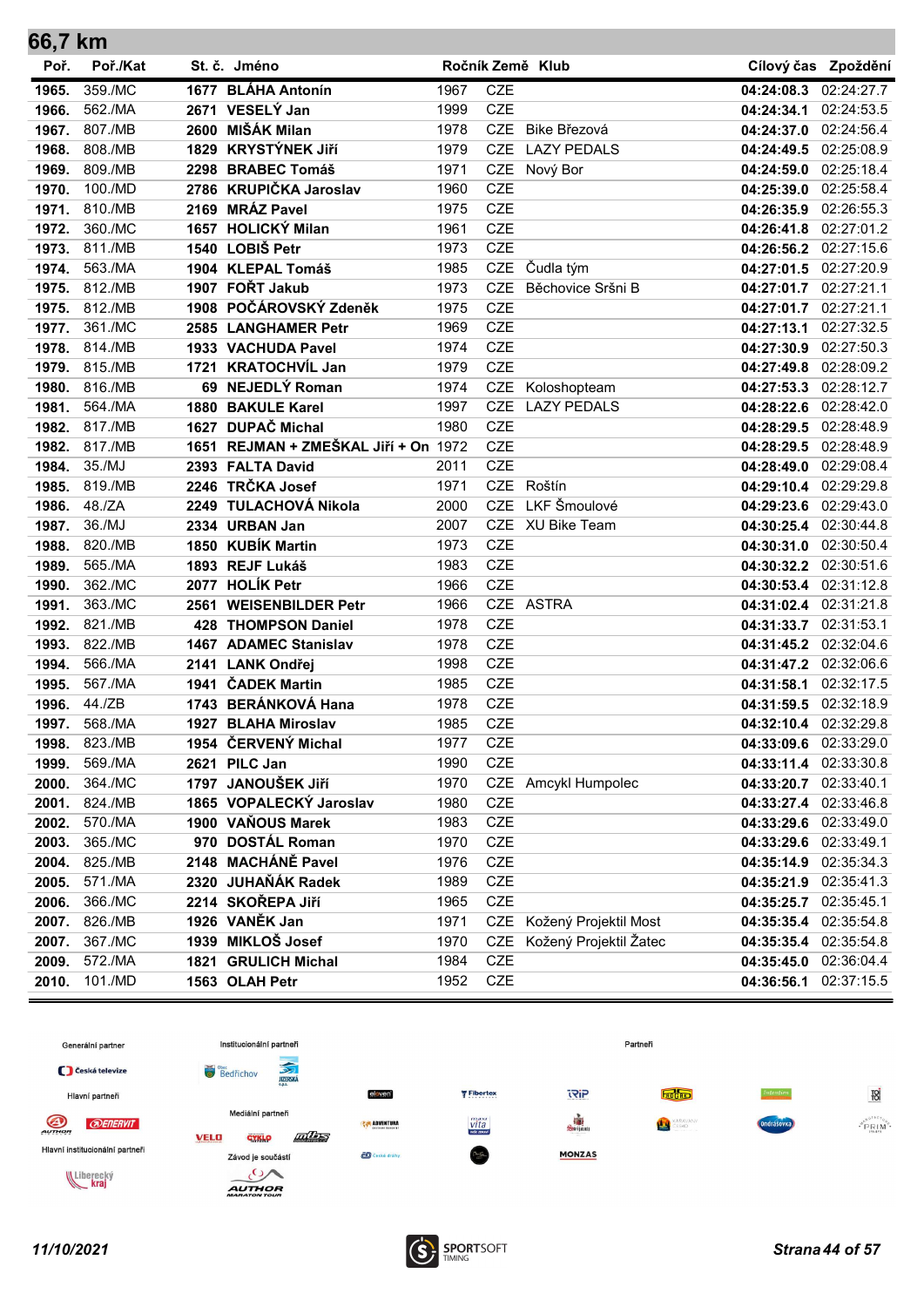| 66,7 km |          |      |                                      |      |            |                           |                       |                     |
|---------|----------|------|--------------------------------------|------|------------|---------------------------|-----------------------|---------------------|
| Poř.    | Poř./Kat |      | St. č. Jméno                         |      |            | Ročník Země Klub          |                       | Cílový čas Zpoždění |
| 1965.   | 359./MC  |      | 1677 BLÁHA Antonín                   | 1967 | <b>CZE</b> |                           | 04:24:08.3            | 02:24:27.7          |
| 1966.   | 562./MA  |      | 2671 VESELÝ Jan                      | 1999 | <b>CZE</b> |                           | 04:24:34.1 02:24:53.5 |                     |
| 1967.   | 807./MB  |      | 2600 MIŠÁK Milan                     | 1978 | <b>CZE</b> | Bike Březová              | 04:24:37.0 02:24:56.4 |                     |
| 1968.   | 808./MB  |      | 1829 KRYSTÝNEK JIří                  | 1979 | <b>CZE</b> | <b>LAZY PEDALS</b>        | 04:24:49.5            | 02:25:08.9          |
| 1969.   | 809./MB  |      | 2298 BRABEC Tomáš                    | 1971 | <b>CZE</b> | Nový Bor                  | 04:24:59.0            | 02:25:18.4          |
| 1970.   | 100./MD  |      | 2786 KRUPIČKA Jaroslav               | 1960 | <b>CZE</b> |                           | 04:25:39.0 02:25:58.4 |                     |
| 1971.   | 810./MB  |      | 2169 MRÁZ Pavel                      | 1975 | <b>CZE</b> |                           | 04:26:35.9            | 02:26:55.3          |
| 1972.   | 360./MC  |      | 1657 HOLICKÝ Milan                   | 1961 | <b>CZE</b> |                           | 04:26:41.8            | 02:27:01.2          |
| 1973.   | 811./MB  |      | 1540 LOBIŠ Petr                      | 1973 | <b>CZE</b> |                           | 04:26:56.2 02:27:15.6 |                     |
| 1974.   | 563./MA  |      | 1904 KLEPAL Tomáš                    | 1985 | <b>CZE</b> | Čudla tým                 | 04:27:01.5 02:27:20.9 |                     |
| 1975.   | 812./MB  |      | 1907 FOŘT Jakub                      | 1973 | <b>CZE</b> | Běchovice Sršni B         | 04:27:01.7 02:27:21.1 |                     |
| 1975.   | 812./MB  |      | 1908 POČÁROVSKÝ Zdeněk               | 1975 | <b>CZE</b> |                           | 04:27:01.7 02:27:21.1 |                     |
| 1977.   | 361./MC  |      | 2585 LANGHAMER Petr                  | 1969 | <b>CZE</b> |                           | 04:27:13.1            | 02:27:32.5          |
| 1978.   | 814./MB  |      | 1933 VACHUDA Pavel                   | 1974 | <b>CZE</b> |                           | 04:27:30.9            | 02:27:50.3          |
| 1979.   | 815./MB  | 1721 | <b>KRATOCHVÍL Jan</b>                | 1979 | <b>CZE</b> |                           | 04:27:49.8            | 02:28:09.2          |
| 1980.   | 816./MB  |      | 69 NEJEDLÝ Roman                     | 1974 | <b>CZE</b> | Koloshopteam              | 04:27:53.3            | 02:28:12.7          |
| 1981.   | 564./MA  |      | 1880 BAKULE Karel                    | 1997 | <b>CZE</b> | <b>LAZY PEDALS</b>        | 04:28:22.6 02:28:42.0 |                     |
| 1982.   | 817./MB  |      | 1627 DUPAČ Michal                    | 1980 | <b>CZE</b> |                           | 04:28:29.5 02:28:48.9 |                     |
| 1982.   | 817./MB  |      | 1651 REJMAN + ZMEŠKAL Jiří + On 1972 |      | <b>CZE</b> |                           | 04:28:29.5 02:28:48.9 |                     |
| 1984.   | 35./MJ   |      | 2393 FALTA David                     | 2011 | <b>CZE</b> |                           | 04:28:49.0            | 02:29:08.4          |
| 1985.   | 819./MB  |      | 2246 TRČKA Josef                     | 1971 | <b>CZE</b> | Roštín                    | 04:29:10.4 02:29:29.8 |                     |
| 1986.   | 48./ZA   |      | 2249 TULACHOVÁ Nikola                | 2000 | <b>CZE</b> | LKF Šmoulové              | 04:29:23.6 02:29:43.0 |                     |
| 1987.   | 36./MJ   |      | 2334 URBAN Jan                       | 2007 | <b>CZE</b> | XU Bike Team              | 04:30:25.4 02:30:44.8 |                     |
| 1988.   | 820./MB  |      | 1850 KUBÍK Martin                    | 1973 | <b>CZE</b> |                           | 04:30:31.0            | 02:30:50.4          |
| 1989.   | 565./MA  |      | 1893 REJF Lukáš                      | 1983 | <b>CZE</b> |                           | 04:30:32.2 02:30:51.6 |                     |
| 1990.   | 362./MC  | 2077 | <b>HOLÍK Petr</b>                    | 1966 | <b>CZE</b> |                           | 04:30:53.4 02:31:12.8 |                     |
| 1991.   | 363./MC  | 2561 | <b>WEISENBILDER Petr</b>             | 1966 | <b>CZE</b> | <b>ASTRA</b>              | 04:31:02.4 02:31:21.8 |                     |
| 1992.   | 821./MB  | 428  | <b>THOMPSON Daniel</b>               | 1978 | <b>CZE</b> |                           | 04:31:33.7 02:31:53.1 |                     |
| 1993.   | 822./MB  |      | 1467 ADAMEC Stanislav                | 1978 | <b>CZE</b> |                           | 04:31:45.2            | 02:32:04.6          |
| 1994.   | 566./MA  |      | 2141 LANK Ondřej                     | 1998 | <b>CZE</b> |                           | 04:31:47.2 02:32:06.6 |                     |
| 1995.   | 567./MA  |      | 1941 ČADEK Martin                    | 1985 | <b>CZE</b> |                           | 04:31:58.1            | 02:32:17.5          |
| 1996.   | 44./ZB   |      | 1743 BERÁNKOVÁ Hana                  | 1978 | <b>CZE</b> |                           | 04:31:59.5 02:32:18.9 |                     |
| 1997.   | 568./MA  |      | 1927 BLAHA Miroslav                  | 1985 | <b>CZE</b> |                           | 04:32:10.4 02:32:29.8 |                     |
| 1998.   | 823./MB  |      | 1954 ČERVENÝ Michal                  | 1977 | CZE        |                           | 04:33:09.6 02:33:29.0 |                     |
| 1999.   | 569./MA  |      | 2621 PILC Jan                        | 1990 | <b>CZE</b> |                           | 04:33:11.4 02:33:30.8 |                     |
| 2000.   | 364./MC  |      | 1797 JANOUŠEK JIří                   | 1970 |            | CZE Amcykl Humpolec       | 04:33:20.7 02:33:40.1 |                     |
| 2001.   | 824./MB  |      | 1865 VOPALECKÝ Jaroslav              | 1980 | CZE        |                           | 04:33:27.4 02:33:46.8 |                     |
| 2002.   | 570./MA  |      | 1900 VAŇOUS Marek                    | 1983 | <b>CZE</b> |                           | 04:33:29.6 02:33:49.0 |                     |
| 2003.   | 365./MC  |      | 970 DOSTÁL Roman                     | 1970 | <b>CZE</b> |                           | 04:33:29.6            | 02:33:49.1          |
| 2004.   | 825./MB  |      | 2148 MACHÁNĚ Pavel                   | 1976 | <b>CZE</b> |                           | 04:35:14.9            | 02:35:34.3          |
| 2005.   | 571./MA  |      | 2320 JUHAŇÁK Radek                   | 1989 | <b>CZE</b> |                           | 04:35:21.9 02:35:41.3 |                     |
| 2006.   | 366./MC  |      | 2214 SKOŘEPA JIří                    | 1965 | <b>CZE</b> |                           | 04:35:25.7 02:35:45.1 |                     |
| 2007.   | 826./MB  |      | 1926 VANĚK Jan                       | 1971 |            | CZE Kožený Projektil Most | 04:35:35.4 02:35:54.8 |                     |
| 2007.   | 367./MC  |      | 1939 MIKLOŠ Josef                    | 1970 | <b>CZE</b> | Kožený Projektil Žatec    | 04:35:35.4 02:35:54.8 |                     |
| 2009.   | 572./MA  |      | 1821 GRULICH Michal                  | 1984 | <b>CZE</b> |                           | 04:35:45.0 02:36:04.4 |                     |
| 2010.   | 101./MD  |      | 1563 OLAH Petr                       | 1952 | CZE        |                           | 04:36:56.1 02:37:15.5 |                     |

![](_page_43_Figure_1.jpeg)

![](_page_43_Picture_3.jpeg)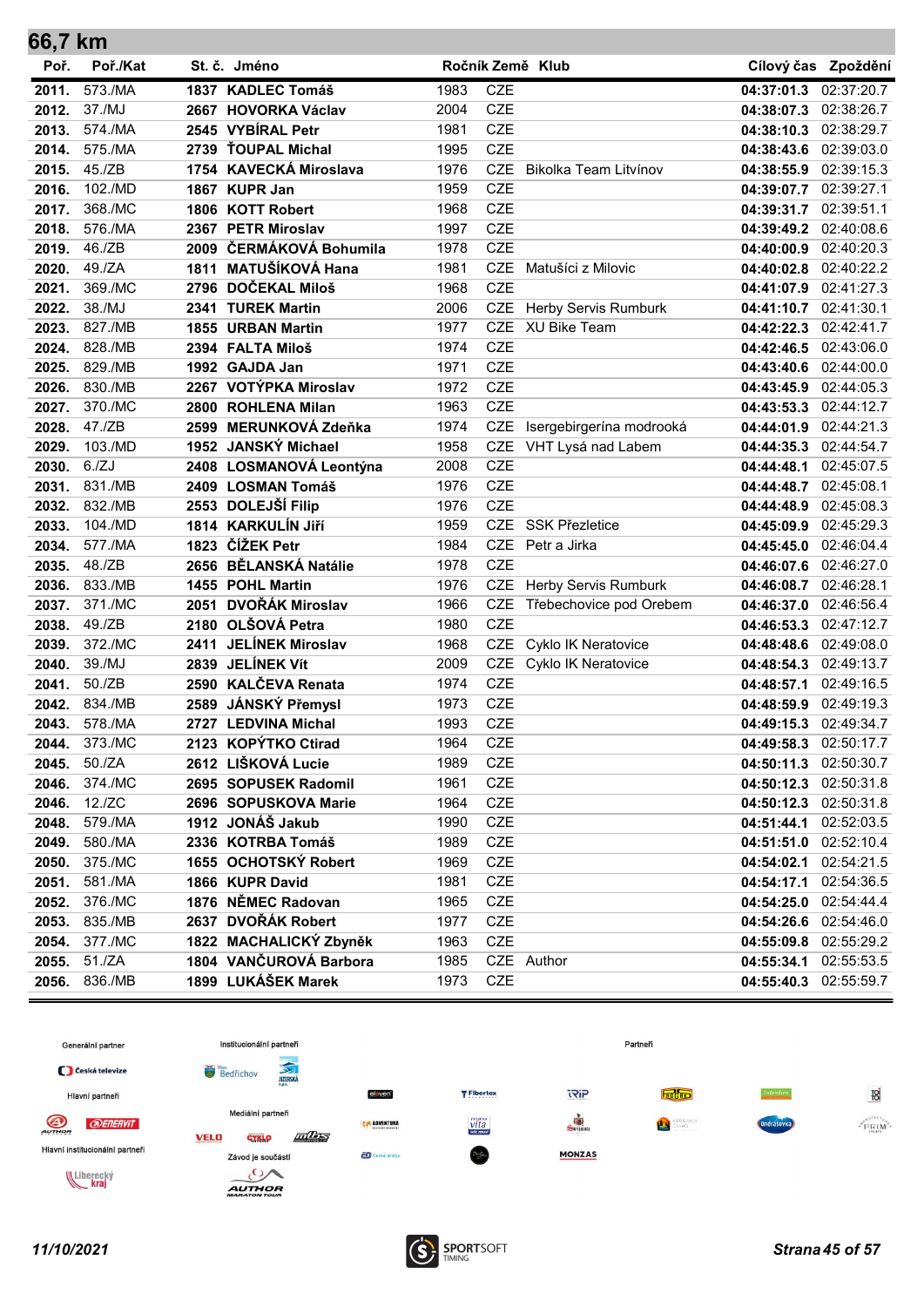| 66,7 km |          |                         |      |            |                            |                       |                       |
|---------|----------|-------------------------|------|------------|----------------------------|-----------------------|-----------------------|
| Poř.    | Poř./Kat | St. č. Jméno            |      |            | Ročník Země Klub           | Cílový čas            | Zpoždění              |
| 2011.   | 573./MA  | 1837 KADLEC Tomáš       | 1983 | <b>CZE</b> |                            | 04:37:01.3            | 02:37:20.7            |
| 2012.   | 37./MJ   | 2667 HOVORKA Václav     | 2004 | <b>CZE</b> |                            | 04:38:07.3 02:38:26.7 |                       |
| 2013.   | 574./MA  | 2545 VYBÍRAL Petr       | 1981 | <b>CZE</b> |                            | 04:38:10.3            | 02:38:29.7            |
| 2014.   | 575./MA  | 2739 ŤOUPAL Michal      | 1995 | <b>CZE</b> |                            | 04:38:43.6 02:39:03.0 |                       |
| 2015.   | 45./ZB   | 1754 KAVECKÁ Miroslava  | 1976 | <b>CZE</b> | Bikolka Team Litvínov      | 04:38:55.9 02:39:15.3 |                       |
| 2016.   | 102./MD  | 1867 KUPR Jan           | 1959 | <b>CZE</b> |                            | 04:39:07.7 02:39:27.1 |                       |
| 2017.   | 368./MC  | 1806 KOTT Robert        | 1968 | <b>CZE</b> |                            | 04:39:31.7            | 02:39:51.1            |
| 2018.   | 576./MA  | 2367 PETR Miroslav      | 1997 | <b>CZE</b> |                            | 04:39:49.2 02:40:08.6 |                       |
| 2019.   | 46./ZB   | 2009 ČERMÁKOVÁ Bohumila | 1978 | <b>CZE</b> |                            | 04:40:00.9 02:40:20.3 |                       |
| 2020.   | 49./ZA   | 1811 MATUŠÍKOVÁ Hana    | 1981 | <b>CZE</b> | Matušíci z Milovic         | 04:40:02.8 02:40:22.2 |                       |
| 2021.   | 369./MC  | 2796 DOČEKAL Miloš      | 1968 | <b>CZE</b> |                            | 04:41:07.9 02:41:27.3 |                       |
| 2022.   | 38./MJ   | 2341 TUREK Martin       | 2006 | <b>CZE</b> | Herby Servis Rumburk       | 04:41:10.7 02:41:30.1 |                       |
| 2023.   | 827./MB  | 1855 URBAN Martin       | 1977 | <b>CZE</b> | XU Bike Team               |                       | 04:42:22.3 02:42:41.7 |
| 2024.   | 828./MB  | 2394 FALTA Miloš        | 1974 | <b>CZE</b> |                            | 04:42:46.5            | 02:43:06.0            |
| 2025.   | 829./MB  | 1992 GAJDA Jan          | 1971 | <b>CZE</b> |                            | 04:43:40.6            | 02:44:00.0            |
| 2026.   | 830./MB  | 2267 VOTÝPKA Miroslav   | 1972 | <b>CZE</b> |                            | 04:43:45.9 02:44:05.3 |                       |
| 2027.   | 370./MC  | 2800 ROHLENA Milan      | 1963 | <b>CZE</b> |                            | 04:43:53.3 02:44:12.7 |                       |
| 2028.   | 47./ZB   | 2599 MERUNKOVÁ Zdeňka   | 1974 | <b>CZE</b> | Isergebirgerína modrooká   | 04:44:01.9 02:44:21.3 |                       |
| 2029.   | 103./MD  | 1952 JANSKÝ Michael     | 1958 | <b>CZE</b> | VHT Lysá nad Labem         | 04:44:35.3            | 02:44:54.7            |
| 2030.   | 6./ZJ    | 2408 LOSMANOVÁ Leontýna | 2008 | <b>CZE</b> |                            | 04:44:48.1            | 02:45:07.5            |
| 2031.   | 831./MB  | 2409 LOSMAN Tomáš       | 1976 | <b>CZE</b> |                            | 04:44:48.7 02:45:08.1 |                       |
| 2032.   | 832./MB  | 2553 DOLEJŠÍ Filip      | 1976 | <b>CZE</b> |                            | 04:44:48.9            | 02:45:08.3            |
| 2033.   | 104./MD  | 1814 KARKULÍN Jiří      | 1959 | <b>CZE</b> | <b>SSK Přezletice</b>      | 04:45:09.9            | 02:45:29.3            |
| 2034.   | 577./MA  | 1823 ČÍŽEK Petr         | 1984 | <b>CZE</b> | Petr a Jirka               | 04:45:45.0 02:46:04.4 |                       |
| 2035.   | 48./ZB   | 2656 BĚLANSKÁ Natálie   | 1978 | <b>CZE</b> |                            | 04:46:07.6 02:46:27.0 |                       |
| 2036.   | 833./MB  | 1455 POHL Martin        | 1976 | <b>CZE</b> | Herby Servis Rumburk       | 04:46:08.7 02:46:28.1 |                       |
| 2037.   | 371./MC  | 2051 DVOŘÁK Miroslav    | 1966 | <b>CZE</b> | Třebechovice pod Orebem    | 04:46:37.0            | 02:46:56.4            |
| 2038.   | 49./ZB   | 2180 OLŠOVÁ Petra       | 1980 | <b>CZE</b> |                            | 04:46:53.3            | 02:47:12.7            |
| 2039.   | 372./MC  | 2411 JELÍNEK Miroslav   | 1968 | <b>CZE</b> | Cyklo IK Neratovice        | 04:48:48.6 02:49:08.0 |                       |
| 2040.   | 39./MJ   | 2839 JELÍNEK Vít        | 2009 | <b>CZE</b> | <b>Cyklo IK Neratovice</b> | 04:48:54.3            | 02:49:13.7            |
| 2041.   | 50./ZB   | 2590 KALČEVA Renata     | 1974 | <b>CZE</b> |                            | 04:48:57.1            | 02:49:16.5            |
| 2042.   | 834./MB  | 2589 JÁNSKÝ Přemysl     | 1973 | <b>CZE</b> |                            | 04:48:59.9 02:49:19.3 |                       |
| 2043.   | 578./MA  | 2727 LEDVINA Michal     | 1993 | <b>CZE</b> |                            |                       | 04:49:15.3 02:49:34.7 |
| 2044.   | 373./MC  | 2123 KOPÝTKO Ctirad     | 1964 | CZE        |                            | 04:49:58.3 02:50:17.7 |                       |
| 2045.   | 50./ZA   | 2612 LIŠKOVÁ Lucie      | 1989 | <b>CZE</b> |                            |                       | 04:50:11.3 02:50:30.7 |
| 2046.   | 374./MC  | 2695 SOPUSEK Radomil    | 1961 | CZE        |                            | 04:50:12.3 02:50:31.8 |                       |
| 2046.   | 12./ZC   | 2696 SOPUSKOVA Marie    | 1964 | CZE        |                            | 04:50:12.3 02:50:31.8 |                       |
| 2048.   | 579./MA  | 1912 JONÁŠ Jakub        | 1990 | <b>CZE</b> |                            | 04:51:44.1            | 02:52:03.5            |
| 2049.   | 580./MA  | 2336 KOTRBA Tomáš       | 1989 | <b>CZE</b> |                            | 04:51:51.0            | 02:52:10.4            |
| 2050.   | 375./MC  | 1655 OCHOTSKÝ Robert    | 1969 | <b>CZE</b> |                            | 04:54:02.1 02:54:21.5 |                       |
| 2051.   | 581./MA  | 1866 KUPR David         | 1981 | CZE        |                            | 04:54:17.1 02:54:36.5 |                       |
| 2052.   | 376./MC  | 1876 NĚMEC Radovan      | 1965 | <b>CZE</b> |                            | 04:54:25.0 02:54:44.4 |                       |
| 2053.   | 835./MB  | 2637 DVOŘÁK Robert      | 1977 | CZE        |                            | 04:54:26.6 02:54:46.0 |                       |
| 2054.   | 377./MC  | 1822 MACHALICKÝ Zbyněk  | 1963 | <b>CZE</b> |                            |                       | 04:55:09.8 02:55:29.2 |
| 2055.   | 51./ZA   | 1804 VANČUROVÁ Barbora  | 1985 |            | CZE Author                 | 04:55:34.1            | 02:55:53.5            |
| 2056.   | 836./MB  | 1899 LUKÁŠEK Marek      | 1973 | <b>CZE</b> |                            |                       | 04:55:40.3 02:55:59.7 |

![](_page_44_Figure_1.jpeg)

![](_page_44_Picture_3.jpeg)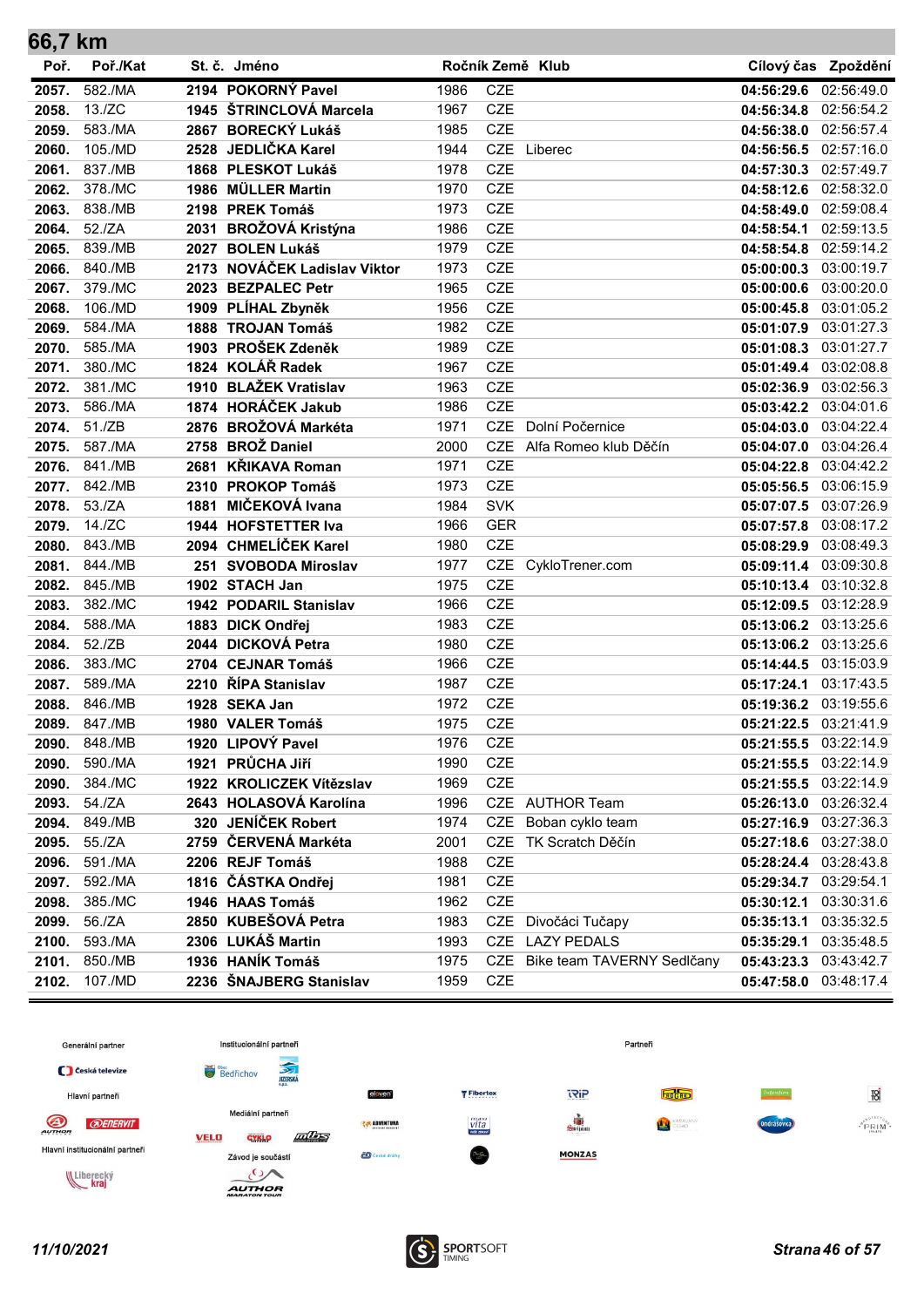| 66,7 km |          |                              |      |            |                            |                       |                     |
|---------|----------|------------------------------|------|------------|----------------------------|-----------------------|---------------------|
| Poř.    | Poř./Kat | St. č. Jméno                 |      |            | Ročník Země Klub           |                       | Cílový čas Zpoždění |
| 2057.   | 582./MA  | 2194 POKORNÝ Pavel           | 1986 | <b>CZE</b> |                            | 04:56:29.6            | 02:56:49.0          |
| 2058.   | 13./ZC   | 1945 ŠTRINCLOVÁ Marcela      | 1967 | <b>CZE</b> |                            | 04:56:34.8            | 02:56:54.2          |
| 2059.   | 583./MA  | 2867 BORECKÝ Lukáš           | 1985 | <b>CZE</b> |                            | 04:56:38.0            | 02:56:57.4          |
| 2060.   | 105./MD  | 2528 JEDLIČKA Karel          | 1944 | <b>CZE</b> | Liberec                    | 04:56:56.5            | 02:57:16.0          |
| 2061.   | 837./MB  | 1868 PLESKOT Lukáš           | 1978 | <b>CZE</b> |                            | 04:57:30.3 02:57:49.7 |                     |
| 2062.   | 378./MC  | 1986 MÜLLER Martin           | 1970 | <b>CZE</b> |                            | 04:58:12.6 02:58:32.0 |                     |
| 2063.   | 838./MB  | 2198 PREK Tomáš              | 1973 | <b>CZE</b> |                            | 04:58:49.0            | 02:59:08.4          |
| 2064.   | 52./ZA   | 2031 BROŽOVÁ Kristýna        | 1986 | <b>CZE</b> |                            | 04:58:54.1 02:59:13.5 |                     |
| 2065.   | 839./MB  | 2027 BOLEN Lukáš             | 1979 | <b>CZE</b> |                            | 04:58:54.8 02:59:14.2 |                     |
| 2066.   | 840./MB  | 2173 NOVÁČEK Ladislav Viktor | 1973 | <b>CZE</b> |                            | 05:00:00.3 03:00:19.7 |                     |
| 2067.   | 379./MC  | 2023 BEZPALEC Petr           | 1965 | <b>CZE</b> |                            | 05:00:00.6            | 03:00:20.0          |
| 2068.   | 106./MD  | 1909 PLÍHAL Zbyněk           | 1956 | <b>CZE</b> |                            | 05:00:45.8            | 03:01:05.2          |
| 2069.   | 584./MA  | 1888 TROJAN Tomáš            | 1982 | <b>CZE</b> |                            | 05:01:07.9            | 03:01:27.3          |
| 2070.   | 585./MA  | 1903 PROŠEK Zdeněk           | 1989 | <b>CZE</b> |                            | 05:01:08.3            | 03:01:27.7          |
| 2071.   | 380./MC  | 1824 KOLÁŘ Radek             | 1967 | <b>CZE</b> |                            | 05:01:49.4            | 03:02:08.8          |
| 2072.   | 381./MC  | 1910 BLAŽEK Vratislav        | 1963 | <b>CZE</b> |                            | 05:02:36.9            | 03:02:56.3          |
| 2073.   | 586./MA  | 1874 HORÁČEK Jakub           | 1986 | <b>CZE</b> |                            | 05:03:42.2 03:04:01.6 |                     |
| 2074.   | 51./ZB   | 2876 BROŽOVÁ Markéta         | 1971 | <b>CZE</b> | Dolní Počernice            | 05:04:03.0 03:04:22.4 |                     |
| 2075.   | 587./MA  | 2758 BROŽ Daniel             | 2000 | <b>CZE</b> | Alfa Romeo klub Děčín      | 05:04:07.0            | 03:04:26.4          |
| 2076.   | 841./MB  | 2681 KŘIKAVA Roman           | 1971 | <b>CZE</b> |                            | 05:04:22.8            | 03:04:42.2          |
| 2077.   | 842./MB  | 2310 PROKOP Tomáš            | 1973 | <b>CZE</b> |                            | 05:05:56.5            | 03:06:15.9          |
| 2078.   | 53./ZA   | 1881 MIČEKOVÁ Ivana          | 1984 | <b>SVK</b> |                            | 05:07:07.5 03:07:26.9 |                     |
| 2079.   | 14./ZC   | 1944 HOFSTETTER Iva          | 1966 | <b>GER</b> |                            | 05:07:57.8            | 03:08:17.2          |
| 2080.   | 843./MB  | 2094 CHMELÍČEK Karel         | 1980 | <b>CZE</b> |                            | 05:08:29.9            | 03:08:49.3          |
| 2081.   | 844./MB  | 251 SVOBODA Miroslav         | 1977 | <b>CZE</b> | CykloTrener.com            | 05:09:11.4 03:09:30.8 |                     |
| 2082.   | 845./MB  | 1902 STACH Jan               | 1975 | <b>CZE</b> |                            | 05:10:13.4 03:10:32.8 |                     |
| 2083.   | 382./MC  | 1942 PODARIL Stanislav       | 1966 | <b>CZE</b> |                            | 05:12:09.5            | 03:12:28.9          |
| 2084.   | 588./MA  | 1883 DICK Ondřej             | 1983 | <b>CZE</b> |                            | 05:13:06.2            | 03:13:25.6          |
| 2084.   | 52./ZB   | 2044 DICKOVÁ Petra           | 1980 | <b>CZE</b> |                            | 05:13:06.2 03:13:25.6 |                     |
| 2086.   | 383./MC  | 2704 CEJNAR Tomáš            | 1966 | <b>CZE</b> |                            | 05:14:44.5            | 03:15:03.9          |
| 2087.   | 589./MA  | 2210 ŘÍPA Stanislav          | 1987 | <b>CZE</b> |                            | 05:17:24.1            | 03:17:43.5          |
| 2088.   | 846./MB  | 1928 SEKA Jan                | 1972 | <b>CZE</b> |                            | 05:19:36.2 03:19:55.6 |                     |
| 2089.   | 847./MB  | 1980 VALER Tomáš             | 1975 | <b>CZE</b> |                            | 05:21:22.5 03:21:41.9 |                     |
| 2090.   | 848./MB  | 1920 LIPOVÝ Pavel            | 1976 | CZE        |                            | 05:21:55.5 03:22:14.9 |                     |
| 2090.   | 590./MA  | 1921 PRŮCHA Jiří             | 1990 | <b>CZE</b> |                            | 05:21:55.5 03:22:14.9 |                     |
| 2090.   | 384./MC  | 1922 KROLICZEK Vítězslav     | 1969 | CZE        |                            | 05:21:55.5 03:22:14.9 |                     |
| 2093.   | 54./ZA   | 2643 HOLASOVÁ Karolína       | 1996 |            | CZE AUTHOR Team            | 05:26:13.0 03:26:32.4 |                     |
| 2094.   | 849./MB  | 320 JENÍČEK Robert           | 1974 | <b>CZE</b> | Boban cyklo team           | 05:27:16.9            | 03:27:36.3          |
| 2095.   | 55./ZA   | 2759 ČERVENÁ Markéta         | 2001 | <b>CZE</b> | TK Scratch Děčín           | 05:27:18.6            | 03:27:38.0          |
| 2096.   | 591./MA  | 2206 REJF Tomáš              | 1988 | <b>CZE</b> |                            | 05:28:24.4 03:28:43.8 |                     |
| 2097.   | 592./MA  | 1816 ČÁSTKA Ondřej           | 1981 | CZE        |                            | 05:29:34.7 03:29:54.1 |                     |
| 2098.   | 385./MC  | 1946 HAAS Tomáš              | 1962 | <b>CZE</b> |                            | 05:30:12.1 03:30:31.6 |                     |
| 2099.   | 56./ZA   | 2850 KUBEŠOVÁ Petra          | 1983 |            | CZE Divočáci Tučapy        | 05:35:13.1 03:35:32.5 |                     |
| 2100.   | 593./MA  | 2306 LUKÁŠ Martin            | 1993 |            | CZE LAZY PEDALS            | 05:35:29.1 03:35:48.5 |                     |
| 2101.   | 850./MB  | 1936 HANÍK Tomáš             | 1975 | CZE        | Bike team TAVERNY Sedlčany | 05:43:23.3 03:43:42.7 |                     |
| 2102.   | 107./MD  | 2236 ŠNAJBERG Stanislav      | 1959 | <b>CZE</b> |                            | 05:47:58.0 03:48:17.4 |                     |

![](_page_45_Figure_1.jpeg)

![](_page_45_Picture_3.jpeg)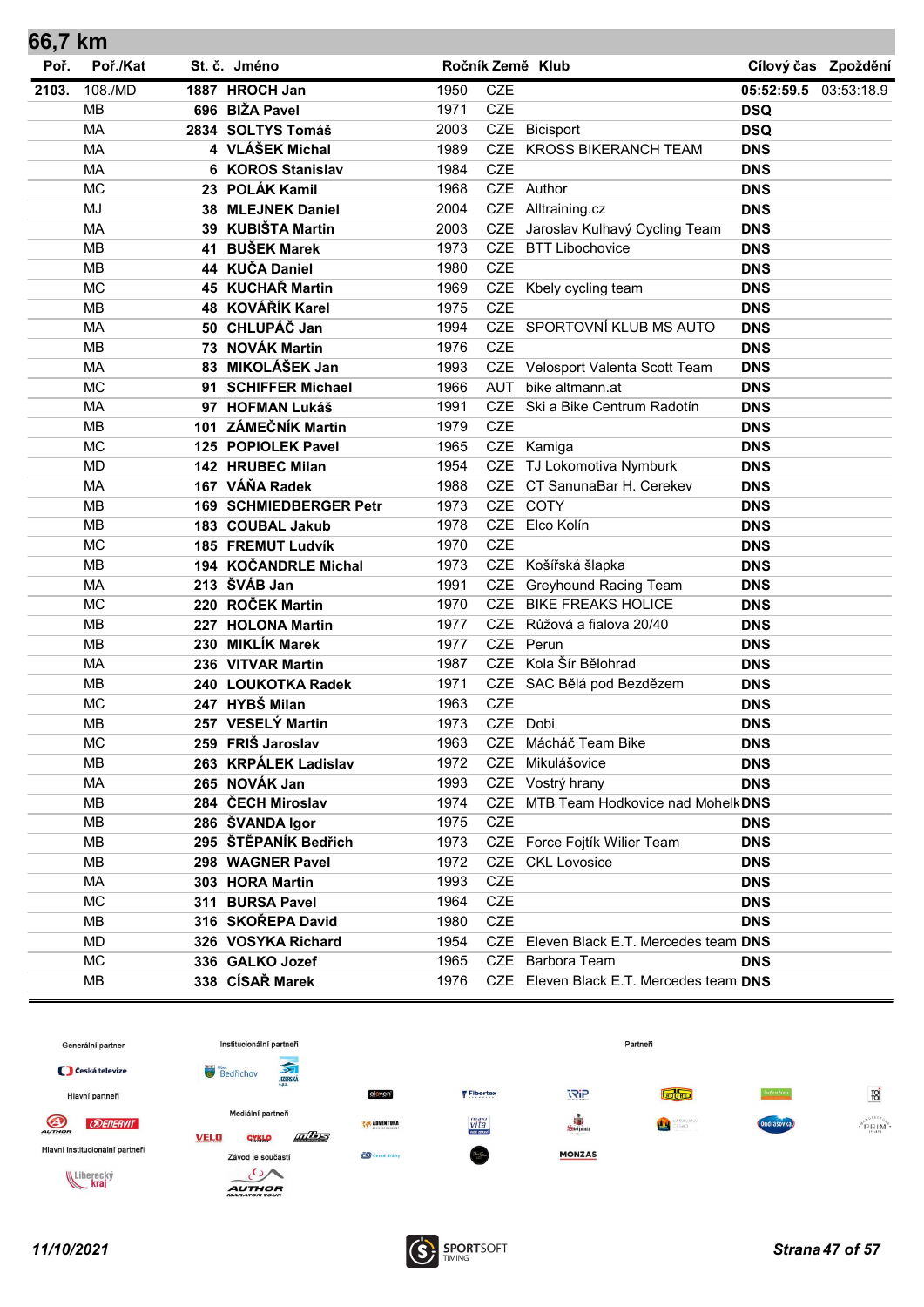| 66,7 KM |           |      |                                    |              |            |                                         |                          |                     |
|---------|-----------|------|------------------------------------|--------------|------------|-----------------------------------------|--------------------------|---------------------|
| Poř.    | Poř./Kat  |      | St. č. Jméno                       |              |            | Ročník Země Klub                        |                          | Cílový čas Zpoždění |
| 2103.   | 108./MD   |      | 1887 HROCH Jan                     | 1950         | <b>CZE</b> |                                         | 05:52:59.5 03:53:18.9    |                     |
|         | <b>MB</b> |      | 696 BIŽA Pavel                     | 1971         | <b>CZE</b> |                                         | <b>DSQ</b>               |                     |
|         | MA        |      | 2834 SOLTYS Tomáš                  | 2003         |            | CZE Bicisport                           | <b>DSQ</b>               |                     |
|         | <b>MA</b> |      | 4 VLÁŠEK Michal                    | 1989         |            | CZE KROSS BIKERANCH TEAM                | <b>DNS</b>               |                     |
|         | <b>MA</b> |      | 6 KOROS Stanislav                  | 1984         | <b>CZE</b> |                                         | <b>DNS</b>               |                     |
|         | <b>MC</b> |      | 23 POLÁK Kamil                     | 1968         |            | CZE Author                              | <b>DNS</b>               |                     |
|         | MJ        | 38   | <b>MLEJNEK Daniel</b>              | 2004         | CZE        | Alltraining.cz                          | <b>DNS</b>               |                     |
|         | MA        | 39   | <b>KUBIŠTA Martin</b>              | 2003         | <b>CZE</b> | Jaroslav Kulhavý Cycling Team           | <b>DNS</b>               |                     |
|         | <b>MB</b> | 41   | <b>BUŠEK Marek</b>                 | 1973         | <b>CZE</b> | <b>BTT Libochovice</b>                  | <b>DNS</b>               |                     |
|         | <b>MB</b> |      | 44 KUČA Daniel                     | 1980         | <b>CZE</b> |                                         | <b>DNS</b>               |                     |
|         | <b>MC</b> |      | 45 KUCHAŘ Martin                   | 1969         |            | CZE Kbely cycling team                  | <b>DNS</b>               |                     |
|         | <b>MB</b> |      | 48 KOVÁŘÍK Karel                   | 1975         | <b>CZE</b> |                                         | <b>DNS</b>               |                     |
|         | MA        |      | 50 CHLUPÁČ Jan                     | 1994         |            | CZE SPORTOVNÍ KLUB MS AUTO              | <b>DNS</b>               |                     |
|         | <b>MB</b> |      | 73 NOVÁK Martin                    | 1976         | <b>CZE</b> |                                         | <b>DNS</b>               |                     |
|         | <b>MA</b> |      | 83 MIKOLÁŠEK Jan                   | 1993         |            | CZE Velosport Valenta Scott Team        | <b>DNS</b>               |                     |
|         | <b>MC</b> |      | 91 SCHIFFER Michael                | 1966         | <b>AUT</b> | bike altmann.at                         | <b>DNS</b>               |                     |
|         | <b>MA</b> |      | 97 HOFMAN Lukáš                    | 1991         | <b>CZE</b> | Ski a Bike Centrum Radotín              | <b>DNS</b>               |                     |
|         | <b>MB</b> | 101  | <b>ZÁMEČNÍK Martin</b>             | 1979         | <b>CZE</b> |                                         | <b>DNS</b>               |                     |
|         | <b>MC</b> | 125  | <b>POPIOLEK Pavel</b>              | 1965         |            | CZE Kamiga                              | <b>DNS</b>               |                     |
|         | <b>MD</b> |      | 142 HRUBEC Milan                   | 1954         |            | CZE TJ Lokomotiva Nymburk               | <b>DNS</b>               |                     |
|         | <b>MA</b> |      | 167 VÁŇA Radek                     | 1988         | <b>CZE</b> | CT SanunaBar H. Cerekev                 | <b>DNS</b>               |                     |
|         | <b>MB</b> | 169. | <b>SCHMIEDBERGER Petr</b>          | 1973         |            | CZE COTY                                | <b>DNS</b>               |                     |
|         | <b>MB</b> |      | 183 COUBAL Jakub                   | 1978         |            | CZE Elco Kolín                          | <b>DNS</b>               |                     |
|         | <b>MC</b> |      | 185 FREMUT Ludvík                  | 1970         | <b>CZE</b> |                                         | <b>DNS</b>               |                     |
|         | <b>MB</b> |      | 194 KOČANDRLE Michal               | 1973         |            | CZE Košířská šlapka                     | <b>DNS</b>               |                     |
|         | <b>MA</b> |      | 213 ŠVÁB Jan                       | 1991         | CZE        | <b>Greyhound Racing Team</b>            | <b>DNS</b>               |                     |
|         | <b>MC</b> |      | 220 ROČEK Martin                   | 1970         | <b>CZE</b> | <b>BIKE FREAKS HOLICE</b>               | <b>DNS</b>               |                     |
|         | <b>MB</b> |      | 227 HOLONA Martin                  | 1977         |            | CZE Růžová a fialova 20/40              | <b>DNS</b>               |                     |
|         | <b>MB</b> |      | 230 MIKLÍK Marek                   | 1977         | <b>CZE</b> | Perun                                   | <b>DNS</b>               |                     |
|         | <b>MA</b> |      | 236 VITVAR Martin                  | 1987         | <b>CZE</b> | Kola Šír Bělohrad                       | <b>DNS</b>               |                     |
|         | <b>MB</b> |      | 240 LOUKOTKA Radek                 | 1971         |            | CZE SAC Bělá pod Bezdězem               | <b>DNS</b>               |                     |
|         | <b>MC</b> |      | 247 HYBŠ Milan                     | 1963         | <b>CZE</b> |                                         | <b>DNS</b>               |                     |
|         | <b>MB</b> |      | 257 VESELÝ Martin                  | 1973         |            | CZE Dobi                                | <b>DNS</b>               |                     |
|         | <b>MC</b> |      | 259 FRIŠ Jaroslav                  | 1963         |            | CZE Mácháč Team Bike                    | <b>DNS</b>               |                     |
|         | MВ        |      | 263 KRPÁLEK Ladislav               | 1972         |            | CZE Mikulášovice                        | <b>DNS</b>               |                     |
|         | MA        |      | 265 NOVÁK Jan                      | 1993         |            | CZE Vostrý hrany                        | <b>DNS</b>               |                     |
|         | MB        |      | 284 ČECH Miroslav                  | 1974         |            | CZE MTB Team Hodkovice nad MohelkDNS    |                          |                     |
|         | MB        |      | 286 ŠVANDA Igor                    | 1975         | <b>CZE</b> |                                         | <b>DNS</b>               |                     |
|         | MB        |      | 295 ŠTĚPANÍK Bedřich               | 1973         |            | CZE Force Fojtík Wilier Team            | <b>DNS</b>               |                     |
|         | MB        |      | 298 WAGNER Pavel                   | 1972         |            | CZE CKL Lovosice                        | <b>DNS</b>               |                     |
|         | MA        |      |                                    |              | <b>CZE</b> |                                         |                          |                     |
|         | <b>MC</b> |      | 303 HORA Martin<br>311 BURSA Pavel | 1993<br>1964 | CZE        |                                         | <b>DNS</b><br><b>DNS</b> |                     |
|         | MB        |      | 316 SKOŘEPA David                  | 1980         | CZE        |                                         |                          |                     |
|         |           |      |                                    |              |            |                                         | <b>DNS</b>               |                     |
|         | MD        |      | 326 VOSYKA Richard                 | 1954         |            | CZE Eleven Black E.T. Mercedes team DNS |                          |                     |
|         | <b>MC</b> |      | 336 GALKO Jozef                    | 1965         |            | CZE Barbora Team                        | <b>DNS</b>               |                     |
|         | MB        |      | 338 CÍSAŘ Marek                    | 1976         |            | CZE Eleven Black E.T. Mercedes team DNS |                          |                     |

![](_page_46_Figure_1.jpeg)

![](_page_46_Picture_3.jpeg)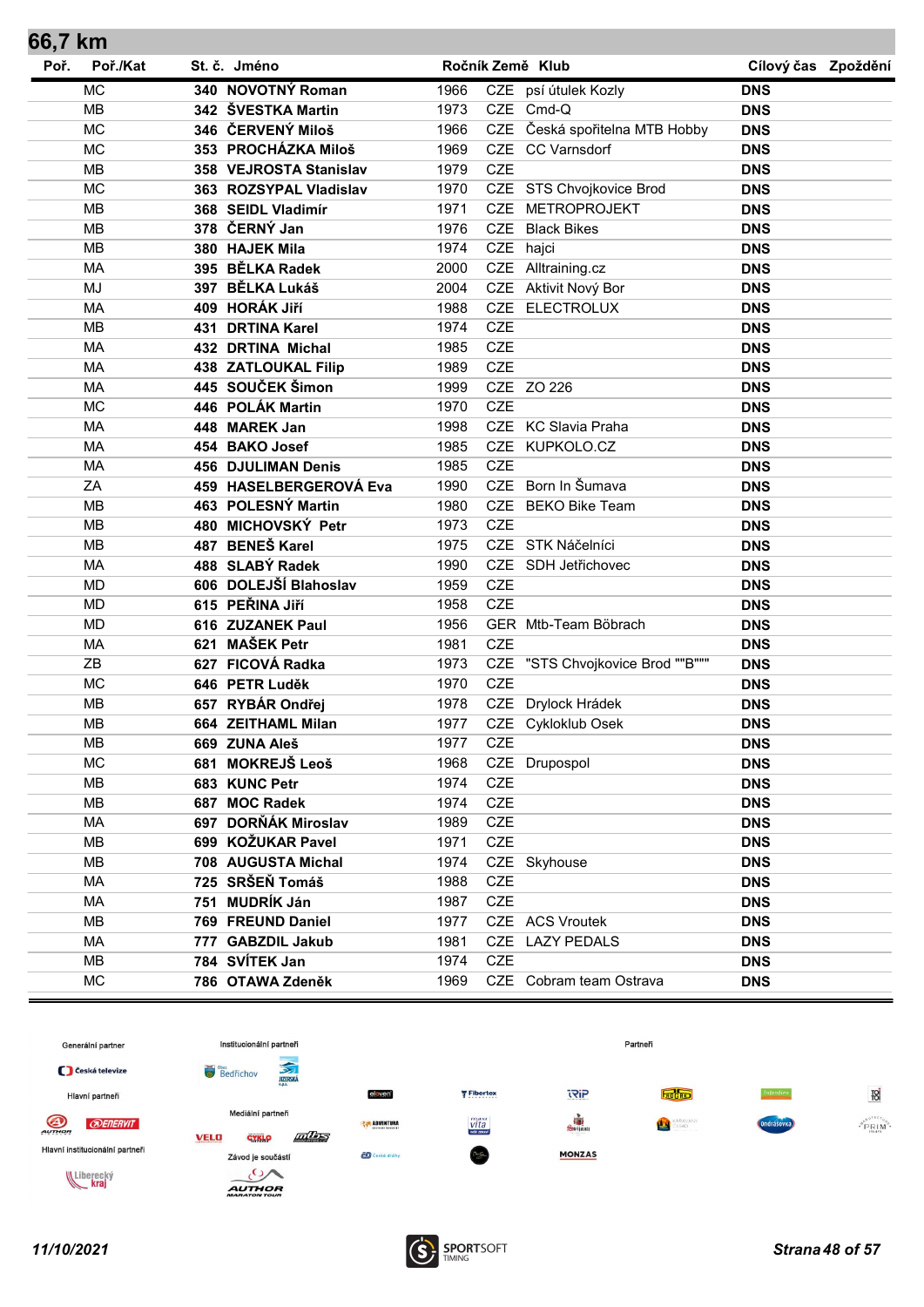| Poř.<br>Poř./Kat<br>St. č. Jméno<br>Ročník Země Klub<br>Cílový čas Zpoždění<br>340 NOVOTNÝ Roman<br><b>MC</b><br>CZE psí útulek Kozly<br>1966<br>DNS<br>342 ŠVESTKA Martin<br><b>MB</b><br>1973<br>CZE Cmd-Q<br><b>DNS</b><br><b>MC</b><br>346 ČERVENÝ Miloš<br>CZE Česká spořitelna MTB Hobby<br>1966<br><b>DNS</b><br><b>MC</b><br>CZE CC Varnsdorf<br>353 PROCHÁZKA Miloš<br>1969<br><b>DNS</b><br><b>CZE</b><br><b>MB</b><br>1979<br>358 VEJROSTA Stanislav<br><b>DNS</b><br><b>MC</b><br>CZE STS Chvojkovice Brod<br>1970<br>363 ROZSYPAL Vladislav<br><b>DNS</b><br>368 SEIDL Vladimír<br>CZE METROPROJEKT<br><b>MB</b><br>1971<br><b>DNS</b><br>378 ČERNÝ Jan<br>MB<br>1976<br><b>CZE</b><br><b>Black Bikes</b><br><b>DNS</b><br><b>MB</b><br>1974<br>CZE hajci<br>380 HAJEK Mila<br><b>DNS</b><br>395 BĚLKA Radek<br><b>MA</b><br>2000<br>CZE Alltraining.cz<br><b>DNS</b><br>MJ<br>397 BĚLKA Lukáš<br>CZE Aktivit Nový Bor<br>2004<br><b>DNS</b><br>409 HORÁK Jiří<br>CZE ELECTROLUX<br>MA<br>1988<br><b>DNS</b><br><b>MB</b><br><b>CZE</b><br>431 DRTINA Karel<br>1974<br><b>DNS</b><br><b>CZE</b><br><b>MA</b><br>1985<br>432 DRTINA Michal<br><b>DNS</b><br><b>CZE</b><br><b>MA</b><br><b>438 ZATLOUKAL Filip</b><br>1989<br><b>DNS</b><br>445 SOUČEK Šimon<br>CZE ZO 226<br><b>MA</b><br>1999<br><b>DNS</b><br><b>MC</b><br>446 POLÁK Martin<br><b>CZE</b><br>1970<br><b>DNS</b><br><b>MA</b><br>448 MAREK Jan<br>1998<br>CZE KC Slavia Praha<br><b>DNS</b><br>CZE KUPKOLO.CZ<br><b>MA</b><br>454 BAKO Josef<br>1985<br><b>DNS</b><br><b>CZE</b><br><b>MA</b><br><b>456 DJULIMAN Denis</b><br>1985<br><b>DNS</b><br>CZE Born In Šumava<br>ZA<br>459 HASELBERGEROVÁ Eva<br>1990<br><b>DNS</b><br>463 POLESNÝ Martin<br>CZE BEKO Bike Team<br>MB<br>1980<br><b>DNS</b><br><b>CZE</b><br>480 MICHOVSKÝ Petr<br><b>MB</b><br>1973<br><b>DNS</b><br>487 BENEŠ Karel<br>CZE STK Náčelníci<br>MB<br>1975<br><b>DNS</b><br>488 SLABÝ Radek<br><b>MA</b><br>1990<br>CZE SDH Jetřichovec<br><b>DNS</b><br>606 DOLEJŠÍ Blahoslav<br><b>CZE</b><br><b>MD</b><br>1959<br><b>DNS</b><br><b>CZE</b><br>615 PEŘINA JIří<br><b>MD</b><br>1958<br><b>DNS</b><br><b>MD</b><br>616 ZUZANEK Paul<br>1956<br>GER Mtb-Team Böbrach<br><b>DNS</b><br>621 MAŠEK Petr<br><b>MA</b><br><b>CZE</b><br>1981<br><b>DNS</b><br>CZE "STS Chvojkovice Brod ""B"""<br>ZB<br>627 FICOVÁ Radka<br>1973<br><b>DNS</b><br><b>MC</b><br><b>CZE</b><br>646 PETR Luděk<br>1970<br><b>DNS</b><br>657 RYBÁR Ondřej<br><b>MB</b><br>CZE Drylock Hrádek<br>1978<br><b>DNS</b><br><b>MB</b><br>CZE Cykloklub Osek<br>664 ZEITHAML Milan<br>1977<br><b>DNS</b><br>CZE<br>MВ<br>669 ZUNA Aleš<br>1977<br><b>DNS</b><br><b>MC</b><br>CZE Drupospol<br>681 MOKREJŠ Leoš<br>1968<br><b>DNS</b><br>CZE<br>MВ<br>683 KUNC Petr<br>1974<br><b>DNS</b><br><b>MB</b><br>687 MOC Radek<br>CZE<br>1974<br><b>DNS</b><br>697 DORŇÁK Miroslav<br>CZE<br>MA<br>1989<br><b>DNS</b><br>CZE<br>699 KOŽUKAR Pavel<br>MВ<br>1971<br><b>DNS</b><br>MВ<br>708 AUGUSTA Michal<br>1974<br>CZE Skyhouse<br><b>DNS</b><br>725 SRŠEŇ Tomáš<br>MA<br>1988<br>CZE<br><b>DNS</b><br>751 MUDRÍK Ján<br>CZE<br>MA<br>1987<br><b>DNS</b><br>CZE ACS Vroutek<br>MB<br>769 FREUND Daniel<br>1977<br><b>DNS</b><br>MA<br>777 GABZDIL Jakub<br>1981<br>CZE LAZY PEDALS<br><b>DNS</b><br><b>CZE</b><br><b>MB</b><br>784 SVÍTEK Jan<br>1974<br><b>DNS</b><br>MC<br>CZE Cobram team Ostrava<br>786 OTAWA Zdeněk<br>1969<br><b>DNS</b> | 66,7 km |  |  |  |  |
|--------------------------------------------------------------------------------------------------------------------------------------------------------------------------------------------------------------------------------------------------------------------------------------------------------------------------------------------------------------------------------------------------------------------------------------------------------------------------------------------------------------------------------------------------------------------------------------------------------------------------------------------------------------------------------------------------------------------------------------------------------------------------------------------------------------------------------------------------------------------------------------------------------------------------------------------------------------------------------------------------------------------------------------------------------------------------------------------------------------------------------------------------------------------------------------------------------------------------------------------------------------------------------------------------------------------------------------------------------------------------------------------------------------------------------------------------------------------------------------------------------------------------------------------------------------------------------------------------------------------------------------------------------------------------------------------------------------------------------------------------------------------------------------------------------------------------------------------------------------------------------------------------------------------------------------------------------------------------------------------------------------------------------------------------------------------------------------------------------------------------------------------------------------------------------------------------------------------------------------------------------------------------------------------------------------------------------------------------------------------------------------------------------------------------------------------------------------------------------------------------------------------------------------------------------------------------------------------------------------------------------------------------------------------------------------------------------------------------------------------------------------------------------------------------------------------------------------------------------------------------------------------------------------------------------------------------------------------------------------------------------------------------------------------------------------------------------------------------------------------------------------------------------------------------------------------------------------------------------------------------------------------------------------------------------------------------------------------------------------------------------------------------------------------------------------------------------------|---------|--|--|--|--|
|                                                                                                                                                                                                                                                                                                                                                                                                                                                                                                                                                                                                                                                                                                                                                                                                                                                                                                                                                                                                                                                                                                                                                                                                                                                                                                                                                                                                                                                                                                                                                                                                                                                                                                                                                                                                                                                                                                                                                                                                                                                                                                                                                                                                                                                                                                                                                                                                                                                                                                                                                                                                                                                                                                                                                                                                                                                                                                                                                                                                                                                                                                                                                                                                                                                                                                                                                                                                                                                              |         |  |  |  |  |
|                                                                                                                                                                                                                                                                                                                                                                                                                                                                                                                                                                                                                                                                                                                                                                                                                                                                                                                                                                                                                                                                                                                                                                                                                                                                                                                                                                                                                                                                                                                                                                                                                                                                                                                                                                                                                                                                                                                                                                                                                                                                                                                                                                                                                                                                                                                                                                                                                                                                                                                                                                                                                                                                                                                                                                                                                                                                                                                                                                                                                                                                                                                                                                                                                                                                                                                                                                                                                                                              |         |  |  |  |  |
|                                                                                                                                                                                                                                                                                                                                                                                                                                                                                                                                                                                                                                                                                                                                                                                                                                                                                                                                                                                                                                                                                                                                                                                                                                                                                                                                                                                                                                                                                                                                                                                                                                                                                                                                                                                                                                                                                                                                                                                                                                                                                                                                                                                                                                                                                                                                                                                                                                                                                                                                                                                                                                                                                                                                                                                                                                                                                                                                                                                                                                                                                                                                                                                                                                                                                                                                                                                                                                                              |         |  |  |  |  |
|                                                                                                                                                                                                                                                                                                                                                                                                                                                                                                                                                                                                                                                                                                                                                                                                                                                                                                                                                                                                                                                                                                                                                                                                                                                                                                                                                                                                                                                                                                                                                                                                                                                                                                                                                                                                                                                                                                                                                                                                                                                                                                                                                                                                                                                                                                                                                                                                                                                                                                                                                                                                                                                                                                                                                                                                                                                                                                                                                                                                                                                                                                                                                                                                                                                                                                                                                                                                                                                              |         |  |  |  |  |
|                                                                                                                                                                                                                                                                                                                                                                                                                                                                                                                                                                                                                                                                                                                                                                                                                                                                                                                                                                                                                                                                                                                                                                                                                                                                                                                                                                                                                                                                                                                                                                                                                                                                                                                                                                                                                                                                                                                                                                                                                                                                                                                                                                                                                                                                                                                                                                                                                                                                                                                                                                                                                                                                                                                                                                                                                                                                                                                                                                                                                                                                                                                                                                                                                                                                                                                                                                                                                                                              |         |  |  |  |  |
|                                                                                                                                                                                                                                                                                                                                                                                                                                                                                                                                                                                                                                                                                                                                                                                                                                                                                                                                                                                                                                                                                                                                                                                                                                                                                                                                                                                                                                                                                                                                                                                                                                                                                                                                                                                                                                                                                                                                                                                                                                                                                                                                                                                                                                                                                                                                                                                                                                                                                                                                                                                                                                                                                                                                                                                                                                                                                                                                                                                                                                                                                                                                                                                                                                                                                                                                                                                                                                                              |         |  |  |  |  |
|                                                                                                                                                                                                                                                                                                                                                                                                                                                                                                                                                                                                                                                                                                                                                                                                                                                                                                                                                                                                                                                                                                                                                                                                                                                                                                                                                                                                                                                                                                                                                                                                                                                                                                                                                                                                                                                                                                                                                                                                                                                                                                                                                                                                                                                                                                                                                                                                                                                                                                                                                                                                                                                                                                                                                                                                                                                                                                                                                                                                                                                                                                                                                                                                                                                                                                                                                                                                                                                              |         |  |  |  |  |
|                                                                                                                                                                                                                                                                                                                                                                                                                                                                                                                                                                                                                                                                                                                                                                                                                                                                                                                                                                                                                                                                                                                                                                                                                                                                                                                                                                                                                                                                                                                                                                                                                                                                                                                                                                                                                                                                                                                                                                                                                                                                                                                                                                                                                                                                                                                                                                                                                                                                                                                                                                                                                                                                                                                                                                                                                                                                                                                                                                                                                                                                                                                                                                                                                                                                                                                                                                                                                                                              |         |  |  |  |  |
|                                                                                                                                                                                                                                                                                                                                                                                                                                                                                                                                                                                                                                                                                                                                                                                                                                                                                                                                                                                                                                                                                                                                                                                                                                                                                                                                                                                                                                                                                                                                                                                                                                                                                                                                                                                                                                                                                                                                                                                                                                                                                                                                                                                                                                                                                                                                                                                                                                                                                                                                                                                                                                                                                                                                                                                                                                                                                                                                                                                                                                                                                                                                                                                                                                                                                                                                                                                                                                                              |         |  |  |  |  |
|                                                                                                                                                                                                                                                                                                                                                                                                                                                                                                                                                                                                                                                                                                                                                                                                                                                                                                                                                                                                                                                                                                                                                                                                                                                                                                                                                                                                                                                                                                                                                                                                                                                                                                                                                                                                                                                                                                                                                                                                                                                                                                                                                                                                                                                                                                                                                                                                                                                                                                                                                                                                                                                                                                                                                                                                                                                                                                                                                                                                                                                                                                                                                                                                                                                                                                                                                                                                                                                              |         |  |  |  |  |
|                                                                                                                                                                                                                                                                                                                                                                                                                                                                                                                                                                                                                                                                                                                                                                                                                                                                                                                                                                                                                                                                                                                                                                                                                                                                                                                                                                                                                                                                                                                                                                                                                                                                                                                                                                                                                                                                                                                                                                                                                                                                                                                                                                                                                                                                                                                                                                                                                                                                                                                                                                                                                                                                                                                                                                                                                                                                                                                                                                                                                                                                                                                                                                                                                                                                                                                                                                                                                                                              |         |  |  |  |  |
|                                                                                                                                                                                                                                                                                                                                                                                                                                                                                                                                                                                                                                                                                                                                                                                                                                                                                                                                                                                                                                                                                                                                                                                                                                                                                                                                                                                                                                                                                                                                                                                                                                                                                                                                                                                                                                                                                                                                                                                                                                                                                                                                                                                                                                                                                                                                                                                                                                                                                                                                                                                                                                                                                                                                                                                                                                                                                                                                                                                                                                                                                                                                                                                                                                                                                                                                                                                                                                                              |         |  |  |  |  |
|                                                                                                                                                                                                                                                                                                                                                                                                                                                                                                                                                                                                                                                                                                                                                                                                                                                                                                                                                                                                                                                                                                                                                                                                                                                                                                                                                                                                                                                                                                                                                                                                                                                                                                                                                                                                                                                                                                                                                                                                                                                                                                                                                                                                                                                                                                                                                                                                                                                                                                                                                                                                                                                                                                                                                                                                                                                                                                                                                                                                                                                                                                                                                                                                                                                                                                                                                                                                                                                              |         |  |  |  |  |
|                                                                                                                                                                                                                                                                                                                                                                                                                                                                                                                                                                                                                                                                                                                                                                                                                                                                                                                                                                                                                                                                                                                                                                                                                                                                                                                                                                                                                                                                                                                                                                                                                                                                                                                                                                                                                                                                                                                                                                                                                                                                                                                                                                                                                                                                                                                                                                                                                                                                                                                                                                                                                                                                                                                                                                                                                                                                                                                                                                                                                                                                                                                                                                                                                                                                                                                                                                                                                                                              |         |  |  |  |  |
|                                                                                                                                                                                                                                                                                                                                                                                                                                                                                                                                                                                                                                                                                                                                                                                                                                                                                                                                                                                                                                                                                                                                                                                                                                                                                                                                                                                                                                                                                                                                                                                                                                                                                                                                                                                                                                                                                                                                                                                                                                                                                                                                                                                                                                                                                                                                                                                                                                                                                                                                                                                                                                                                                                                                                                                                                                                                                                                                                                                                                                                                                                                                                                                                                                                                                                                                                                                                                                                              |         |  |  |  |  |
|                                                                                                                                                                                                                                                                                                                                                                                                                                                                                                                                                                                                                                                                                                                                                                                                                                                                                                                                                                                                                                                                                                                                                                                                                                                                                                                                                                                                                                                                                                                                                                                                                                                                                                                                                                                                                                                                                                                                                                                                                                                                                                                                                                                                                                                                                                                                                                                                                                                                                                                                                                                                                                                                                                                                                                                                                                                                                                                                                                                                                                                                                                                                                                                                                                                                                                                                                                                                                                                              |         |  |  |  |  |
|                                                                                                                                                                                                                                                                                                                                                                                                                                                                                                                                                                                                                                                                                                                                                                                                                                                                                                                                                                                                                                                                                                                                                                                                                                                                                                                                                                                                                                                                                                                                                                                                                                                                                                                                                                                                                                                                                                                                                                                                                                                                                                                                                                                                                                                                                                                                                                                                                                                                                                                                                                                                                                                                                                                                                                                                                                                                                                                                                                                                                                                                                                                                                                                                                                                                                                                                                                                                                                                              |         |  |  |  |  |
|                                                                                                                                                                                                                                                                                                                                                                                                                                                                                                                                                                                                                                                                                                                                                                                                                                                                                                                                                                                                                                                                                                                                                                                                                                                                                                                                                                                                                                                                                                                                                                                                                                                                                                                                                                                                                                                                                                                                                                                                                                                                                                                                                                                                                                                                                                                                                                                                                                                                                                                                                                                                                                                                                                                                                                                                                                                                                                                                                                                                                                                                                                                                                                                                                                                                                                                                                                                                                                                              |         |  |  |  |  |
|                                                                                                                                                                                                                                                                                                                                                                                                                                                                                                                                                                                                                                                                                                                                                                                                                                                                                                                                                                                                                                                                                                                                                                                                                                                                                                                                                                                                                                                                                                                                                                                                                                                                                                                                                                                                                                                                                                                                                                                                                                                                                                                                                                                                                                                                                                                                                                                                                                                                                                                                                                                                                                                                                                                                                                                                                                                                                                                                                                                                                                                                                                                                                                                                                                                                                                                                                                                                                                                              |         |  |  |  |  |
|                                                                                                                                                                                                                                                                                                                                                                                                                                                                                                                                                                                                                                                                                                                                                                                                                                                                                                                                                                                                                                                                                                                                                                                                                                                                                                                                                                                                                                                                                                                                                                                                                                                                                                                                                                                                                                                                                                                                                                                                                                                                                                                                                                                                                                                                                                                                                                                                                                                                                                                                                                                                                                                                                                                                                                                                                                                                                                                                                                                                                                                                                                                                                                                                                                                                                                                                                                                                                                                              |         |  |  |  |  |
|                                                                                                                                                                                                                                                                                                                                                                                                                                                                                                                                                                                                                                                                                                                                                                                                                                                                                                                                                                                                                                                                                                                                                                                                                                                                                                                                                                                                                                                                                                                                                                                                                                                                                                                                                                                                                                                                                                                                                                                                                                                                                                                                                                                                                                                                                                                                                                                                                                                                                                                                                                                                                                                                                                                                                                                                                                                                                                                                                                                                                                                                                                                                                                                                                                                                                                                                                                                                                                                              |         |  |  |  |  |
|                                                                                                                                                                                                                                                                                                                                                                                                                                                                                                                                                                                                                                                                                                                                                                                                                                                                                                                                                                                                                                                                                                                                                                                                                                                                                                                                                                                                                                                                                                                                                                                                                                                                                                                                                                                                                                                                                                                                                                                                                                                                                                                                                                                                                                                                                                                                                                                                                                                                                                                                                                                                                                                                                                                                                                                                                                                                                                                                                                                                                                                                                                                                                                                                                                                                                                                                                                                                                                                              |         |  |  |  |  |
|                                                                                                                                                                                                                                                                                                                                                                                                                                                                                                                                                                                                                                                                                                                                                                                                                                                                                                                                                                                                                                                                                                                                                                                                                                                                                                                                                                                                                                                                                                                                                                                                                                                                                                                                                                                                                                                                                                                                                                                                                                                                                                                                                                                                                                                                                                                                                                                                                                                                                                                                                                                                                                                                                                                                                                                                                                                                                                                                                                                                                                                                                                                                                                                                                                                                                                                                                                                                                                                              |         |  |  |  |  |
|                                                                                                                                                                                                                                                                                                                                                                                                                                                                                                                                                                                                                                                                                                                                                                                                                                                                                                                                                                                                                                                                                                                                                                                                                                                                                                                                                                                                                                                                                                                                                                                                                                                                                                                                                                                                                                                                                                                                                                                                                                                                                                                                                                                                                                                                                                                                                                                                                                                                                                                                                                                                                                                                                                                                                                                                                                                                                                                                                                                                                                                                                                                                                                                                                                                                                                                                                                                                                                                              |         |  |  |  |  |
|                                                                                                                                                                                                                                                                                                                                                                                                                                                                                                                                                                                                                                                                                                                                                                                                                                                                                                                                                                                                                                                                                                                                                                                                                                                                                                                                                                                                                                                                                                                                                                                                                                                                                                                                                                                                                                                                                                                                                                                                                                                                                                                                                                                                                                                                                                                                                                                                                                                                                                                                                                                                                                                                                                                                                                                                                                                                                                                                                                                                                                                                                                                                                                                                                                                                                                                                                                                                                                                              |         |  |  |  |  |
|                                                                                                                                                                                                                                                                                                                                                                                                                                                                                                                                                                                                                                                                                                                                                                                                                                                                                                                                                                                                                                                                                                                                                                                                                                                                                                                                                                                                                                                                                                                                                                                                                                                                                                                                                                                                                                                                                                                                                                                                                                                                                                                                                                                                                                                                                                                                                                                                                                                                                                                                                                                                                                                                                                                                                                                                                                                                                                                                                                                                                                                                                                                                                                                                                                                                                                                                                                                                                                                              |         |  |  |  |  |
|                                                                                                                                                                                                                                                                                                                                                                                                                                                                                                                                                                                                                                                                                                                                                                                                                                                                                                                                                                                                                                                                                                                                                                                                                                                                                                                                                                                                                                                                                                                                                                                                                                                                                                                                                                                                                                                                                                                                                                                                                                                                                                                                                                                                                                                                                                                                                                                                                                                                                                                                                                                                                                                                                                                                                                                                                                                                                                                                                                                                                                                                                                                                                                                                                                                                                                                                                                                                                                                              |         |  |  |  |  |
|                                                                                                                                                                                                                                                                                                                                                                                                                                                                                                                                                                                                                                                                                                                                                                                                                                                                                                                                                                                                                                                                                                                                                                                                                                                                                                                                                                                                                                                                                                                                                                                                                                                                                                                                                                                                                                                                                                                                                                                                                                                                                                                                                                                                                                                                                                                                                                                                                                                                                                                                                                                                                                                                                                                                                                                                                                                                                                                                                                                                                                                                                                                                                                                                                                                                                                                                                                                                                                                              |         |  |  |  |  |
|                                                                                                                                                                                                                                                                                                                                                                                                                                                                                                                                                                                                                                                                                                                                                                                                                                                                                                                                                                                                                                                                                                                                                                                                                                                                                                                                                                                                                                                                                                                                                                                                                                                                                                                                                                                                                                                                                                                                                                                                                                                                                                                                                                                                                                                                                                                                                                                                                                                                                                                                                                                                                                                                                                                                                                                                                                                                                                                                                                                                                                                                                                                                                                                                                                                                                                                                                                                                                                                              |         |  |  |  |  |
|                                                                                                                                                                                                                                                                                                                                                                                                                                                                                                                                                                                                                                                                                                                                                                                                                                                                                                                                                                                                                                                                                                                                                                                                                                                                                                                                                                                                                                                                                                                                                                                                                                                                                                                                                                                                                                                                                                                                                                                                                                                                                                                                                                                                                                                                                                                                                                                                                                                                                                                                                                                                                                                                                                                                                                                                                                                                                                                                                                                                                                                                                                                                                                                                                                                                                                                                                                                                                                                              |         |  |  |  |  |
|                                                                                                                                                                                                                                                                                                                                                                                                                                                                                                                                                                                                                                                                                                                                                                                                                                                                                                                                                                                                                                                                                                                                                                                                                                                                                                                                                                                                                                                                                                                                                                                                                                                                                                                                                                                                                                                                                                                                                                                                                                                                                                                                                                                                                                                                                                                                                                                                                                                                                                                                                                                                                                                                                                                                                                                                                                                                                                                                                                                                                                                                                                                                                                                                                                                                                                                                                                                                                                                              |         |  |  |  |  |
|                                                                                                                                                                                                                                                                                                                                                                                                                                                                                                                                                                                                                                                                                                                                                                                                                                                                                                                                                                                                                                                                                                                                                                                                                                                                                                                                                                                                                                                                                                                                                                                                                                                                                                                                                                                                                                                                                                                                                                                                                                                                                                                                                                                                                                                                                                                                                                                                                                                                                                                                                                                                                                                                                                                                                                                                                                                                                                                                                                                                                                                                                                                                                                                                                                                                                                                                                                                                                                                              |         |  |  |  |  |
|                                                                                                                                                                                                                                                                                                                                                                                                                                                                                                                                                                                                                                                                                                                                                                                                                                                                                                                                                                                                                                                                                                                                                                                                                                                                                                                                                                                                                                                                                                                                                                                                                                                                                                                                                                                                                                                                                                                                                                                                                                                                                                                                                                                                                                                                                                                                                                                                                                                                                                                                                                                                                                                                                                                                                                                                                                                                                                                                                                                                                                                                                                                                                                                                                                                                                                                                                                                                                                                              |         |  |  |  |  |
|                                                                                                                                                                                                                                                                                                                                                                                                                                                                                                                                                                                                                                                                                                                                                                                                                                                                                                                                                                                                                                                                                                                                                                                                                                                                                                                                                                                                                                                                                                                                                                                                                                                                                                                                                                                                                                                                                                                                                                                                                                                                                                                                                                                                                                                                                                                                                                                                                                                                                                                                                                                                                                                                                                                                                                                                                                                                                                                                                                                                                                                                                                                                                                                                                                                                                                                                                                                                                                                              |         |  |  |  |  |
|                                                                                                                                                                                                                                                                                                                                                                                                                                                                                                                                                                                                                                                                                                                                                                                                                                                                                                                                                                                                                                                                                                                                                                                                                                                                                                                                                                                                                                                                                                                                                                                                                                                                                                                                                                                                                                                                                                                                                                                                                                                                                                                                                                                                                                                                                                                                                                                                                                                                                                                                                                                                                                                                                                                                                                                                                                                                                                                                                                                                                                                                                                                                                                                                                                                                                                                                                                                                                                                              |         |  |  |  |  |
|                                                                                                                                                                                                                                                                                                                                                                                                                                                                                                                                                                                                                                                                                                                                                                                                                                                                                                                                                                                                                                                                                                                                                                                                                                                                                                                                                                                                                                                                                                                                                                                                                                                                                                                                                                                                                                                                                                                                                                                                                                                                                                                                                                                                                                                                                                                                                                                                                                                                                                                                                                                                                                                                                                                                                                                                                                                                                                                                                                                                                                                                                                                                                                                                                                                                                                                                                                                                                                                              |         |  |  |  |  |
|                                                                                                                                                                                                                                                                                                                                                                                                                                                                                                                                                                                                                                                                                                                                                                                                                                                                                                                                                                                                                                                                                                                                                                                                                                                                                                                                                                                                                                                                                                                                                                                                                                                                                                                                                                                                                                                                                                                                                                                                                                                                                                                                                                                                                                                                                                                                                                                                                                                                                                                                                                                                                                                                                                                                                                                                                                                                                                                                                                                                                                                                                                                                                                                                                                                                                                                                                                                                                                                              |         |  |  |  |  |
|                                                                                                                                                                                                                                                                                                                                                                                                                                                                                                                                                                                                                                                                                                                                                                                                                                                                                                                                                                                                                                                                                                                                                                                                                                                                                                                                                                                                                                                                                                                                                                                                                                                                                                                                                                                                                                                                                                                                                                                                                                                                                                                                                                                                                                                                                                                                                                                                                                                                                                                                                                                                                                                                                                                                                                                                                                                                                                                                                                                                                                                                                                                                                                                                                                                                                                                                                                                                                                                              |         |  |  |  |  |
|                                                                                                                                                                                                                                                                                                                                                                                                                                                                                                                                                                                                                                                                                                                                                                                                                                                                                                                                                                                                                                                                                                                                                                                                                                                                                                                                                                                                                                                                                                                                                                                                                                                                                                                                                                                                                                                                                                                                                                                                                                                                                                                                                                                                                                                                                                                                                                                                                                                                                                                                                                                                                                                                                                                                                                                                                                                                                                                                                                                                                                                                                                                                                                                                                                                                                                                                                                                                                                                              |         |  |  |  |  |
|                                                                                                                                                                                                                                                                                                                                                                                                                                                                                                                                                                                                                                                                                                                                                                                                                                                                                                                                                                                                                                                                                                                                                                                                                                                                                                                                                                                                                                                                                                                                                                                                                                                                                                                                                                                                                                                                                                                                                                                                                                                                                                                                                                                                                                                                                                                                                                                                                                                                                                                                                                                                                                                                                                                                                                                                                                                                                                                                                                                                                                                                                                                                                                                                                                                                                                                                                                                                                                                              |         |  |  |  |  |
|                                                                                                                                                                                                                                                                                                                                                                                                                                                                                                                                                                                                                                                                                                                                                                                                                                                                                                                                                                                                                                                                                                                                                                                                                                                                                                                                                                                                                                                                                                                                                                                                                                                                                                                                                                                                                                                                                                                                                                                                                                                                                                                                                                                                                                                                                                                                                                                                                                                                                                                                                                                                                                                                                                                                                                                                                                                                                                                                                                                                                                                                                                                                                                                                                                                                                                                                                                                                                                                              |         |  |  |  |  |
|                                                                                                                                                                                                                                                                                                                                                                                                                                                                                                                                                                                                                                                                                                                                                                                                                                                                                                                                                                                                                                                                                                                                                                                                                                                                                                                                                                                                                                                                                                                                                                                                                                                                                                                                                                                                                                                                                                                                                                                                                                                                                                                                                                                                                                                                                                                                                                                                                                                                                                                                                                                                                                                                                                                                                                                                                                                                                                                                                                                                                                                                                                                                                                                                                                                                                                                                                                                                                                                              |         |  |  |  |  |
|                                                                                                                                                                                                                                                                                                                                                                                                                                                                                                                                                                                                                                                                                                                                                                                                                                                                                                                                                                                                                                                                                                                                                                                                                                                                                                                                                                                                                                                                                                                                                                                                                                                                                                                                                                                                                                                                                                                                                                                                                                                                                                                                                                                                                                                                                                                                                                                                                                                                                                                                                                                                                                                                                                                                                                                                                                                                                                                                                                                                                                                                                                                                                                                                                                                                                                                                                                                                                                                              |         |  |  |  |  |
|                                                                                                                                                                                                                                                                                                                                                                                                                                                                                                                                                                                                                                                                                                                                                                                                                                                                                                                                                                                                                                                                                                                                                                                                                                                                                                                                                                                                                                                                                                                                                                                                                                                                                                                                                                                                                                                                                                                                                                                                                                                                                                                                                                                                                                                                                                                                                                                                                                                                                                                                                                                                                                                                                                                                                                                                                                                                                                                                                                                                                                                                                                                                                                                                                                                                                                                                                                                                                                                              |         |  |  |  |  |
|                                                                                                                                                                                                                                                                                                                                                                                                                                                                                                                                                                                                                                                                                                                                                                                                                                                                                                                                                                                                                                                                                                                                                                                                                                                                                                                                                                                                                                                                                                                                                                                                                                                                                                                                                                                                                                                                                                                                                                                                                                                                                                                                                                                                                                                                                                                                                                                                                                                                                                                                                                                                                                                                                                                                                                                                                                                                                                                                                                                                                                                                                                                                                                                                                                                                                                                                                                                                                                                              |         |  |  |  |  |
|                                                                                                                                                                                                                                                                                                                                                                                                                                                                                                                                                                                                                                                                                                                                                                                                                                                                                                                                                                                                                                                                                                                                                                                                                                                                                                                                                                                                                                                                                                                                                                                                                                                                                                                                                                                                                                                                                                                                                                                                                                                                                                                                                                                                                                                                                                                                                                                                                                                                                                                                                                                                                                                                                                                                                                                                                                                                                                                                                                                                                                                                                                                                                                                                                                                                                                                                                                                                                                                              |         |  |  |  |  |
|                                                                                                                                                                                                                                                                                                                                                                                                                                                                                                                                                                                                                                                                                                                                                                                                                                                                                                                                                                                                                                                                                                                                                                                                                                                                                                                                                                                                                                                                                                                                                                                                                                                                                                                                                                                                                                                                                                                                                                                                                                                                                                                                                                                                                                                                                                                                                                                                                                                                                                                                                                                                                                                                                                                                                                                                                                                                                                                                                                                                                                                                                                                                                                                                                                                                                                                                                                                                                                                              |         |  |  |  |  |

![](_page_47_Figure_1.jpeg)

![](_page_47_Picture_3.jpeg)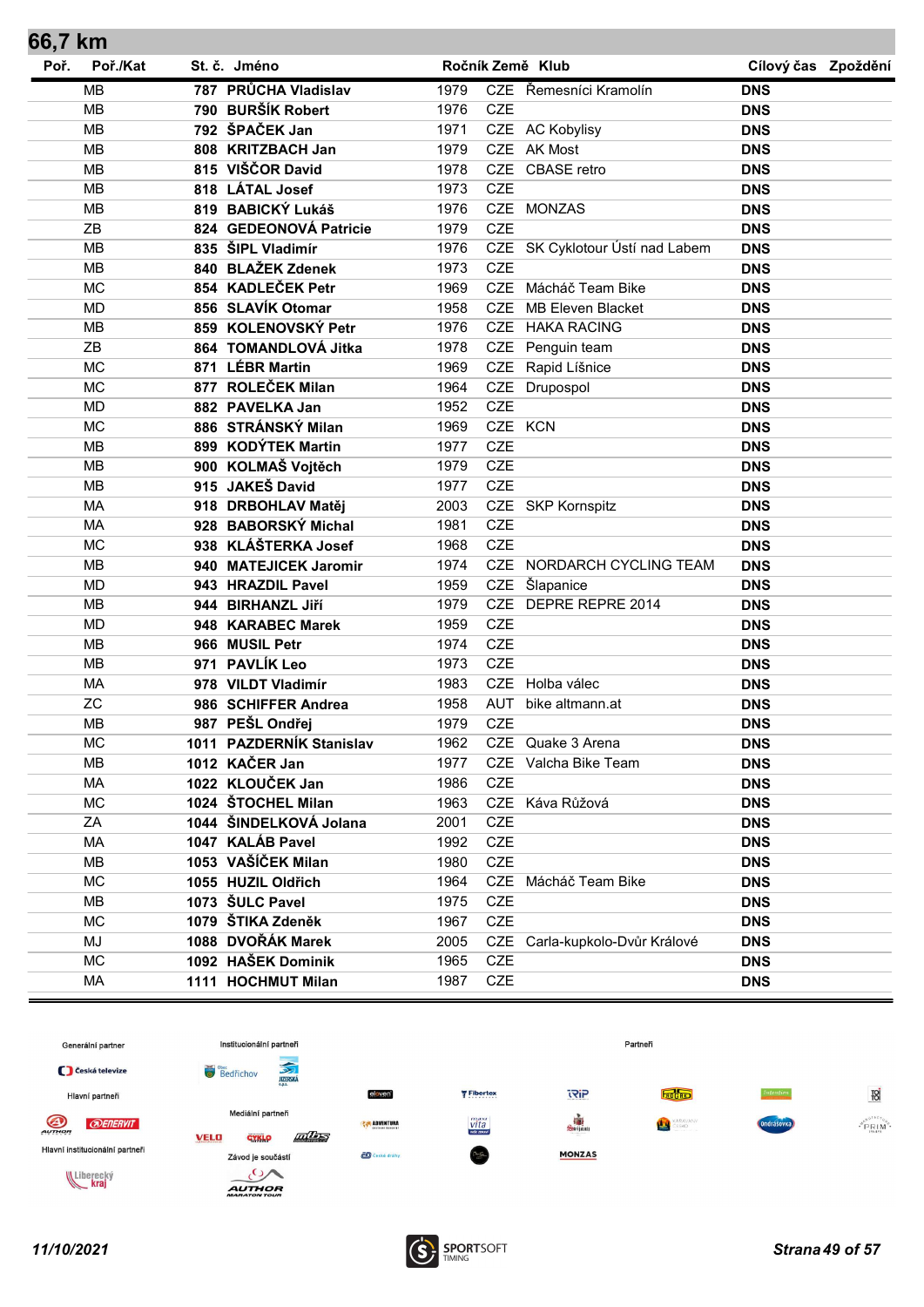| 66,7 km |           |                          |      |            |                                 |                     |  |
|---------|-----------|--------------------------|------|------------|---------------------------------|---------------------|--|
| Poř.    | Poř./Kat  | St. č. Jméno             |      |            | Ročník Země Klub                | Cílový čas Zpoždění |  |
|         | <b>MB</b> | 787 PRŮCHA Vladislav     | 1979 |            | CZE Řemesníci Kramolín          | <b>DNS</b>          |  |
|         | <b>MB</b> | 790 BURŠÍK Robert        | 1976 | <b>CZE</b> |                                 | <b>DNS</b>          |  |
|         | <b>MB</b> | 792 ŠPAČEK Jan           | 1971 |            | CZE AC Kobylisy                 | <b>DNS</b>          |  |
|         | <b>MB</b> | 808 KRITZBACH Jan        | 1979 |            | CZE AK Most                     | <b>DNS</b>          |  |
|         | <b>MB</b> | 815 VIŠČOR David         | 1978 |            | CZE CBASE retro                 | <b>DNS</b>          |  |
|         | <b>MB</b> | 818 LÁTAL Josef          | 1973 | <b>CZE</b> |                                 | <b>DNS</b>          |  |
|         | <b>MB</b> | 819 BABICKÝ Lukáš        | 1976 |            | CZE MONZAS                      | <b>DNS</b>          |  |
|         | ZB        | 824 GEDEONOVÁ Patricie   | 1979 | <b>CZE</b> |                                 | <b>DNS</b>          |  |
|         | <b>MB</b> | 835 ŠIPL Vladimír        | 1976 |            | CZE SK Cyklotour Ústí nad Labem | <b>DNS</b>          |  |
|         | <b>MB</b> | 840 BLAŽEK Zdenek        | 1973 | <b>CZE</b> |                                 | <b>DNS</b>          |  |
|         | <b>MC</b> | 854 KADLEČEK Petr        | 1969 |            | CZE Mácháč Team Bike            | <b>DNS</b>          |  |
|         | <b>MD</b> | 856 SLAVÍK Otomar        | 1958 | <b>CZE</b> | <b>MB Eleven Blacket</b>        | <b>DNS</b>          |  |
|         | <b>MB</b> | 859 KOLENOVSKÝ Petr      | 1976 | <b>CZE</b> | <b>HAKA RACING</b>              | <b>DNS</b>          |  |
|         | ZB        | 864 TOMANDLOVÁ Jitka     | 1978 | <b>CZE</b> | Penguin team                    | <b>DNS</b>          |  |
|         | <b>MC</b> | 871 LÉBR Martin          | 1969 | <b>CZE</b> | Rapid Líšnice                   | <b>DNS</b>          |  |
|         | <b>MC</b> | 877 ROLEČEK Milan        | 1964 | CZE        | Drupospol                       | <b>DNS</b>          |  |
|         | <b>MD</b> | 882 PAVELKA Jan          | 1952 | <b>CZE</b> |                                 | <b>DNS</b>          |  |
|         | <b>MC</b> | 886 STRÁNSKÝ Milan       | 1969 |            | CZE KCN                         | <b>DNS</b>          |  |
|         | <b>MB</b> | 899 KODÝTEK Martin       | 1977 | <b>CZE</b> |                                 | <b>DNS</b>          |  |
|         | <b>MB</b> | 900 KOLMAŠ Vojtěch       | 1979 | <b>CZE</b> |                                 | <b>DNS</b>          |  |
|         | <b>MB</b> | 915 JAKEŠ David          | 1977 | <b>CZE</b> |                                 | <b>DNS</b>          |  |
|         | <b>MA</b> | 918 DRBOHLAV Matěj       | 2003 |            | CZE SKP Kornspitz               | <b>DNS</b>          |  |
|         | <b>MA</b> | 928 BABORSKÝ Michal      | 1981 | <b>CZE</b> |                                 | <b>DNS</b>          |  |
|         | <b>MC</b> | 938 KLÁŠTERKA Josef      | 1968 | <b>CZE</b> |                                 | <b>DNS</b>          |  |
|         | <b>MB</b> | 940 MATEJICEK Jaromir    | 1974 | CZE        | NORDARCH CYCLING TEAM           | <b>DNS</b>          |  |
|         | <b>MD</b> | 943 HRAZDIL Pavel        | 1959 | <b>CZE</b> | Šlapanice                       | <b>DNS</b>          |  |
|         | <b>MB</b> | 944 BIRHANZL Jiří        | 1979 |            | CZE DEPRE REPRE 2014            | <b>DNS</b>          |  |
|         | <b>MD</b> | 948 KARABEC Marek        | 1959 | <b>CZE</b> |                                 | <b>DNS</b>          |  |
|         | <b>MB</b> | 966 MUSIL Petr           | 1974 | <b>CZE</b> |                                 | <b>DNS</b>          |  |
|         | <b>MB</b> | 971 PAVLÍK Leo           | 1973 | <b>CZE</b> |                                 | <b>DNS</b>          |  |
|         | MA        | 978 VILDT Vladimír       | 1983 |            | CZE Holba válec                 | <b>DNS</b>          |  |
|         | <b>ZC</b> | 986 SCHIFFER Andrea      | 1958 | AUT        | bike altmann.at                 | <b>DNS</b>          |  |
|         | MB        | 987 PEŠL Ondřej          | 1979 | <b>CZE</b> |                                 | <b>DNS</b>          |  |
|         | МC        | 1011 PAZDERNÍK Stanislav | 1962 |            | CZE Quake 3 Arena               | <b>DNS</b>          |  |
|         | MB        | 1012 KAČER Jan           | 1977 |            | CZE Valcha Bike Team            | <b>DNS</b>          |  |
|         | MA        | 1022 KLOUČEK Jan         | 1986 | <b>CZE</b> |                                 | <b>DNS</b>          |  |
|         | <b>MC</b> | 1024 ŠTOCHEL Milan       | 1963 |            | CZE Káva Růžová                 | <b>DNS</b>          |  |
|         | ΖA        | 1044 ŠINDELKOVÁ Jolana   | 2001 | <b>CZE</b> |                                 | <b>DNS</b>          |  |
|         | МA        | 1047 KALÁB Pavel         | 1992 | <b>CZE</b> |                                 | <b>DNS</b>          |  |
|         | MВ        | 1053 VAŠÍČEK Milan       | 1980 | <b>CZE</b> |                                 | <b>DNS</b>          |  |
|         | <b>MC</b> | 1055 HUZIL Oldřich       | 1964 |            | CZE Mácháč Team Bike            | <b>DNS</b>          |  |
|         | MB        | 1073 ŠULC Pavel          | 1975 | <b>CZE</b> |                                 | <b>DNS</b>          |  |
|         | <b>MC</b> | 1079 ŠTIKA Zdeněk        | 1967 | <b>CZE</b> |                                 | <b>DNS</b>          |  |
|         | MJ        | 1088 DVOŘÁK Marek        | 2005 |            | CZE Carla-kupkolo-Dvůr Králové  | <b>DNS</b>          |  |
|         | <b>MC</b> | 1092 HAŠEK Dominik       | 1965 | CZE        |                                 | <b>DNS</b>          |  |
|         | MA        | 1111 HOCHMUT Milan       | 1987 | <b>CZE</b> |                                 | <b>DNS</b>          |  |
|         |           |                          |      |            |                                 |                     |  |

![](_page_48_Figure_1.jpeg)

![](_page_48_Picture_3.jpeg)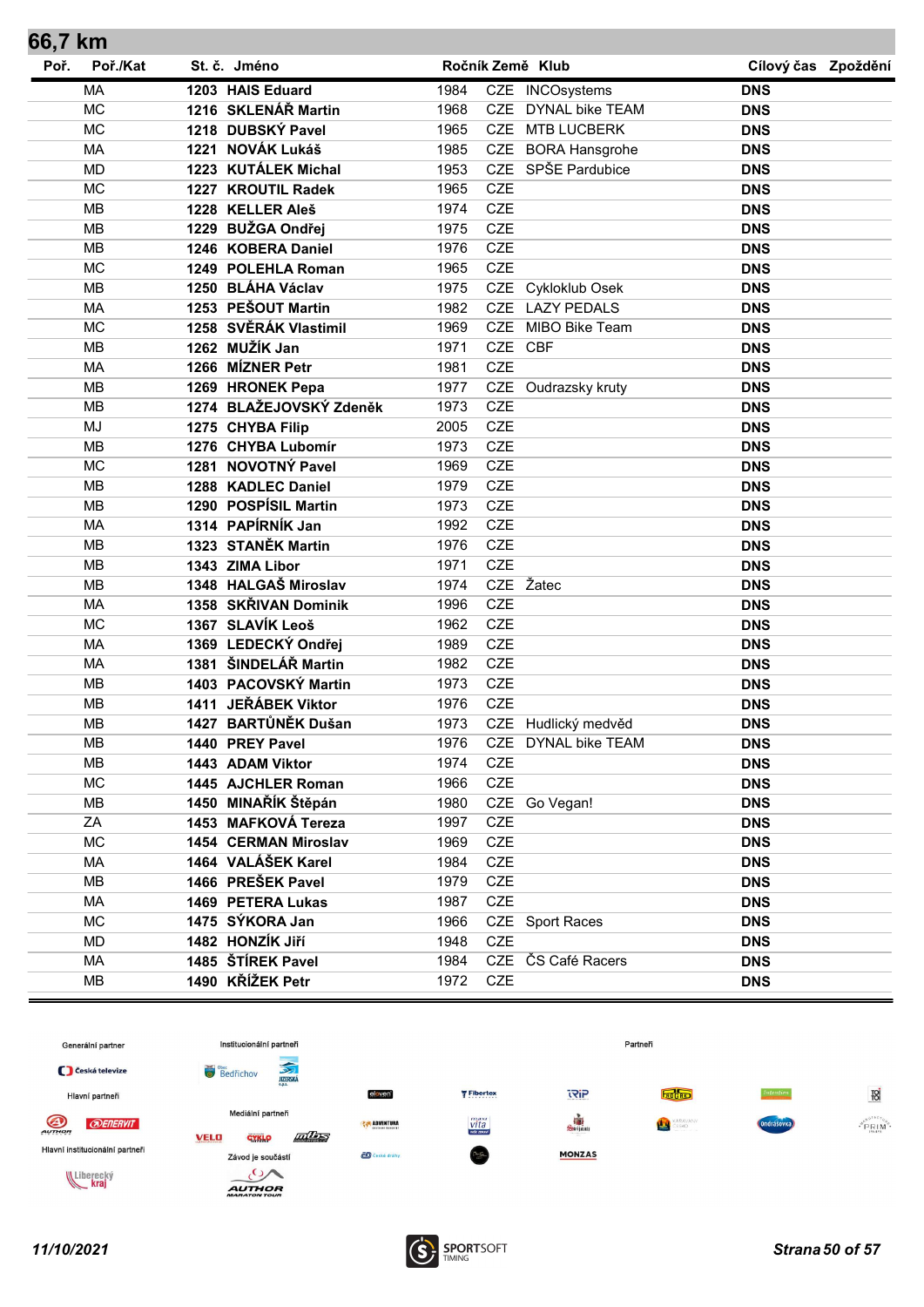| 66,7 km |           |                         |      |            |                        |                     |  |
|---------|-----------|-------------------------|------|------------|------------------------|---------------------|--|
| Poř.    | Poř./Kat  | St. č. Jméno            |      |            | Ročník Země Klub       | Cílový čas Zpoždění |  |
|         | <b>MA</b> | 1203 HAIS Eduard        | 1984 |            | CZE INCOsystems        | <b>DNS</b>          |  |
|         | <b>MC</b> | 1216 SKLENÁŘ Martin     | 1968 | CZE        | <b>DYNAL bike TEAM</b> | <b>DNS</b>          |  |
|         | <b>MC</b> | 1218 DUBSKÝ Pavel       | 1965 |            | CZE MTB LUCBERK        | <b>DNS</b>          |  |
|         | <b>MA</b> | 1221 NOVÁK Lukáš        | 1985 |            | CZE BORA Hansgrohe     | <b>DNS</b>          |  |
|         | <b>MD</b> | 1223 KUTÁLEK Michal     | 1953 |            | CZE SPŠE Pardubice     | <b>DNS</b>          |  |
|         | <b>MC</b> | 1227 KROUTIL Radek      | 1965 | <b>CZE</b> |                        | <b>DNS</b>          |  |
|         | <b>MB</b> | 1228 KELLER Aleš        | 1974 | <b>CZE</b> |                        | <b>DNS</b>          |  |
|         | <b>MB</b> | 1229 BUŽGA Ondřej       | 1975 | CZE        |                        | <b>DNS</b>          |  |
|         | <b>MB</b> | 1246 KOBERA Daniel      | 1976 | <b>CZE</b> |                        | <b>DNS</b>          |  |
|         | <b>MC</b> | 1249 POLEHLA Roman      | 1965 | CZE        |                        | <b>DNS</b>          |  |
|         | <b>MB</b> | 1250 BLÁHA Václav       | 1975 |            | CZE Cykloklub Osek     | <b>DNS</b>          |  |
|         | <b>MA</b> | 1253 PEŠOUT Martin      | 1982 |            | CZE LAZY PEDALS        | <b>DNS</b>          |  |
|         | <b>MC</b> | 1258 SVĚRÁK Vlastimil   | 1969 | <b>CZE</b> | MIBO Bike Team         | <b>DNS</b>          |  |
|         | <b>MB</b> | 1262 MUŽÍK Jan          | 1971 |            | CZE CBF                | <b>DNS</b>          |  |
|         | <b>MA</b> | 1266 MÍZNER Petr        | 1981 | <b>CZE</b> |                        | <b>DNS</b>          |  |
|         | <b>MB</b> | 1269 HRONEK Pepa        | 1977 |            | CZE Oudrazsky kruty    | <b>DNS</b>          |  |
|         | <b>MB</b> | 1274 BLAŽEJOVSKÝ Zdeněk | 1973 | <b>CZE</b> |                        | <b>DNS</b>          |  |
|         | <b>MJ</b> | 1275 CHYBA Filip        | 2005 | CZE        |                        | <b>DNS</b>          |  |
|         | <b>MB</b> | 1276 CHYBA Lubomír      | 1973 | CZE        |                        | <b>DNS</b>          |  |
|         | <b>MC</b> | 1281 NOVOTNÝ Pavel      | 1969 | <b>CZE</b> |                        | <b>DNS</b>          |  |
|         | <b>MB</b> | 1288 KADLEC Daniel      | 1979 | CZE        |                        | <b>DNS</b>          |  |
|         | <b>MB</b> | 1290 POSPÍSIL Martin    | 1973 | <b>CZE</b> |                        | <b>DNS</b>          |  |
|         | <b>MA</b> | 1314 PAPÍRNÍK Jan       | 1992 | <b>CZE</b> |                        | <b>DNS</b>          |  |
|         | <b>MB</b> | 1323 STANĚK Martin      | 1976 | CZE        |                        | <b>DNS</b>          |  |
|         | <b>MB</b> | 1343 ZIMA Libor         | 1971 | <b>CZE</b> |                        | <b>DNS</b>          |  |
|         | MB        | 1348 HALGAŠ Miroslav    | 1974 |            | CZE Žatec              | <b>DNS</b>          |  |
|         | <b>MA</b> | 1358 SKŘIVAN Dominik    | 1996 | <b>CZE</b> |                        | <b>DNS</b>          |  |
|         | <b>MC</b> | 1367 SLAVÍK Leoš        | 1962 | CZE        |                        | <b>DNS</b>          |  |
|         | <b>MA</b> | 1369 LEDECKÝ Ondřej     | 1989 | CZE        |                        | <b>DNS</b>          |  |
|         | MA        | 1381 ŠINDELÁŘ Martin    | 1982 | <b>CZE</b> |                        | <b>DNS</b>          |  |
|         | <b>MB</b> | 1403 PACOVSKÝ Martin    | 1973 | <b>CZE</b> |                        | <b>DNS</b>          |  |
|         | <b>MB</b> | 1411 JEŘÁBEK Viktor     | 1976 | <b>CZE</b> |                        | <b>DNS</b>          |  |
|         | MB        | 1427 BARTŮNĚK Dušan     | 1973 |            | CZE Hudlický medvěd    | <b>DNS</b>          |  |
|         | MВ        | 1440 PREY Pavel         | 1976 |            | CZE DYNAL bike TEAM    | <b>DNS</b>          |  |
|         | MВ        | 1443 ADAM Viktor        | 1974 | <b>CZE</b> |                        | <b>DNS</b>          |  |
|         | <b>MC</b> | 1445 AJCHLER Roman      | 1966 | CZE        |                        | <b>DNS</b>          |  |
|         | <b>MB</b> | 1450 MINAŘÍK Štěpán     | 1980 |            | CZE Go Vegan!          | <b>DNS</b>          |  |
|         | ΖA        | 1453 MAFKOVÁ Tereza     | 1997 | CZE        |                        | <b>DNS</b>          |  |
|         | <b>MC</b> | 1454 CERMAN Miroslav    | 1969 | CZE        |                        | <b>DNS</b>          |  |
|         | MA        | 1464 VALÁŠEK Karel      | 1984 | CZE        |                        | <b>DNS</b>          |  |
|         | <b>MB</b> | 1466 PREŠEK Pavel       | 1979 | CZE        |                        | <b>DNS</b>          |  |
|         | MA        | 1469 PETERA Lukas       | 1987 | <b>CZE</b> |                        | <b>DNS</b>          |  |
|         | <b>MC</b> | 1475 SÝKORA Jan         | 1966 |            | CZE Sport Races        | <b>DNS</b>          |  |
|         | MD        | 1482 HONZÍK Jiří        | 1948 | <b>CZE</b> |                        | <b>DNS</b>          |  |
|         | MA        | 1485 ŠTÍREK Pavel       | 1984 |            | CZE ČS Café Racers     | <b>DNS</b>          |  |
|         | MB        | 1490 KŘÍŽEK Petr        | 1972 | CZE        |                        | <b>DNS</b>          |  |

![](_page_49_Figure_1.jpeg)

![](_page_49_Picture_3.jpeg)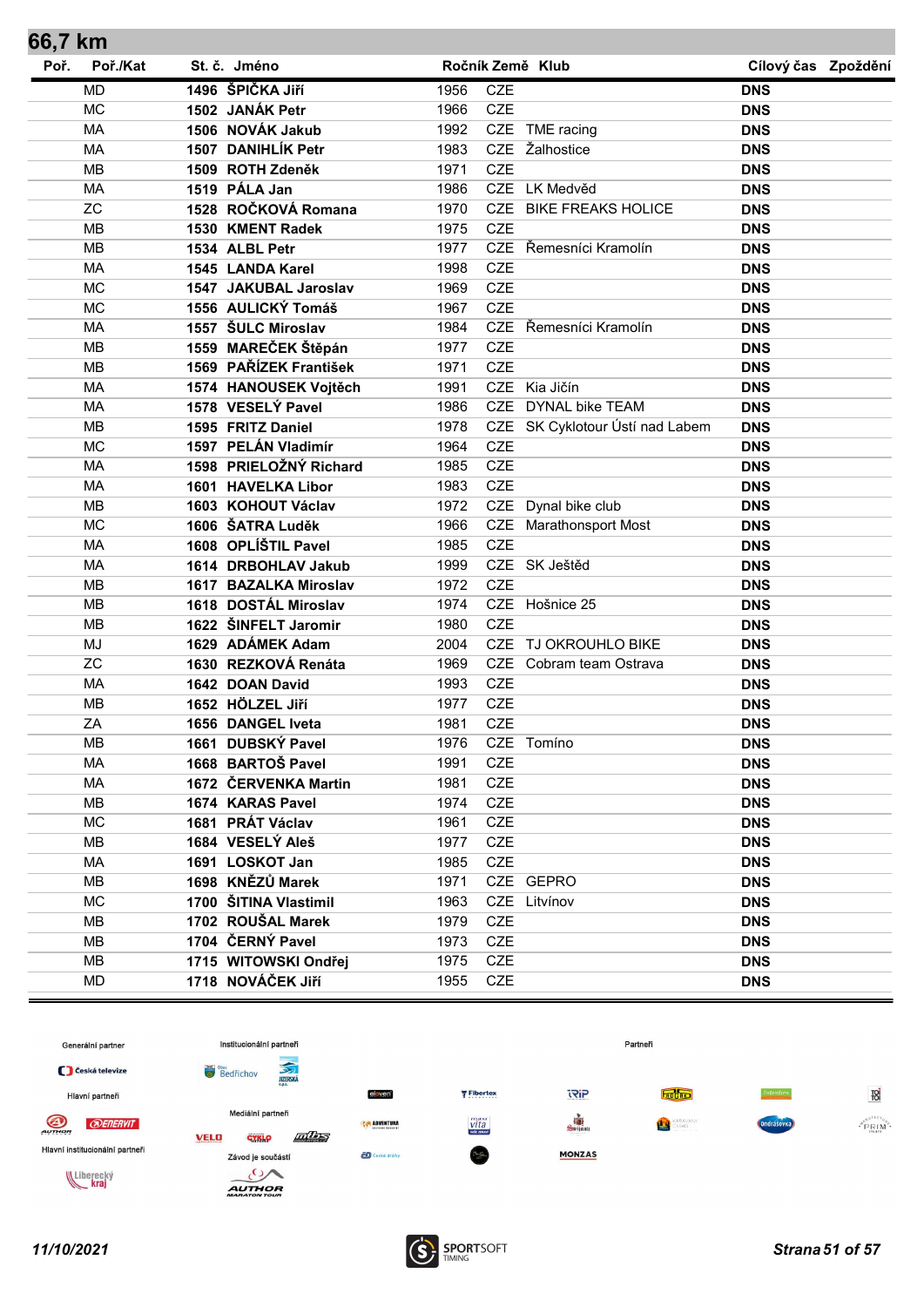| 66,7 km |           |                        |      |            |                                 |                     |  |
|---------|-----------|------------------------|------|------------|---------------------------------|---------------------|--|
| Poř.    | Poř./Kat  | St. č. Jméno           |      |            | Ročník Země Klub                | Cílový čas Zpoždění |  |
|         | <b>MD</b> | 1496 ŠPIČKA JIří       | 1956 | <b>CZE</b> |                                 | <b>DNS</b>          |  |
|         | <b>MC</b> | 1502 JANÁK Petr        | 1966 | CZE        |                                 | <b>DNS</b>          |  |
|         | <b>MA</b> | 1506 NOVÁK Jakub       | 1992 |            | CZE TME racing                  | <b>DNS</b>          |  |
|         | <b>MA</b> | 1507 DANIHLÍK Petr     | 1983 |            | CZE Žalhostice                  | <b>DNS</b>          |  |
|         | <b>MB</b> | 1509 ROTH Zdeněk       | 1971 | <b>CZE</b> |                                 | <b>DNS</b>          |  |
|         | <b>MA</b> | 1519 PÁLA Jan          | 1986 |            | CZE LK Medvěd                   | <b>DNS</b>          |  |
|         | <b>ZC</b> | 1528 ROČKOVÁ Romana    | 1970 |            | CZE BIKE FREAKS HOLICE          | <b>DNS</b>          |  |
|         | <b>MB</b> | 1530 KMENT Radek       | 1975 | <b>CZE</b> |                                 | <b>DNS</b>          |  |
|         | <b>MB</b> | 1534 ALBL Petr         | 1977 |            | CZE Řemesníci Kramolín          | <b>DNS</b>          |  |
|         | <b>MA</b> | 1545 LANDA Karel       | 1998 | CZE        |                                 | <b>DNS</b>          |  |
|         | <b>MC</b> | 1547 JAKUBAL Jaroslav  | 1969 | <b>CZE</b> |                                 | <b>DNS</b>          |  |
|         | <b>MC</b> | 1556 AULICKÝ Tomáš     | 1967 | <b>CZE</b> |                                 | <b>DNS</b>          |  |
|         | <b>MA</b> | 1557 ŠULC Miroslav     | 1984 |            | CZE Řemesníci Kramolín          | <b>DNS</b>          |  |
|         | <b>MB</b> | 1559 MAREČEK Štěpán    | 1977 | <b>CZE</b> |                                 | <b>DNS</b>          |  |
|         | MB        | 1569 PAŘÍZEK František | 1971 | CZE        |                                 | <b>DNS</b>          |  |
|         | <b>MA</b> | 1574 HANOUSEK Vojtěch  | 1991 |            | CZE Kia Jičín                   | <b>DNS</b>          |  |
|         | <b>MA</b> | 1578 VESELÝ Pavel      | 1986 |            | CZE DYNAL bike TEAM             | <b>DNS</b>          |  |
|         | <b>MB</b> | 1595 FRITZ Daniel      | 1978 |            | CZE SK Cyklotour Ústí nad Labem | <b>DNS</b>          |  |
|         | <b>MC</b> | 1597 PELÁN Vladimír    | 1964 | <b>CZE</b> |                                 | <b>DNS</b>          |  |
|         | MA        | 1598 PRIELOŽNÝ Richard | 1985 | CZE        |                                 | <b>DNS</b>          |  |
|         | MA        | 1601 HAVELKA Libor     | 1983 | <b>CZE</b> |                                 | <b>DNS</b>          |  |
|         | <b>MB</b> | 1603 KOHOUT Václav     | 1972 | <b>CZE</b> | Dynal bike club                 | <b>DNS</b>          |  |
|         | <b>MC</b> | 1606 ŠATRA Luděk       | 1966 |            | CZE Marathonsport Most          | <b>DNS</b>          |  |
|         | <b>MA</b> | 1608 OPLÍŠTIL Pavel    | 1985 | <b>CZE</b> |                                 | <b>DNS</b>          |  |
|         | MA        | 1614 DRBOHLAV Jakub    | 1999 |            | CZE SK Ještěd                   | <b>DNS</b>          |  |
|         | <b>MB</b> | 1617 BAZALKA Miroslav  | 1972 | <b>CZE</b> |                                 | <b>DNS</b>          |  |
|         | <b>MB</b> | 1618 DOSTÁL Miroslav   | 1974 |            | CZE Hošnice 25                  | <b>DNS</b>          |  |
|         | <b>MB</b> | 1622 ŠINFELT Jaromir   | 1980 | <b>CZE</b> |                                 | <b>DNS</b>          |  |
|         | <b>MJ</b> | 1629 ADÁMEK Adam       | 2004 |            | CZE TJ OKROUHLO BIKE            | <b>DNS</b>          |  |
|         | <b>ZC</b> | 1630 REZKOVÁ Renáta    | 1969 |            | CZE Cobram team Ostrava         | <b>DNS</b>          |  |
|         | MA        | 1642 DOAN David        | 1993 | <b>CZE</b> |                                 | <b>DNS</b>          |  |
|         | <b>MB</b> | 1652 HÖLZEL Jiří       | 1977 | <b>CZE</b> |                                 | <b>DNS</b>          |  |
|         | ZA        | 1656 DANGEL Iveta      | 1981 | <b>CZE</b> |                                 | <b>DNS</b>          |  |
|         | MВ        | 1661 DUBSKÝ Pavel      | 1976 |            | CZE Tomíno                      | <b>DNS</b>          |  |
|         | MA        | 1668 BARTOŠ Pavel      | 1991 | CZE        |                                 | <b>DNS</b>          |  |
|         | MA        | 1672 ČERVENKA Martin   | 1981 | CZE        |                                 | <b>DNS</b>          |  |
|         | MВ        | 1674 KARAS Pavel       | 1974 | CZE        |                                 | <b>DNS</b>          |  |
|         | <b>MC</b> | 1681 PRÁT Václav       | 1961 | CZE        |                                 | <b>DNS</b>          |  |
|         | MВ        | 1684 VESELÝ Aleš       | 1977 | <b>CZE</b> |                                 | <b>DNS</b>          |  |
|         | <b>MA</b> | 1691 LOSKOT Jan        | 1985 | <b>CZE</b> |                                 | <b>DNS</b>          |  |
|         | MВ        | 1698 KNĚZŮ Marek       | 1971 |            | CZE GEPRO                       | <b>DNS</b>          |  |
|         | <b>MC</b> | 1700 ŠITINA Vlastimil  | 1963 |            | CZE Litvínov                    | <b>DNS</b>          |  |
|         | MВ        | 1702 ROUŠAL Marek      | 1979 | CZE        |                                 | <b>DNS</b>          |  |
|         | MB        | 1704 ČERNÝ Pavel       | 1973 | <b>CZE</b> |                                 | <b>DNS</b>          |  |
|         | MВ        | 1715 WITOWSKI Ondřej   | 1975 | CZE        |                                 | <b>DNS</b>          |  |
|         | <b>MD</b> | 1718 NOVÁČEK Jiří      | 1955 | CZE        |                                 | <b>DNS</b>          |  |
|         |           |                        |      |            |                                 |                     |  |

![](_page_50_Figure_1.jpeg)

![](_page_50_Picture_3.jpeg)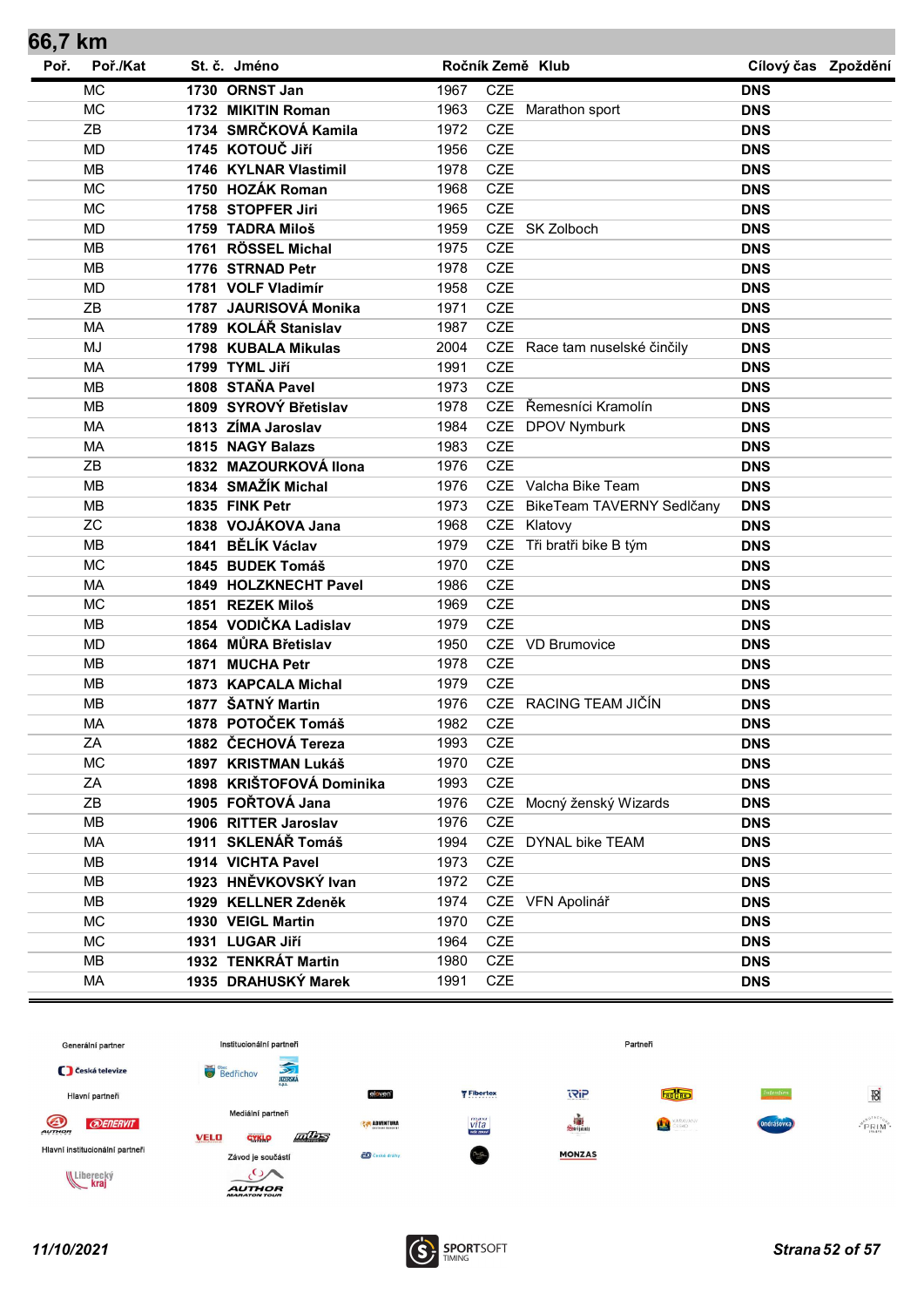| 66,7 km |           |                          |      |            |                               |                     |  |
|---------|-----------|--------------------------|------|------------|-------------------------------|---------------------|--|
| Poř.    | Poř./Kat  | St. č. Jméno             |      |            | Ročník Země Klub              | Cílový čas Zpoždění |  |
|         | <b>MC</b> | 1730 ORNST Jan           | 1967 | <b>CZE</b> |                               | <b>DNS</b>          |  |
|         | <b>MC</b> | 1732 MIKITIN Roman       | 1963 |            | CZE Marathon sport            | <b>DNS</b>          |  |
|         | ZB        | 1734 SMRČKOVÁ Kamila     | 1972 | <b>CZE</b> |                               | <b>DNS</b>          |  |
|         | <b>MD</b> | 1745 KOTOUČ JIří         | 1956 | <b>CZE</b> |                               | <b>DNS</b>          |  |
|         | <b>MB</b> | 1746 KYLNAR Vlastimil    | 1978 | <b>CZE</b> |                               | <b>DNS</b>          |  |
|         | <b>MC</b> | 1750 HOZÁK Roman         | 1968 | <b>CZE</b> |                               | <b>DNS</b>          |  |
|         | <b>MC</b> | 1758 STOPFER Jiri        | 1965 | <b>CZE</b> |                               | <b>DNS</b>          |  |
|         | <b>MD</b> | 1759 TADRA Miloš         | 1959 |            | CZE SK Zolboch                | <b>DNS</b>          |  |
|         | <b>MB</b> | 1761 RÖSSEL Michal       | 1975 | <b>CZE</b> |                               | <b>DNS</b>          |  |
|         | <b>MB</b> | 1776 STRNAD Petr         | 1978 | <b>CZE</b> |                               | <b>DNS</b>          |  |
|         | <b>MD</b> | 1781 VOLF Vladimír       | 1958 | <b>CZE</b> |                               | <b>DNS</b>          |  |
|         | ZB        | 1787 JAURISOVÁ Monika    | 1971 | <b>CZE</b> |                               | <b>DNS</b>          |  |
|         | <b>MA</b> | 1789 KOLÁŘ Stanislav     | 1987 | <b>CZE</b> |                               | <b>DNS</b>          |  |
|         | <b>MJ</b> | 1798 KUBALA Mikulas      | 2004 |            | CZE Race tam nuselské činčily | <b>DNS</b>          |  |
|         | <b>MA</b> | 1799 TYML Jiří           | 1991 | <b>CZE</b> |                               | <b>DNS</b>          |  |
|         | <b>MB</b> | 1808 STAŇA Pavel         | 1973 | <b>CZE</b> |                               | <b>DNS</b>          |  |
|         | <b>MB</b> | 1809 SYROVÝ Břetislav    | 1978 | <b>CZE</b> | Řemesníci Kramolín            | <b>DNS</b>          |  |
|         | <b>MA</b> | 1813 ZÍMA Jaroslav       | 1984 |            | CZE DPOV Nymburk              | <b>DNS</b>          |  |
|         | <b>MA</b> | 1815 NAGY Balazs         | 1983 | <b>CZE</b> |                               | <b>DNS</b>          |  |
|         | ZB        | 1832 MAZOURKOVÁ Ilona    | 1976 | <b>CZE</b> |                               | <b>DNS</b>          |  |
|         | <b>MB</b> | 1834 SMAŽÍK Michal       | 1976 | <b>CZE</b> | Valcha Bike Team              | <b>DNS</b>          |  |
|         | <b>MB</b> | 1835 FINK Petr           | 1973 | CZE.       | BikeTeam TAVERNY Sedlčany     | <b>DNS</b>          |  |
|         | <b>ZC</b> | 1838 VOJÁKOVA Jana       | 1968 | <b>CZE</b> | Klatovy                       | <b>DNS</b>          |  |
|         | <b>MB</b> | 1841 BĚLÍK Václav        | 1979 | <b>CZE</b> | Tři bratři bike B tým         | <b>DNS</b>          |  |
|         | <b>MC</b> | 1845 BUDEK Tomáš         | 1970 | <b>CZE</b> |                               | <b>DNS</b>          |  |
|         | <b>MA</b> | 1849 HOLZKNECHT Pavel    | 1986 | <b>CZE</b> |                               | <b>DNS</b>          |  |
|         | <b>MC</b> | 1851 REZEK Miloš         | 1969 | <b>CZE</b> |                               | <b>DNS</b>          |  |
|         | <b>MB</b> | 1854 VODIČKA Ladislav    | 1979 | <b>CZE</b> |                               | <b>DNS</b>          |  |
|         | <b>MD</b> | 1864 MŮRA Břetislav      | 1950 |            | CZE VD Brumovice              | <b>DNS</b>          |  |
|         | <b>MB</b> | 1871 MUCHA Petr          | 1978 | <b>CZE</b> |                               | <b>DNS</b>          |  |
|         | <b>MB</b> | 1873 KAPCALA Michal      | 1979 | <b>CZE</b> |                               | <b>DNS</b>          |  |
|         | <b>MB</b> | 1877 ŠATNÝ Martin        | 1976 |            | CZE RACING TEAM JIČÍN         | <b>DNS</b>          |  |
|         | MA        | 1878 POTOČEK Tomáš       | 1982 | <b>CZE</b> |                               | <b>DNS</b>          |  |
|         | ΖA        | 1882 ČECHOVÁ Tereza      | 1993 | CZE        |                               | <b>DNS</b>          |  |
|         | <b>MC</b> | 1897 KRISTMAN Lukáš      | 1970 | <b>CZE</b> |                               | <b>DNS</b>          |  |
|         | ZΑ        | 1898 KRIŠTOFOVÁ Dominika | 1993 | <b>CZE</b> |                               | <b>DNS</b>          |  |
|         | ZB        | 1905 FOŘTOVÁ Jana        | 1976 |            | CZE Mocný ženský Wizards      | <b>DNS</b>          |  |
|         | MВ        | 1906 RITTER Jaroslav     | 1976 | <b>CZE</b> |                               | <b>DNS</b>          |  |
|         | МA        | 1911 SKLENÁŘ Tomáš       | 1994 |            | CZE DYNAL bike TEAM           | <b>DNS</b>          |  |
|         | MВ        | 1914 VICHTA Pavel        | 1973 | <b>CZE</b> |                               | <b>DNS</b>          |  |
|         | MВ        | 1923 HNĚVKOVSKÝ Ivan     | 1972 | <b>CZE</b> |                               | <b>DNS</b>          |  |
|         | <b>MB</b> | 1929 KELLNER Zdeněk      | 1974 |            | CZE VFN Apolinář              | <b>DNS</b>          |  |
|         | <b>MC</b> | 1930 VEIGL Martin        | 1970 | <b>CZE</b> |                               | <b>DNS</b>          |  |
|         | <b>MC</b> | 1931 LUGAR Jiří          | 1964 | <b>CZE</b> |                               | <b>DNS</b>          |  |
|         | MВ        | 1932 TENKRÁT Martin      | 1980 | <b>CZE</b> |                               | <b>DNS</b>          |  |
|         | MA        | 1935 DRAHUSKÝ Marek      | 1991 | <b>CZE</b> |                               | <b>DNS</b>          |  |
|         |           |                          |      |            |                               |                     |  |

![](_page_51_Figure_1.jpeg)

![](_page_51_Picture_3.jpeg)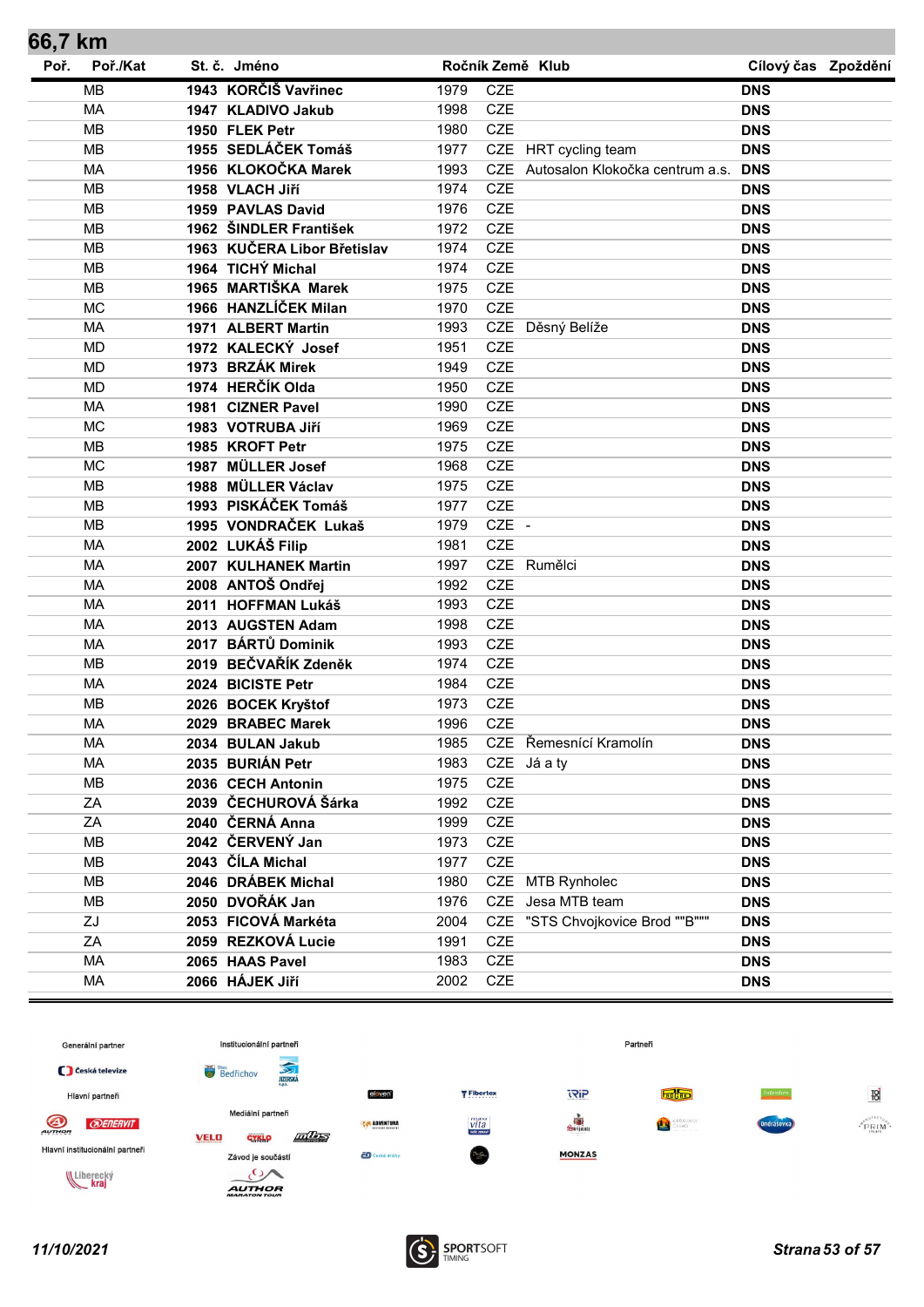| Poř./Kat<br>Poř.<br>St. č. Jméno<br>Ročník Země Klub<br>Cílový čas Zpoždění<br>1943 KORČIŠ Vavřinec<br><b>CZE</b><br><b>MB</b><br>1979<br><b>DNS</b><br>CZE<br>1947 KLADIVO Jakub<br>MA<br>1998<br><b>DNS</b><br><b>CZE</b><br><b>MB</b><br>1950 FLEK Petr<br>1980<br><b>DNS</b><br><b>MB</b><br>1955 SEDLÁČEK Tomáš<br>1977<br>CZE HRT cycling team<br><b>DNS</b><br>1956 KLOKOČKA Marek<br>MA<br><b>CZE</b><br>Autosalon Klokočka centrum a.s.<br>1993<br><b>DNS</b><br><b>CZE</b><br><b>MB</b><br>1958 VLACH Jiří<br>1974<br><b>DNS</b><br><b>CZE</b><br><b>MB</b><br>1959 PAVLAS David<br>1976<br><b>DNS</b><br><b>CZE</b><br>1962 ŠINDLER František<br><b>MB</b><br>1972<br><b>DNS</b><br>1963 KUČERA Libor Břetislav<br><b>MB</b><br><b>CZE</b><br>1974<br><b>DNS</b><br><b>CZE</b><br>1964 TICHÝ Michal<br><b>MB</b><br>1974<br><b>DNS</b><br>1965 MARTIŠKA Marek<br><b>CZE</b><br><b>MB</b><br>1975<br><b>DNS</b><br>1966 HANZLÍČEK Milan<br><b>MC</b><br><b>CZE</b><br>1970<br><b>DNS</b><br>CZE Děsný Belíže<br>MA<br>1971 ALBERT Martin<br>1993<br><b>DNS</b><br><b>CZE</b><br>1972 KALECKÝ Josef<br><b>MD</b><br>1951<br><b>DNS</b><br><b>CZE</b><br><b>MD</b><br>1973 BRZÁK Mirek<br>1949<br><b>DNS</b><br>1974 HERČÍK Olda<br><b>MD</b><br><b>CZE</b><br>1950<br><b>DNS</b><br>MA<br><b>CZE</b><br>1981 CIZNER Pavel<br>1990<br><b>DNS</b><br><b>CZE</b><br><b>MC</b><br>1983 VOTRUBA Jiří<br>1969<br><b>DNS</b><br><b>CZE</b><br><b>MB</b><br>1985 KROFT Petr<br>1975<br><b>DNS</b><br>1987 MÜLLER Josef<br><b>CZE</b><br><b>MC</b><br>1968<br><b>DNS</b><br><b>CZE</b><br><b>MB</b><br>1988 MÜLLER Václav<br>1975<br><b>DNS</b><br>1993 PISKÁČEK Tomáš<br><b>CZE</b><br><b>MB</b><br>1977<br><b>DNS</b><br>1995 VONDRAČEK Lukaš<br>CZE -<br><b>MB</b><br>1979<br><b>DNS</b><br>2002 LUKÁŠ Filip<br><b>CZE</b><br><b>MA</b><br>1981<br><b>DNS</b><br>CZE Rumělci<br>MA<br>2007 KULHANEK Martin<br>1997<br><b>DNS</b><br><b>CZE</b><br>2008 ANTOŠ Ondřej<br>MA<br>1992<br><b>DNS</b><br><b>CZE</b><br><b>MA</b><br>2011 HOFFMAN Lukáš<br>1993<br><b>DNS</b><br><b>CZE</b><br>MA<br>2013 AUGSTEN Adam<br>1998<br><b>DNS</b><br>2017 BÁRTŮ Dominik<br><b>CZE</b><br>MA<br>1993<br><b>DNS</b><br>2019 BEČVAŘÍK Zdeněk<br><b>CZE</b><br><b>MB</b><br>1974<br><b>DNS</b><br><b>CZE</b><br><b>MA</b><br>2024 BICISTE Petr<br>1984<br><b>DNS</b><br><b>CZE</b><br><b>MB</b><br>2026 BOCEK Kryštof<br>1973<br><b>DNS</b><br>CZE<br>MA<br>1996<br>2029 BRABEC Marek<br><b>DNS</b><br>CZE Řemesnící Kramolín<br>МA<br>2034 BULAN Jakub<br>1985<br><b>DNS</b><br>2035 BURIÁN Petr<br>CZE Já a ty<br>MA<br>1983<br><b>DNS</b><br>CZE<br>MB<br>2036 CECH Antonin<br>1975<br><b>DNS</b><br>2039 ČECHUROVÁ Šárka<br>CZE<br>ZA<br>1992<br><b>DNS</b><br>CZE<br>2040 ČERNÁ Anna<br>ZA<br>1999<br><b>DNS</b><br>2042 ČERVENÝ Jan<br><b>MB</b><br>CZE<br>1973<br><b>DNS</b><br>2043 ČÍLA Michal<br>CZE<br>MB<br>1977<br><b>DNS</b><br><b>MB</b><br>2046 DRÁBEK Michal<br>1980<br>CZE<br><b>MTB Rynholec</b><br><b>DNS</b><br>2050 DVOŘÁK Jan<br>MB<br>1976<br>CZE<br>Jesa MTB team<br><b>DNS</b><br>"STS Chvojkovice Brod ""B"""<br>ZJ<br>2053 FICOVÁ Markéta<br><b>CZE</b><br>2004<br><b>DNS</b><br>2059 REZKOVÁ Lucie<br>CZE<br>ZA<br>1991<br><b>DNS</b><br>CZE<br>MA<br>2065 HAAS Pavel<br>1983<br><b>DNS</b><br>CZE<br>2066 HÁJEK Jiří<br>MA<br>2002<br><b>DNS</b> | 66,7 km |  |  |  |  |
|-------------------------------------------------------------------------------------------------------------------------------------------------------------------------------------------------------------------------------------------------------------------------------------------------------------------------------------------------------------------------------------------------------------------------------------------------------------------------------------------------------------------------------------------------------------------------------------------------------------------------------------------------------------------------------------------------------------------------------------------------------------------------------------------------------------------------------------------------------------------------------------------------------------------------------------------------------------------------------------------------------------------------------------------------------------------------------------------------------------------------------------------------------------------------------------------------------------------------------------------------------------------------------------------------------------------------------------------------------------------------------------------------------------------------------------------------------------------------------------------------------------------------------------------------------------------------------------------------------------------------------------------------------------------------------------------------------------------------------------------------------------------------------------------------------------------------------------------------------------------------------------------------------------------------------------------------------------------------------------------------------------------------------------------------------------------------------------------------------------------------------------------------------------------------------------------------------------------------------------------------------------------------------------------------------------------------------------------------------------------------------------------------------------------------------------------------------------------------------------------------------------------------------------------------------------------------------------------------------------------------------------------------------------------------------------------------------------------------------------------------------------------------------------------------------------------------------------------------------------------------------------------------------------------------------------------------------------------------------------------------------------------------------------------------------------------------------------------------------------------------------------------------------------------------------------------------------------------------------------------------------------------------------------------------------------------------------------------------------------------|---------|--|--|--|--|
|                                                                                                                                                                                                                                                                                                                                                                                                                                                                                                                                                                                                                                                                                                                                                                                                                                                                                                                                                                                                                                                                                                                                                                                                                                                                                                                                                                                                                                                                                                                                                                                                                                                                                                                                                                                                                                                                                                                                                                                                                                                                                                                                                                                                                                                                                                                                                                                                                                                                                                                                                                                                                                                                                                                                                                                                                                                                                                                                                                                                                                                                                                                                                                                                                                                                                                                                                                   |         |  |  |  |  |
|                                                                                                                                                                                                                                                                                                                                                                                                                                                                                                                                                                                                                                                                                                                                                                                                                                                                                                                                                                                                                                                                                                                                                                                                                                                                                                                                                                                                                                                                                                                                                                                                                                                                                                                                                                                                                                                                                                                                                                                                                                                                                                                                                                                                                                                                                                                                                                                                                                                                                                                                                                                                                                                                                                                                                                                                                                                                                                                                                                                                                                                                                                                                                                                                                                                                                                                                                                   |         |  |  |  |  |
|                                                                                                                                                                                                                                                                                                                                                                                                                                                                                                                                                                                                                                                                                                                                                                                                                                                                                                                                                                                                                                                                                                                                                                                                                                                                                                                                                                                                                                                                                                                                                                                                                                                                                                                                                                                                                                                                                                                                                                                                                                                                                                                                                                                                                                                                                                                                                                                                                                                                                                                                                                                                                                                                                                                                                                                                                                                                                                                                                                                                                                                                                                                                                                                                                                                                                                                                                                   |         |  |  |  |  |
|                                                                                                                                                                                                                                                                                                                                                                                                                                                                                                                                                                                                                                                                                                                                                                                                                                                                                                                                                                                                                                                                                                                                                                                                                                                                                                                                                                                                                                                                                                                                                                                                                                                                                                                                                                                                                                                                                                                                                                                                                                                                                                                                                                                                                                                                                                                                                                                                                                                                                                                                                                                                                                                                                                                                                                                                                                                                                                                                                                                                                                                                                                                                                                                                                                                                                                                                                                   |         |  |  |  |  |
|                                                                                                                                                                                                                                                                                                                                                                                                                                                                                                                                                                                                                                                                                                                                                                                                                                                                                                                                                                                                                                                                                                                                                                                                                                                                                                                                                                                                                                                                                                                                                                                                                                                                                                                                                                                                                                                                                                                                                                                                                                                                                                                                                                                                                                                                                                                                                                                                                                                                                                                                                                                                                                                                                                                                                                                                                                                                                                                                                                                                                                                                                                                                                                                                                                                                                                                                                                   |         |  |  |  |  |
|                                                                                                                                                                                                                                                                                                                                                                                                                                                                                                                                                                                                                                                                                                                                                                                                                                                                                                                                                                                                                                                                                                                                                                                                                                                                                                                                                                                                                                                                                                                                                                                                                                                                                                                                                                                                                                                                                                                                                                                                                                                                                                                                                                                                                                                                                                                                                                                                                                                                                                                                                                                                                                                                                                                                                                                                                                                                                                                                                                                                                                                                                                                                                                                                                                                                                                                                                                   |         |  |  |  |  |
|                                                                                                                                                                                                                                                                                                                                                                                                                                                                                                                                                                                                                                                                                                                                                                                                                                                                                                                                                                                                                                                                                                                                                                                                                                                                                                                                                                                                                                                                                                                                                                                                                                                                                                                                                                                                                                                                                                                                                                                                                                                                                                                                                                                                                                                                                                                                                                                                                                                                                                                                                                                                                                                                                                                                                                                                                                                                                                                                                                                                                                                                                                                                                                                                                                                                                                                                                                   |         |  |  |  |  |
|                                                                                                                                                                                                                                                                                                                                                                                                                                                                                                                                                                                                                                                                                                                                                                                                                                                                                                                                                                                                                                                                                                                                                                                                                                                                                                                                                                                                                                                                                                                                                                                                                                                                                                                                                                                                                                                                                                                                                                                                                                                                                                                                                                                                                                                                                                                                                                                                                                                                                                                                                                                                                                                                                                                                                                                                                                                                                                                                                                                                                                                                                                                                                                                                                                                                                                                                                                   |         |  |  |  |  |
|                                                                                                                                                                                                                                                                                                                                                                                                                                                                                                                                                                                                                                                                                                                                                                                                                                                                                                                                                                                                                                                                                                                                                                                                                                                                                                                                                                                                                                                                                                                                                                                                                                                                                                                                                                                                                                                                                                                                                                                                                                                                                                                                                                                                                                                                                                                                                                                                                                                                                                                                                                                                                                                                                                                                                                                                                                                                                                                                                                                                                                                                                                                                                                                                                                                                                                                                                                   |         |  |  |  |  |
|                                                                                                                                                                                                                                                                                                                                                                                                                                                                                                                                                                                                                                                                                                                                                                                                                                                                                                                                                                                                                                                                                                                                                                                                                                                                                                                                                                                                                                                                                                                                                                                                                                                                                                                                                                                                                                                                                                                                                                                                                                                                                                                                                                                                                                                                                                                                                                                                                                                                                                                                                                                                                                                                                                                                                                                                                                                                                                                                                                                                                                                                                                                                                                                                                                                                                                                                                                   |         |  |  |  |  |
|                                                                                                                                                                                                                                                                                                                                                                                                                                                                                                                                                                                                                                                                                                                                                                                                                                                                                                                                                                                                                                                                                                                                                                                                                                                                                                                                                                                                                                                                                                                                                                                                                                                                                                                                                                                                                                                                                                                                                                                                                                                                                                                                                                                                                                                                                                                                                                                                                                                                                                                                                                                                                                                                                                                                                                                                                                                                                                                                                                                                                                                                                                                                                                                                                                                                                                                                                                   |         |  |  |  |  |
|                                                                                                                                                                                                                                                                                                                                                                                                                                                                                                                                                                                                                                                                                                                                                                                                                                                                                                                                                                                                                                                                                                                                                                                                                                                                                                                                                                                                                                                                                                                                                                                                                                                                                                                                                                                                                                                                                                                                                                                                                                                                                                                                                                                                                                                                                                                                                                                                                                                                                                                                                                                                                                                                                                                                                                                                                                                                                                                                                                                                                                                                                                                                                                                                                                                                                                                                                                   |         |  |  |  |  |
|                                                                                                                                                                                                                                                                                                                                                                                                                                                                                                                                                                                                                                                                                                                                                                                                                                                                                                                                                                                                                                                                                                                                                                                                                                                                                                                                                                                                                                                                                                                                                                                                                                                                                                                                                                                                                                                                                                                                                                                                                                                                                                                                                                                                                                                                                                                                                                                                                                                                                                                                                                                                                                                                                                                                                                                                                                                                                                                                                                                                                                                                                                                                                                                                                                                                                                                                                                   |         |  |  |  |  |
|                                                                                                                                                                                                                                                                                                                                                                                                                                                                                                                                                                                                                                                                                                                                                                                                                                                                                                                                                                                                                                                                                                                                                                                                                                                                                                                                                                                                                                                                                                                                                                                                                                                                                                                                                                                                                                                                                                                                                                                                                                                                                                                                                                                                                                                                                                                                                                                                                                                                                                                                                                                                                                                                                                                                                                                                                                                                                                                                                                                                                                                                                                                                                                                                                                                                                                                                                                   |         |  |  |  |  |
|                                                                                                                                                                                                                                                                                                                                                                                                                                                                                                                                                                                                                                                                                                                                                                                                                                                                                                                                                                                                                                                                                                                                                                                                                                                                                                                                                                                                                                                                                                                                                                                                                                                                                                                                                                                                                                                                                                                                                                                                                                                                                                                                                                                                                                                                                                                                                                                                                                                                                                                                                                                                                                                                                                                                                                                                                                                                                                                                                                                                                                                                                                                                                                                                                                                                                                                                                                   |         |  |  |  |  |
|                                                                                                                                                                                                                                                                                                                                                                                                                                                                                                                                                                                                                                                                                                                                                                                                                                                                                                                                                                                                                                                                                                                                                                                                                                                                                                                                                                                                                                                                                                                                                                                                                                                                                                                                                                                                                                                                                                                                                                                                                                                                                                                                                                                                                                                                                                                                                                                                                                                                                                                                                                                                                                                                                                                                                                                                                                                                                                                                                                                                                                                                                                                                                                                                                                                                                                                                                                   |         |  |  |  |  |
|                                                                                                                                                                                                                                                                                                                                                                                                                                                                                                                                                                                                                                                                                                                                                                                                                                                                                                                                                                                                                                                                                                                                                                                                                                                                                                                                                                                                                                                                                                                                                                                                                                                                                                                                                                                                                                                                                                                                                                                                                                                                                                                                                                                                                                                                                                                                                                                                                                                                                                                                                                                                                                                                                                                                                                                                                                                                                                                                                                                                                                                                                                                                                                                                                                                                                                                                                                   |         |  |  |  |  |
|                                                                                                                                                                                                                                                                                                                                                                                                                                                                                                                                                                                                                                                                                                                                                                                                                                                                                                                                                                                                                                                                                                                                                                                                                                                                                                                                                                                                                                                                                                                                                                                                                                                                                                                                                                                                                                                                                                                                                                                                                                                                                                                                                                                                                                                                                                                                                                                                                                                                                                                                                                                                                                                                                                                                                                                                                                                                                                                                                                                                                                                                                                                                                                                                                                                                                                                                                                   |         |  |  |  |  |
|                                                                                                                                                                                                                                                                                                                                                                                                                                                                                                                                                                                                                                                                                                                                                                                                                                                                                                                                                                                                                                                                                                                                                                                                                                                                                                                                                                                                                                                                                                                                                                                                                                                                                                                                                                                                                                                                                                                                                                                                                                                                                                                                                                                                                                                                                                                                                                                                                                                                                                                                                                                                                                                                                                                                                                                                                                                                                                                                                                                                                                                                                                                                                                                                                                                                                                                                                                   |         |  |  |  |  |
|                                                                                                                                                                                                                                                                                                                                                                                                                                                                                                                                                                                                                                                                                                                                                                                                                                                                                                                                                                                                                                                                                                                                                                                                                                                                                                                                                                                                                                                                                                                                                                                                                                                                                                                                                                                                                                                                                                                                                                                                                                                                                                                                                                                                                                                                                                                                                                                                                                                                                                                                                                                                                                                                                                                                                                                                                                                                                                                                                                                                                                                                                                                                                                                                                                                                                                                                                                   |         |  |  |  |  |
|                                                                                                                                                                                                                                                                                                                                                                                                                                                                                                                                                                                                                                                                                                                                                                                                                                                                                                                                                                                                                                                                                                                                                                                                                                                                                                                                                                                                                                                                                                                                                                                                                                                                                                                                                                                                                                                                                                                                                                                                                                                                                                                                                                                                                                                                                                                                                                                                                                                                                                                                                                                                                                                                                                                                                                                                                                                                                                                                                                                                                                                                                                                                                                                                                                                                                                                                                                   |         |  |  |  |  |
|                                                                                                                                                                                                                                                                                                                                                                                                                                                                                                                                                                                                                                                                                                                                                                                                                                                                                                                                                                                                                                                                                                                                                                                                                                                                                                                                                                                                                                                                                                                                                                                                                                                                                                                                                                                                                                                                                                                                                                                                                                                                                                                                                                                                                                                                                                                                                                                                                                                                                                                                                                                                                                                                                                                                                                                                                                                                                                                                                                                                                                                                                                                                                                                                                                                                                                                                                                   |         |  |  |  |  |
|                                                                                                                                                                                                                                                                                                                                                                                                                                                                                                                                                                                                                                                                                                                                                                                                                                                                                                                                                                                                                                                                                                                                                                                                                                                                                                                                                                                                                                                                                                                                                                                                                                                                                                                                                                                                                                                                                                                                                                                                                                                                                                                                                                                                                                                                                                                                                                                                                                                                                                                                                                                                                                                                                                                                                                                                                                                                                                                                                                                                                                                                                                                                                                                                                                                                                                                                                                   |         |  |  |  |  |
|                                                                                                                                                                                                                                                                                                                                                                                                                                                                                                                                                                                                                                                                                                                                                                                                                                                                                                                                                                                                                                                                                                                                                                                                                                                                                                                                                                                                                                                                                                                                                                                                                                                                                                                                                                                                                                                                                                                                                                                                                                                                                                                                                                                                                                                                                                                                                                                                                                                                                                                                                                                                                                                                                                                                                                                                                                                                                                                                                                                                                                                                                                                                                                                                                                                                                                                                                                   |         |  |  |  |  |
|                                                                                                                                                                                                                                                                                                                                                                                                                                                                                                                                                                                                                                                                                                                                                                                                                                                                                                                                                                                                                                                                                                                                                                                                                                                                                                                                                                                                                                                                                                                                                                                                                                                                                                                                                                                                                                                                                                                                                                                                                                                                                                                                                                                                                                                                                                                                                                                                                                                                                                                                                                                                                                                                                                                                                                                                                                                                                                                                                                                                                                                                                                                                                                                                                                                                                                                                                                   |         |  |  |  |  |
|                                                                                                                                                                                                                                                                                                                                                                                                                                                                                                                                                                                                                                                                                                                                                                                                                                                                                                                                                                                                                                                                                                                                                                                                                                                                                                                                                                                                                                                                                                                                                                                                                                                                                                                                                                                                                                                                                                                                                                                                                                                                                                                                                                                                                                                                                                                                                                                                                                                                                                                                                                                                                                                                                                                                                                                                                                                                                                                                                                                                                                                                                                                                                                                                                                                                                                                                                                   |         |  |  |  |  |
|                                                                                                                                                                                                                                                                                                                                                                                                                                                                                                                                                                                                                                                                                                                                                                                                                                                                                                                                                                                                                                                                                                                                                                                                                                                                                                                                                                                                                                                                                                                                                                                                                                                                                                                                                                                                                                                                                                                                                                                                                                                                                                                                                                                                                                                                                                                                                                                                                                                                                                                                                                                                                                                                                                                                                                                                                                                                                                                                                                                                                                                                                                                                                                                                                                                                                                                                                                   |         |  |  |  |  |
|                                                                                                                                                                                                                                                                                                                                                                                                                                                                                                                                                                                                                                                                                                                                                                                                                                                                                                                                                                                                                                                                                                                                                                                                                                                                                                                                                                                                                                                                                                                                                                                                                                                                                                                                                                                                                                                                                                                                                                                                                                                                                                                                                                                                                                                                                                                                                                                                                                                                                                                                                                                                                                                                                                                                                                                                                                                                                                                                                                                                                                                                                                                                                                                                                                                                                                                                                                   |         |  |  |  |  |
|                                                                                                                                                                                                                                                                                                                                                                                                                                                                                                                                                                                                                                                                                                                                                                                                                                                                                                                                                                                                                                                                                                                                                                                                                                                                                                                                                                                                                                                                                                                                                                                                                                                                                                                                                                                                                                                                                                                                                                                                                                                                                                                                                                                                                                                                                                                                                                                                                                                                                                                                                                                                                                                                                                                                                                                                                                                                                                                                                                                                                                                                                                                                                                                                                                                                                                                                                                   |         |  |  |  |  |
|                                                                                                                                                                                                                                                                                                                                                                                                                                                                                                                                                                                                                                                                                                                                                                                                                                                                                                                                                                                                                                                                                                                                                                                                                                                                                                                                                                                                                                                                                                                                                                                                                                                                                                                                                                                                                                                                                                                                                                                                                                                                                                                                                                                                                                                                                                                                                                                                                                                                                                                                                                                                                                                                                                                                                                                                                                                                                                                                                                                                                                                                                                                                                                                                                                                                                                                                                                   |         |  |  |  |  |
|                                                                                                                                                                                                                                                                                                                                                                                                                                                                                                                                                                                                                                                                                                                                                                                                                                                                                                                                                                                                                                                                                                                                                                                                                                                                                                                                                                                                                                                                                                                                                                                                                                                                                                                                                                                                                                                                                                                                                                                                                                                                                                                                                                                                                                                                                                                                                                                                                                                                                                                                                                                                                                                                                                                                                                                                                                                                                                                                                                                                                                                                                                                                                                                                                                                                                                                                                                   |         |  |  |  |  |
|                                                                                                                                                                                                                                                                                                                                                                                                                                                                                                                                                                                                                                                                                                                                                                                                                                                                                                                                                                                                                                                                                                                                                                                                                                                                                                                                                                                                                                                                                                                                                                                                                                                                                                                                                                                                                                                                                                                                                                                                                                                                                                                                                                                                                                                                                                                                                                                                                                                                                                                                                                                                                                                                                                                                                                                                                                                                                                                                                                                                                                                                                                                                                                                                                                                                                                                                                                   |         |  |  |  |  |
|                                                                                                                                                                                                                                                                                                                                                                                                                                                                                                                                                                                                                                                                                                                                                                                                                                                                                                                                                                                                                                                                                                                                                                                                                                                                                                                                                                                                                                                                                                                                                                                                                                                                                                                                                                                                                                                                                                                                                                                                                                                                                                                                                                                                                                                                                                                                                                                                                                                                                                                                                                                                                                                                                                                                                                                                                                                                                                                                                                                                                                                                                                                                                                                                                                                                                                                                                                   |         |  |  |  |  |
|                                                                                                                                                                                                                                                                                                                                                                                                                                                                                                                                                                                                                                                                                                                                                                                                                                                                                                                                                                                                                                                                                                                                                                                                                                                                                                                                                                                                                                                                                                                                                                                                                                                                                                                                                                                                                                                                                                                                                                                                                                                                                                                                                                                                                                                                                                                                                                                                                                                                                                                                                                                                                                                                                                                                                                                                                                                                                                                                                                                                                                                                                                                                                                                                                                                                                                                                                                   |         |  |  |  |  |
|                                                                                                                                                                                                                                                                                                                                                                                                                                                                                                                                                                                                                                                                                                                                                                                                                                                                                                                                                                                                                                                                                                                                                                                                                                                                                                                                                                                                                                                                                                                                                                                                                                                                                                                                                                                                                                                                                                                                                                                                                                                                                                                                                                                                                                                                                                                                                                                                                                                                                                                                                                                                                                                                                                                                                                                                                                                                                                                                                                                                                                                                                                                                                                                                                                                                                                                                                                   |         |  |  |  |  |
|                                                                                                                                                                                                                                                                                                                                                                                                                                                                                                                                                                                                                                                                                                                                                                                                                                                                                                                                                                                                                                                                                                                                                                                                                                                                                                                                                                                                                                                                                                                                                                                                                                                                                                                                                                                                                                                                                                                                                                                                                                                                                                                                                                                                                                                                                                                                                                                                                                                                                                                                                                                                                                                                                                                                                                                                                                                                                                                                                                                                                                                                                                                                                                                                                                                                                                                                                                   |         |  |  |  |  |
|                                                                                                                                                                                                                                                                                                                                                                                                                                                                                                                                                                                                                                                                                                                                                                                                                                                                                                                                                                                                                                                                                                                                                                                                                                                                                                                                                                                                                                                                                                                                                                                                                                                                                                                                                                                                                                                                                                                                                                                                                                                                                                                                                                                                                                                                                                                                                                                                                                                                                                                                                                                                                                                                                                                                                                                                                                                                                                                                                                                                                                                                                                                                                                                                                                                                                                                                                                   |         |  |  |  |  |
|                                                                                                                                                                                                                                                                                                                                                                                                                                                                                                                                                                                                                                                                                                                                                                                                                                                                                                                                                                                                                                                                                                                                                                                                                                                                                                                                                                                                                                                                                                                                                                                                                                                                                                                                                                                                                                                                                                                                                                                                                                                                                                                                                                                                                                                                                                                                                                                                                                                                                                                                                                                                                                                                                                                                                                                                                                                                                                                                                                                                                                                                                                                                                                                                                                                                                                                                                                   |         |  |  |  |  |
|                                                                                                                                                                                                                                                                                                                                                                                                                                                                                                                                                                                                                                                                                                                                                                                                                                                                                                                                                                                                                                                                                                                                                                                                                                                                                                                                                                                                                                                                                                                                                                                                                                                                                                                                                                                                                                                                                                                                                                                                                                                                                                                                                                                                                                                                                                                                                                                                                                                                                                                                                                                                                                                                                                                                                                                                                                                                                                                                                                                                                                                                                                                                                                                                                                                                                                                                                                   |         |  |  |  |  |
|                                                                                                                                                                                                                                                                                                                                                                                                                                                                                                                                                                                                                                                                                                                                                                                                                                                                                                                                                                                                                                                                                                                                                                                                                                                                                                                                                                                                                                                                                                                                                                                                                                                                                                                                                                                                                                                                                                                                                                                                                                                                                                                                                                                                                                                                                                                                                                                                                                                                                                                                                                                                                                                                                                                                                                                                                                                                                                                                                                                                                                                                                                                                                                                                                                                                                                                                                                   |         |  |  |  |  |
|                                                                                                                                                                                                                                                                                                                                                                                                                                                                                                                                                                                                                                                                                                                                                                                                                                                                                                                                                                                                                                                                                                                                                                                                                                                                                                                                                                                                                                                                                                                                                                                                                                                                                                                                                                                                                                                                                                                                                                                                                                                                                                                                                                                                                                                                                                                                                                                                                                                                                                                                                                                                                                                                                                                                                                                                                                                                                                                                                                                                                                                                                                                                                                                                                                                                                                                                                                   |         |  |  |  |  |
|                                                                                                                                                                                                                                                                                                                                                                                                                                                                                                                                                                                                                                                                                                                                                                                                                                                                                                                                                                                                                                                                                                                                                                                                                                                                                                                                                                                                                                                                                                                                                                                                                                                                                                                                                                                                                                                                                                                                                                                                                                                                                                                                                                                                                                                                                                                                                                                                                                                                                                                                                                                                                                                                                                                                                                                                                                                                                                                                                                                                                                                                                                                                                                                                                                                                                                                                                                   |         |  |  |  |  |
|                                                                                                                                                                                                                                                                                                                                                                                                                                                                                                                                                                                                                                                                                                                                                                                                                                                                                                                                                                                                                                                                                                                                                                                                                                                                                                                                                                                                                                                                                                                                                                                                                                                                                                                                                                                                                                                                                                                                                                                                                                                                                                                                                                                                                                                                                                                                                                                                                                                                                                                                                                                                                                                                                                                                                                                                                                                                                                                                                                                                                                                                                                                                                                                                                                                                                                                                                                   |         |  |  |  |  |
|                                                                                                                                                                                                                                                                                                                                                                                                                                                                                                                                                                                                                                                                                                                                                                                                                                                                                                                                                                                                                                                                                                                                                                                                                                                                                                                                                                                                                                                                                                                                                                                                                                                                                                                                                                                                                                                                                                                                                                                                                                                                                                                                                                                                                                                                                                                                                                                                                                                                                                                                                                                                                                                                                                                                                                                                                                                                                                                                                                                                                                                                                                                                                                                                                                                                                                                                                                   |         |  |  |  |  |
|                                                                                                                                                                                                                                                                                                                                                                                                                                                                                                                                                                                                                                                                                                                                                                                                                                                                                                                                                                                                                                                                                                                                                                                                                                                                                                                                                                                                                                                                                                                                                                                                                                                                                                                                                                                                                                                                                                                                                                                                                                                                                                                                                                                                                                                                                                                                                                                                                                                                                                                                                                                                                                                                                                                                                                                                                                                                                                                                                                                                                                                                                                                                                                                                                                                                                                                                                                   |         |  |  |  |  |
|                                                                                                                                                                                                                                                                                                                                                                                                                                                                                                                                                                                                                                                                                                                                                                                                                                                                                                                                                                                                                                                                                                                                                                                                                                                                                                                                                                                                                                                                                                                                                                                                                                                                                                                                                                                                                                                                                                                                                                                                                                                                                                                                                                                                                                                                                                                                                                                                                                                                                                                                                                                                                                                                                                                                                                                                                                                                                                                                                                                                                                                                                                                                                                                                                                                                                                                                                                   |         |  |  |  |  |
|                                                                                                                                                                                                                                                                                                                                                                                                                                                                                                                                                                                                                                                                                                                                                                                                                                                                                                                                                                                                                                                                                                                                                                                                                                                                                                                                                                                                                                                                                                                                                                                                                                                                                                                                                                                                                                                                                                                                                                                                                                                                                                                                                                                                                                                                                                                                                                                                                                                                                                                                                                                                                                                                                                                                                                                                                                                                                                                                                                                                                                                                                                                                                                                                                                                                                                                                                                   |         |  |  |  |  |

![](_page_52_Figure_1.jpeg)

![](_page_52_Picture_3.jpeg)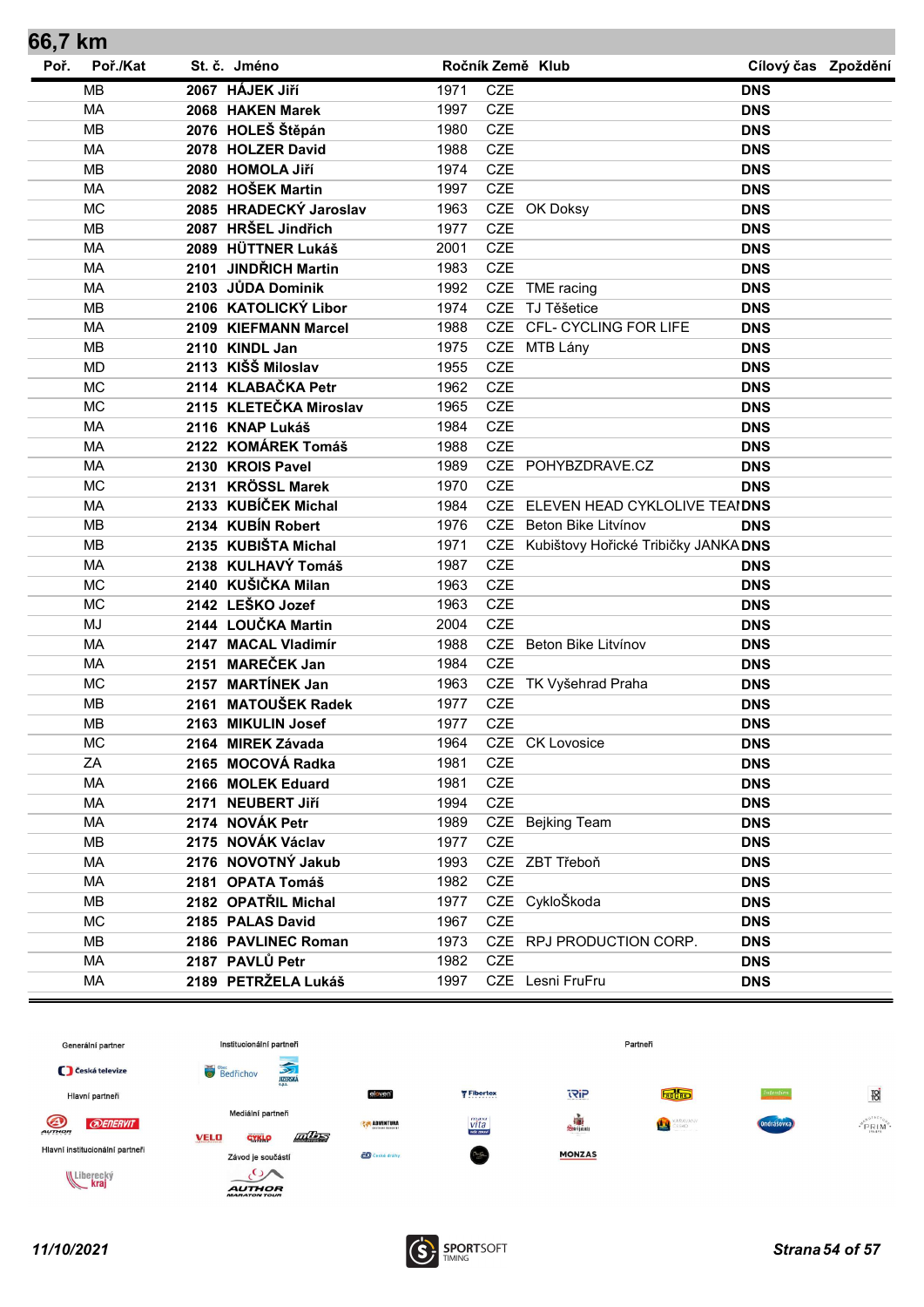| 66,7 km |           |      |                        |      |            |                                          |                     |  |
|---------|-----------|------|------------------------|------|------------|------------------------------------------|---------------------|--|
| Poř.    | Poř./Kat  |      | St. č. Jméno           |      |            | Ročník Země Klub                         | Cílový čas Zpoždění |  |
|         | <b>MB</b> |      | 2067 HÁJEK JIří        | 1971 | <b>CZE</b> |                                          | <b>DNS</b>          |  |
|         | <b>MA</b> |      | 2068 HAKEN Marek       | 1997 | <b>CZE</b> |                                          | <b>DNS</b>          |  |
|         | <b>MB</b> |      | 2076 HOLEŠ Štěpán      | 1980 | <b>CZE</b> |                                          | <b>DNS</b>          |  |
|         | <b>MA</b> |      | 2078 HOLZER David      | 1988 | <b>CZE</b> |                                          | <b>DNS</b>          |  |
|         | <b>MB</b> |      | 2080 HOMOLA Jiří       | 1974 | <b>CZE</b> |                                          | <b>DNS</b>          |  |
|         | MA        |      | 2082 HOŠEK Martin      | 1997 | CZE        |                                          | <b>DNS</b>          |  |
|         | <b>MC</b> |      | 2085 HRADECKÝ Jaroslav | 1963 |            | CZE OK Doksy                             | <b>DNS</b>          |  |
|         | <b>MB</b> |      | 2087 HRŠEL Jindřich    | 1977 | <b>CZE</b> |                                          | <b>DNS</b>          |  |
|         | <b>MA</b> |      | 2089 HÜTTNER Lukáš     | 2001 | <b>CZE</b> |                                          | <b>DNS</b>          |  |
|         | MA        |      | 2101 JINDŘICH Martin   | 1983 | CZE        |                                          | <b>DNS</b>          |  |
|         | <b>MA</b> |      | 2103 JŮDA Dominik      | 1992 |            | CZE TME racing                           | <b>DNS</b>          |  |
|         | <b>MB</b> |      | 2106 KATOLICKÝ Libor   | 1974 |            | CZE TJ Těšetice                          | <b>DNS</b>          |  |
|         | <b>MA</b> |      | 2109 KIEFMANN Marcel   | 1988 |            | CZE CFL- CYCLING FOR LIFE                | <b>DNS</b>          |  |
|         | <b>MB</b> |      | 2110 KINDL Jan         | 1975 |            | CZE MTB Lány                             | <b>DNS</b>          |  |
|         | <b>MD</b> |      | 2113 KIŠŠ Miloslav     | 1955 | <b>CZE</b> |                                          | <b>DNS</b>          |  |
|         | <b>MC</b> |      | 2114 KLABAČKA Petr     | 1962 | <b>CZE</b> |                                          | <b>DNS</b>          |  |
|         | <b>MC</b> |      | 2115 KLETEČKA Miroslav | 1965 | <b>CZE</b> |                                          | <b>DNS</b>          |  |
|         | MA        |      | 2116 KNAP Lukáš        | 1984 | CZE        |                                          | <b>DNS</b>          |  |
|         | <b>MA</b> |      | 2122 KOMÁREK Tomáš     | 1988 | <b>CZE</b> |                                          | <b>DNS</b>          |  |
|         | MA        |      | 2130 KROIS Pavel       | 1989 |            | CZE POHYBZDRAVE.CZ                       | <b>DNS</b>          |  |
|         | <b>MC</b> |      | 2131 KRÖSSL Marek      | 1970 | <b>CZE</b> |                                          | <b>DNS</b>          |  |
|         | MA        |      | 2133 KUBÍČEK Michal    | 1984 |            | CZE ELEVEN HEAD CYKLOLIVE TEAIDNS        |                     |  |
|         | <b>MB</b> |      | 2134 KUBÍN Robert      | 1976 |            | CZE Beton Bike Litvínov                  | <b>DNS</b>          |  |
|         | <b>MB</b> |      | 2135 KUBIŠTA Michal    | 1971 |            | CZE Kubištovy Hořické Tribičky JANKA DNS |                     |  |
|         | <b>MA</b> |      | 2138 KULHAVÝ Tomáš     | 1987 | <b>CZE</b> |                                          | <b>DNS</b>          |  |
|         | <b>MC</b> |      | 2140 KUŠIČKA Milan     | 1963 | CZE        |                                          | <b>DNS</b>          |  |
|         | <b>MC</b> |      | 2142 LEŠKO Jozef       | 1963 | <b>CZE</b> |                                          | <b>DNS</b>          |  |
|         | <b>MJ</b> |      | 2144 LOUČKA Martin     | 2004 | <b>CZE</b> |                                          | <b>DNS</b>          |  |
|         | <b>MA</b> |      | 2147 MACAL Vladimír    | 1988 |            | CZE Beton Bike Litvínov                  | <b>DNS</b>          |  |
|         | MA        | 2151 | <b>MAREČEK Jan</b>     | 1984 | <b>CZE</b> |                                          | <b>DNS</b>          |  |
|         | <b>MC</b> |      | 2157 MARTÍNEK Jan      | 1963 |            | CZE TK Vyšehrad Praha                    | <b>DNS</b>          |  |
|         | <b>MB</b> | 2161 | <b>MATOUŠEK Radek</b>  | 1977 | <b>CZE</b> |                                          | <b>DNS</b>          |  |
|         | <b>MB</b> |      | 2163 MIKULIN Josef     | 1977 | <b>CZE</b> |                                          | <b>DNS</b>          |  |
|         | <b>MC</b> |      | 2164 MIREK Závada      | 1964 |            | CZE CK Lovosice                          | <b>DNS</b>          |  |
|         | ZA        |      | 2165 MOCOVÁ Radka      | 1981 | <b>CZE</b> |                                          | <b>DNS</b>          |  |
|         | MA        |      | 2166 MOLEK Eduard      | 1981 | CZE        |                                          | <b>DNS</b>          |  |
|         | MA        |      | 2171 NEUBERT Jiří      | 1994 | CZE        |                                          | <b>DNS</b>          |  |
|         | МA        |      | 2174 NOVÁK Petr        | 1989 |            | CZE Bejking Team                         | <b>DNS</b>          |  |
|         | MВ        |      | 2175 NOVÁK Václav      | 1977 | <b>CZE</b> |                                          | <b>DNS</b>          |  |
|         | MA        |      | 2176 NOVOTNÝ Jakub     | 1993 |            | CZE ZBT Třeboň                           | <b>DNS</b>          |  |
|         | МA        |      | 2181 OPATA Tomáš       | 1982 | <b>CZE</b> |                                          | <b>DNS</b>          |  |
|         | MB        |      | 2182 OPATŘIL Michal    | 1977 |            | CZE CykloŠkoda                           | <b>DNS</b>          |  |
|         | <b>MC</b> |      | 2185 PALAS David       | 1967 | <b>CZE</b> |                                          | <b>DNS</b>          |  |
|         | MB        |      | 2186 PAVLINEC Roman    | 1973 |            | CZE RPJ PRODUCTION CORP.                 | <b>DNS</b>          |  |
|         | <b>MA</b> |      | 2187 PAVLŮ Petr        | 1982 | CZE        |                                          | <b>DNS</b>          |  |
|         | MA        |      | 2189 PETRŽELA Lukáš    | 1997 |            | CZE Lesni FruFru                         | <b>DNS</b>          |  |
|         |           |      |                        |      |            |                                          |                     |  |

![](_page_53_Figure_1.jpeg)

![](_page_53_Picture_3.jpeg)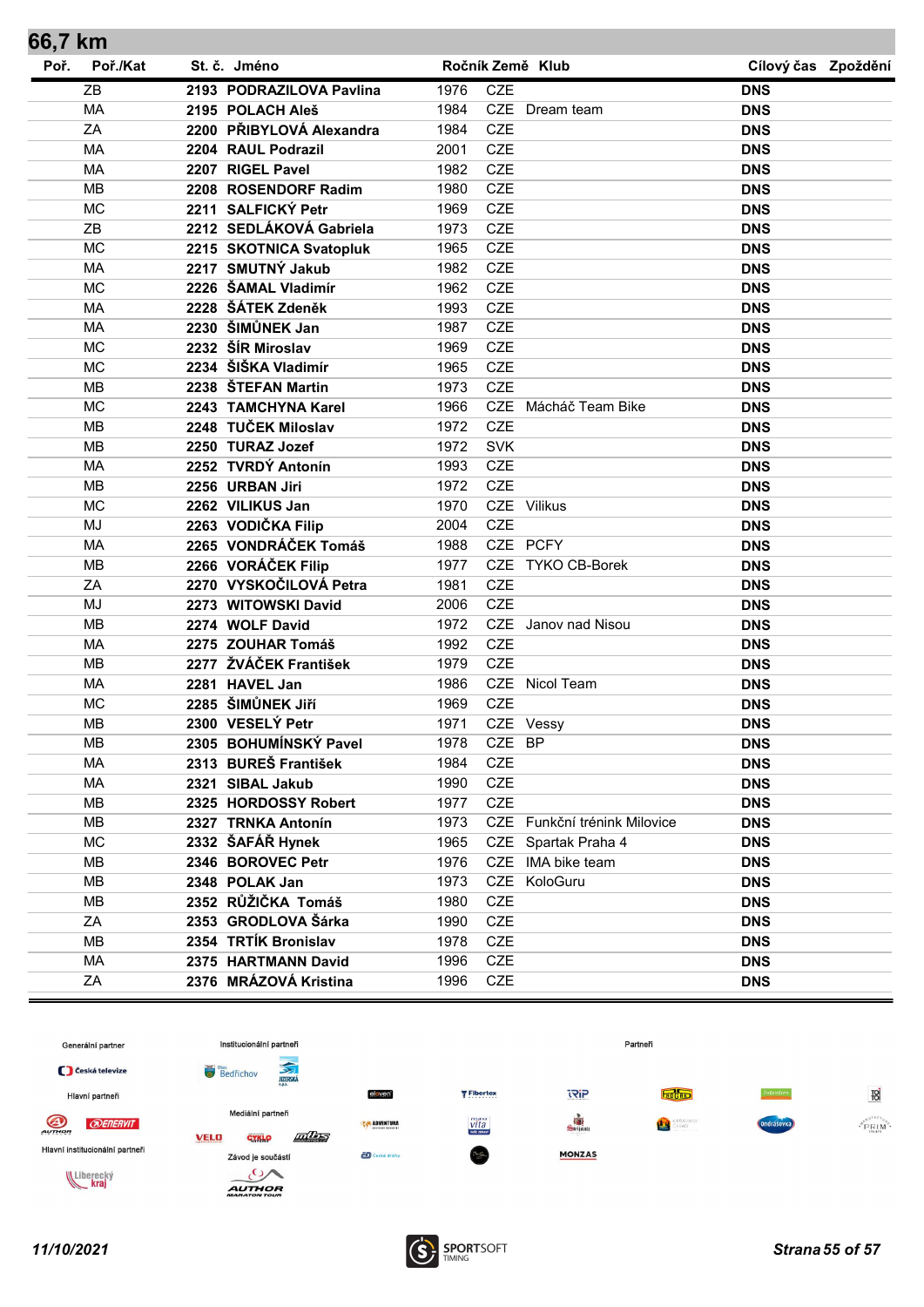| 66,7 km |           |                          |      |            |                              |                     |  |
|---------|-----------|--------------------------|------|------------|------------------------------|---------------------|--|
| Poř.    | Poř./Kat  | St. č. Jméno             |      |            | Ročník Země Klub             | Cílový čas Zpoždění |  |
|         | ZB        | 2193 PODRAZILOVA Pavlina | 1976 | <b>CZE</b> |                              | <b>DNS</b>          |  |
|         | <b>MA</b> | 2195 POLACH Aleš         | 1984 |            | CZE Dream team               | <b>DNS</b>          |  |
|         | ZA        | 2200 PŘIBYLOVÁ Alexandra | 1984 | <b>CZE</b> |                              | <b>DNS</b>          |  |
|         | <b>MA</b> | 2204 RAUL Podrazil       | 2001 | <b>CZE</b> |                              | <b>DNS</b>          |  |
|         | MA        | 2207 RIGEL Pavel         | 1982 | <b>CZE</b> |                              | <b>DNS</b>          |  |
|         | <b>MB</b> | 2208 ROSENDORF Radim     | 1980 | <b>CZE</b> |                              | <b>DNS</b>          |  |
|         | <b>MC</b> | 2211 SALFICKÝ Petr       | 1969 | <b>CZE</b> |                              | <b>DNS</b>          |  |
|         | ZB        | 2212 SEDLÁKOVÁ Gabriela  | 1973 | <b>CZE</b> |                              | <b>DNS</b>          |  |
|         | <b>MC</b> | 2215 SKOTNICA Svatopluk  | 1965 | <b>CZE</b> |                              | <b>DNS</b>          |  |
|         | <b>MA</b> | 2217 SMUTNÝ Jakub        | 1982 | <b>CZE</b> |                              | <b>DNS</b>          |  |
|         | <b>MC</b> | 2226 ŠAMAL Vladimír      | 1962 | <b>CZE</b> |                              | <b>DNS</b>          |  |
|         | MA        | 2228 ŠÁTEK Zdeněk        | 1993 | <b>CZE</b> |                              | <b>DNS</b>          |  |
|         | <b>MA</b> | 2230 ŠIMŮNEK Jan         | 1987 | <b>CZE</b> |                              | <b>DNS</b>          |  |
|         | <b>MC</b> | 2232 ŠÍR Miroslav        | 1969 | <b>CZE</b> |                              | <b>DNS</b>          |  |
|         | <b>MC</b> | 2234 ŠIŠKA Vladimír      | 1965 | <b>CZE</b> |                              | <b>DNS</b>          |  |
|         | <b>MB</b> | 2238 ŠTEFAN Martin       | 1973 | <b>CZE</b> |                              | <b>DNS</b>          |  |
|         | <b>MC</b> | 2243 TAMCHYNA Karel      | 1966 |            | CZE Mácháč Team Bike         | <b>DNS</b>          |  |
|         | <b>MB</b> | 2248 TUČEK Miloslav      | 1972 | <b>CZE</b> |                              | <b>DNS</b>          |  |
|         | <b>MB</b> | 2250 TURAZ Jozef         | 1972 | <b>SVK</b> |                              | <b>DNS</b>          |  |
|         | MA        | 2252 TVRDÝ Antonín       | 1993 | <b>CZE</b> |                              | <b>DNS</b>          |  |
|         | <b>MB</b> | 2256 URBAN Jiri          | 1972 | <b>CZE</b> |                              | <b>DNS</b>          |  |
|         | <b>MC</b> | 2262 VILIKUS Jan         | 1970 |            | CZE Vilikus                  | <b>DNS</b>          |  |
|         | <b>MJ</b> | 2263 VODIČKA Filip       | 2004 | <b>CZE</b> |                              | <b>DNS</b>          |  |
|         | <b>MA</b> | 2265 VONDRÁČEK Tomáš     | 1988 |            | CZE PCFY                     | <b>DNS</b>          |  |
|         | <b>MB</b> | 2266 VORÁČEK Filip       | 1977 | <b>CZE</b> | TYKO CB-Borek                | <b>DNS</b>          |  |
|         | ZA        | 2270 VYSKOČILOVÁ Petra   | 1981 | <b>CZE</b> |                              | <b>DNS</b>          |  |
|         | <b>MJ</b> | 2273 WITOWSKI David      | 2006 | <b>CZE</b> |                              | <b>DNS</b>          |  |
|         | <b>MB</b> | 2274 WOLF David          | 1972 |            | CZE Janov nad Nisou          | <b>DNS</b>          |  |
|         | MA        | 2275 ZOUHAR Tomáš        | 1992 | <b>CZE</b> |                              | <b>DNS</b>          |  |
|         | <b>MB</b> | 2277 ŽVÁČEK František    | 1979 | <b>CZE</b> |                              | <b>DNS</b>          |  |
|         | MA        | 2281 HAVEL Jan           | 1986 |            | CZE Nicol Team               | <b>DNS</b>          |  |
|         | <b>MC</b> | 2285 ŠIMŮNEK JIří        | 1969 | <b>CZE</b> |                              | <b>DNS</b>          |  |
|         | <b>MB</b> | 2300 VESELÝ Petr         | 1971 |            | CZE Vessy                    | <b>DNS</b>          |  |
|         | MВ        | 2305 BOHUMÍNSKÝ Pavel    | 1978 | CZE BP     |                              | <b>DNS</b>          |  |
|         | МA        | 2313 BUREŠ František     | 1984 | <b>CZE</b> |                              | <b>DNS</b>          |  |
|         | MA        | 2321 SIBAL Jakub         | 1990 | <b>CZE</b> |                              | <b>DNS</b>          |  |
|         | <b>MB</b> | 2325 HORDOSSY Robert     | 1977 | <b>CZE</b> |                              | <b>DNS</b>          |  |
|         | MB        | 2327 TRNKA Antonín       | 1973 |            | CZE Funkční trénink Milovice | <b>DNS</b>          |  |
|         | <b>MC</b> | 2332 ŠAFÁŘ Hynek         | 1965 |            | CZE Spartak Praha 4          | <b>DNS</b>          |  |
|         | MB        | 2346 BOROVEC Petr        | 1976 | <b>CZE</b> | IMA bike team                | <b>DNS</b>          |  |
|         | <b>MB</b> | 2348 POLAK Jan           | 1973 |            | CZE KoloGuru                 | <b>DNS</b>          |  |
|         | MB        | 2352 RŮŽIČKA Tomáš       | 1980 | <b>CZE</b> |                              | <b>DNS</b>          |  |
|         | ZA        | 2353 GRODLOVA Šárka      | 1990 | <b>CZE</b> |                              | <b>DNS</b>          |  |
|         | MB        | 2354 TRTÍK Bronislav     | 1978 | <b>CZE</b> |                              | <b>DNS</b>          |  |
|         | <b>MA</b> | 2375 HARTMANN David      | 1996 | <b>CZE</b> |                              | <b>DNS</b>          |  |
|         | ZA        | 2376 MRÁZOVÁ Kristina    | 1996 | CZE        |                              | <b>DNS</b>          |  |

![](_page_54_Figure_1.jpeg)

![](_page_54_Picture_3.jpeg)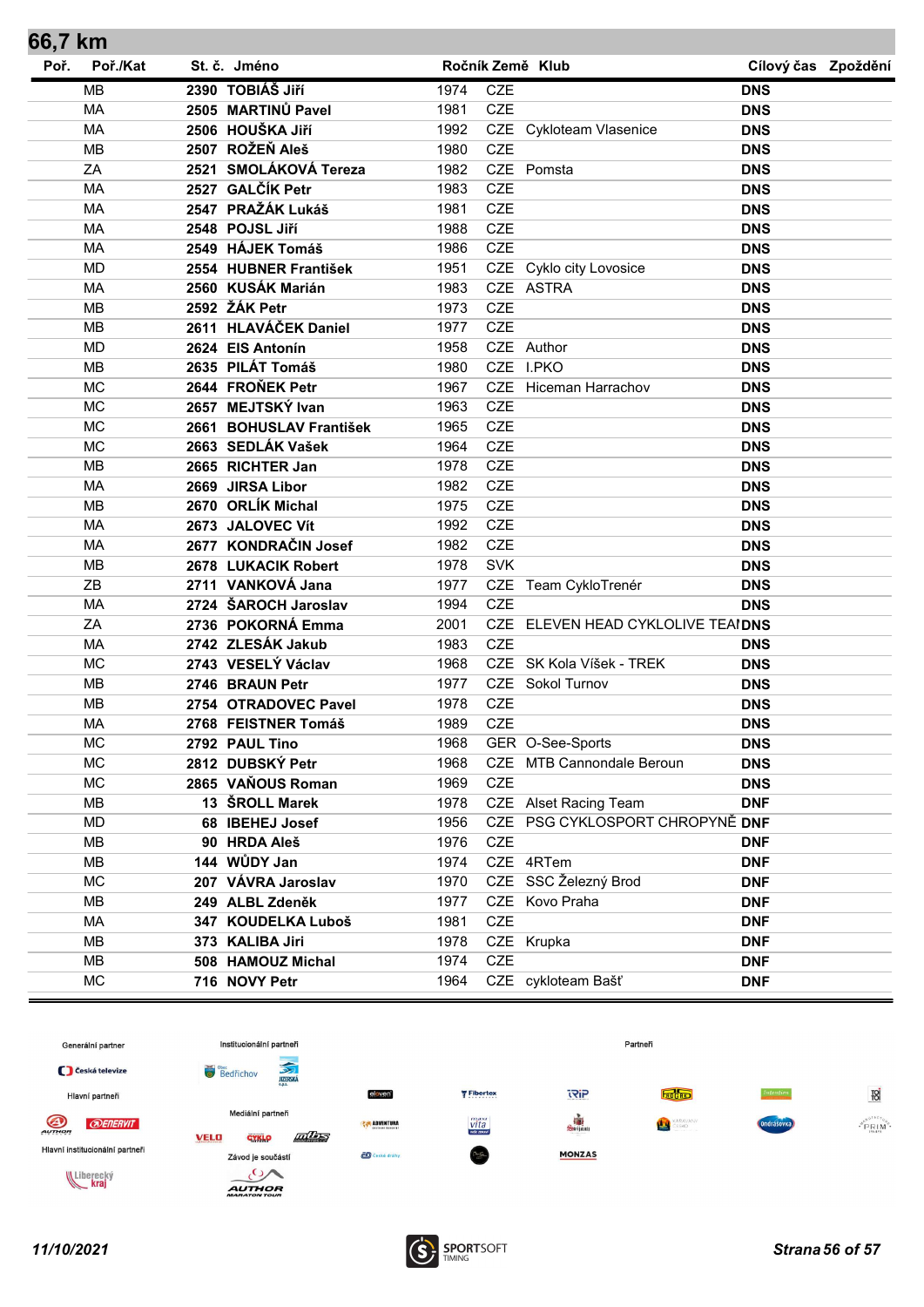| 66,7 KM |           |                         |      |            |                                   |                     |  |
|---------|-----------|-------------------------|------|------------|-----------------------------------|---------------------|--|
| Poř.    | Poř./Kat  | St. č. Jméno            |      |            | Ročník Země Klub                  | Cílový čas Zpoždění |  |
|         | <b>MB</b> | 2390 TOBIÁŠ JIří        | 1974 | <b>CZE</b> |                                   | <b>DNS</b>          |  |
|         | <b>MA</b> | 2505 MARTINŮ Pavel      | 1981 | <b>CZE</b> |                                   | <b>DNS</b>          |  |
|         | <b>MA</b> | 2506 HOUŠKA JIří        | 1992 |            | CZE Cykloteam Vlasenice           | <b>DNS</b>          |  |
|         | <b>MB</b> | 2507 ROŽEŇ Aleš         | 1980 | <b>CZE</b> |                                   | <b>DNS</b>          |  |
|         | ZA        | 2521 SMOLÁKOVÁ Tereza   | 1982 |            | CZE Pomsta                        | <b>DNS</b>          |  |
|         | <b>MA</b> | 2527 GALČÍK Petr        | 1983 | <b>CZE</b> |                                   | <b>DNS</b>          |  |
|         | <b>MA</b> | 2547 PRAŽÁK Lukáš       | 1981 | <b>CZE</b> |                                   | <b>DNS</b>          |  |
|         | MA        | 2548 POJSL Jiří         | 1988 | <b>CZE</b> |                                   | <b>DNS</b>          |  |
|         | <b>MA</b> | 2549 HÁJEK Tomáš        | 1986 | <b>CZE</b> |                                   | <b>DNS</b>          |  |
|         | <b>MD</b> | 2554 HUBNER František   | 1951 |            | CZE Cyklo city Lovosice           | <b>DNS</b>          |  |
|         | <b>MA</b> | 2560 KUSÁK Marián       | 1983 |            | CZE ASTRA                         | <b>DNS</b>          |  |
|         | <b>MB</b> | 2592 ŽÁK Petr           | 1973 | <b>CZE</b> |                                   | <b>DNS</b>          |  |
|         | <b>MB</b> | 2611 HLAVÁČEK Daniel    | 1977 | <b>CZE</b> |                                   | <b>DNS</b>          |  |
|         | <b>MD</b> | 2624 EIS Antonín        | 1958 |            | CZE Author                        | <b>DNS</b>          |  |
|         | <b>MB</b> | 2635 PILÁT Tomáš        | 1980 |            | CZE I.PKO                         | <b>DNS</b>          |  |
|         | <b>MC</b> | 2644 FROŇEK Petr        | 1967 |            | CZE Hiceman Harrachov             | <b>DNS</b>          |  |
|         | <b>MC</b> | 2657 MEJTSKÝ Ivan       | 1963 | <b>CZE</b> |                                   | <b>DNS</b>          |  |
|         | <b>MC</b> | 2661 BOHUSLAV František | 1965 | <b>CZE</b> |                                   | <b>DNS</b>          |  |
|         | <b>MC</b> | 2663 SEDLÁK Vašek       | 1964 | <b>CZE</b> |                                   | <b>DNS</b>          |  |
|         | <b>MB</b> | 2665 RICHTER Jan        | 1978 | <b>CZE</b> |                                   | <b>DNS</b>          |  |
|         | <b>MA</b> | 2669 JIRSA Libor        | 1982 | <b>CZE</b> |                                   | <b>DNS</b>          |  |
|         | <b>MB</b> | 2670 ORLÍK Michal       | 1975 | <b>CZE</b> |                                   | <b>DNS</b>          |  |
|         | <b>MA</b> | 2673 JALOVEC Vít        | 1992 | <b>CZE</b> |                                   | <b>DNS</b>          |  |
|         | MA        | 2677 KONDRAČIN Josef    | 1982 | <b>CZE</b> |                                   | <b>DNS</b>          |  |
|         | MB        | 2678 LUKACIK Robert     | 1978 | <b>SVK</b> |                                   | <b>DNS</b>          |  |
|         | ZB        | 2711 VANKOVÁ Jana       | 1977 |            | CZE Team CykloTrenér              | <b>DNS</b>          |  |
|         | <b>MA</b> | 2724 ŠAROCH Jaroslav    | 1994 | <b>CZE</b> |                                   | <b>DNS</b>          |  |
|         | ZA        | 2736 POKORNÁ Emma       | 2001 |            | CZE ELEVEN HEAD CYKLOLIVE TEAIDNS |                     |  |
|         | <b>MA</b> | 2742 ZLESÁK Jakub       | 1983 | <b>CZE</b> |                                   | <b>DNS</b>          |  |
|         | <b>MC</b> | 2743 VESELÝ Václav      | 1968 |            | CZE SK Kola Víšek - TREK          | <b>DNS</b>          |  |
|         | <b>MB</b> | 2746 BRAUN Petr         | 1977 |            | <b>CZE</b> Sokol Turnov           | <b>DNS</b>          |  |
|         | MB        | 2754 OTRADOVEC Pavel    | 1978 | <b>CZE</b> |                                   | <b>DNS</b>          |  |
|         | MA        | 2768 FEISTNER Tomáš     | 1989 | <b>CZE</b> |                                   | <b>DNS</b>          |  |
|         | MC        | 2792 PAUL Tino          | 1968 |            | GER O-See-Sports                  | <b>DNS</b>          |  |
|         | <b>MC</b> | 2812 DUBSKÝ Petr        | 1968 |            | CZE MTB Cannondale Beroun         | <b>DNS</b>          |  |
|         | <b>MC</b> | 2865 VAŇOUS Roman       | 1969 | <b>CZE</b> |                                   | <b>DNS</b>          |  |
|         | MВ        | 13 ŠROLL Marek          | 1978 |            | CZE Alset Racing Team             | <b>DNF</b>          |  |
|         | MD        | 68 IBEHEJ Josef         | 1956 |            | CZE PSG CYKLOSPORT CHROPYNĚ DNF   |                     |  |
|         | MВ        | 90 HRDA Aleš            | 1976 | <b>CZE</b> |                                   | <b>DNF</b>          |  |
|         | MВ        | 144 WŮDY Jan            | 1974 |            | CZE 4RTem                         | <b>DNF</b>          |  |
|         | <b>MC</b> | 207 VÁVRA Jaroslav      | 1970 |            | CZE SSC Železný Brod              | <b>DNF</b>          |  |
|         | MВ        | 249 ALBL Zdeněk         | 1977 |            | CZE Kovo Praha                    | <b>DNF</b>          |  |
|         | MA        | 347 KOUDELKA Luboš      | 1981 | CZE        |                                   | <b>DNF</b>          |  |
|         | MВ        | 373 KALIBA Jiri         | 1978 |            | CZE Krupka                        | <b>DNF</b>          |  |
|         | MВ        | 508 HAMOUZ Michal       | 1974 | <b>CZE</b> |                                   | <b>DNF</b>          |  |
|         |           |                         |      |            |                                   |                     |  |
|         | MC        | 716 NOVY Petr           | 1964 |            | CZE cykloteam Bašť                | <b>DNF</b>          |  |

![](_page_55_Figure_1.jpeg)

![](_page_55_Picture_3.jpeg)